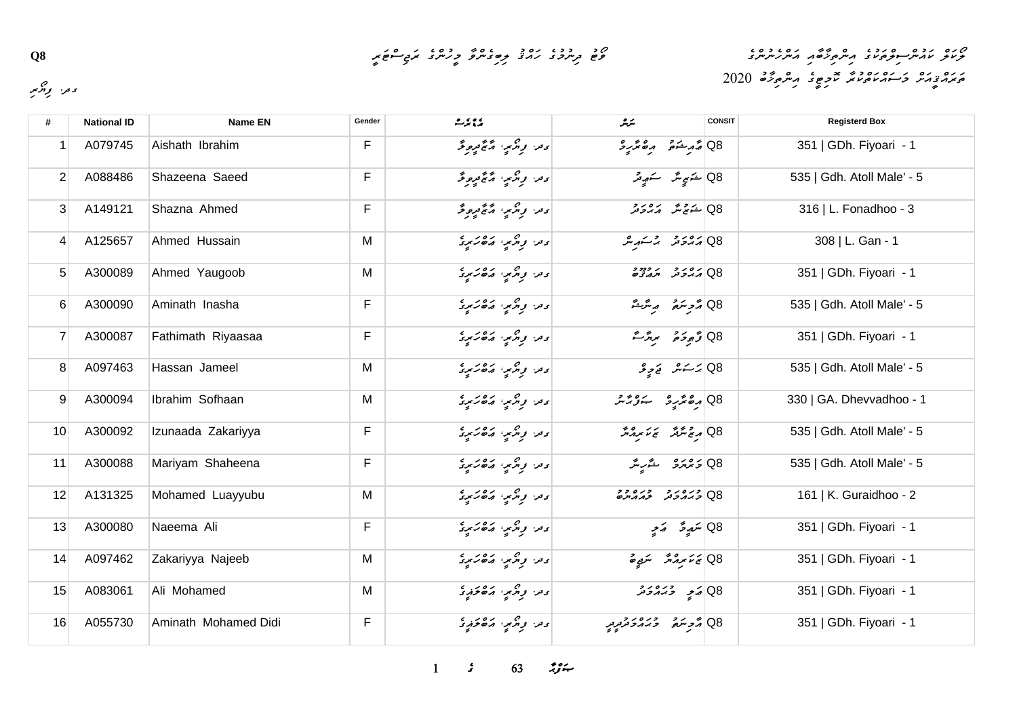*sCw7q7s5w7m< o<n9nOoAw7o< sCq;mAwBoEw7q<m; wBm;vB 2020*<br>*په پوهر وسوډيرونو لومو د موجو د مرمونه* 2020

| #              | <b>National ID</b> | Name EN              | Gender       | ړ؛ پرُ۔                                         | سرپر                                                                                                                    | <b>CONSIT</b> | <b>Registerd Box</b>       |
|----------------|--------------------|----------------------|--------------|-------------------------------------------------|-------------------------------------------------------------------------------------------------------------------------|---------------|----------------------------|
|                | A079745            | Aishath Ibrahim      | $\mathsf{F}$ | دىن وكرىم، كەنج مرەق                            | Q8 مەم ئىقتى مەھمەر ئى                                                                                                  |               | 351   GDh. Fiyoari - 1     |
| $\vert$ 2      | A088486            | Shazeena Saeed       | F            | <sub>ى</sub> ر روكىي ئ <i>ىقتى</i> رونى         | Q8 خوم س <i>تم پوش</i>                                                                                                  |               | 535   Gdh. Atoll Male' - 5 |
| 3              | A149121            | Shazna Ahmed         | $\mathsf{F}$ | <sub>ى</sub> ر روگىي ئىقمىرونى                  | Q8 شىق شەر ئەركىتى                                                                                                      |               | 316   L. Fonadhoo - 3      |
| $\vert$        | A125657            | Ahmed Hussain        | M            | ى تىر بوركىي، ئەھكىمى ئى                        | Q8 <i>ټرېنځنگه پر شهر</i> نګر                                                                                           |               | 308   L. Gan - 1           |
| 5              | A300089            | Ahmed Yaugoob        | M            | ى مەر بولگىي كەن كەن بول                        | Q8 ג'בנג המגבים                                                                                                         |               | 351   GDh. Fiyoari - 1     |
| 6              | A300090            | Aminath Inasha       | F            | ى قرار بوركى بالمائى كەنتى كىلىنى ئى            | Q8 مٌرجِسَمُ مِسَّتَّةٌ                                                                                                 |               | 535   Gdh. Atoll Male' - 5 |
| $\overline{7}$ | A300087            | Fathimath Riyaasaa   | $\mathsf{F}$ | ى قرار بوركى بالمقابل بورى                      | Q8 <i>وَّجِوَةُ بِرِيْرُتُ</i>                                                                                          |               | 351   GDh. Fiyoari - 1     |
| 8              | A097463            | Hassan Jameel        | M            | ى تىر بوركىي، كەھكىرى                           | Q8   پرستر ہے <sub>جو</sub> ثر                                                                                          |               | 535   Gdh. Atoll Male' - 5 |
| 9              | A300094            | Ibrahim Sofhaan      | M            | ى قرار بوركى بالمائى كەنتى كىلىنى ئاستانلار ئال | Q8 مەھە <i>ئەب</i> ۇ سەزىئەتر                                                                                           |               | 330   GA. Dhevvadhoo - 1   |
| 10             | A300092            | Izunaada Zakariyya   | $\mathsf{F}$ | <sub>ى</sub> ر رومى كەھەمبە                     | Q8 مەيم ئىرقىگە ئىم <i>ئىر مەي</i> ر                                                                                    |               | 535   Gdh. Atoll Male' - 5 |
| 11             | A300088            | Mariyam Shaheena     | $\mathsf F$  | ى قرار بوركى بالمائى كى تورى                    | Q8 كەنگە ئىگە <i>بەنگە</i>                                                                                              |               | 535   Gdh. Atoll Male' - 5 |
| 12             | A131325            | Mohamed Luayyubu     | M            | ى قرار بوركى بالمائى كەنتى كىلىنى ئاستانلار ئال | QB Erner erose                                                                                                          |               | 161   K. Guraidhoo - 2     |
| 13             | A300080            | Naeema Ali           | $\mathsf{F}$ | ى قرار بوركى بالمكان كار مورى                   | Q8 سَمِيرَ - مَرِ -                                                                                                     |               | 351   GDh. Fiyoari - 1     |
| 14             | A097462            | Zakariyya Najeeb     | M            | <sub>ى</sub> مى وكرىم، كەھ <sup>رى</sup> رى     | $\frac{2}{3}$ ى ئىكىمى بىر ئىككى ئىككى ئىككى ئىككى ئىككى ئىككى ئىككى ئىككى ئىككى ئىككى ئىككى ئىككى ئىككى ئىككى ئىككى ئى |               | 351   GDh. Fiyoari - 1     |
| 15             | A083061            | Ali Mohamed          | M            | <sub>ى</sub> ر رومې كەھكەبى                     | Q8 <i>كەبى ئېتەم</i> كىر                                                                                                |               | 351   GDh. Fiyoari - 1     |
| 16             | A055730            | Aminath Mohamed Didi | F            | ى تىن بوركىي، مەھكەپدى                          | Q8 <i>مُّحِسَمُ حُمَدُو وَوْمِ</i> مِيرِ                                                                                |               | 351   GDh. Fiyoari - 1     |

*1 s* **63** *n***<sub>s</sub>**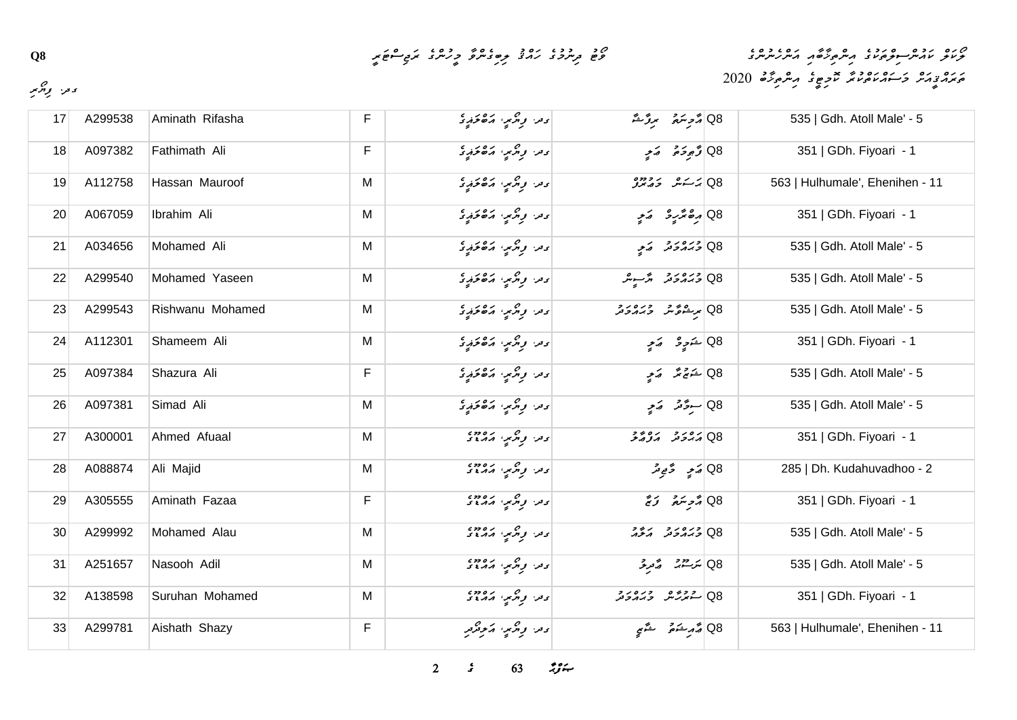*sCw7q7s5w7m< o<n9nOoAw7o< sCq;mAwBoEw7q<m; wBm;vB 2020*<br>*په پوهر وسوډيرونو لومو د موجو د مرمونه* 2020

| 17              | A299538 | Aminath Rifasha  | $\mathsf{F}$ | <sub>ى</sub> ر رومې كەھكەلى | Q8   مُرْحِسَمُ مِتَرَّسَمُ             | 535   Gdh. Atoll Male' - 5      |
|-----------------|---------|------------------|--------------|-----------------------------|-----------------------------------------|---------------------------------|
| 18              | A097382 | Fathimath Ali    | F            | دىن وگرىي، كەھكۈرى          | Q8 <i>وُّجِودَةْ</i> مَر <sub>ْمٍ</sub> | 351   GDh. Fiyoari - 1          |
| 19              | A112758 | Hassan Mauroof   | M            | دىن پوهې پرەتخەرچ           | Q8 ئەسەمىر ئەمەمىر<br>© 20 ئەسىر        | 563   Hulhumale', Ehenihen - 11 |
| 20              | A067059 | Ibrahim Ali      | M            | دىن پوهې، مەھكەر ئ          | Q8 م <i>ەھتىپ</i> ى مەم                 | 351   GDh. Fiyoari - 1          |
| 21              | A034656 | Mohamed Ali      | M            | دىن وگرىي، كەھكۈرى          | Q8 <i>وُيَهُ دَوَ</i> مَعِ              | 535   Gdh. Atoll Male' - 5      |
| 22              | A299540 | Mohamed Yaseen   | M            | دىن وگرىي، كەھكۈرى          | Q8 <i>دېمم</i> وتر گرېپ                 | 535   Gdh. Atoll Male' - 5      |
| 23              | A299543 | Rishwanu Mohamed | M            | دىن وگرىي، كەھكۈرى          | 08 <i>برخۇش ۋېرەد قر</i>                | 535   Gdh. Atoll Male' - 5      |
| 24              | A112301 | Shameem Ali      | M            | <sub>ى</sub> ر رومې كەھكەت  | ل ڪموپو کي کي $\sim$ 0.8 $\,$           | 351   GDh. Fiyoari - 1          |
| 25              | A097384 | Shazura Ali      | F            | دىن پوهې، مەھكەر ئ          | Q8 ڪيتي تھ جي ج                         | 535   Gdh. Atoll Male' - 5      |
| 26              | A097381 | Simad Ali        | M            | ءمن وكرس كالمحترى           | Q8   سوتى ق <i>ەي</i> ر                 | 535   Gdh. Atoll Male' - 5      |
| 27              | A300001 | Ahmed Afuaal     | M            | <sub>وفر:</sub> وگرم کروری  | Q8 كەبروتى كەن ئۇرگەنز                  | 351   GDh. Fiyoari - 1          |
| 28              | A088874 | Ali Majid        | M            | <sub>وفر:</sub> وگرم کروری  | Q8 <i>ھَ جِ</i> گھ <sub>و</sub> مَّر    | 285   Dh. Kudahuvadhoo - 2      |
| 29              | A305555 | Aminath Fazaa    | F            | ره د وگرس پره دوه           | Q8 م <i>گرم ملم</i> ح تونج              | 351   GDh. Fiyoari - 1          |
| 30 <sup>°</sup> | A299992 | Mohamed Alau     | M            | دىن پېرىم ئەمەدە            | $22220$ $22220$                         | 535   Gdh. Atoll Male' - 5      |
| 31              | A251657 | Nasooh Adil      | M            | دىن وگرىي، كەمدە            | Q8 يَرْتَيْتُ مَدَّمْد                  | 535   Gdh. Atoll Male' - 5      |
| 32              | A138598 | Suruhan Mohamed  | M            | دىن وگرىي، كەمدە            | Q8 يەرمىر مەمدىر دىكە                   | 351   GDh. Fiyoari - 1          |
| 33              | A299781 | Aishath Shazy    | F            | دىن وكرىي، كەنوندىن         | Q8 <i>۾ُ مِ</i> شَمَرُ شَمَيِّ          | 563   Hulhumale', Ehenihen - 11 |

**2** *s* **63** *z s*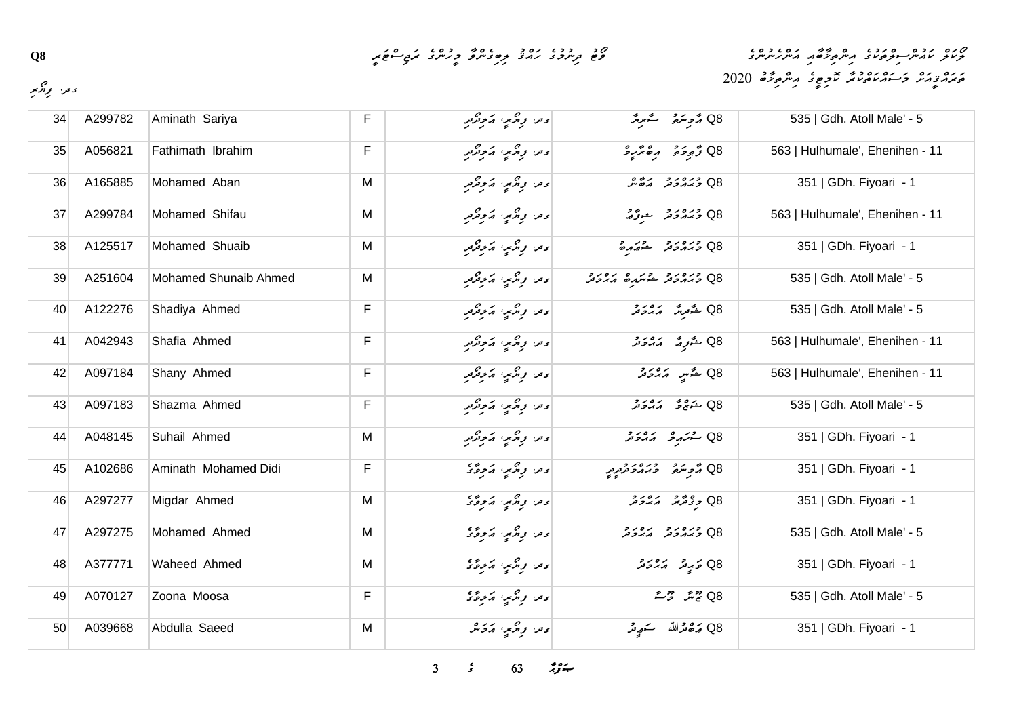*sCw7q7s5w7m< o<n9nOoAw7o< sCq;mAwBoEw7q<m; wBm;vB 2020*<br>*په پوهر وسوډيرونو لومو د موجو د مرمونه* 2020

| 34 | A299782 | Aminath Sariya               | F           | دىن وكرىپ، كەندىگىر           | Q8 <i>مُجْرِسَة مُسْبِيرَ</i>                                                                                                                                                                                                   | 535   Gdh. Atoll Male' - 5      |
|----|---------|------------------------------|-------------|-------------------------------|---------------------------------------------------------------------------------------------------------------------------------------------------------------------------------------------------------------------------------|---------------------------------|
| 35 | A056821 | Fathimath Ibrahim            | $\mathsf F$ | دىن بوچىپ، پرچوپىر            | $\frac{2}{\sqrt{2}}$ وَجوحو مەھمىر                                                                                                                                                                                              | 563   Hulhumale', Ehenihen - 11 |
| 36 | A165885 | Mohamed Aban                 | M           | دىن توپزىي، پركوچرىيە         | Q8 <i>وُبَهُ وَبَوْ</i> مَرَّةٌ مَرَّةٌ مَرَّ                                                                                                                                                                                   | 351   GDh. Fiyoari - 1          |
| 37 | A299784 | Mohamed Shifau               | M           | دىن توپزىي، پركوچرىيە         | $25.25$ $25.25$ $08$                                                                                                                                                                                                            | 563   Hulhumale', Ehenihen - 11 |
| 38 | A125517 | Mohamed Shuaib               | M           | ءمر وترمي تروثرمر             | $Q8$ $3.23$                                                                                                                                                                                                                     | 351   GDh. Fiyoari - 1          |
| 39 | A251604 | <b>Mohamed Shunaib Ahmed</b> | M           | دور وترس ټرونژنو              | $O8$ $O8$ $O10$ $O10$ $O10$                                                                                                                                                                                                     | 535   Gdh. Atoll Male' - 5      |
| 40 | A122276 | Shadiya Ahmed                | $\mathsf F$ | دىن وگرىي، كەنوقرىن           | Q8 شَمَرِ بَرَّ بَدَ دَيْرَ مَدَّ                                                                                                                                                                                               | 535   Gdh. Atoll Male' - 5      |
| 41 | A042943 | Shafia Ahmed                 | $\mathsf F$ | دىن توپزىي، پركوچرىيە         | Q8 ش <i>ۇرۇ مەدە</i> تر                                                                                                                                                                                                         | 563   Hulhumale', Ehenihen - 11 |
| 42 | A097184 | Shany Ahmed                  | $\mathsf F$ | دورا وتركيب الكوفرين          | Q8 گەس كەنگە <i>قى</i> ر                                                                                                                                                                                                        | 563   Hulhumale', Ehenihen - 11 |
| 43 | A097183 | Shazma Ahmed                 | $\mathsf F$ | أرمدا وأكرميا أروفرمر         | Q8) شەھ ئەسىمە ئەركىتىلىرى ئىسىمە ئىشتىر ئىشتىر ئىشتار ئىشتىر ئىشتار ئىشتىر ئىشتىر ئىشتىر ئىشتىر ئىشتىر ئىشتى<br>ئىشتار ئىشتار ئىشتىر ئىشتىر ئىشتىر ئىشتىر ئىشتىر ئىشتىر ئىشتىر ئىشتىر ئىشتىر ئىشتىر ئىشتىر ئىشتىر ئىشتىر ئىشتى | 535   Gdh. Atoll Male' - 5      |
| 44 | A048145 | Suhail Ahmed                 | M           | دىن وگرىي، كەندىر             | Q8 <i>سترم بو متح</i> قر                                                                                                                                                                                                        | 351   GDh. Fiyoari - 1          |
| 45 | A102686 | Aminath Mohamed Didi         | F           | دور وگري كروگر                | Q8 <i>مُّحِسَمُ حَدَمُحَمَّدِيدٍ</i>                                                                                                                                                                                            | 351   GDh. Fiyoari - 1          |
| 46 | A297277 | Migdar Ahmed                 | M           | دىن وگرىي، كەنوگەنى           | Q8 <i>وِ وُمَّرَة كَمَدْدَ</i> قْر                                                                                                                                                                                              | 351   GDh. Fiyoari - 1          |
| 47 | A297275 | Mohamed Ahmed                | M           | دىن وگرىي، كەنزۇڭى            | Q8 <i>وُبُرُودُو دُبُرُدُو</i>                                                                                                                                                                                                  | 535   Gdh. Atoll Male' - 5      |
| 48 | A377771 | Waheed Ahmed                 | M           | دىن وگرىي، كەنزۇڭى            | Q8 <i>قې</i> يى <i>ز مەمەم</i>                                                                                                                                                                                                  | 351   GDh. Fiyoari - 1          |
| 49 | A070127 | Zoona Moosa                  | $\mathsf F$ | ءما وأكبرا أروقى              | $23 \times 208$                                                                                                                                                                                                                 | 535   Gdh. Atoll Male' - 5      |
| 50 | A039668 | Abdulla Saeed                | M           | <mark>رىر وگرىي كەك</mark> كە | Q8 كەڭداللە ك <i>وپى</i> تر                                                                                                                                                                                                     | 351   GDh. Fiyoari - 1          |

**3** *s* **63** *z***<sub>***f***</sub>** *s*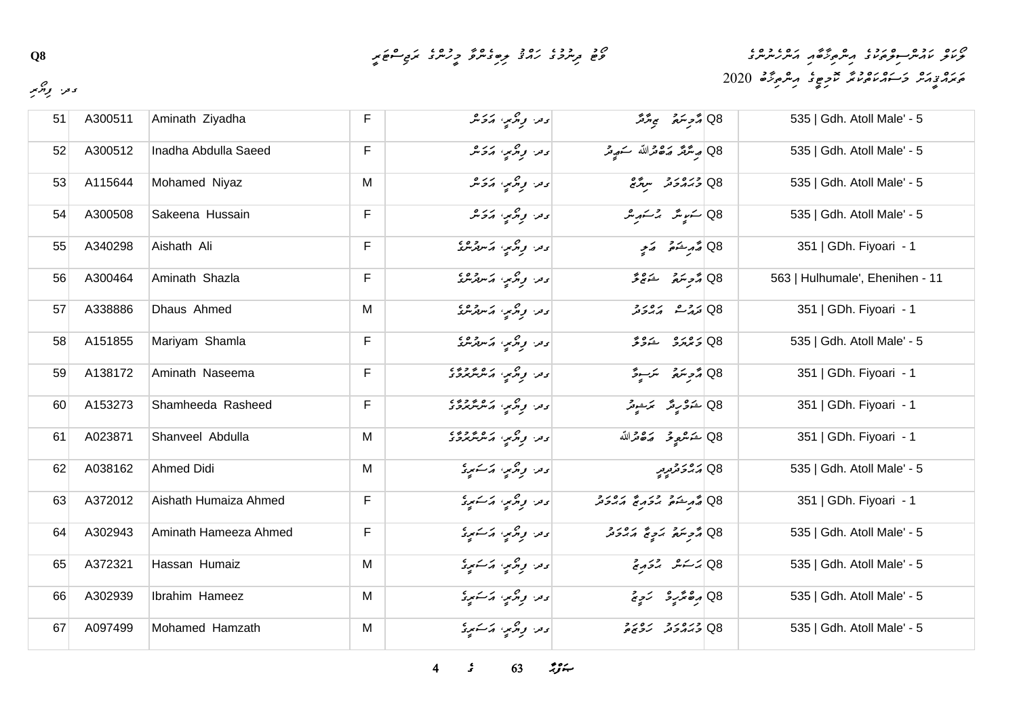*sCw7q7s5w7m< o<n9nOoAw7o< sCq;mAwBoEw7q<m; wBm;vB 2020*<br>*په پوهر وسوډيرونو لومو د موجو د مرمونه* 2020

| 51 | A300511 | Aminath Ziyadha       | F            | دىن وگرىي، كەڭگر                        | Q8 م <i>ُّ مِ مَنْهُ</i> بِهِ مُرْتَ <i>زٌ</i>    | 535   Gdh. Atoll Male' - 5      |
|----|---------|-----------------------|--------------|-----------------------------------------|---------------------------------------------------|---------------------------------|
| 52 | A300512 | Inadha Abdulla Saeed  | $\mathsf F$  | دىن وگرىي، كەڭ ئىر                      | Q8 م <i>ېنگونگر مُذَهق</i> رالله سَم <i>وٍيقر</i> | 535   Gdh. Atoll Male' - 5      |
| 53 | A115644 | Mohamed Niyaz         | M            | دىن وگرىي، كەڭگر                        | Q8 <i>252,25 سرگر</i> یم                          | 535   Gdh. Atoll Male' - 5      |
| 54 | A300508 | Sakeena Hussain       | $\mathsf F$  | دىن وگرىي، كەڭگە                        | Q8   سَرِیٹر کرسکویٹر                             | 535   Gdh. Atoll Male' - 5      |
| 55 | A340298 | Aishath Ali           | F            | دىن پەھمى، كەس دە ئ                     | Q8 م <i>مَّم شَمَّة مَ</i> حِ                     | 351   GDh. Fiyoari - 1          |
| 56 | A300464 | Aminath Shazla        | $\mathsf{F}$ | ا دو. وگريز، م <i>ر سوهر</i> س          | Q8   مَرْحِ سَرَىْتَمْ       سَرَىٰ تَرَ          | 563   Hulhumale', Ehenihen - 11 |
| 57 | A338886 | Dhaus Ahmed           | M            | <sub>ى</sub> ر وگرىي، كەس <i>پر</i> ىرى | Q8 مَ <i>دَمْ – مَدْدَوْرٌ</i>                    | 351   GDh. Fiyoari - 1          |
| 58 | A151855 | Mariyam Shamla        | $\mathsf F$  | ا دو. وگريز، مسروره د                   | Q8 ك <i>ر يمركز شكر د ك</i>                       | 535   Gdh. Atoll Male' - 5      |
| 59 | A138172 | Aminath Naseema       | $\mathsf F$  | دىن وگرىي، كەنگەنگەدى                   | Q8 مُّحِسَمُ مَنْ مِنْ مِنْ مِنْ مِنْ             | 351   GDh. Fiyoari - 1          |
| 60 | A153273 | Shamheeda Rasheed     | $\mathsf F$  | دىن وگرىي، كەنگەنگەدى                   | $\alpha$ مُدَوْرِيَّز كَرَسْوِيْر $\sim$          | 351   GDh. Fiyoari - 1          |
| 61 | A023871 | Shanveel Abdulla      | M            | دىن وگرىي، كەشرىكىردى                   | Q8 خەشم <i>وقى مەھەتر</i> اللە                    | 351   GDh. Fiyoari - 1          |
| 62 | A038162 | <b>Ahmed Didi</b>     | M            | دورا وگري كاسكيږي                       | Q8   كەنگە كەمگە يولىيە                           | 535   Gdh. Atoll Male' - 5      |
| 63 | A372012 | Aishath Humaiza Ahmed | $\mathsf F$  | أدفرا وكريميا كاسكيرة                   | $08$ أَيُسْتَمَعُو بَرْدَمِهِ بَمَدْدَمَرَ        | 351   GDh. Fiyoari - 1          |
| 64 | A302943 | Aminath Hameeza Ahmed | $\mathsf F$  | دورا وگري کرکنوری                       | Q8 أ <i>مَّ جِسَعْهُ بَرْحِيَّ أَمَدُ</i> حَدَّ   | 535   Gdh. Atoll Male' - 5      |
| 65 | A372321 | Hassan Humaiz         | M            | <sub>م</sub> یں ویکمپ کاسکمبر <i>ی</i>  | Q8 كەسكەش ئ <i>ىگەنى</i> ج                        | 535   Gdh. Atoll Male' - 5      |
| 66 | A302939 | Ibrahim Hameez        | M            | ا <sub>م</sub> یں اولاس ایک کمیونی      | Q8 م <i>ەھتىب</i> ۇ كېچى                          | 535   Gdh. Atoll Male' - 5      |
| 67 | A097499 | Mohamed Hamzath       | M            | <sub>ى</sub> ر روگىي، كەسكىرى           | Q8 <i>ב ב</i> מכני הפימיק                         | 535   Gdh. Atoll Male' - 5      |

*4 s* 63 *i*<sub>S</sub> $\approx$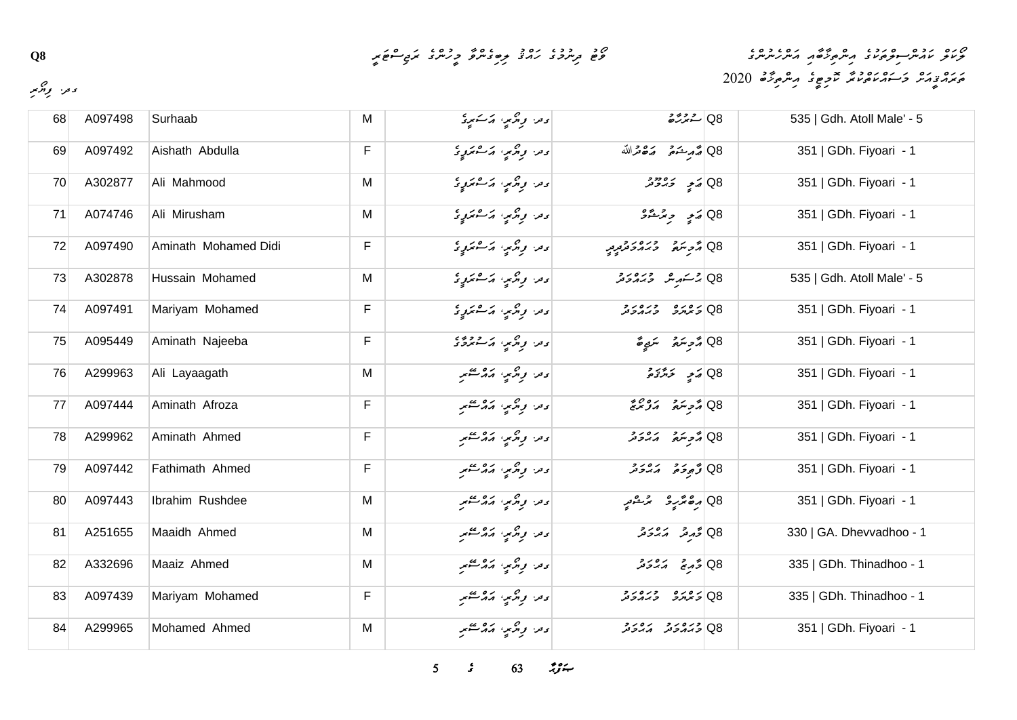*sCw7q7s5w7m< o<n9nOoAw7o< sCq;mAwBoEw7q<m; wBm;vB 2020*<br>*په پوهر وسوډيرونو لومو د موجو د مرمونه* 2020

| 68 | A097498 | Surhaab              | M           | ءَ ۾ وگي، پرڪيري                   | $222$ Q8                                                                                                                                                                                                                     | 535   Gdh. Atoll Male' - 5 |
|----|---------|----------------------|-------------|------------------------------------|------------------------------------------------------------------------------------------------------------------------------------------------------------------------------------------------------------------------------|----------------------------|
| 69 | A097492 | Aishath Abdulla      | F           | دىن وگرىي، كەسىمكورى               | Q8 <i>مُقْهِرِحْتَمْ مُنْ هُ</i> قْدَاللَّه                                                                                                                                                                                  | 351   GDh. Fiyoari - 1     |
| 70 | A302877 | Ali Mahmood          | M           | دىن وگرىي، كەڪىرو ك                | Q8) <i>ھَ۔ ج</i> ِ اللہ علم اللہ علم اللہ علم اللہ علم اللہ علم اللہ علم اللہ علم اللہ علم اللہ علم اللہ ع<br>اللہ علم اللہ علم اللہ علم اللہ علم اللہ علم اللہ علم اللہ علم اللہ علم اللہ علم اللہ علم اللہ علم اللہ علم ال | 351   GDh. Fiyoari - 1     |
| 71 | A074746 | Ali Mirusham         | M           | دىن بوچى، پەڪترى ئ                 | Q8 <i>كەي جىڭگ</i> ۇ                                                                                                                                                                                                         | 351   GDh. Fiyoari - 1     |
| 72 | A097490 | Aminath Mohamed Didi | F           | دىن وگرىي، كەشكرولى                | Q8 <i>مُّحِسَمُ حَدُمُحَمَّدِيدِ</i>                                                                                                                                                                                         | 351   GDh. Fiyoari - 1     |
| 73 | A302878 | Hussain Mohamed      | M           | <sub>م</sub> یں ویکی کا کھیلے کی ت | Q8 يُرَسَمبِ مَرْ وَبَرَ مُرْحَمَّدِ                                                                                                                                                                                         | 535   Gdh. Atoll Male' - 5 |
| 74 | A097491 | Mariyam Mohamed      | F           | دىن وگرىي كەشىمرولى                | Q8) <i>5xx2 3xx2</i>                                                                                                                                                                                                         | 351   GDh. Fiyoari - 1     |
| 75 | A095449 | Aminath Najeeba      | $\mathsf F$ | ىلا وەكبرا كەسىمدى                 | Q8 أ <i>مَّ حِ سَمَّةٍ</i> مُسَمَّدٍ صَّ                                                                                                                                                                                     | 351   GDh. Fiyoari - 1     |
| 76 | A299963 | Ali Layaagath        | M           | ى قىز: تو چرىپ، كەكەتتىكىچى        | $\sqrt{2}$ كَدَمٍ وَتَرَدَّدُو $\sim$                                                                                                                                                                                        | 351   GDh. Fiyoari - 1     |
| 77 | A097444 | Aminath Afroza       | F           | ى تىر ، توركىي، كەكەنتىكىي         | Q8 أو سَرَمَ أَمْرُ مَرَّمَ                                                                                                                                                                                                  | 351   GDh. Fiyoari - 1     |
| 78 | A299962 | Aminath Ahmed        | $\mathsf F$ | ى قىز: تو چرىپ، كەكەتتىكىچى        | Q8 مُجِسَعُ مَ <sup>رُو</sup> دَ                                                                                                                                                                                             | 351   GDh. Fiyoari - 1     |
| 79 | A097442 | Fathimath Ahmed      | F           | ى قىز: تو چرىپ، كەكەتتىكىچى        | Q8 <i>وُّجِوَدَة مَدْدَند</i>                                                                                                                                                                                                | 351   GDh. Fiyoari - 1     |
| 80 | A097443 | Ibrahim Rushdee      | M           | ىمىن توركىي، كەكەنتىمى             | Q8 <i>برھنگرد</i> و گرش <sup>و</sup> برِ                                                                                                                                                                                     | 351   GDh. Fiyoari - 1     |
| 81 | A251655 | Maaidh Ahmed         | M           | ى قىز بولىرىپى، كەڭ شىمىي          | Q8 <i>قُهِ قُدْ مَدْدَمْدُ</i>                                                                                                                                                                                               | 330   GA. Dhevvadhoo - 1   |
| 82 | A332696 | Maaiz Ahmed          | M           | ى تىر ، توركىيە ، كەكەنگەنىي       | Q8 <i>وَّ مِ</i> مَدْحَدَّ                                                                                                                                                                                                   | 335   GDh. Thinadhoo - 1   |
| 83 | A097439 | Mariyam Mohamed      | $\mathsf F$ | ى قىز ، توركىي، كەڭ سىمبىر         | Q8) <i>ۈيۈرە دېرەرد</i>                                                                                                                                                                                                      | 335   GDh. Thinadhoo - 1   |
| 84 | A299965 | Mohamed Ahmed        | M           | ى تىر ، توركىي، كەكەنت مىر         | Q8 <i>وُيُهُوَبُو مُدُوبُرُ</i>                                                                                                                                                                                              | 351   GDh. Fiyoari - 1     |

 $5$   $5$   $63$   $25$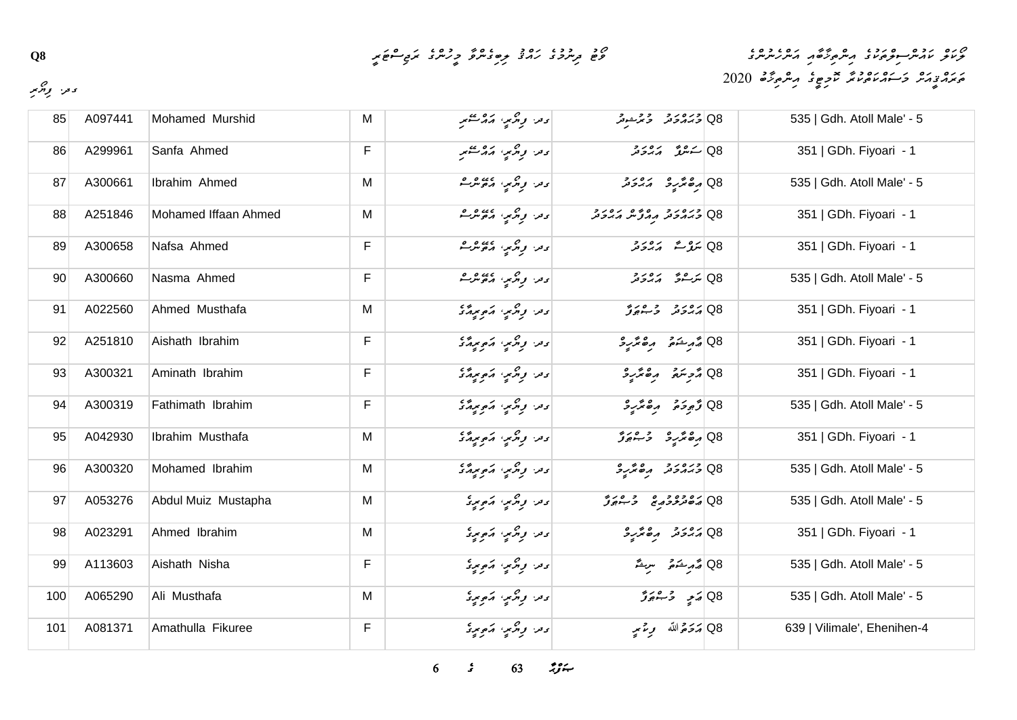*sCw7q7s5w7m< o<n9nOoAw7o< sCq;mAwBoEw7q<m; wBm;vB 2020<sup>, م</sup>وسر در مدد مدرج به مدرم مقرم قرار 2020*<br>موسر المستقرم المستقرم المستقرم المستقرم المستقرم المستقرم المستقرم المستقرم المستقرم المستقرم المستقرم المستقر

| 85  | A097441 | Mohamed Murshid      | M           | <sub>ى</sub> ر رومېر، مەرىجىم    | Q8 <i>وُبُرُودُو وُبُرْ</i> سُوتَر                                                                                                                                                                                                                                                                                                                   | 535   Gdh. Atoll Male' - 5  |
|-----|---------|----------------------|-------------|----------------------------------|------------------------------------------------------------------------------------------------------------------------------------------------------------------------------------------------------------------------------------------------------------------------------------------------------------------------------------------------------|-----------------------------|
| 86  | A299961 | Sanfa Ahmed          | F           | <sub>ى</sub> ر رومې ئەرشىر       | Q8) سەنئەرتە ئەيزىر ئەر                                                                                                                                                                                                                                                                                                                              | 351   GDh. Fiyoari - 1      |
| 87  | A300661 | Ibrahim Ahmed        | M           | دىن بوركىي، مەھ بىر <u>م</u>     | $\begin{array}{cc} \text{1.5.5} & \text{1.5.7} \\ \text{1.5.7.7} & \text{1.5.7} \\ \text{1.5.7.7} & \text{1.5.7} \\ \text{1.5.7.7} & \text{1.5.7} \\ \text{1.5.7.7} & \text{1.5.7} \\ \text{1.5.7.7} & \text{1.5.7} \\ \text{1.5.7.7} & \text{1.5.7} \\ \text{1.5.7.7} & \text{1.5.7} \\ \text{1.5.7.7} & \text{1.5.7} \\ \text{1.5.7.7} & \text{1.$ | 535   Gdh. Atoll Male' - 5  |
| 88  | A251846 | Mohamed Iffaan Ahmed | M           | <mark>دىر: وەكىمە: مەھ</mark> رى | Q8 כגובני הגציל גיבע                                                                                                                                                                                                                                                                                                                                 | 351   GDh. Fiyoari - 1      |
| 89  | A300658 | Nafsa Ahmed          | F           | دىن بوركىي، مەھ ئىرگ             | Q8) يترث <sub>ر</sub> شهر بر پر تر تر 2,5 مر                                                                                                                                                                                                                                                                                                         | 351   GDh. Fiyoari - 1      |
| 90  | A300660 | Nasma Ahmed          | $\mathsf F$ | ى تىر بوركىيە ، ئەھ ئىرگ         | Q8) ىترىشۇ كەبمەت ئىلگە                                                                                                                                                                                                                                                                                                                              | 535   Gdh. Atoll Male' - 5  |
| 91  | A022560 | Ahmed Musthafa       | M           | دىن وكرىم، كەھ بېرگەنى           | Q8 كەبروتىر بولسى <i>بو</i> تى                                                                                                                                                                                                                                                                                                                       | 351   GDh. Fiyoari - 1      |
| 92  | A251810 | Aishath Ibrahim      | $\mathsf F$ | ىمى وكرس، كەھ سەر                | Q8 مەم شەھ مەھەر يە                                                                                                                                                                                                                                                                                                                                  | 351   GDh. Fiyoari - 1      |
| 93  | A300321 | Aminath Ibrahim      | F           | دىن وكرىم، كەھ بېرگەنى           | Q8 مُوسَمَّة مِعْمَّدِة 28                                                                                                                                                                                                                                                                                                                           | 351   GDh. Fiyoari - 1      |
| 94  | A300319 | Fathimath Ibrahim    | F           | دىن پوهر كە كەم بولەر            | $\frac{2}{\sqrt{2}}$ وَجوحو مەھەرىب                                                                                                                                                                                                                                                                                                                  | 535   Gdh. Atoll Male' - 5  |
| 95  | A042930 | Ibrahim Musthafa     | M           | دىن وكرىم، كەھ بېرگە د           | Q8 مەھەر ئەرەبە ئەسى <i>م</i> ۇ                                                                                                                                                                                                                                                                                                                      | 351   GDh. Fiyoari - 1      |
| 96  | A300320 | Mohamed Ibrahim      | M           | ومن وأكرس أكام مديح              | Q8 <i>وُبَهُ وَمَدْ وَهُمَّرِ وَ</i>                                                                                                                                                                                                                                                                                                                 | 535   Gdh. Atoll Male' - 5  |
| 97  | A053276 | Abdul Muiz Mustapha  | M           | <br>  دور و و کمبر، اړه مري      | $3.233222$ $2.933222$                                                                                                                                                                                                                                                                                                                                | 535   Gdh. Atoll Male' - 5  |
| 98  | A023291 | Ahmed Ibrahim        | M           | دىن وگرىي، كەھ بېرد              | Q8 <i>كەندى ئەھترى</i> د                                                                                                                                                                                                                                                                                                                             | 351   GDh. Fiyoari - 1      |
| 99  | A113603 | Aishath Nisha        | $\mathsf F$ | رىر وگرىي كەرىرى                 | Q8 م <i>ەم خىمۇ</i> سرىئە                                                                                                                                                                                                                                                                                                                            | 535   Gdh. Atoll Male' - 5  |
| 100 | A065290 | Ali Musthafa         | M           | دىن ۋەكېر، مەم بېرى              | Q8 <i>ڇَجِ - جُ</i> -ج <i>وَڙُ</i>                                                                                                                                                                                                                                                                                                                   | 535   Gdh. Atoll Male' - 5  |
| 101 | A081371 | Amathulla Fikuree    | F           | رىر وكرس، كەھ بول                |                                                                                                                                                                                                                                                                                                                                                      | 639   Vilimale', Ehenihen-4 |

 $6$   $3$   $63$   $29$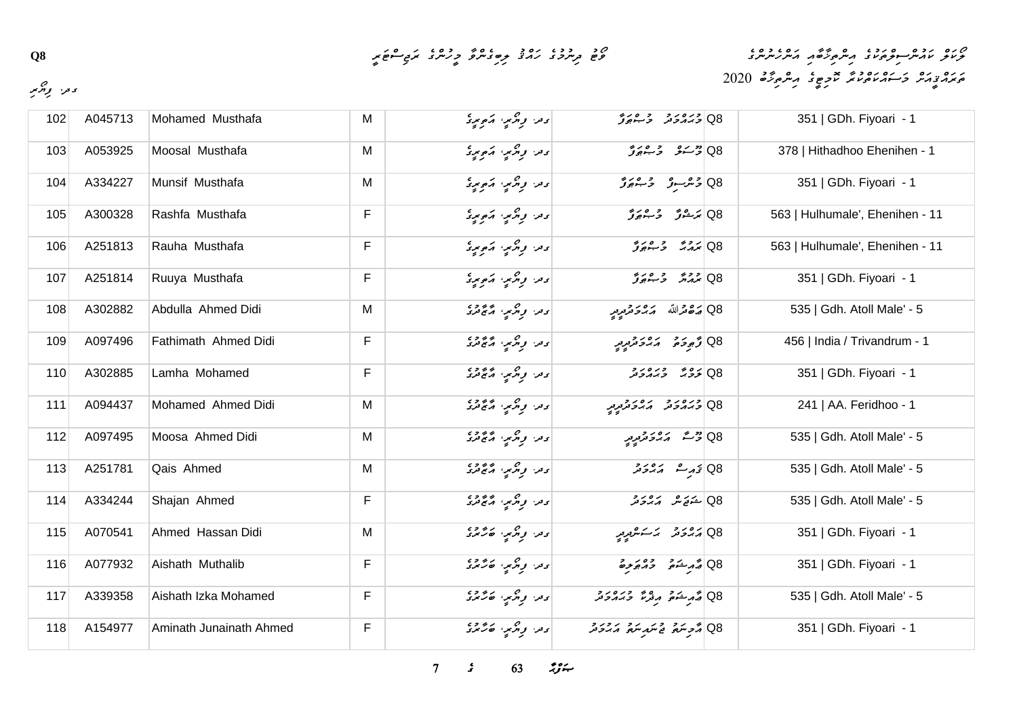*sCw7q7s5w7m< o<n9nOoAw7o< sCq;mAwBoEw7q<m; wBm;vB 2020*<br>*په پوهر وسوډيرونو لومو د موجو د مرمونه* 2020

| 102 | A045713 | Mohamed Musthafa        | M            | <sub>ى</sub> ر روگرىي، كەھ بېرى      | Q8 دېم ده د مرکز د مرکز                                                                                          | 351   GDh. Fiyoari - 1          |
|-----|---------|-------------------------|--------------|--------------------------------------|------------------------------------------------------------------------------------------------------------------|---------------------------------|
| 103 | A053925 | Moosal Musthafa         | M            | رو وگرې ټروېره                       | Q8 تۆسكۇ ئۇسبۇر                                                                                                  | 378   Hithadhoo Ehenihen - 1    |
| 104 | A334227 | Munsif Musthafa         | M            | رو. وگري ټري ک                       | Q8 تۇشرى <i>ۋە قىبدۇر</i>                                                                                        | 351   GDh. Fiyoari - 1          |
| 105 | A300328 | Rashfa Musthafa         | $\mathsf F$  | رو. وگري ټري ک                       | Q8 ئىشتۇ ئ <i>ىسبو</i> ۇ                                                                                         | 563   Hulhumale', Ehenihen - 11 |
| 106 | A251813 | Rauha Musthafa          | $\mathsf{F}$ | رو. وگري ټري ک                       | $08$ $22$ $22$ $08$                                                                                              | 563   Hulhumale', Ehenihen - 11 |
| 107 | A251814 | Ruuya Musthafa          | $\mathsf F$  | ر د و ترس کرم برد <mark>کا به</mark> | $2.02$ $2.72$ $08$                                                                                               | 351   GDh. Fiyoari - 1          |
| 108 | A302882 | Abdulla Ahmed Didi      | M            | دىن ب <sub>و</sub> ركىي، مەج ترى     | Q8   مَەھْتْراللّه   مَەمْدَتْرْمِرِيْر                                                                          | 535   Gdh. Atoll Male' - 5      |
| 109 | A097496 | Fathimath Ahmed Didi    | $\mathsf F$  | ر در و گرم از گروه د                 |                                                                                                                  | 456   India / Trivandrum - 1    |
| 110 | A302885 | Lamha Mohamed           | $\mathsf F$  | دىن بوركىي، گەنج <sup>ى</sup> دى     | Q8 كۇنۇ ئەرەردىر                                                                                                 | 351   GDh. Fiyoari - 1          |
| 111 | A094437 | Mohamed Ahmed Didi      | M            | .<br>دىن پوسې، مەين دى               | Q8 <i>ويزوجو بروت وترمي</i> ر                                                                                    | 241   AA. Feridhoo - 1          |
| 112 | A097495 | Moosa Ahmed Didi        | M            | د مر ، و پرس ، پرسی مرد ،            | Q8 تخرىشە ئە <i>يەن قەتەبويى</i> ر                                                                               | 535   Gdh. Atoll Male' - 5      |
| 113 | A251781 | Qais Ahmed              | M            | دور وگري گريج فرد                    | Q8] تۇم <i>ې</i> شقى ئەيمەكەتتى                                                                                  | 535   Gdh. Atoll Male' - 5      |
| 114 | A334244 | Shajan Ahmed            | $\mathsf F$  | .<br>دىن وگرىي، گەنج <sup>و</sup> رى | Q8 خىق شەركىگە ئىشكە ئىش                                                                                         | 535   Gdh. Atoll Male' - 5      |
| 115 | A070541 | Ahmed Hassan Didi       | M            | دور وگري ځرمره                       | Q8 كەندى كەسەھەرىر                                                                                               | 351   GDh. Fiyoari - 1          |
| 116 | A077932 | Aishath Muthalib        | $\mathsf F$  | دىن وگرىي، ھەرىرى                    | $Q8$ مُجْمِسْتَمْ وَمُرْجَوْحَ                                                                                   | 351   GDh. Fiyoari - 1          |
| 117 | A339358 | Aishath Izka Mohamed    | F            | دىن وگرىي، ھەرىرى                    | Q8 مەم شەم مەنى <i>ر ئەم</i> دىر                                                                                 | 535   Gdh. Atoll Male' - 5      |
| 118 | A154977 | Aminath Junainath Ahmed | F            | دىن وگرىم، ھەرىرى                    | $\sim$ 25 م م سمر سمر السلم المسلم المسلم السلم من السلم السلم السلم السلم السلم السلم السلم السلم السلم السلم ا | 351   GDh. Fiyoari - 1          |

*7 s* 63 *i*<sub>S</sub> $\approx$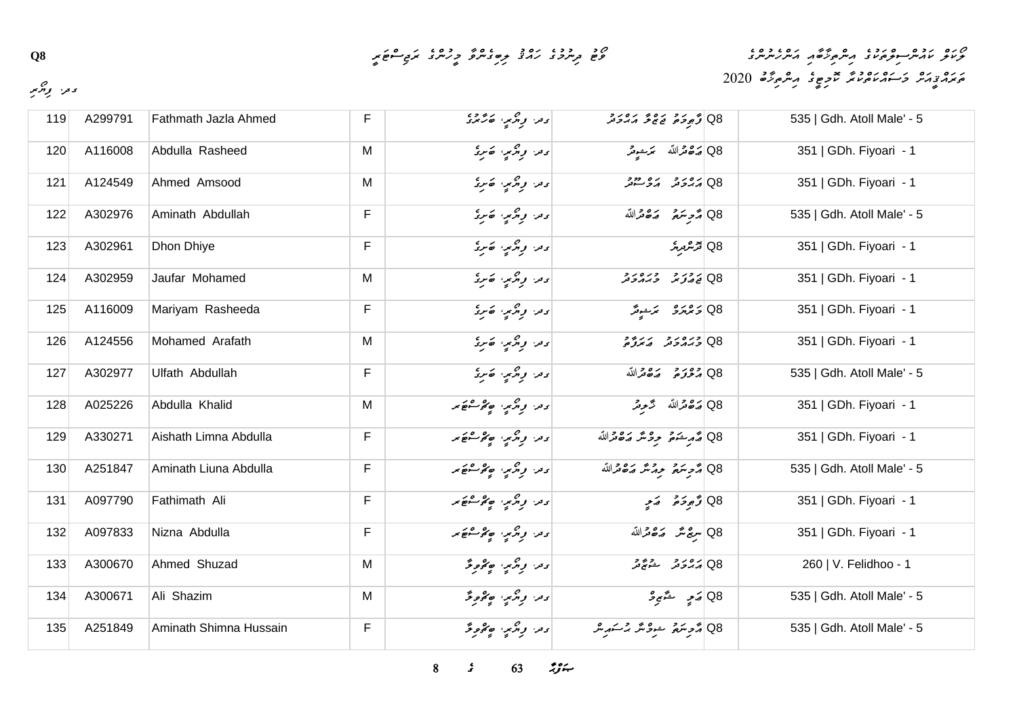*sCw7q7s5w7m< o<n9nOoAw7o< sCq;mAwBoEw7q<m; wBm;vB 2020*<br>*په پوهر وسوډيرونو لومو د موجو د مرمونه* 2020

| 119 | A299791 | Fathmath Jazla Ahmed   | F           | <sub>ى</sub> ى رېگېر، ھەرىرى | Q8 ژ <sub>َّج</sub> ودَ ۾ جو دُرورو           | 535   Gdh. Atoll Male' - 5 |
|-----|---------|------------------------|-------------|------------------------------|-----------------------------------------------|----------------------------|
| 120 | A116008 | Abdulla Rasheed        | M           | رور وترسٍ، صَرِی             | Q8 كەڭداللە كە <u>ش</u> وتمر                  | 351   GDh. Fiyoari - 1     |
| 121 | A124549 | Ahmed Amsood           | M           | ى تىر ، تو پرېميە، كەبىرى    | Q8 كەبرو كەھ يوم                              | 351   GDh. Fiyoari - 1     |
| 122 | A302976 | Aminath Abdullah       | F           | ى تىر ، تو پرېمير ، كەمبرى   | Q8 مُجِسَمَة مَ <b>صْ</b> قَراللّه            | 535   Gdh. Atoll Male' - 5 |
| 123 | A302961 | Dhon Dhiye             | $\mathsf F$ | ى تىر ، تو پرېمير، كەبىرى    | Q8 قَدْ يَدْ بِرِ بَرْ                        | 351   GDh. Fiyoari - 1     |
| 124 | A302959 | Jaufar Mohamed         | M           | رىر وگرىي ھىرد               | Q8 <i>فەدى دەرە</i> ر                         | 351   GDh. Fiyoari - 1     |
| 125 | A116009 | Mariyam Rasheeda       | F           | دورا وگري کابره              | Q8 <i>كا تركر تر مر مر مرين</i>               | 351   GDh. Fiyoari - 1     |
| 126 | A124556 | Mohamed Arafath        | M           | رىر. وگرىي، ھىرى             | Q8 <i>وبرورو مبروم</i>                        | 351   GDh. Fiyoari - 1     |
| 127 | A302977 | Ulfath Abdullah        | $\mathsf F$ | رىر. وپرىي، ھىرى             | Q8 محروم مك <b>ەم</b> راللە                   | 535   Gdh. Atoll Male' - 5 |
| 128 | A025226 | Abdulla Khalid         | M           | ى قرا بو در مور موكو سوڭ مر  | Q8 كەھەراللە گە <i>و</i> تر                   | 351   GDh. Fiyoari - 1     |
| 129 | A330271 | Aishath Limna Abdulla  | $\mathsf F$ | ى تىر بوركىيە، ھەكۈسكەتلىر   | Q8 <i>مُّهْدِيْدَة وِدْسُ مُ</i> ڤَعْرَاللَّه | 351   GDh. Fiyoari - 1     |
| 130 | A251847 | Aminath Liuna Abdulla  | $\mathsf F$ | ى تىر بوركىي، ھەكۈسكە كىر    | Q8 أُمَّحِ سَمَّةً مِنْ مَدَّةً مَدَاللَّهُ   | 535   Gdh. Atoll Male' - 5 |
| 131 | A097790 | Fathimath Ali          | $\mathsf F$ | ى قرا بو در مور موكو سوڭ مر  | Q8 <i>وُّجِوَدَةُ مَ</i> حٍ                   | 351   GDh. Fiyoari - 1     |
| 132 | A097833 | Nizna Abdulla          | $\mathsf F$ | رىر وكرس ھەر قىم             | Q8 سِيَّحْسَّرَ مَرَّحْمَدَاللَّهُ            | 351   GDh. Fiyoari - 1     |
| 133 | A300670 | Ahmed Shuzad           | M           | ىد. روكىي ھەرگ               | Q8 <i>كەنەدى ئىشقى</i> تر                     | 260   V. Felidhoo - 1      |
| 134 | A300671 | Ali Shazim             | M           | ءمن وكرسٍ ھِگُوگُ            | Q8 <i>۾َ جِ</i> گھي ئ                         | 535   Gdh. Atoll Male' - 5 |
| 135 | A251849 | Aminath Shimna Hussain | F           | <sub>ى</sub> ر روكىي ھەرگ    | Q8 <i>مُّحِسَمَةَ</i> سُوَحَسَّ بِرَسَمَ مِسَ | 535   Gdh. Atoll Male' - 5 |

**8** *s* **63** *ff***<b>***s*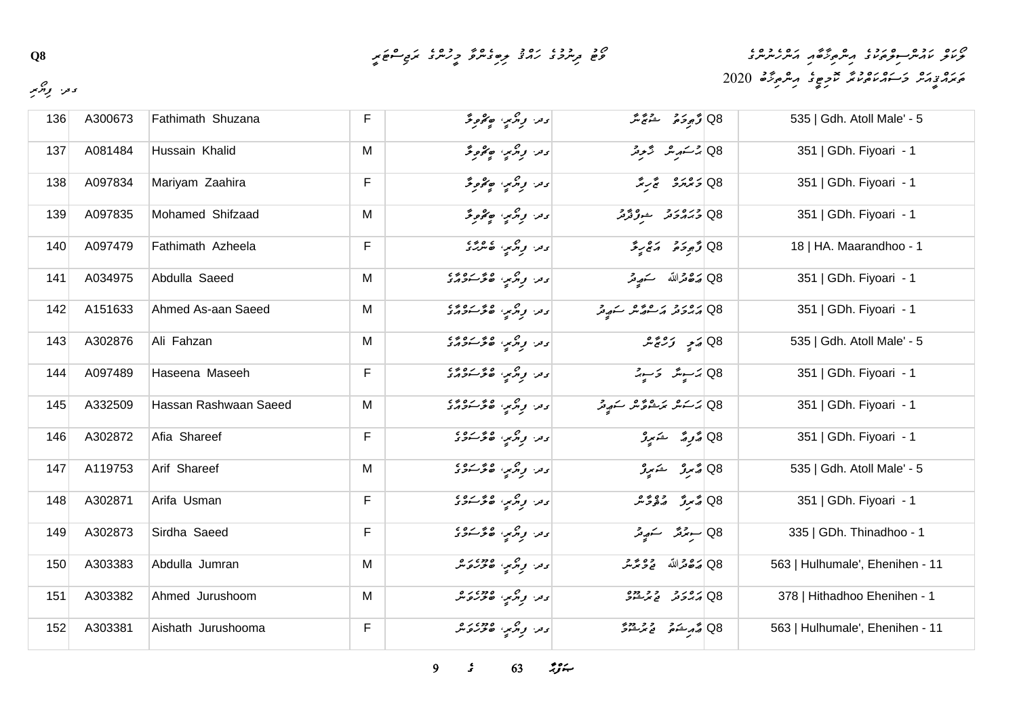*sCw7q7s5w7m< o<n9nOoAw7o< sCq;mAwBoEw7q<m; wBm;vB 2020*<br>*په پوهر وسوډيرونو لومو د موجو د مرمونه* 2020

| 136 | A300673 | Fathimath Shuzana     | F           | <sub>ى</sub> ر روكىي ھەرگ               | Q8 <i>وَّجوحَ</i> هُمْ يَسْتَمَتَّرَ         | 535   Gdh. Atoll Male' - 5      |
|-----|---------|-----------------------|-------------|-----------------------------------------|----------------------------------------------|---------------------------------|
| 137 | A081484 | Hussain Khalid        | M           | دىن وگرىي، ھەھمىگە                      | Q8   پرستمبر سر گرمونڈ                       | 351   GDh. Fiyoari - 1          |
| 138 | A097834 | Mariyam Zaahira       | F           | دىن وكرىم، ھەھمۇ                        | $3.25$ $2.325$ $\overline{)$ $\overline{)}$  | 351   GDh. Fiyoari - 1          |
| 139 | A097835 | Mohamed Shifzaad      | M           | ى تىر بوركىيە، ھەكھونچ                  | Q8 <i>وُبرورو بشووڤرتر</i>                   | 351   GDh. Fiyoari - 1          |
| 140 | A097479 | Fathimath Azheela     | F           | دىن وگرىي، ئ                            | Q8 <i>وَّجِوَدَة مَنْ بِ</i> رَّ             | 18   HA. Maarandhoo - 1         |
| 141 | A034975 | Abdulla Saeed         | M           | دىن وگرىي، ھۇسى <i>ۋە</i> د             | Q8 كەڭ قىراللە كىم <i>رى</i> تر              | 351   GDh. Fiyoari - 1          |
| 142 | A151633 | Ahmed As-aan Saeed    | M           | .<br>دىن وگرىي، ھۇسىۋەرە                | Q8 <i>كەندۇ تەسىر كەندى</i> سەم <i>بەت</i> ر | 351   GDh. Fiyoari - 1          |
| 143 | A302876 | Ali Fahzan            | M           | ىر وگرىي ھۆسىمەد                        | Q8 <i>ڇَجِ وَرُبُّ</i> مَّر                  | 535   Gdh. Atoll Male' - 5      |
| 144 | A097489 | Haseena Maseeh        | F           | دىن وگرىي، ھۆسىۋەر                      | Q8   يَاسِعٌ كَسِيمٌ                         | 351   GDh. Fiyoari - 1          |
| 145 | A332509 | Hassan Rashwaan Saeed | M           | دىن پەھىي، ھۇسى <i>دە م</i> ە           | Q8 كەس <i>تەش كەشۋىل سەمبەتر</i>             | 351   GDh. Fiyoari - 1          |
| 146 | A302872 | Afia Shareef          | $\mathsf F$ | دىن ب <sub>و</sub> ركىي، ھۇسى <i>ۋە</i> | Q8 <i>مُرُومُ</i> شَهرِرُ                    | 351   GDh. Fiyoari - 1          |
| 147 | A119753 | Arif Shareef          | M           | دىن وگرىي، ھۇسىۋە                       | Q8 <i>مُگبردگ</i> ڪمپروگ                     | 535   Gdh. Atoll Male' - 5      |
| 148 | A302871 | Arifa Usman           | $\mathsf F$ | ى تىر ، توركى ، ھۇسىۋى                  | Q8 م <i>گېرن<sup>و</sup> م</i> قوق شر        | 351   GDh. Fiyoari - 1          |
| 149 | A302873 | Sirdha Saeed          | F           | دىن وگرىي، ھۇسىۋى                       | Q8 سېټرنگر <b>ش</b> وپوټر                    | 335   GDh. Thinadhoo - 1        |
| 150 | A303383 | Abdulla Jumran        | M           | دىن وچرىي، ھۆرۈش                        | Q8 مَەْمَرَاللە م <i>ۆتمەت</i> ر             | 563   Hulhumale', Ehenihen - 11 |
| 151 | A303382 | Ahmed Jurushoom       | M           | دىن توپرىيە، ھۆرۈش                      | Q8) كەبەر <i>3 مەردە 23 كى</i>               | 378   Hithadhoo Ehenihen - 1    |
| 152 | A303381 | Aishath Jurushooma    | F           | دىن توركىي، ھۆركەتل                     | Q8 <i>مەرىخىم يىم شى</i> قۇ                  | 563   Hulhumale', Ehenihen - 11 |

*9 s* 63 *i*<sub>S</sub>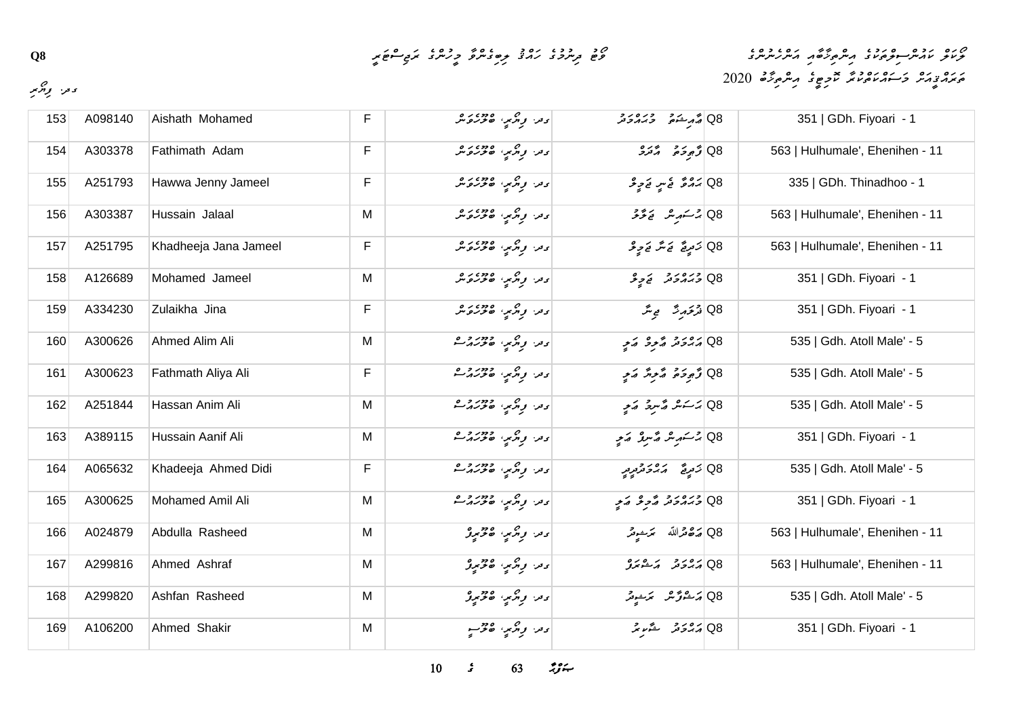*sCw7q7s5w7m< o<n9nOoAw7o< sCq;mAwBoEw7q<m; wBm;vB 2020<sup>, م</sup>وسر در مدد مدرج به مدرم مقرم قرار 2020*<br>موسر المستقرم المستقرم المستقرم المستقرم المستقرم المستقرم المستقرم المستقرم المستقرم المستقرم المستقرم المستقر

| 153 | A098140 | Aishath Mohamed       | $\mathsf F$ | ىر وكريم، ھۆرەتكە                        | Q8 مەم ئىق ئەم ئەر ئىس                          | 351   GDh. Fiyoari - 1          |
|-----|---------|-----------------------|-------------|------------------------------------------|-------------------------------------------------|---------------------------------|
| 154 | A303378 | Fathimath Adam        | F           | رىر. وگرىي، ھۆرۈش                        | Q8 <i>وَّجِوَحَةَ مُ</i> تَعَرَّدُ              | 563   Hulhumale', Ehenihen - 11 |
| 155 | A251793 | Hawwa Jenny Jameel    | $\mathsf F$ | <sub>ى</sub> ر رېمى مەدەبە               | Q8   يَـَ پُر مَّ تَوْ سِ مَحَ حٍ بِحْر         | 335   GDh. Thinadhoo - 1        |
| 156 | A303387 | Hussain Jalaal        | M           | ىلا وەكىرا ھۆرۈش                         | Q8   يُرْسَمبِ شُرَ   يَوَ تَوْتَحْرَ           | 563   Hulhumale', Ehenihen - 11 |
| 157 | A251795 | Khadheeja Jana Jameel | $\mathsf F$ | <sub>ى</sub> ر رېمى مەدەبە               | Q8] زَمرِيَّ نَج سُّ نَج <i>وِ</i> وُ           | 563   Hulhumale', Ehenihen - 11 |
| 158 | A126689 | Mohamed Jameel        | M           | ىلا وكرىم، ھۆرۈش                         | Q8 <i>وُټرونو فور</i> و                         | 351   GDh. Fiyoari - 1          |
| 159 | A334230 | Zulaikha Jina         | $\mathsf F$ | رىر. وگرىم، ھۆرۈش                        | Q8 <i>فَرْحَهِ ثَہ ہِ مَّ</i> رَ                | 351   GDh. Fiyoari - 1          |
| 160 | A300626 | Ahmed Alim Ali        | M           | ىد. وگرىم، ھۆركەت                        | Q8 كەبرى <i>قەر گەبىر ھەب</i>                   | 535   Gdh. Atoll Male' - 5      |
| 161 | A300623 | Fathmath Aliya Ali    | $\mathsf F$ | ى تىر ، توركى ، ھۆركەت                   | Q8 <i>وَّجِوَدَةَ مَّجِيدٌ مَجِ</i>             | 535   Gdh. Atoll Male' - 5      |
| 162 | A251844 | Hassan Anim Ali       | M           | ىلا وەكىر ھۆرەر ق                        | Q8   يَرْسَدْ مَّ سِرَةٌ - مَرْمٍ               | 535   Gdh. Atoll Male' - 5      |
| 163 | A389115 | Hussain Aanif Ali     | M           | ىلا وەكىر ھۆرەر ق                        | Q8 پرستمبر شریعه تھ پر                          | 351   GDh. Fiyoari - 1          |
| 164 | A065632 | Khadeeja Ahmed Didi   | F           | ىلا وەكىر ھۆرەر ق                        | Q8] كَتَمِيعٌ       مُ مُ مُرْكَة مُرْمِرِ مِرِ | 535   Gdh. Atoll Male' - 5      |
| 165 | A300625 | Mohamed Amil Ali      | M           | ړند وگري وور ده                          | Q8 <i>وُبَرُودَوَدٌ وُبُ</i> وتُو وَبِرِ        | 351   GDh. Fiyoari - 1          |
| 166 | A024879 | Abdulla Rasheed       | M           | ىلا وكرس ھۆسو                            | Q8 كەڭ قىراللە كىرىش <sub>ى</sub> قر            | 563   Hulhumale', Ehenihen - 11 |
| 167 | A299816 | Ahmed Ashraf          | M           | رىر وكرىي ھۆيول                          | Q8 كەبروتىر كەش <i>ەتت</i> ۇ                    | 563   Hulhumale', Ehenihen - 11 |
| 168 | A299820 | Ashfan Rasheed        | M           | ىلا وكرس ھۆسو                            | Q8 كەشىر <i>ۇ بىر كەرسى</i> ر                   | 535   Gdh. Atoll Male' - 5      |
| 169 | A106200 | Ahmed Shakir          | M           | <sub>وفر:</sub> وگرمړ، 194 <sub>6ء</sub> | Q8 <i>كەندى كىلى</i> ئىقرىتقى بىر               | 351   GDh. Fiyoari - 1          |

*10 s* 63 *if*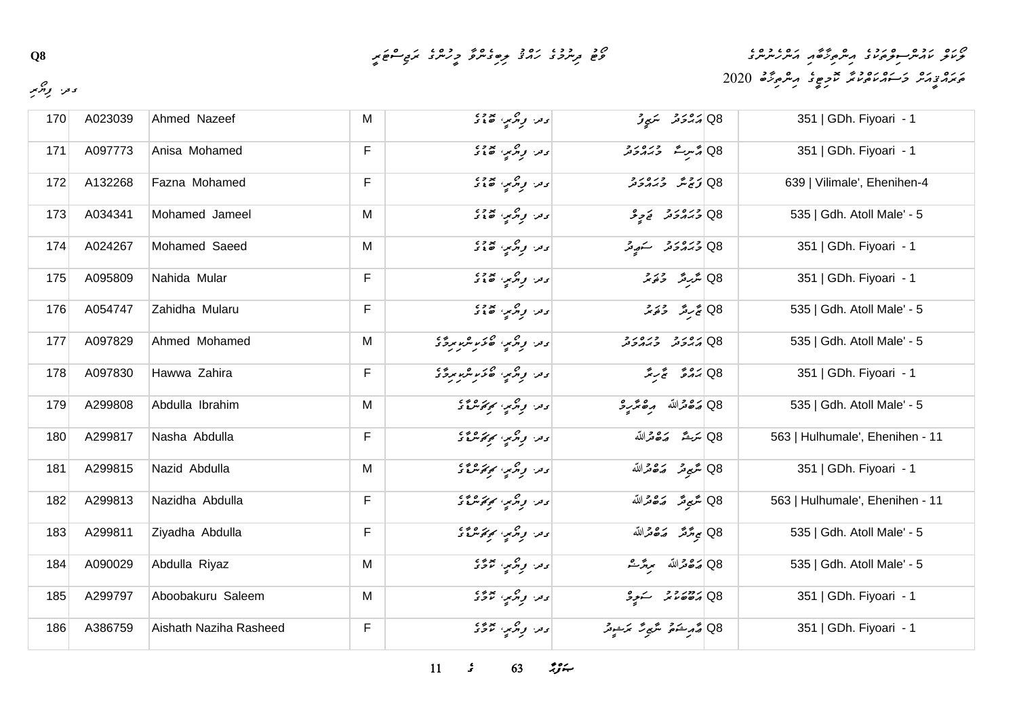*sCw7q7s5w7m< o<n9nOoAw7o< sCq;mAwBoEw7q<m; wBm;vB* م من المسجد المسجد المسجد المسجد المسجد العام 2020<br>مسجد المسجد المسجد المسجد المسجد المسجد المسجد المسجد المسجد ال

| 170 | A023039 | Ahmed Nazeef           | M           | <sub>وفر:</sub> وگرم به دوه    | Q8 كەش <sup>ى</sup> كەشكە ئىس كەنتى بىر 29 كەنتى بىر كەنتى بىر كەنتى بىر كەنتى بىر كەنتى بىر كەنتى بىر كەنتى ب | 351   GDh. Fiyoari - 1          |
|-----|---------|------------------------|-------------|--------------------------------|----------------------------------------------------------------------------------------------------------------|---------------------------------|
| 171 | A097773 | Anisa Mohamed          | $\mathsf F$ | دىر. رومې، موده                | Q8 كەسرىسى ئ <i>وندۇ</i> ر ئىر                                                                                 | 351   GDh. Fiyoari - 1          |
| 172 | A132268 | Fazna Mohamed          | $\mathsf F$ | دور و مر <sub>مو</sub> ، مود ، | Q8 كۈچ ئىر ئەير ئەركىتىر                                                                                       | 639   Vilimale', Ehenihen-4     |
| 173 | A034341 | Mohamed Jameel         | M           | دور و گرمي، موده               | Q8 <i>وُبَرُوْدَوْ</i> کَے <i>وِ</i> نْز                                                                       | 535   Gdh. Atoll Male' - 5      |
| 174 | A024267 | Mohamed Saeed          | M           | دىن ۋەكىپ <del>ب</del> ودى     | Q8 <i>وُټرونو خو</i> يتر                                                                                       | 351   GDh. Fiyoari - 1          |
| 175 | A095809 | Nahida Mular           | $\mathsf F$ | <sub>و تر</sub> ، و چې په ده د | Q8 <i>مَّرْبِعَّہ</i> وَمَرَ <i>مَّہ</i>                                                                       | 351   GDh. Fiyoari - 1          |
| 176 | A054747 | Zahidha Mularu         | $\mathsf F$ | <sub>و تر</sub> و گرمي، حود ع  | Q8 ئج بەنگە قەنھەتمە                                                                                           | 535   Gdh. Atoll Male' - 5      |
| 177 | A097829 | Ahmed Mohamed          | M           |                                | Q8 <i>היכת בהתכת</i>                                                                                           | 535   Gdh. Atoll Male' - 5      |
| 178 | A097830 | Hawwa Zahira           | F           | دىن وگرىي، ھۆرىگرىزىدى         | Q8   يَهُرُمُّ تَجْرِبُّرُ                                                                                     | 351   GDh. Fiyoari - 1          |
| 179 | A299808 | Abdulla Ibrahim        | M           | ىمىن وكريم، ئەھمىر ئ           |                                                                                                                | 535   Gdh. Atoll Male' - 5      |
| 180 | A299817 | Nasha Abdulla          | F           | ى قرار بوركى مى كەنتى كەنتى كە | Q8 سَرْمَة بَرَصْقَرْاللّه                                                                                     | 563   Hulhumale', Ehenihen - 11 |
| 181 | A299815 | Nazid Abdulla          | M           | ىمىن ومركب كالمحمدة            | Q8 مُتَّبِعٍ <i>مَّة مُقَ</i> مَّرَ اللَّه                                                                     | 351   GDh. Fiyoari - 1          |
| 182 | A299813 | Nazidha Abdulla        | $\mathsf F$ | ى قرار بوركى مەركەن كەنتى كە   | Q8 تَدَيمِ <i>قَرْ مَرْهُ قَرْ</i> اللّه                                                                       | 563   Hulhumale', Ehenihen - 11 |
| 183 | A299811 | Ziyadha Abdulla        | $\mathsf F$ | دىن وترىي ئەتمەشگە             | Q8 بوب <i>رَّدَّد مَ</i> صُمَّراللَّه                                                                          | 535   Gdh. Atoll Male' - 5      |
| 184 | A090029 | Abdulla Riyaz          | M           | دىن بوركىي، مۇيى               | Q8 كەشكەللە م <i>ې</i> ترىشە                                                                                   | 535   Gdh. Atoll Male' - 5      |
| 185 | A299797 | Aboobakuru Saleem      | M           | دور   و پر پر پرو ۽            | Q8 كەھەم بىر سىرى                                                                                              | 351   GDh. Fiyoari - 1          |
| 186 | A386759 | Aishath Naziha Rasheed | F           | دىن بوركىي، مۇيى               | $\mathcal{L}$ مَّ مِسْتَمَّى مَّرْسِرْتَرَ مَرَسْدِتْرَ                                                        | 351   GDh. Fiyoari - 1          |

 $11$  *s* 63  $23$   $-$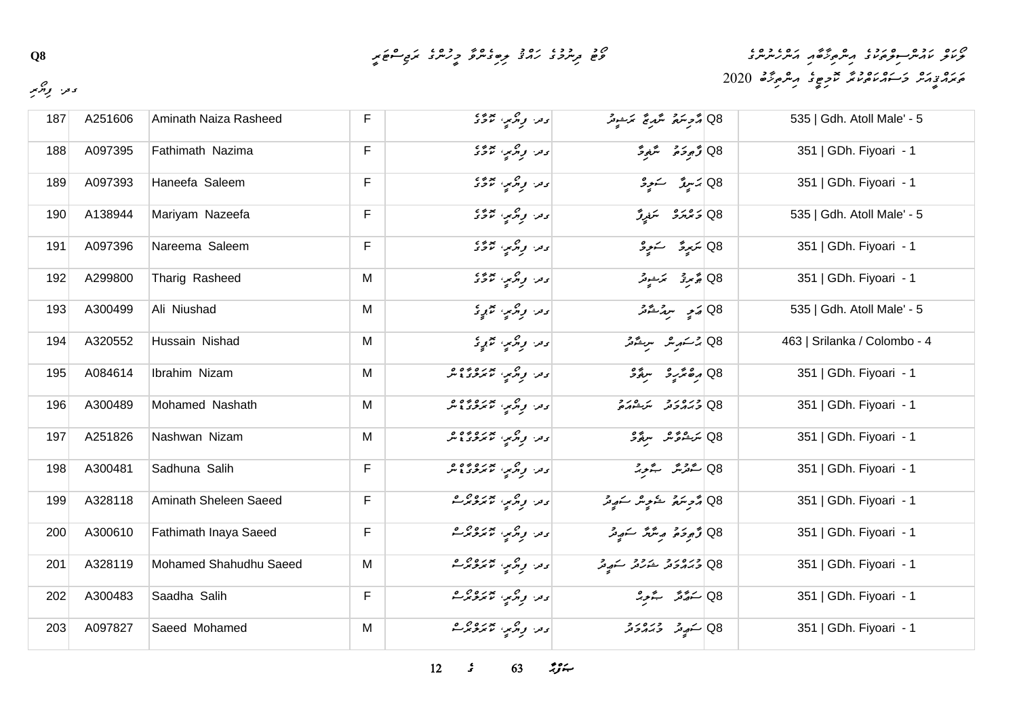*sCw7q7s5w7m< o<n9nOoAw7o< sCq;mAwBoEw7q<m; wBm;vB* م من المرة المرة المرة المرجع المرجع في المركبة 2020<br>مجم*د المريض المربوط المربع المرجع في المراجع المركبة* 

| 187 | A251606 | Aminath Naiza Rasheed  | F | ر مربر و ټرمي، مونځ و              | Q8   مُرْحِسَمُ مُسْرِيحٌ مَنْسِوِمْر                           | 535   Gdh. Atoll Male' - 5   |
|-----|---------|------------------------|---|------------------------------------|-----------------------------------------------------------------|------------------------------|
| 188 | A097395 | Fathimath Nazima       | F | ر در و ډري سره د                   | Q8 <i>وَّجِرْدَة</i> سَّعْرِدَّ                                 | 351   GDh. Fiyoari - 1       |
| 189 | A097393 | Haneefa Saleem         | F | <sub>وفر:</sub> وگرمي، نووي        | Q8 كَسِرِدٌ   سَمِرِدٌ                                          | 351   GDh. Fiyoari - 1       |
| 190 | A138944 | Mariyam Nazeefa        | F | ر در و پرې بره د                   | Q8 كەندىرى سىن <sub>ت</sub> ىر                                  | 535   Gdh. Atoll Male' - 5   |
| 191 | A097396 | Nareema Saleem         | F | رىن ۋەگەپ بىرى                     | Q8 سَرِ جَ سَرِ حَ                                              | 351   GDh. Fiyoari - 1       |
| 192 | A299800 | Tharig Rasheed         | M | ر در و ژبې برون<br>د در و ژبې برون | Q8 ۾ <i>مرڌ</i> - مَرَسُومَرُ                                   | 351   GDh. Fiyoari - 1       |
| 193 | A300499 | Ali Niushad            | M | ر مر و ټرمي، مو <sub>في</sub> د    | Q8 <i>أَمَّةٍ</i> سِمَّتْ مُتَّقَدِّ                            | 535   Gdh. Atoll Male' - 5   |
| 194 | A320552 | Hussain Nishad         | M | ر مرد او وکرم په معرفي ک           | Q8   پرسکو سرمش <sup>و</sup> ر                                  | 463   Srilanka / Colombo - 4 |
| 195 | A084614 | Ibrahim Nizam          | M | وترا وأكرس العروفاة فالمحافية      | Q8 مەھمىر ئىس سى <i>م</i> ۇ                                     | 351   GDh. Fiyoari - 1       |
| 196 | A300489 | Mohamed Nashath        | M | دىن بورگىي، ئەنزىرى مەھ            | Q8 <i>وبروبرد سك المروبر</i>                                    | 351   GDh. Fiyoari - 1       |
| 197 | A251826 | Nashwan Nizam          | M | ى قرار بوركايورە بەھ ئە            | Q8 <i>مَرْڪُومُّ مَّر مِنْوُوْ</i>                              | 351   GDh. Fiyoari - 1       |
| 198 | A300481 | Sadhuna Salih          | F | وترا وكرس العروفاة ما              | Q8) سەمەر مىشەر يەر يەر يەر يەر 200 كىلەر بىر ئا                | 351   GDh. Fiyoari - 1       |
| 199 | A328118 | Aminath Sheleen Saeed  | F | ىلا وەكىرا بىردەم ھ                | Q8 <i>مُّہِ سَمَّۃ</i> ڪُمِ <i>پِسُ ڪُمِ پِنَ</i>               | 351   GDh. Fiyoari - 1       |
| 200 | A300610 | Fathimath Inaya Saeed  | F | دىن وكرىم، ئىمرومى                 | Q8 <i>وَّجوحَمْ مِسَّمَّدٌ</i> سَم <i>ِيد</i> َ                 | 351   GDh. Fiyoari - 1       |
| 201 | A328119 | Mohamed Shahudhu Saeed | M | ا دىن بورىمبە، ئىمكى <i>بولى</i> گ | Q8 <i>وَبَهُ وَبَوْ وَبِيَّةٍ وَبِيَّةٍ مَنْ مِيَ</i> وَبِيِّدِ | 351   GDh. Fiyoari - 1       |
| 202 | A300483 | Saadha Salih           | F | <sub>ى</sub> ر رومى بىرەمى         | Q8 سَتَ <i>مَدُّ مَّذَ بِ</i>                                   | 351   GDh. Fiyoari - 1       |
| 203 | A097827 | Saeed Mohamed          | M | رىر. وگرىي، ئىمبرومى               | Q8) س <i>َم<sub>وٍ</sub>يرْ - دُبُهُ دَيْرٌ</i>                 | 351   GDh. Fiyoari - 1       |

 $12$  *s* 63  $23$   $\div$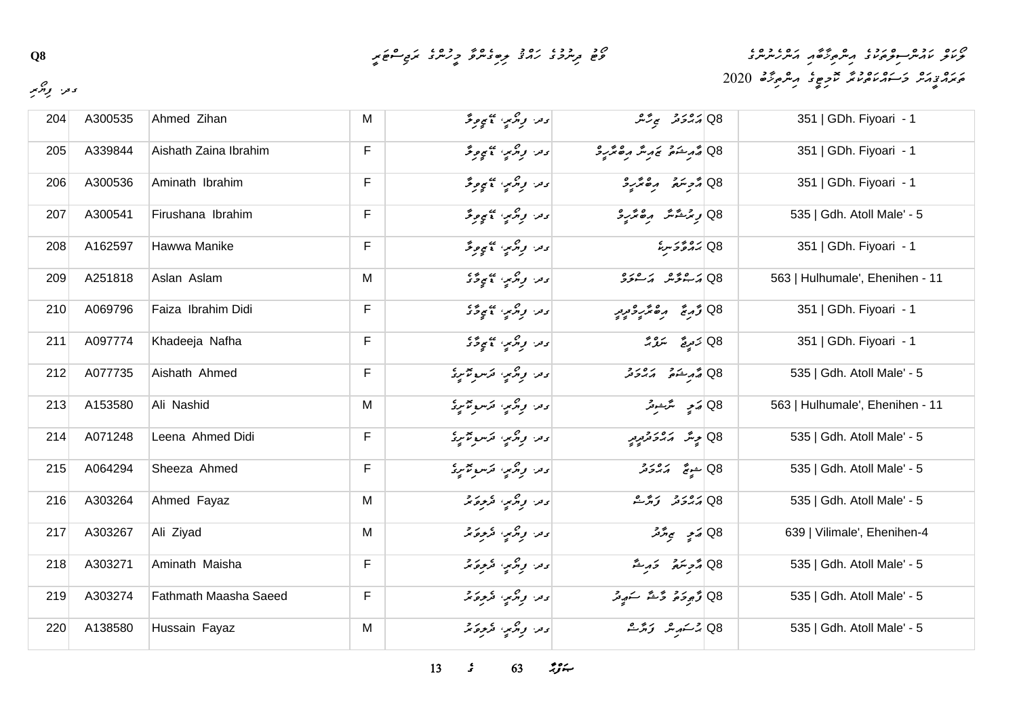*sCw7q7s5w7m< o<n9nOoAw7o< sCq;mAwBoEw7q<m; wBm;vB 2020*<br>*په پوهر وسوډيرونو لومو د موجو د مرمونه* 2020

| 204 | A300535 | Ahmed Zihan           | M           | دىر. روگىي، "ئېچوگ                                         | Q8 <i>  كەنگە كىلى ئارىگە</i> ر                                                                                                                                                                                                  | 351   GDh. Fiyoari - 1          |
|-----|---------|-----------------------|-------------|------------------------------------------------------------|----------------------------------------------------------------------------------------------------------------------------------------------------------------------------------------------------------------------------------|---------------------------------|
| 205 | A339844 | Aishath Zaina Ibrahim | F           | <sub>ى</sub> رىن ۋېرىپ، ئ <sup>ې</sup> مپ <sub>ى</sub> موگ | Q8 مەم شىم ئىم بىر مەھ ئ <i>ۇر</i> 3                                                                                                                                                                                             | 351   GDh. Fiyoari - 1          |
| 206 | A300536 | Aminath Ibrahim       | F           | <sub>ى</sub> ر رومې ؟ پ <sub>ې</sub> وگ                    | Q8 مُرْحِسَمُ مِنْ مِنْ مِنْ مِنْ                                                                                                                                                                                                | 351   GDh. Fiyoari - 1          |
| 207 | A300541 | Firushana Ibrahim     | $\mathsf F$ | ىمە وەكىر، ئاي ھۇ                                          | Q8 <i>وېرېشتر م</i> ېڅريز                                                                                                                                                                                                        | 535   Gdh. Atoll Male' - 5      |
| 208 | A162597 | Hawwa Manike          | $\mathsf F$ | دىر. وكريم، "ي و د                                         | Q8 ئەرمۇ ئەس <i>رى</i> ئا                                                                                                                                                                                                        | 351   GDh. Fiyoari - 1          |
| 209 | A251818 | Aslan Aslam           | M           | دىر. وگرىي، "ئېچى                                          | Q8 كەبىئۇنى <i>ر كەشۇۋ</i>                                                                                                                                                                                                       | 563   Hulhumale', Ehenihen - 11 |
| 210 | A069796 | Faiza Ibrahim Didi    | $\mathsf F$ | دىن ۋەكىپ "كېۋى                                            | Q8 <i>ؤُم جُه م</i> ِ ھُنَّرِ وُمِيْرِ                                                                                                                                                                                           | 351   GDh. Fiyoari - 1          |
| 211 | A097774 | Khadeeja Nafha        | F           | دىر. وگرىي، "ئېۋۇ                                          | Q8] زَمِيعٌ سَمَدٌ بَّ                                                                                                                                                                                                           | 351   GDh. Fiyoari - 1          |
| 212 | A077735 | Aishath Ahmed         | F           | دىن وگرىي، ئەسەن بول                                       | Q8 مُصِنْعَمْ مَ <sup>رُ</sup> دَدَ                                                                                                                                                                                              | 535   Gdh. Atoll Male' - 5      |
| 213 | A153580 | Ali Nashid            | M           | رى وچىپ ئەس ئەرى                                           | Q8 <i>کی مو</i> سگرشونگر                                                                                                                                                                                                         | 563   Hulhumale', Ehenihen - 11 |
| 214 | A071248 | Leena Ahmed Didi      | $\mathsf F$ | رىر. وگرىي، ئەس ئامرى                                      | Q8 <sub>ح</sub> ج شهر كەنگە ئەترىپرىيە<br>مەنبەت                                                                                                                                                                                 | 535   Gdh. Atoll Male' - 5      |
| 215 | A064294 | Sheeza Ahmed          | $\mathsf F$ | رىر وگرىي ئەس ئەر                                          | Q8 شويج كەندى قىر                                                                                                                                                                                                                | 535   Gdh. Atoll Male' - 5      |
| 216 | A303264 | Ahmed Fayaz           | M           | دىن وكرميا كروكر                                           | Q8 كەبرى قىرىگە ئىگەن ئىگەن ئىگەن ئىگەن ئىگەن ئىگەن ئىگەن ئىگەن ئىگەن ئىگەن ئىگەن ئىگەن ئىگەن ئىگەن ئىگەن ئىگە<br>مەنبەر ئىگەن ئىگەن ئىگەن ئىگەن ئىگەن ئىگەن ئىگەن ئىگەن ئىگەن ئىگەن ئىگەن ئىگەن ئىگەن ئىگەن ئىگەن ئىگەن ئىگەن ئ | 535   Gdh. Atoll Male' - 5      |
| 217 | A303267 | Ali Ziyad             | M           | ءمرا وكرسيا الرولانر                                       | Q8 <i>ھَ مٍ مِی مَدَّمَّہ</i>                                                                                                                                                                                                    | 639   Vilimale', Ehenihen-4     |
| 218 | A303271 | Aminath Maisha        | F           | <sub>ى</sub> ر وگرىي، ئ <i>ۇجۇ</i> تر                      | Q8 أ <i>مَّ حِيسَةً وَ م</i> ِيشًا                                                                                                                                                                                               | 535   Gdh. Atoll Male' - 5      |
| 219 | A303274 | Fathmath Maasha Saeed | $\mathsf F$ | ءور وأكرسٍ، فرودَ يُر                                      | Q8 <i>وَّجِرَة دُ</i> ّتَ سَهِيْرَ                                                                                                                                                                                               | 535   Gdh. Atoll Male' - 5      |
| 220 | A138580 | Hussain Fayaz         | M           | ءو. وكرسٍ، تروءَ برّ                                       | Q8   يرسكبر ترتمر شك                                                                                                                                                                                                             | 535   Gdh. Atoll Male' - 5      |

 $13$  *s* 63 *n***<sub>3</sub>** *n***<sub>3</sub>** *n***<sub>1</sub>**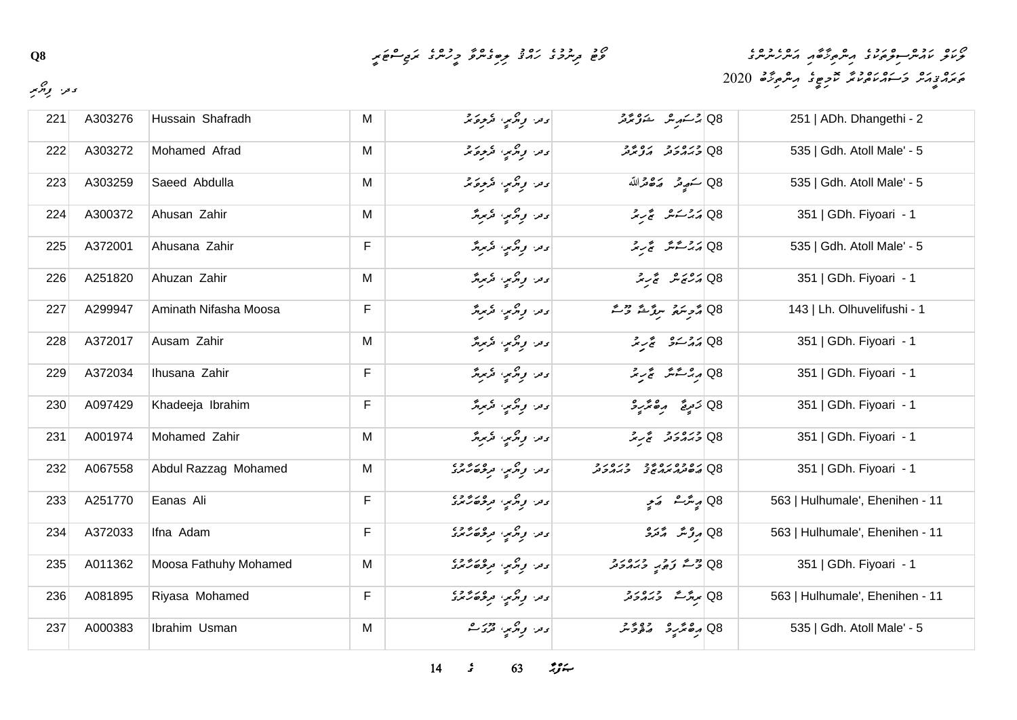*sCw7q7s5w7m< o<n9nOoAw7o< sCq;mAwBoEw7q<m; wBm;vB* م من المسجد المسجد المسجد المسجد المسجد العام 2020<br>مسجد المسجد المسجد المسجد المسجد المسجد المسجد المسجد المسجد ال

| 221 | A303276 | Hussain Shafradh      | M           | دىن وگرىي، ئرچەڭد             | Q8 پر سەر شەر ئىگە ئەشقە               | 251   ADh. Dhangethi - 2        |
|-----|---------|-----------------------|-------------|-------------------------------|----------------------------------------|---------------------------------|
| 222 | A303272 | Mohamed Afrad         | M           | دىن وگرىي، ئروەكر             | Q8 <i>ۋېزو دې مۇيگى</i> ر              | 535   Gdh. Atoll Male' - 5      |
| 223 | A303259 | Saeed Abdulla         | M           | دىن بوچىمى، ترىۋىگە           | Q8 كمبر <i>وتر مك</i> ڤوترالله         | 535   Gdh. Atoll Male' - 5      |
| 224 | A300372 | Ahusan Zahir          | M           | دىن وگرىي، ئرىرنگر            | Q8 كەنەشىشىش ئىچ س <sub>ى</sub> تىر    | 351   GDh. Fiyoari - 1          |
| 225 | A372001 | Ahusana Zahir         | F           | دىر. وكرس، ئرىرك              | Q8   پرتر شمستمبر مح س <sub>ر</sub> پر | 535   Gdh. Atoll Male' - 5      |
| 226 | A251820 | Ahuzan Zahir          | M           | دىن وگرىي، ئرىرنگر            | Q8 <i>مَرْدْجَ مَّ</i> رْ مَحْ سِمْر   | 351   GDh. Fiyoari - 1          |
| 227 | A299947 | Aminath Nifasha Moosa | F           | دىن وگرىي، ئرىرگ              | Q8 أَمُّ مِ سَمَّدٍ سِمَّدٌ مِنْ حَمْ  | 143   Lh. Olhuvelifushi - 1     |
| 228 | A372017 | Ausam Zahir           | M           | دىن ۋەكىپ، قرىرەگ             | Q8 كەنە ئىشىر ئىچ سىرتىر               | 351   GDh. Fiyoari - 1          |
| 229 | A372034 | Ihusana Zahir         | $\mathsf F$ | دىن وگرىي، ئۇيرېگر            | Q8 مەشكەتش ئ <sub>ى</sub> ئەرىتى       | 351   GDh. Fiyoari - 1          |
| 230 | A097429 | Khadeeja Ibrahim      | F           | دىن وگرىي، ئرىرنگر            | Q8 كَتَبِيعٌ مِنْ صُرِّرِ \$           | 351   GDh. Fiyoari - 1          |
| 231 | A001974 | Mohamed Zahir         | M           | دىن وگرىي، ئرىرگ              | Q8 <i>وَبَهُمْ وَبَنْ</i> مَحْ سِمْر   | 351   GDh. Fiyoari - 1          |
| 232 | A067558 | Abdul Razzag Mohamed  | M           | دىن وگرىي، ترڅەر دە           |                                        | 351   GDh. Fiyoari - 1          |
| 233 | A251770 | Eanas Ali             | F           | دىن وگرىي، ترىخەت پرى         | Q8 م <i>ي پڻر شهر</i> جو په            | 563   Hulhumale', Ehenihen - 11 |
| 234 | A372033 | Ifna Adam             | F           | دىن وگرىي، ترىۋە ئەبرى        | Q8 <mark>برڈنڈ گ<sup>ی</sup>مزڈ</mark> | 563   Hulhumale', Ehenihen - 11 |
| 235 | A011362 | Moosa Fathuhy Mohamed | M           | دىن وگرىي، ترىۋە <i>شە</i> دە | Q8 رُمَّے زَوَيہِ دَيَہُدونَّر         | 351   GDh. Fiyoari - 1          |
| 236 | A081895 | Riyasa Mohamed        | F           | دورا و گرمړا فرغاړی د د       | Q8 برو <i>ژگ دېزودو</i> ر              | 563   Hulhumale', Ehenihen - 11 |
| 237 | A000383 | Ibrahim Usman         | M           | دىن بوركىي، قرى ھ             | Q8 م <i>ەھترى</i> رو مەمۇمىر           | 535   Gdh. Atoll Male' - 5      |

 $14$  *s* 63  $23$   $\div$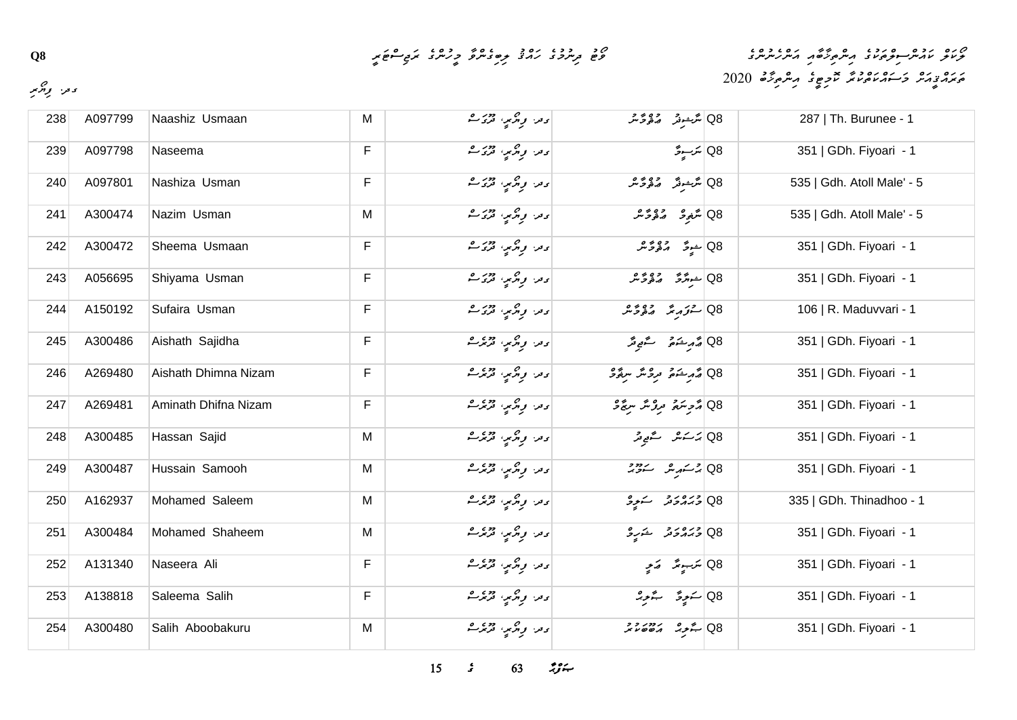*sCw7q7s5w7m< o<n9nOoAw7o< sCq;mAwBoEw7q<m; wBm;vB 2020<sup>, م</sup>وسر در مدد مدرج به مدرم مقرم قرار 2020*<br>موسر المستقرم المستقرم المستقرم المستقرم المستقرم المستقرم المستقرم المستقرم المستقرم المستقرم المستقرم المستقر

| 238 | A097799 | Naashiz Usmaan       | M           | دىن بوركىي، قرى گ                           | $\left  \begin{array}{cc} \mathcal{L} & \mathcal{L} \ \mathcal{L} & \mathcal{L} \ \mathcal{L} & \mathcal{L} \ \mathcal{L} & \mathcal{L} \ \mathcal{L} & \mathcal{L} \ \mathcal{L} & \mathcal{L} \ \mathcal{L} & \mathcal{L} \ \mathcal{L} & \mathcal{L} \ \mathcal{L} & \mathcal{L} \ \mathcal{L} & \mathcal{L} \ \mathcal{L} & \mathcal{L} \ \mathcal{L} & \mathcal{L} \ \mathcal{L} & \mathcal{L} \ \mathcal{L} & \mathcal{L} \ \mathcal{L} & \mathcal{L}$ | 287   Th. Burunee - 1      |
|-----|---------|----------------------|-------------|---------------------------------------------|--------------------------------------------------------------------------------------------------------------------------------------------------------------------------------------------------------------------------------------------------------------------------------------------------------------------------------------------------------------------------------------------------------------------------------------------------------------|----------------------------|
| 239 | A097798 | Naseema              | F           | ر من و پر پر اور در هم است.<br>ا            | Q8 يترسوپڅ                                                                                                                                                                                                                                                                                                                                                                                                                                                   | 351   GDh. Fiyoari - 1     |
| 240 | A097801 | Nashiza Usman        | F           | دىن بوركىي، قرى ھ                           | Q8 گرىنونگر گەۋگە <i>گە</i>                                                                                                                                                                                                                                                                                                                                                                                                                                  | 535   Gdh. Atoll Male' - 5 |
| 241 | A300474 | Nazim Usman          | M           | دىن بوركىي، قرىمى                           | Q8 گى <i>نې 3 مەۋ 5 گىر</i>                                                                                                                                                                                                                                                                                                                                                                                                                                  | 535   Gdh. Atoll Male' - 5 |
| 242 | A300472 | Sheema Usmaan        | $\mathsf F$ | دىن بوركىي، قرى ھ                           | Q8 خ <sub>و</sub> گ م <i>گرگنگ</i> ر                                                                                                                                                                                                                                                                                                                                                                                                                         | 351   GDh. Fiyoari - 1     |
| 243 | A056695 | Shiyama Usman        | F           | دىن بوركىي، ترىم ھ                          | Q8 شوم <i>رَّدَّ م</i> ُنْوَرَّسُ                                                                                                                                                                                                                                                                                                                                                                                                                            | 351   GDh. Fiyoari - 1     |
| 244 | A150192 | Sufaira Usman        | F           | دىن بوركىي، قرى ھ                           | Q8 سۇرى <i>گە ھ</i> ۇرمىر                                                                                                                                                                                                                                                                                                                                                                                                                                    | 106   R. Maduvvari - 1     |
| 245 | A300486 | Aishath Sajidha      | $\mathsf F$ | دىن بوركىي، قرىرگ                           | Q8 <i>مُگهرِ شَهُوْ – سُ</i> ُومِنَّرُ                                                                                                                                                                                                                                                                                                                                                                                                                       | 351   GDh. Fiyoari - 1     |
| 246 | A269480 | Aishath Dhimna Nizam | F           | دىن بوركىي، ئۇيزىق                          | Q8 مَّەمِسْمَعْ مِردْسَّر سِيَّرَدْ                                                                                                                                                                                                                                                                                                                                                                                                                          | 351   GDh. Fiyoari - 1     |
| 247 | A269481 | Aminath Dhifna Nizam | $\mathsf F$ | دىن بوركىي، قرىرگ                           | Q8 أَمَّ صِنَعْهُ مِرْدَ مَّدَّ سِيَّ حَ                                                                                                                                                                                                                                                                                                                                                                                                                     | 351   GDh. Fiyoari - 1     |
| 248 | A300485 | Hassan Sajid         | M           | دىن بوركىي، تۇپرىش                          | Q8   پرستەنئىر سى <i>تىم ق</i> ر                                                                                                                                                                                                                                                                                                                                                                                                                             | 351   GDh. Fiyoari - 1     |
| 249 | A300487 | Hussain Samooh       | M           | دىن بولكىمپا قرىرگ                          | Q8   ير سكر مردوج مركز برنس<br>مركز السكر برنس                                                                                                                                                                                                                                                                                                                                                                                                               | 351   GDh. Fiyoari - 1     |
| 250 | A162937 | Mohamed Saleem       | M           | دىن بولكرىپ، قريگرىشە                       | Q8 <i>\$ &gt; \$ &gt; \$ &gt; \$ &gt; \$ \$</i>                                                                                                                                                                                                                                                                                                                                                                                                              | 335   GDh. Thinadhoo - 1   |
| 251 | A300484 | Mohamed Shaheem      | M           | دىن بوركىي، قرىرگ                           | $O(8)$ وَبَرَمْ دَوَسْ حَدَرِ وَ                                                                                                                                                                                                                                                                                                                                                                                                                             | 351   GDh. Fiyoari - 1     |
| 252 | A131340 | Naseera Ali          | F           | دىن بوركىي، قرىرگ                           | Q8 <i>مترسومتر مق</i> عرٍ                                                                                                                                                                                                                                                                                                                                                                                                                                    | 351   GDh. Fiyoari - 1     |
| 253 | A138818 | Saleema Salih        | F           | دىن بوركىي، قرىرگ                           | Q8 <i>سَوِوَ جَودُ</i>                                                                                                                                                                                                                                                                                                                                                                                                                                       | 351   GDh. Fiyoari - 1     |
| 254 | A300480 | Salih Aboobakuru     | M           | <sub>ى</sub> رىن ب <sub>و</sub> ركىي، ئۇيۇب | $22222$ $225$                                                                                                                                                                                                                                                                                                                                                                                                                                                | 351   GDh. Fiyoari - 1     |

 $15$  *s* 63  $23$   $\div$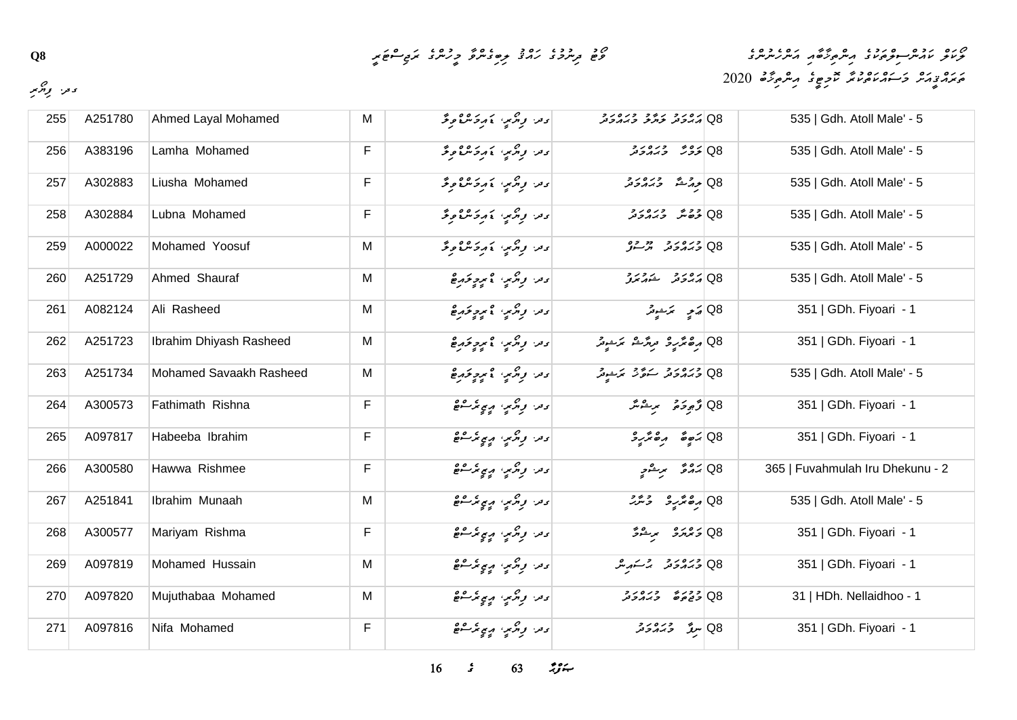*sCw7q7s5w7m< o<n9nOoAw7o< sCq;mAwBoEw7q<m; wBm;vB* م من المسجد المسجد المسجد المسجد المسجد العام 2020<br>مسجد المسجد المسجد المسجد المسجد المسجد المسجد المسجد المسجد ال

| 255 | A251780 | Ahmed Layal Mohamed     | M           | رىر وكرىم، ، كەن ئىر ئىر ئىر                         | Q8) <i>גُיכבית צורב בג'ופי</i> ב                            | 535   Gdh. Atoll Male' - 5       |
|-----|---------|-------------------------|-------------|------------------------------------------------------|-------------------------------------------------------------|----------------------------------|
| 256 | A383196 | Lamha Mohamed           | F           | رىر وكرىي ، كەركىلاھوگ                               | Q8 تَرَوْرٌ وَبَرُودُوْ                                     | 535   Gdh. Atoll Male' - 5       |
| 257 | A302883 | Liusha Mohamed          | $\mathsf F$ | دىن وكرىم، ، كەن ھارى ئوگ                            | Q8 مەرشقە ئ <i>ەيدە دى</i> ر                                | 535   Gdh. Atoll Male' - 5       |
| 258 | A302884 | Lubna Mohamed           | $\mathsf F$ | رىر وكرىم، ، كەن ئىر ئوگر                            | Q8 كۇھىگر ئ <i>ۇنى ئۇ</i> ر                                 | 535   Gdh. Atoll Male' - 5       |
| 259 | A000022 | Mohamed Yoosuf          | M           | ءما وكرب المركز الموقر                               | Q8 <i>دېمم</i> ونه مرگز                                     | 535   Gdh. Atoll Male' - 5       |
| 260 | A251729 | Ahmed Shauraf           | M           | ىدىن وكريب ؟ يرج دُر ھ                               | Q8 كەبروتىر شە <i>مەتى</i> ر                                | 535   Gdh. Atoll Male' - 5       |
| 261 | A082124 | Ali Rasheed             | M           | رىر وكرس ؟ مرد د ر ه                                 | Q8 <i>أەڭچە مۇ</i> شيەتر                                    | 351   GDh. Fiyoari - 1           |
| 262 | A251723 | Ibrahim Dhiyash Rasheed | M           | رىر وكريم، ؟ يرد د كره                               |                                                             | 351   GDh. Fiyoari - 1           |
| 263 | A251734 | Mohamed Savaakh Rasheed | M           | رىر وكرير، ؟ يرد د كرم                               | Q8 <i>وَبَهُ وَبَنْ</i> سَعَرَتْ بَرَ <sub>ْسُو</sub> ِيْرَ | 535   Gdh. Atoll Male' - 5       |
| 264 | A300573 | Fathimath Rishna        | $\mathsf F$ | <sub>ى</sub> ر روگرىي، <sub>مە</sub> پىرگىم          | Q8 <i>وُّڄِوَ جَ مِي</i> شَمَّر                             | 351   GDh. Fiyoari - 1           |
| 265 | A097817 | Habeeba Ibrahim         | $\mathsf F$ | رىر. رېژىي، رېپوگرىقق                                | Q8 بَصِعُ مِصْرَبِہِ \$                                     | 351   GDh. Fiyoari - 1           |
| 266 | A300580 | Hawwa Rishmee           | F           | دىر. وكريم، پرېپرگو                                  | Q8) <i>ټروگو</i> مرگو <sub>مي</sub>                         | 365   Fuvahmulah Iru Dhekunu - 2 |
| 267 | A251841 | Ibrahim Munaah          | M           | دىر. وكريم، پرېپرگو                                  | Q8 رەئزى <sub>ر</sub> و ئ <sup>و</sup> ندۇ                  | 535   Gdh. Atoll Male' - 5       |
| 268 | A300577 | Mariyam Rishma          | F           | <sub>ى</sub> ر روگرىي، <sub>مە</sub> پىرگىم          | Q8 <i>كا بريدۇ</i> برىشۇ                                    | 351   GDh. Fiyoari - 1           |
| 269 | A097819 | Mohamed Hussain         | M           | <sub>ى</sub> ر روگېي، <sub>م</sub> ېپچىر شو <u>غ</u> | Q8 <i>وبرودتو بر شهر مر</i>                                 | 351   GDh. Fiyoari - 1           |
| 270 | A097820 | Mujuthabaa Mohamed      | M           | <sub>ى</sub> ر روگرىي، <sub>مە</sub> پىرگىم          | Q8 دوم ورەرو                                                | 31   HDh. Nellaidhoo - 1         |
| 271 | A097816 | Nifa Mohamed            | F           | ىلىن بوركىي، مەي كەسىھ                               | Q8 سِمَدَّ       حَ يَدَ دُوَ قَدْ                          | 351   GDh. Fiyoari - 1           |

 $16$  *s*  $63$  *n***<sub>3</sub>** *n*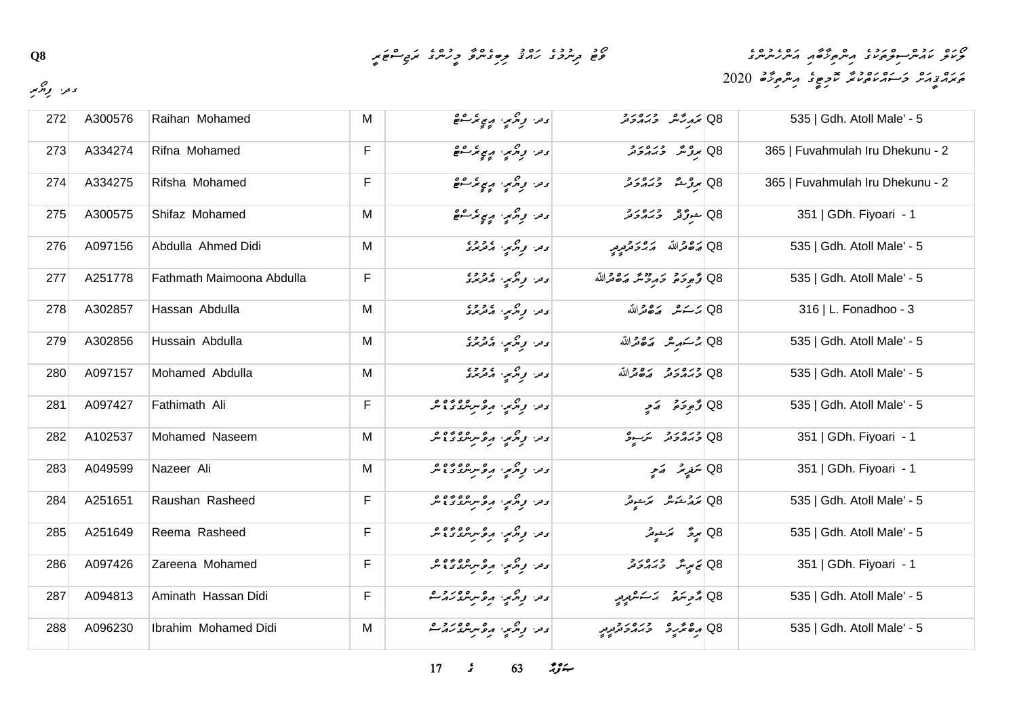*sCw7q7s5w7m< o<n9nOoAw7o< sCq;mAwBoEw7q<m; wBm;vB* م من المسجد المسجد المسجد المسجد المسجد العام 2020<br>مسجد المسجد المسجد المسجد المسجد المسجد المسجد المسجد المسجد ال

| 272 | A300576 | Raihan Mohamed            | M           | دىن   وگرىي،   م يې تگرىسى                                                                                          | Q8) <i>بَدَم رَمَّة وَبَدُودَوْ</i>                | 535   Gdh. Atoll Male' - 5       |
|-----|---------|---------------------------|-------------|---------------------------------------------------------------------------------------------------------------------|----------------------------------------------------|----------------------------------|
| 273 | A334274 | Rifna Mohamed             | $\mathsf F$ | دىن وكرىم، مەيگرىشقى                                                                                                | Q8 برۇنئر ئ <i>ۇنزۇ</i> نجىز                       | 365   Fuvahmulah Iru Dhekunu - 2 |
| 274 | A334275 | Rifsha Mohamed            | F           | دىن وگرىي، پرېپرىش                                                                                                  | Q8 مرثر شهر د محمد <i>شرق د</i> ر                  | 365   Fuvahmulah Iru Dhekunu - 2 |
| 275 | A300575 | Shifaz Mohamed            | M           | دىر. وكريم، مەي ئەرەھ                                                                                               | Q8 خورٌ <i>وْ دُمُ</i> دُمَرُ مُرَ                 | 351   GDh. Fiyoari - 1           |
| 276 | A097156 | Abdulla Ahmed Didi        | M           | د توري و د ده<br>د توري المترين                                                                                     | Q8 كَرْحْقْرْاللَّه     كَرْرْدَ مَّرْمَوِمْرِ     | 535   Gdh. Atoll Male' - 5       |
| 277 | A251778 | Fathmath Maimoona Abdulla | $\mathsf F$ | دین ویکی کاروی                                                                                                      | Q8 رَّجِعَةً حَمَدَ مَعَ صَصْرَاللَّهُ             | 535   Gdh. Atoll Male' - 5       |
| 278 | A302857 | Hassan Abdulla            | M           | دىن توپرىي، كەندىرى                                                                                                 | Q8 <i>تزسك مركة قر</i> الله                        | 316   L. Fonadhoo - 3            |
| 279 | A302856 | Hussain Abdulla           | M           | .<br>دىن وگرىي، كەندىرى                                                                                             | Q8 يُرْسَمَّ مِيَّةَ مِيَّاطَةَ بِهِيْرَاللَّهُ    | 535   Gdh. Atoll Male' - 5       |
| 280 | A097157 | Mohamed Abdulla           | M           | دور وگري کردوه                                                                                                      | Q8 32025 مَرْهُوَ اللَّهُ                          | 535   Gdh. Atoll Male' - 5       |
| 281 | A097427 | Fathimath Ali             | $\mathsf F$ | دىن وگرىي، مەھسىسى دەھ ھ                                                                                            | 08 <i>وُجوحَۃ مَی</i>                              | 535   Gdh. Atoll Male' - 5       |
| 282 | A102537 | Mohamed Naseem            | M           | وفر وترتب مؤسس وووه و                                                                                               | Q8] <i>وُټرو دَوَ</i> کرکو                         | 351   GDh. Fiyoari - 1           |
| 283 | A049599 | Nazeer Ali                | M           | دىن وگرىي، مەھسىس دەھ ئا                                                                                            | Q8 سَمْدِيْر - مَرْمٍ                              | 351   GDh. Fiyoari - 1           |
| 284 | A251651 | Raushan Rasheed           | F           | رمه وتربر مؤسس ومعاه                                                                                                | Q8 <i>بَدَمْ</i> شَدَسْ بَرَسْدِمْرَ               | 535   Gdh. Atoll Male' - 5       |
| 285 | A251649 | Reema Rasheed             | F           | رمه وتربر مؤسس ومعاه                                                                                                | Q8 مرِدَّ - مَرْشوِنْرُ -                          | 535   Gdh. Atoll Male' - 5       |
| 286 | A097426 | Zareena Mohamed           | $\mathsf F$ | دىن وكرىي، مەھسىر مەدە مە                                                                                           | Q8 ى <sub>ج مې</sub> ىگ ئ <i>ۇنى كە</i> قىر        | 351   GDh. Fiyoari - 1           |
| 287 | A094813 | Aminath Hassan Didi       | F           | دىن وگرىي، مەھسىلى ئەمروھ                                                                                           | Q8 <mark>مُ</mark> حِ سَرَةَ مَ سَـَ سُرْمِرِ مِرِ | 535   Gdh. Atoll Male' - 5       |
| 288 | A096230 | Ibrahim Mohamed Didi      | M           | ر در ورکمن موسر مورد در در در این مسلم است.<br>مسلمان مسلم برای مسلم در این مسلم است برای مسلم است که برای مسلم است | Q8 رەڭرى <sub>ر</sub> ۇ <i>دېمۇدۇرى</i> رىر        | 535   Gdh. Atoll Male' - 5       |

 $17$  *s* 63  $23$   $\div$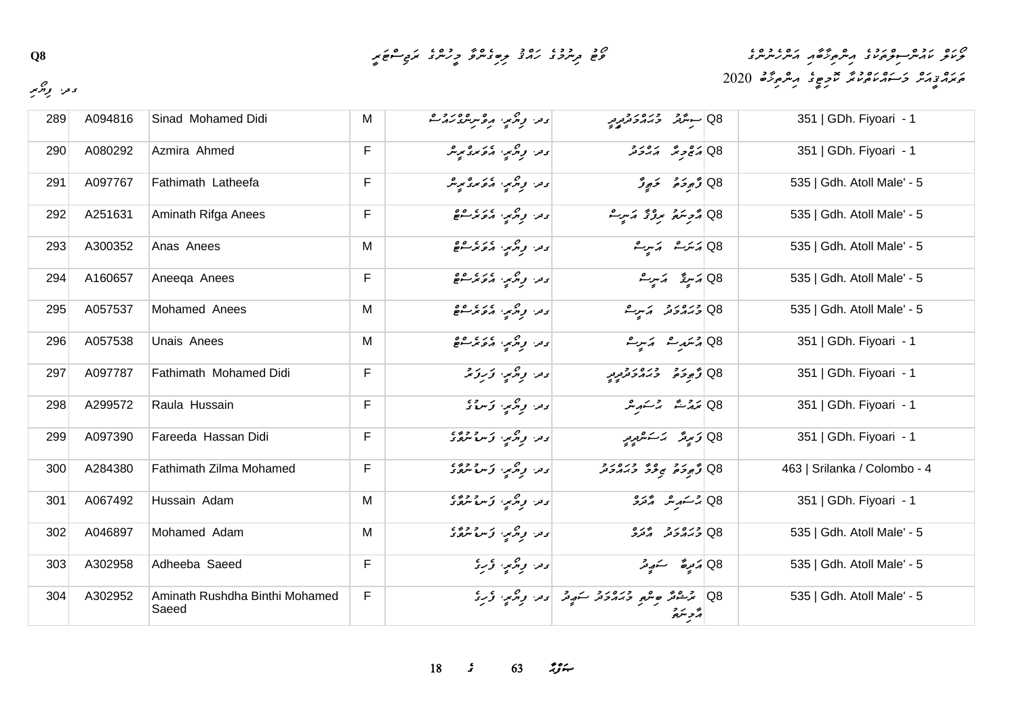*sCw7q7s5w7m< o<n9nOoAw7o< sCq;mAwBoEw7q<m; wBm;vB* م من المرة المرة المرة المرجع المرجع في المركبة 2020<br>مجم*د المريض المربوط المربع المرجع في المراجع المركبة* 

| 289 | A094816 | Sinad Mohamed Didi                      | M            | ىدىن بوركىي، مەھ سىنكى كەرمى  | Q8 سېنگو د <i>جره د قرم</i> ړمر                                                           | 351   GDh. Fiyoari - 1       |
|-----|---------|-----------------------------------------|--------------|-------------------------------|-------------------------------------------------------------------------------------------|------------------------------|
| 290 | A080292 | Azmira Ahmed                            | $\mathsf F$  | ءمن وكرس أركاسي سرهم          | Q8 كەنج <i>جەنگە</i> كەنگە <i>كە</i> رگە                                                  | 351   GDh. Fiyoari - 1       |
| 291 | A097767 | Fathimath Latheefa                      | F            | أدفرا أورهموا أمكامرهم موس    | Q8 ز <i>ڳوخته خو</i> ړڙ                                                                   | 535   Gdh. Atoll Male' - 5   |
| 292 | A251631 | Aminath Rifga Anees                     | $\mathsf{F}$ | ى تىر ، توركى ، مەن ئەھ       | Q8 أ <i>مَّ وِ سَهْءُ مِروْءٌ</i> 1 مَرِيْتُ                                              | 535   Gdh. Atoll Male' - 5   |
| 293 | A300352 | Anas Anees                              | M            | ى تىر ، تو چى ، مەن ئە ھ      | Q8   كەنترىش <i>ە</i> كەس <sub>رى</sub> شە                                                | 535   Gdh. Atoll Male' - 5   |
| 294 | A160657 | Aneega Anees                            | $\mathsf{F}$ | ى تىر ، توركى ، مەن ئەھ       | Q8 كەس <sub>ى</sub> ق كەس <sub>ى</sub> پ                                                  | 535   Gdh. Atoll Male' - 5   |
| 295 | A057537 | Mohamed Anees                           | M            | ى تىر ، توركى ، مەن ئەھ       | Q8 <i>وُيَهُ وَيُوَ</i> – رَسِرَ – 2                                                      | 535   Gdh. Atoll Male' - 5   |
| 296 | A057538 | Unais Anees                             | M            | ى تىر ، تورىمبر ، مەن قاھ     | Q8 كەنتىدىشە كەيدىشە                                                                      | 351   GDh. Fiyoari - 1       |
| 297 | A097787 | Fathimath Mohamed Didi                  | $\mathsf{F}$ | ءمدا وأكميا كركوتم            | Q8 تُرجوحو محمد المراجع في المراجع                                                        | 351   GDh. Fiyoari - 1       |
| 298 | A299572 | Raula Hussain                           | $\mathsf{F}$ | ءما وكرميا وسرقمى             | Q8 كَمَدْمْتْكُمْ مْرْسَوْرْ مْدْرْ                                                       | 351   GDh. Fiyoari - 1       |
| 299 | A097390 | Fareeda Hassan Didi                     | F            | ءمن وكرمي، وسي سره د          | Q8 كۆم <sub>چ</sub> ىگر - ئەسكىھوپەير                                                     | 351   GDh. Fiyoari - 1       |
| 300 | A284380 | Fathimath Zilma Mohamed                 | F            | ءمن وكرمي، وكالمعمدة المعر    | Q8 ز <i>ۇمۇم بوڭ دېمم</i> ۇنر                                                             | 463   Srilanka / Colombo - 4 |
| 301 | A067492 | Hussain Adam                            | M            | <sub>ى</sub> ر پەرىپ كەرقىي ك | Q8 كەسەمەسىر م <i>ەتر</i> ى                                                               | 351   GDh. Fiyoari - 1       |
| 302 | A046897 | Mohamed Adam                            | M            | ءمن وكرمي، وَسوءُ سره د       | Q8 <i>ڈیزوڈنڈ مڈیز</i> و                                                                  | 535   Gdh. Atoll Male' - 5   |
| 303 | A302958 | Adheeba Saeed                           | $\mathsf{F}$ | دورا وگري کورک                | Q8 كەن <i>وڭ سەم</i> ون <i>ۇ</i>                                                          | 535   Gdh. Atoll Male' - 5   |
| 304 | A302952 | Aminath Rushdha Binthi Mohamed<br>Saeed | F            |                               | Q8 برَّحْمَدٌ صِنْعَ دَبَرُهُ دَبْرٌ سَمْرٍ ثُمَّ الْمَحْمَدِ وَبِرْسٍ وَرِدِّ<br>ړ د سره | 535   Gdh. Atoll Male' - 5   |

**18** *s* **63** *n***<sub>s</sub>**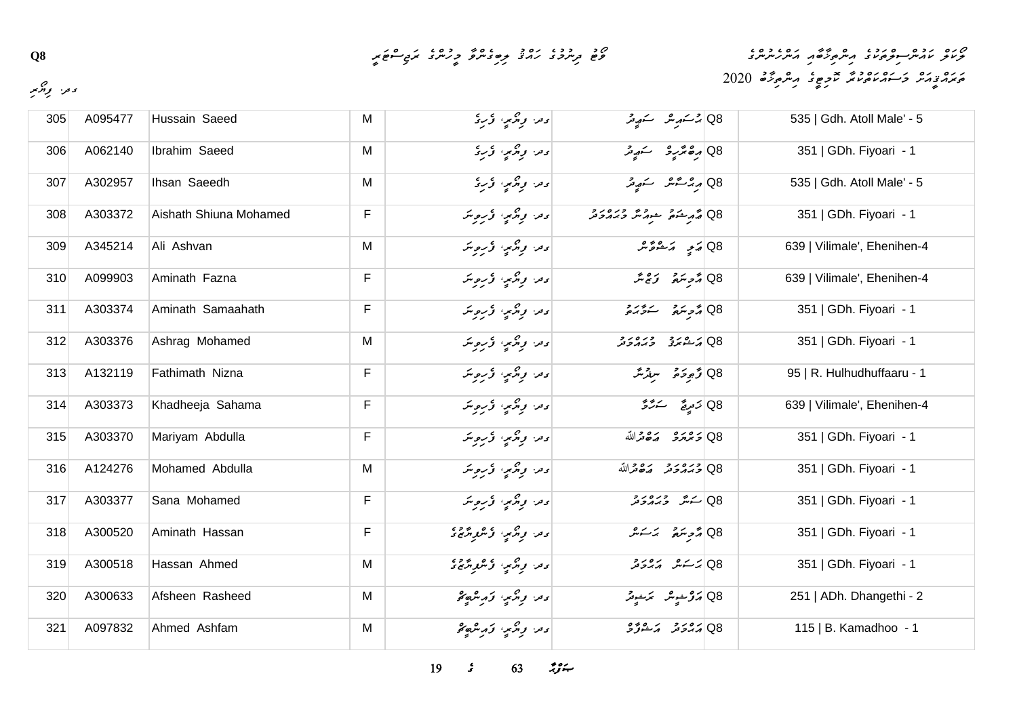*sCw7q7s5w7m< o<n9nOoAw7o< sCq;mAwBoEw7q<m; wBm;vB 2020*<br>*په پوهر وسوډيرونو لومو د موجو د مرمونه* 2020

| 305 | A095477 | Hussain Saeed          | M           | رمه وټرمي، و <i>ر</i> و                     | Q8   پرستمبر سر سک <i>م پ</i> وٹر         | 535   Gdh. Atoll Male' - 5  |
|-----|---------|------------------------|-------------|---------------------------------------------|-------------------------------------------|-----------------------------|
| 306 | A062140 | Ibrahim Saeed          | M           | أرورا وتركيبا كررى                          | Q8 م <i>وڭ ئۇرۇ سەمبەتر</i>               | 351   GDh. Fiyoari - 1      |
| 307 | A302957 | Ihsan Saeedh           | M           | أرورا وتركيبا كرري                          | Q8 م <i>ر بڑ سگ شہر شہر ش</i>             | 535   Gdh. Atoll Male' - 5  |
| 308 | A303372 | Aishath Shiuna Mohamed | $\mathsf F$ | دور وتركيب وكرونتر                          | Q8 مەم ئىقى ئىمەم ئىمەدىر                 | 351   GDh. Fiyoari - 1      |
| 309 | A345214 | Ali Ashvan             | M           | أدفرا وأكرميا أؤربونتر                      | Q8 كەبىر كەش <i>ەۋى</i> ر                 | 639   Vilimale', Ehenihen-4 |
| 310 | A099903 | Aminath Fazna          | $\mathsf F$ | <sub>م</sub> ىر. وچىپ، ۋر <sub>ەپ</sub> ىتر | Q8 م <i>ُّ جِسَعَۃ وَچ</i> ْ مُّرَ        | 639   Vilimale', Ehenihen-4 |
| 311 | A303374 | Aminath Samaahath      | $\mathsf F$ | دىن وگرىي، ۋرەپتر                           | Q8 م <i>ۇج ئىرقى</i> سى <i>رۇن</i> مۇ     | 351   GDh. Fiyoari - 1      |
| 312 | A303376 | Ashrag Mohamed         | M           | دىن بولگىي، ئۇرغ بىر                        | Q8 كەشكەر ئەرەر ئىس                       | 351   GDh. Fiyoari - 1      |
| 313 | A132119 | Fathimath Nizna        | $\mathsf F$ | أدفرا وأكرميا أؤربونتر                      | Q8 <i>وَّهِ دَمَّة</i> سِنْدَسَّر         | 95   R. Hulhudhuffaaru - 1  |
| 314 | A303373 | Khadheeja Sahama       | F           | أدفرا وأكرميا أؤربونتر                      | Q8 كَتَمِيعٌ - سَتَرَّدَّ                 | 639   Vilimale', Ehenihen-4 |
| 315 | A303370 | Mariyam Abdulla        | $\mathsf F$ | رىر وكرمړ، ۋرەپر                            | Q8 <i>كرمرد مك</i> ومرالله                | 351   GDh. Fiyoari - 1      |
| 316 | A124276 | Mohamed Abdulla        | M           | أدفرا وأكرميا أؤربونتر                      | Q8 32025 مَرْهُوَلا                       | 351   GDh. Fiyoari - 1      |
| 317 | A303377 | Sana Mohamed           | F           | ءمن وأكرميا أؤرونتر                         | Q8) سەنئە ج <i>ەندە د</i> ىر              | 351   GDh. Fiyoari - 1      |
| 318 | A300520 | Aminath Hassan         | F           | دىن وچىپ ۋىتروپىرى                          | Q8 <mark>مُ</mark> حِ سَمَعُ سَمَسَ سَمَد | 351   GDh. Fiyoari - 1      |
| 319 | A300518 | Hassan Ahmed           | M           | دىن وچىپ ۋىتروپىرى                          | Q8 كەس <i>تەش كەنگە</i> تەر               | 351   GDh. Fiyoari - 1      |
| 320 | A300633 | Afsheen Rasheed        | M           | ءمن وأكرس وأرسمهم                           | Q8 كەرمىسى كىرىسىدىگر                     | 251   ADh. Dhangethi - 2    |
| 321 | A097832 | Ahmed Ashfam           | M           | رى وكرس وكرم هو                             | Q8 كەبروتىر كەش <i>ەۋ</i> و               | 115   B. Kamadhoo - 1       |

*19 s* 63 *i*<sub>S</sub> $\approx$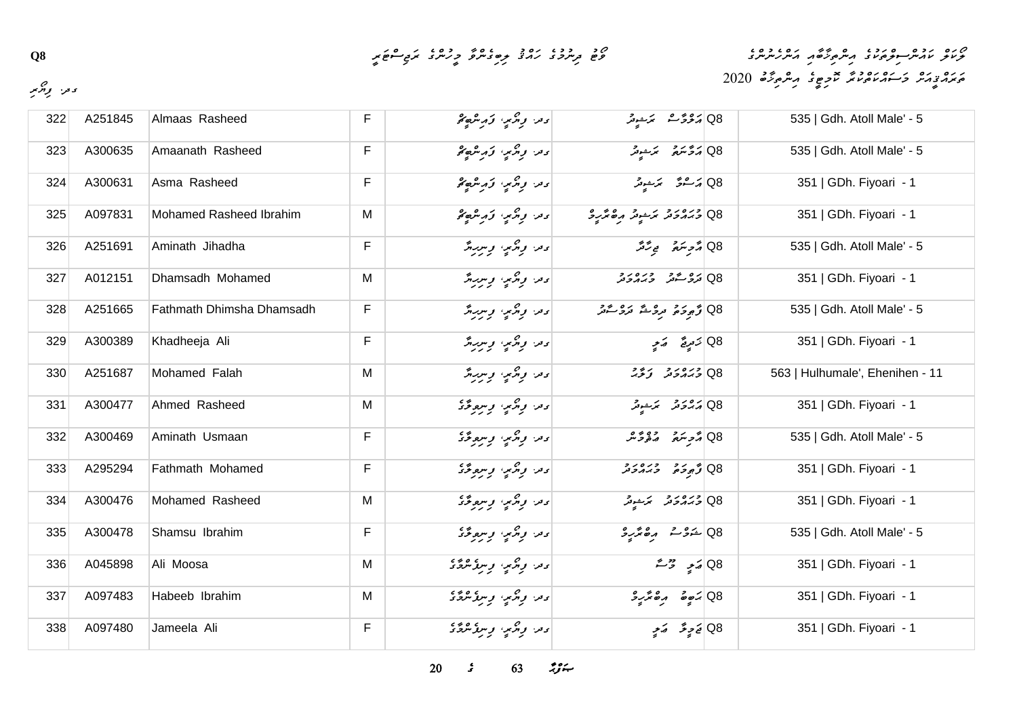*sCw7q7s5w7m< o<n9nOoAw7o< sCq;mAwBoEw7q<m; wBm;vB 2020*<br>*په پوهر وسوډيرونو لومو د موجو د مرمونه* 2020

| 322 | A251845 | Almaas Rasheed            | F            | دىن وگرىي، ۋە ئىھەمچ                 | Q8 كەنزۇش ئىزىنى <sub>دى</sub> ر                                                                            | 535   Gdh. Atoll Male' - 5      |
|-----|---------|---------------------------|--------------|--------------------------------------|-------------------------------------------------------------------------------------------------------------|---------------------------------|
| 323 | A300635 | Amaanath Rasheed          | $\mathsf F$  | دىن وكرىي، ۋە ئىھەمج                 | Q8   كەڭرىكى ئىسىمىسىسىتىكى   Q8                                                                            | 535   Gdh. Atoll Male' - 5      |
| 324 | A300631 | Asma Rasheed              | $\mathsf F$  | رو وركي وكرمهم                       | Q8 كەشىرى كەنسى <i>دى</i> گە                                                                                | 351   GDh. Fiyoari - 1          |
| 325 | A097831 | Mohamed Rasheed Ibrahim   | M            | دىن وگرىي، ۋە ئىھەمچ                 | $ 08\rangle$ وبروبر برشونر مرگزیرگر                                                                         | 351   GDh. Fiyoari - 1          |
| 326 | A251691 | Aminath Jihadha           | $\mathsf F$  | دىن وكرىي، وسرباگر                   | Q8 م <i>ُّ حِ سَع</i> ْرَ مِی <i>حَ</i> مَّد                                                                | 535   Gdh. Atoll Male' - 5      |
| 327 | A012151 | Dhamsadh Mohamed          | M            | دور وگري وسربرگ                      | Q8 تر <i>ۇشۇر دېرەرە</i>                                                                                    | 351   GDh. Fiyoari - 1          |
| 328 | A251665 | Fathmath Dhimsha Dhamsadh | $\mathsf F$  | دور وتركيب وسربرگر                   | والمح المحمد المحركة المحركة من المحمد المحمد المحمد المحمد المحمد المحمد المحمد المحمد المحمد الم          | 535   Gdh. Atoll Male' - 5      |
| 329 | A300389 | Khadheeja Ali             | $\mathsf{F}$ | دىن وگرىي، وسرباگر                   |                                                                                                             | 351   GDh. Fiyoari - 1          |
| 330 | A251687 | Mohamed Falah             | M            | أدفن وكرمي وسربائر                   | Q8 <i>دېمم</i> وتر زومړ                                                                                     | 563   Hulhumale', Ehenihen - 11 |
| 331 | A300477 | Ahmed Rasheed             | M            | دور و پرې وسوځۍ                      | Q8 <i>كەنگە كىگە تى</i> رىنىچە كە                                                                           | 351   GDh. Fiyoari - 1          |
| 332 | A300469 | Aminath Usmaan            | $\mathsf F$  | دىن وكرىم، وسرەۋڭ                    | Q8 گەجەنىھ كەن <sub>م</sub> ۇرىگر                                                                           | 535   Gdh. Atoll Male' - 5      |
| 333 | A295294 | Fathmath Mohamed          | $\mathsf F$  | إدمه وأكرس وسعرفر                    | Q8 <i>وَّجِوَدَة وَيَدْوَ</i> دَرَ                                                                          | 351   GDh. Fiyoari - 1          |
| 334 | A300476 | Mohamed Rasheed           | M            | دور وكريم، وسرونجة                   | Q8 <i>وُكەمۇمۇ كەنبى</i> تى                                                                                 | 351   GDh. Fiyoari - 1          |
| 335 | A300478 | Shamsu Ibrahim            | $\mathsf F$  | دور وكرير، وسرونوكي                  | Q8 خۇڭ م <i>ەڭرى</i> ۋ                                                                                      | 535   Gdh. Atoll Male' - 5      |
| 336 | A045898 | Ali Moosa                 | M            | <sub>2</sub> مر. وگريمي، وسرؤ مرگر و | $23$ کیمو سنگر 23                                                                                           | 351   GDh. Fiyoari - 1          |
| 337 | A097483 | Habeeb Ibrahim            | M            | دىن وگرىي، وسرگەندۇ ك                | $\mathcal{L}_{\mathbf{z}}$ $\mathcal{L}_{\mathbf{z}}$ $\mathcal{L}_{\mathbf{z}}$ $\mathcal{L}_{\mathbf{z}}$ | 351   GDh. Fiyoari - 1          |
| 338 | A097480 | Jameela Ali               | $\mathsf F$  | ءما وكريب وسؤلكردة                   | Q8 <i>آخ وِ گ مَ م</i> ِ                                                                                    | 351   GDh. Fiyoari - 1          |

 $20$  *s*  $63$  *z*  $29$   $\leftarrow$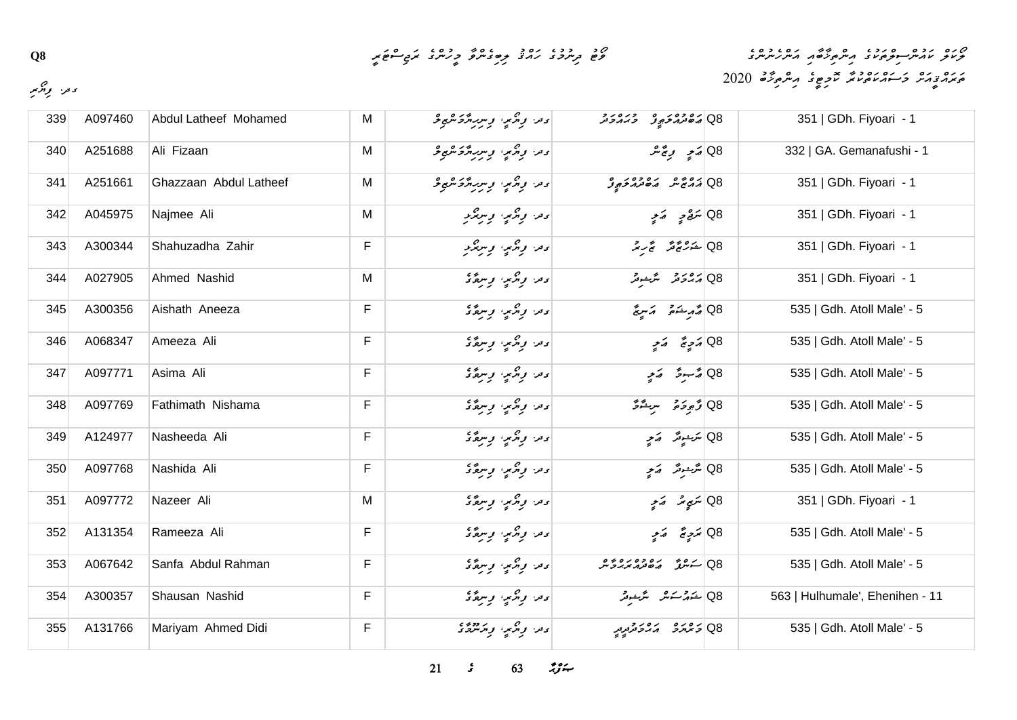*sCw7q7s5w7m< o<n9nOoAw7o< sCq;mAwBoEw7q<m; wBm;vB* م من المرة المرة المرة المرجع المرجع في المركبة 2020<br>مجم*د المريض المربوط المربع المرجع في المراجع المركبة* 

| 339 | A097460 | Abdul Latheef Mohamed  | M            | دىن وگرىي، وسرباگرىگىنى گ                | Q8 בֿלינגלית 25 ב־2000 CR              | 351   GDh. Fiyoari - 1          |
|-----|---------|------------------------|--------------|------------------------------------------|----------------------------------------|---------------------------------|
| 340 | A251688 | Ali Fizaan             | M            | دىن وكرىي، وسرىرگەكلىمى ئ                |                                        | 332   GA. Gemanafushi - 1       |
| 341 | A251661 | Ghazzaan Abdul Latheef | M            | ءما وكرب وسركردكمبوثر                    | Q8 <i>ذوع مصمر معاهد محبور</i>         | 351   GDh. Fiyoari - 1          |
| 342 | A045975 | Najmee Ali             | M            | دفرا وكرميا وسكو                         | Q8 <i>سَمَّةُ جِهِ مَ</i> حٍ           | 351   GDh. Fiyoari - 1          |
| 343 | A300344 | Shahuzadha Zahir       | F            | دفرا وكرميا وسرهو                        | Q8 خەرج ئ <i>ۇ</i> ئ <sub>ە</sub> ر ئى | 351   GDh. Fiyoari - 1          |
| 344 | A027905 | Ahmed Nashid           | M            | ءمر وترمي وسردة                          | Q8 <i>كەنگە كىگى تەرىپى</i> ر          | 351   GDh. Fiyoari - 1          |
| 345 | A300356 | Aishath Aneeza         | $\mathsf F$  | ءمر وكريب وسرة و                         | Q8 م <i>ُّهْرِحْتُمُ مَ</i> سِيَّةً    | 535   Gdh. Atoll Male' - 5      |
| 346 | A068347 | Ameeza Ali             | $\mathsf F$  | دىن وكريم، وسرڭر                         | Q8 <i>أَدَّجٍ بَحَ</i> مَعٍ            | 535   Gdh. Atoll Male' - 5      |
| 347 | A097771 | Asima Ali              | $\mathsf{F}$ | ءمر وكريب وسرة و                         | Q8 م <sup>م</sup> سرمًا صَعٍ           | 535   Gdh. Atoll Male' - 5      |
| 348 | A097769 | Fathimath Nishama      | $\mathsf F$  | ءمر وترمي وسردة                          | Q8 <i>وَّجِ دَمَّ</i> سِتَّمَرَّ       | 535   Gdh. Atoll Male' - 5      |
| 349 | A124977 | Nasheeda Ali           | $\mathsf F$  | ءمر وترمي وسردة                          | Q8 <i>مَرَحومٌ     رَحٍ</i>            | 535   Gdh. Atoll Male' - 5      |
| 350 | A097768 | Nashida Ali            | F            | ءمر وكريم، وسرة كا                       | Q8 سُرۡشِوسَؐ <i>وَ پِ</i>             | 535   Gdh. Atoll Male' - 5      |
| 351 | A097772 | Nazeer Ali             | M            | ءمن وكرمي، وسرة كا                       | Q8 س <i>مبي شرقيد</i>                  | 351   GDh. Fiyoari - 1          |
| 352 | A131354 | Rameeza Ali            | F            | ءمر وترمي وسردة                          |                                        | 535   Gdh. Atoll Male' - 5      |
| 353 | A067642 | Sanfa Abdul Rahman     | $\mathsf F$  | ءتدا وكريبا وسرة و                       | Q8) شرش مەمەم <i>بور بور بور ب</i> و   | 535   Gdh. Atoll Male' - 5      |
| 354 | A300357 | Shausan Nashid         | $\mathsf F$  | دىن وكرىي، وسرگە ك                       | Q8 شەھرىسى ئىر ئىش <sub>ىر</sub> تىر   | 563   Hulhumale', Ehenihen - 11 |
| 355 | A131766 | Mariyam Ahmed Didi     | F            | <sub>م</sub> ین ویژنی، ویژنتر <i>و</i> ی | Q8 <i>كەبەتكە مەمكەترىپ</i> ر          | 535   Gdh. Atoll Male' - 5      |

 $21$  *s* 63  $23$   $\div$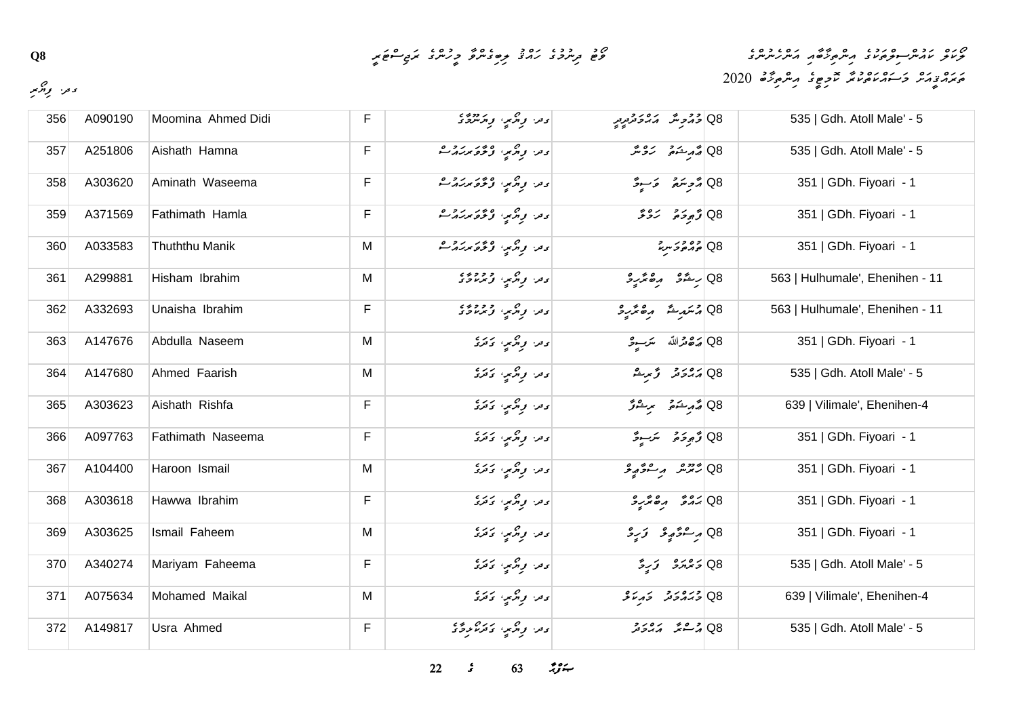*sCw7q7s5w7m< o<n9nOoAw7o< sCq;mAwBoEw7q<m; wBm;vB 2020*<br>*په پوهر وسوډيرونو لومو د موجو د مرمونه* 2020

| 356 | A090190 | Moomina Ahmed Didi    | F | دىن وگرىي، وكرموړى                     | Q8   جۇجۇمئىر   ئۇيكى ئۇيرىي <sub>ر</sub>                        | 535   Gdh. Atoll Male' - 5      |
|-----|---------|-----------------------|---|----------------------------------------|------------------------------------------------------------------|---------------------------------|
| 357 | A251806 | Aishath Hamna         | F | ءمن وحرسٍ، وتحويد بروم                 | Q8 مەم ئىشقى ئەشكە                                               | 535   Gdh. Atoll Male' - 5      |
| 358 | A303620 | Aminath Waseema       | F | ءمن وحكميا وتحقيدته والمعار            | Q8 مُجِسَعُهُ عَسِيرٌ                                            | 351   GDh. Fiyoari - 1          |
| 359 | A371569 | Fathimath Hamla       | F | ىلا ومى ومۇمەردە                       | Q8 تَ <i>مِی حَمَّة حَ</i> وْثَرَ                                | 351   GDh. Fiyoari - 1          |
| 360 | A033583 | <b>Thuththu Manik</b> | M | ىد وترى ومريدى                         | Q8 <i>ھەممۇ ئەبرى</i> ر                                          | 351   GDh. Fiyoari - 1          |
| 361 | A299881 | Hisham Ibrahim        | M | دىن وچې، وخوړې                         | Q8 بِــَنْدُوْ مِــَهْ مِّرْبِـدْ                                | 563   Hulhumale', Ehenihen - 11 |
| 362 | A332693 | Unaisha Ibrahim       | F | دىن وچې، وترانون                       | Q8 مُتَمَدِيْتُهُ مِنْ مُرْكِزِيْتُ                              | 563   Hulhumale', Ehenihen - 11 |
| 363 | A147676 | Abdulla Naseem        | M | دور وگري دوره                          | Q8 <i>مَنْ مْدْ</i> اللّه سَرَسِوتْر                             | 351   GDh. Fiyoari - 1          |
| 364 | A147680 | Ahmed Faarish         | M | .<br>رود وگري رود                      | Q8 كەش <sup>ى</sup> كە ئىقى ئىس كەن ئى                           | 535   Gdh. Atoll Male' - 5      |
| 365 | A303623 | Aishath Rishfa        | F | .<br>رور وترمي، رور                    | Q8 مەم شەم مىر شوقر                                              | 639   Vilimale', Ehenihen-4     |
| 366 | A097763 | Fathimath Naseema     | F | ا د د او و کمپ او دره ا                | Q8 <i>وَّجِوَدَة</i> سَرَسِرَةَ                                  | 351   GDh. Fiyoari - 1          |
| 367 | A104400 | Haroon Ismail         | M | دمر وگرم درد .                         | Q8 <i>جينگر پر شوگهي</i> و                                       | 351   GDh. Fiyoari - 1          |
| 368 | A303618 | Hawwa Ibrahim         | F | وفر : وچه دره<br>وفر : وچه وفرو        | Q8 <i>بَدْهُ وَ مِعْتَ</i> رِدُ                                  | 351   GDh. Fiyoari - 1          |
| 369 | A303625 | Ismail Faheem         | M | .<br>رور وگري رور                      | $\mathcal{L}_{\mathcal{L}}$ مِ سُرَّمَ وَ الْمَرِدُ ﴾ $\bigcirc$ | 351   GDh. Fiyoari - 1          |
| 370 | A340274 | Mariyam Faheema       | F | ر د و ډر کار ده ک                      | Q8 كەنگەنى كەرلىگە                                               | 535   Gdh. Atoll Male' - 5      |
| 371 | A075634 | Mohamed Maikal        | M | .<br>رور وگري رور                      | Q8 <i>وُيَدْوُوَنَّرَ وَمِيَنَوْ</i>                             | 639   Vilimale', Ehenihen-4     |
| 372 | A149817 | Usra Ahmed            | F | رور وترس روره دره<br>دور وترس دورا ودر | Q8 پر مشاهد بر پر ترکیلر<br>ا                                    | 535   Gdh. Atoll Male' - 5      |

 $22$  *s*  $63$  *z*  $29$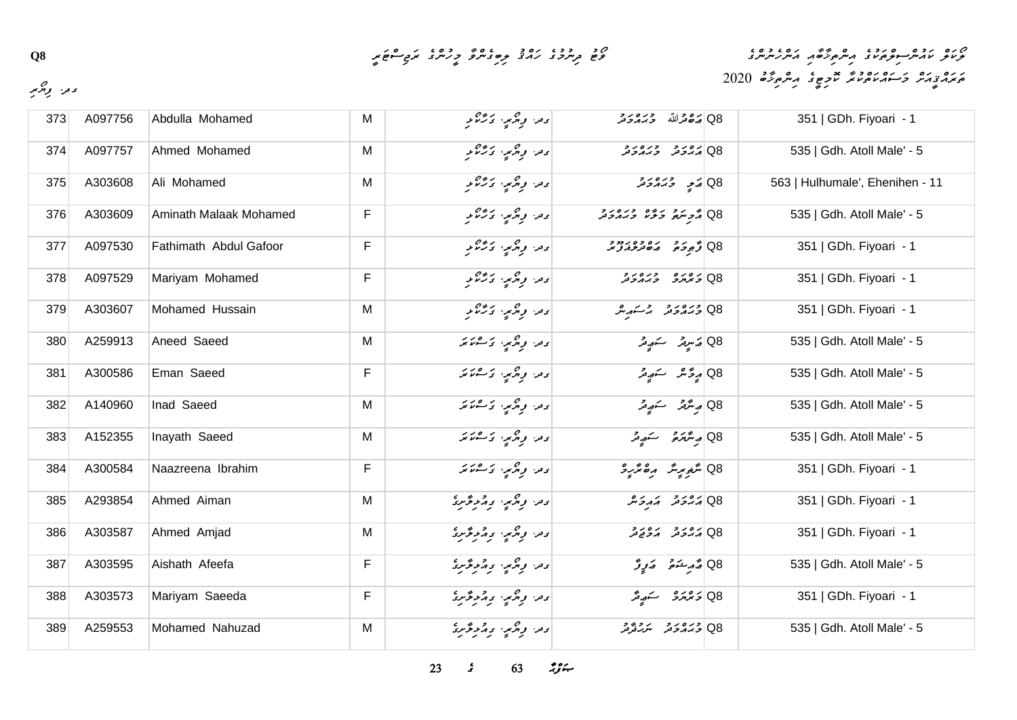*sCw7q7s5w7m< o<n9nOoAw7o< sCq;mAwBoEw7q<m; wBm;vB 2020*<br>*په پوهر وسوډيرونو لومو د موجو د مرمونه* 2020

| 373 | A097756 | Abdulla Mohamed        | M | <sub>ى</sub> ر روگىي ئەرگەن | Q8 كەھەراللە جەمەدىر                           | 351   GDh. Fiyoari - 1          |
|-----|---------|------------------------|---|-----------------------------|------------------------------------------------|---------------------------------|
| 374 | A097757 | Ahmed Mohamed          | M | ءمرا وكرميا كالرميمو        | Q8 ג׳כנר כגם כל                                | 535   Gdh. Atoll Male' - 5      |
| 375 | A303608 | Ali Mohamed            | M | ءما وأكرس ورقمو             | Q8 <i>كەبى ئېگەدى</i> گە                       | 563   Hulhumale', Ehenihen - 11 |
| 376 | A303609 | Aminath Malaak Mohamed | F | ا دور او چرب او کرد د       | Q8 أَرَّحِ سَيْرٍ وَكُرَّا وَبَرَارُوتَر       | 535   Gdh. Atoll Male' - 5      |
| 377 | A097530 | Fathimath Abdul Gafoor | F | ءما وأكرس ورقيمو            | Q8 ژ <sub>نج حر</sub> م مره دوم دوم            | 351   GDh. Fiyoari - 1          |
| 378 | A097529 | Mariyam Mohamed        | F | ءمرا وكرميا كالرميمو        | Q8) <i>5xx2 وبرورو</i>                         | 351   GDh. Fiyoari - 1          |
| 379 | A303607 | Mohamed Hussain        | M | ا دور او چرب او کرد د       | Q8 <i>وُبَهُ وَمَدْ</i> بِرَّسَهِ مِّرْ        | 351   GDh. Fiyoari - 1          |
| 380 | A259913 | Aneed Saeed            | M | ءمن وحرسٍ، وكسين مر         | Q8 <i>مَ</i> سِرِمَّر سَمَدٍ مِّرَ             | 535   Gdh. Atoll Male' - 5      |
| 381 | A300586 | Eman Saeed             | F | ءمن وأكرسٍ وسلامة           | Q8 م <i>وڈنڈ</i> سکھیٹر                        | 535   Gdh. Atoll Male' - 5      |
| 382 | A140960 | Inad Saeed             | M | ءَ ويرمي، وكسيمة لا         | Q8 م <i>ېنگونگە</i> س <i>ەم<sub>و</sub>ىتى</i> | 535   Gdh. Atoll Male' - 5      |
| 383 | A152355 | Inayath Saeed          | M | ءَ ويرتب وسيمو              | Q8 م <i>ېنتىدى سەمب</i> ىتر                    | 535   Gdh. Atoll Male' - 5      |
| 384 | A300584 | Naazreena Ibrahim      | F | ءَ ويرتمي وكسيمة و          | Q8 مُنْمُومِيمُدَ مِنْ مُرْسِرْد               | 351   GDh. Fiyoari - 1          |
| 385 | A293854 | Ahmed Aiman            | M | رما والكميا والوقري         | Q8 كەبرى <i>كەبەك بىر</i>                      | 351   GDh. Fiyoari - 1          |
| 386 | A303587 | Ahmed Amjad            | M | رىر وكرس وازدقرة            | Q8 كەبرى <i>قىرى كەن ئى</i> ر                  | 351   GDh. Fiyoari - 1          |
| 387 | A303595 | Aishath Afeefa         | F | رىن روگىي روگرىمىن          | Q8 م <i>ُّهِ شَهْرٍ مَّوِرٌ</i>                | 535   Gdh. Atoll Male' - 5      |
| 388 | A303573 | Mariyam Saeeda         | F | رىر وكرس وازدقرة            | Q8 <i>كا بح</i> مد بحريد السكر بريتر           | 351   GDh. Fiyoari - 1          |
| 389 | A259553 | Mohamed Nahuzad        | M | دىن وگەي دېمرىگىرى          | Q8 <i>وبروبرو سردفر</i> تر                     | 535   Gdh. Atoll Male' - 5      |

 $23$  *s*  $63$  *n***<sub>y</sub>** $\leq$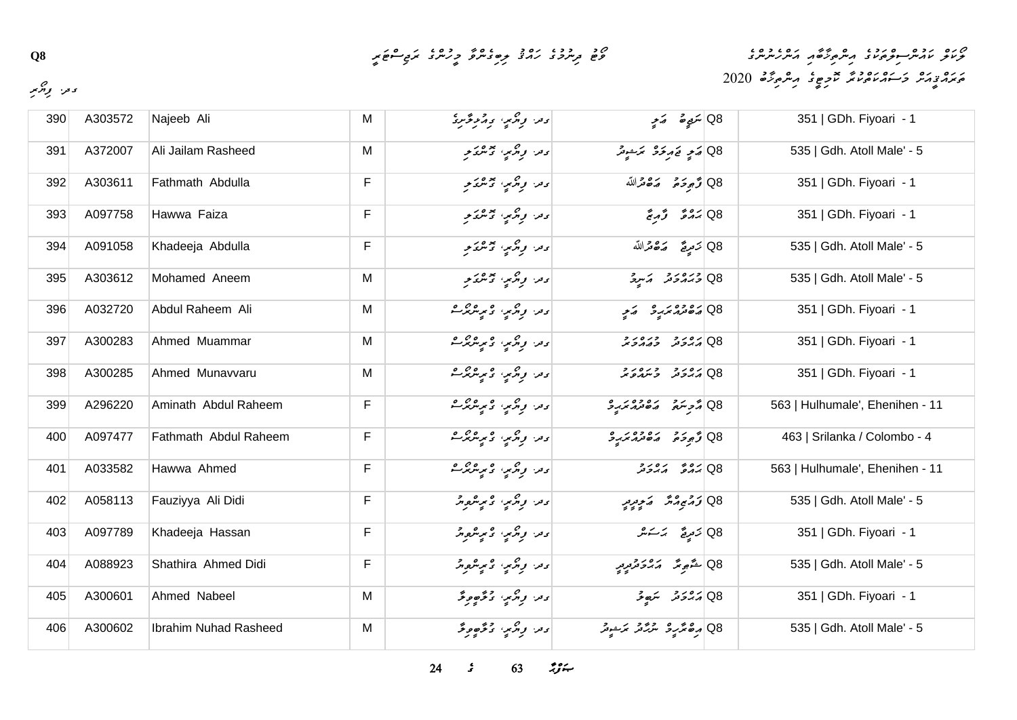*sCw7q7s5w7m< o<n9nOoAw7o< sCq;mAwBoEw7q<m; wBm;vB 2020<sup>, م</sup>وسر در مدد مدرج به مدرم مقرم قرار 2020*<br>موسر المستقرم المستقرم المستقرم المستقرم المستقرم المستقرم المستقرم المستقرم المستقرم المستقرم المستقرم المستقر

| 390 | A303572 | Najeeb Ali                   | M            | ءمرا وكرس والموقروق           | Q8 س <i>نوھ م</i> َر                   | 351   GDh. Fiyoari - 1          |
|-----|---------|------------------------------|--------------|-------------------------------|----------------------------------------|---------------------------------|
| 391 | A372007 | Ali Jailam Rasheed           | M            | دىن وگرىي، ئۇنىڭ ئې           | Q8   رَمِ يَو رَحَوْ بَرَشِيْتَر       | 535   Gdh. Atoll Male' - 5      |
| 392 | A303611 | Fathmath Abdulla             | $\mathsf F$  | إرورا ويرتب البرهانج          | Q8 <i>وَّجِوَدَة مَ</i> صَّقَرَاللَّه  | 351   GDh. Fiyoari - 1          |
| 393 | A097758 | Hawwa Faiza                  | $\mathsf F$  | <sub>ى</sub> مە ۋەكىي تەھكىم  | Q8 جَہْرَّ تَ <i>ہ</i> یَّ             | 351   GDh. Fiyoari - 1          |
| 394 | A091058 | Khadeeja Abdulla             | $\mathsf{F}$ | <sub>ى</sub> مەر بولۇپ ئىسمەم | Q8 كَتَعْرِيجٌ     مَرْكَة مِّرْاللَّه | 535   Gdh. Atoll Male' - 5      |
| 395 | A303612 | Mohamed Aneem                | M            | <sub>م</sub> س وگري محمد ع    | Q8 <i>وُبَرُوْدَوْ كَ</i> سِرَةُ       | 535   Gdh. Atoll Male' - 5      |
| 396 | A032720 | Abdul Raheem Ali             | M            | دىن بوركىي، ئۇ پەيترىكە ش     | ا ئەھە <i>تەمكى</i> رى ھېرىي $\sim$    | 351   GDh. Fiyoari - 1          |
| 397 | A300283 | Ahmed Muammar                | M            | ءَ تو وگري و برنگرنگ          | Q8 גלכת כגור כ                         | 351   GDh. Fiyoari - 1          |
| 398 | A300285 | Ahmed Munavvaru              | M            | دىن بوركىي، دىمپىرىكى         | Q8 גלבת ב <i>יתה</i> פת                | 351   GDh. Fiyoari - 1          |
| 399 | A296220 | Aminath Abdul Raheem         | $\mathsf F$  | دىن بوركىي، دىمپىرىكى         | Q8 أروسم أره وه مرسور                  | 563   Hulhumale', Ehenihen - 11 |
| 400 | A097477 | Fathmath Abdul Raheem        | $\mathsf F$  | دىن بوركىي، دىمپىرىگ          | Q8 زُودَة مُصْرَمْ مُرَدِّدٌ           | 463   Srilanka / Colombo - 4    |
| 401 | A033582 | Hawwa Ahmed                  | F            | ءَ تو وگري و برنگرگ           | Q8 <i>بَدْهُ وَ بَدْوَنْدِ</i>         | 563   Hulhumale', Ehenihen - 11 |
| 402 | A058113 | Fauziyya Ali Didi            | $\mathsf F$  | دىن وگري ئى يېشورلا           | Q8 <i>وَدْبِي دْ</i> مَرَّ مَعِيْدِيرِ | 535   Gdh. Atoll Male' - 5      |
| 403 | A097789 | Khadeeja Hassan              | $\mathsf F$  | دىر. وكريم، ويرتكزوكر         | Q8 كەمپى <i>غ بەسكى</i> ر              | 351   GDh. Fiyoari - 1          |
| 404 | A088923 | Shathira Ahmed Didi          | $\mathsf F$  | دىن وكريم، دېمپىروكر          | Q8 ش <i>ەپ مەڭ مەرەپىرى</i> ر          | 535   Gdh. Atoll Male' - 5      |
| 405 | A300601 | Ahmed Nabeel                 | M            | <sub>ى</sub> ر رېم کوچە       | Q8 <i>مَدْدَدَ مَعِدْ</i>              | 351   GDh. Fiyoari - 1          |
| 406 | A300602 | <b>Ibrahim Nuhad Rasheed</b> | M            | دىن توپرىي، ئۇھ <i>ھ</i> وڭ   | وە ئۇربۇ بىرگە ئەسىر                   | 535   Gdh. Atoll Male' - 5      |

 $24$  *s*  $63$  *z*  $29$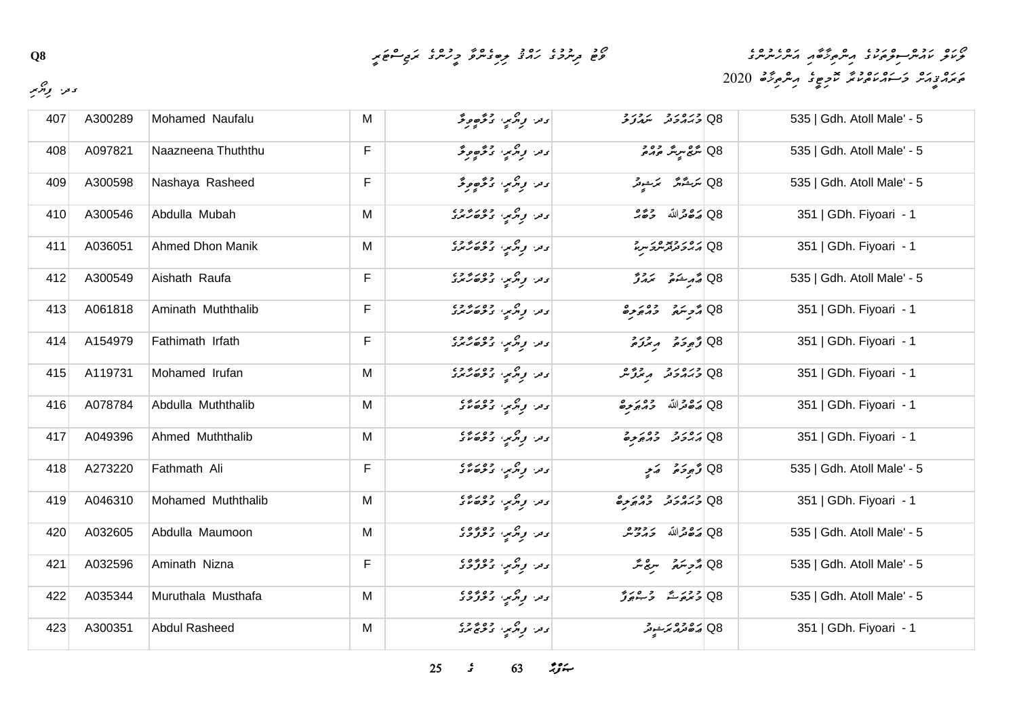*sCw7q7s5w7m< o<n9nOoAw7o< sCq;mAwBoEw7q<m; wBm;vB 2020*<br>*په پوهر وسوډيرونو لومو د موجو د مرمونه* 2020

| 407 | A300289 | Mohamed Naufalu         | M           | <sub>ى</sub> ر رېمب ئۇھورگ                       | Q8 <i>ۋېزودتى سەزد</i>                                  | 535   Gdh. Atoll Male' - 5 |
|-----|---------|-------------------------|-------------|--------------------------------------------------|---------------------------------------------------------|----------------------------|
| 408 | A097821 | Naazneena Thuththu      | F           | دىن وكرىم، كۇھەرگ                                | Q8 م <i>گن</i> چ س <sub>پ</sub> رمگر مور <sub>م</sub> و | 535   Gdh. Atoll Male' - 5 |
| 409 | A300598 | Nashaya Rasheed         | F           | دىن وكرىم، ئۇھەم ئ                               | Q8 <i>سَرْڪْمَرَّ - مَرَحْ</i> مِثَر                    | 535   Gdh. Atoll Male' - 5 |
| 410 | A300546 | Abdulla Mubah           | M           | وفر ، و چې ، د وه د و و و و                      | Q8 كَرْجْ مْرَاللّه حَرَّجَة مِ                         | 351   GDh. Fiyoari - 1     |
| 411 | A036051 | <b>Ahmed Dhon Manik</b> | M           | دىن وگرىي، دەرە دە                               | Q8   كەنگە <i>كەنگەنلەر كەنگە</i>                       | 351   GDh. Fiyoari - 1     |
| 412 | A300549 | Aishath Raufa           | $\mathsf F$ | وفر ، وگريز، و وه د بر و د                       | Q8 مُ مِشَمَّ مَدَمَّرٌ                                 | 535   Gdh. Atoll Male' - 5 |
| 413 | A061818 | Aminath Muththalib      | F           | دور و همير، دوه دوه                              | Q8 مُجِسَمَة حَمْدَ جَرْءَ                              | 351   GDh. Fiyoari - 1     |
| 414 | A154979 | Fathimath Irfath        | F           | <sub>وفر:</sub> وگري ووړه وه                     | Q8 <i>وُّجوحَمْ بِهِ بِرْدَهُ</i>                       | 351   GDh. Fiyoari - 1     |
| 415 | A119731 | Mohamed Irufan          | M           | دىن وگرىي، دەرە دە                               | Q8 <i>وُبەدە دېمۇ</i> ش                                 | 351   GDh. Fiyoari - 1     |
| 416 | A078784 | Abdulla Muththalib      | M           | دىن پېرىم كەلگە ئ                                | $2.22$ $2.33$ $2.5$ $0.8$                               | 351   GDh. Fiyoari - 1     |
| 417 | A049396 | Ahmed Muththalib        | M           | دىن پېرىم كەلگە ئ                                | Q8 ג׳כנ כתקצים                                          | 351   GDh. Fiyoari - 1     |
| 418 | A273220 | Fathmath Ali            | F           | <br>  دىن توپرىي، ئەنھەم د                       | Q8 <i>وُّڄِوَۃُ مَيْ</i>                                | 535   Gdh. Atoll Male' - 5 |
| 419 | A046310 | Mohamed Muththalib      | M           | <sub>وفر:</sub> وگرس، وورده                      | Q8 <i>בגמכנר כתקצם</i>                                  | 351   GDh. Fiyoari - 1     |
| 420 | A032605 | Abdulla Maumoon         | M           | <sub>ى</sub> مى ومگمي دەپەە                      | Q8 مَصْعَراللَّه دَمَّة مِصْرَ                          | 535   Gdh. Atoll Male' - 5 |
| 421 | A032596 | Aminath Nizna           | F           | دىن وگرىي، دودە ە                                | Q8 أ <i>مَّ حِ مَتَّعَ</i> دُ مُسْتَعَمَّدُ             | 535   Gdh. Atoll Male' - 5 |
| 422 | A035344 | Muruthala Musthafa      | M           | دىن پېرىم كې دە دە                               | Q8 ئەترەت ئەس <i>مۇر</i>                                | 535   Gdh. Atoll Male' - 5 |
| 423 | A300351 | <b>Abdul Rasheed</b>    | M           | <sub>وفر</sub> ، وگرمر، ووء وء<br>دن وگرمر، وگرم | Q8 <i>مەھەرمەتى</i> سى <i>رى</i> ر                      | 351   GDh. Fiyoari - 1     |

 $25$  *s*  $63$  *z*  $25$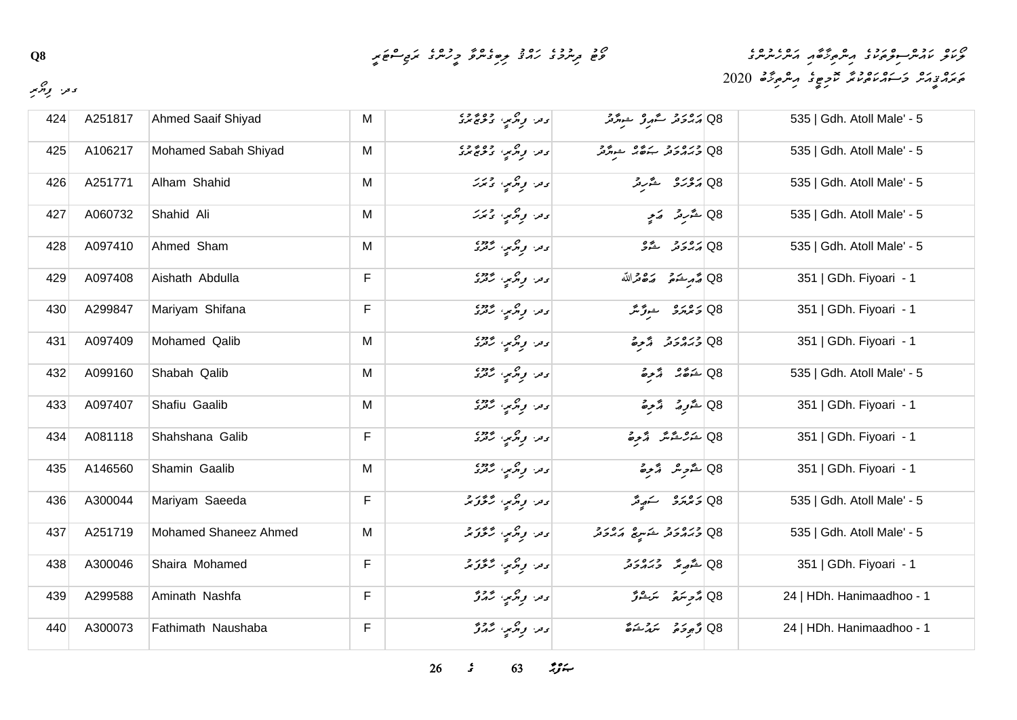*sCw7q7s5w7m< o<n9nOoAw7o< sCq;mAwBoEw7q<m; wBm;vB 2020*<br>*په پوهر وسوډيرونو لومو د موجو د مرمونه* 2020

| 424 | A251817 | Ahmed Saaif Shiyad    | M            | دىن پېرىمىي، دەپرى         | Q8 كەشكەقىر شەھرىر ھەمگەتر                      | 535   Gdh. Atoll Male' - 5 |
|-----|---------|-----------------------|--------------|----------------------------|-------------------------------------------------|----------------------------|
| 425 | A106217 | Mohamed Sabah Shiyad  | M            | دىن وگرىي، دوم دە          | Q8 <i>وبروبرو بنظر شورگ</i> ر                   | 535   Gdh. Atoll Male' - 5 |
| 426 | A251771 | Alham Shahid          | M            | أرفرا وكرميا وترك          | Q8   كەنۇرى <sub>د</sub> ى ھەرىتى               | 535   Gdh. Atoll Male' - 5 |
| 427 | A060732 | Shahid Ali            | M            | أرفرا وكرميا وترز          | Q8 ڪريٽر <i>مک</i> مير                          | 535   Gdh. Atoll Male' - 5 |
| 428 | A097410 | Ahmed Sham            | M            | ر در و پرې رس              | Q8 <i>كەنگە ئۇ ئى</i> گە ئى                     | 535   Gdh. Atoll Male' - 5 |
| 429 | A097408 | Aishath Abdulla       | F            | ر در و پرې ريږي.           | Q8 <i>مُجْمِسْتَمْ مُ</i> هْمَّرَاللَّه         | 351   GDh. Fiyoari - 1     |
| 430 | A299847 | Mariyam Shifana       | $\mathsf F$  | ا دور ، و چرپ اروده        | Q8 <i>كەنگەردە</i> ھو <i>رۇنگ</i> ە             | 351   GDh. Fiyoari - 1     |
| 431 | A097409 | Mohamed Qalib         | M            | رور و و کړي گردون          | Q8 <i>وَبَهُمْ دَبَّرٌ أَمَّ</i> رٍ صَحْبَ      | 351   GDh. Fiyoari - 1     |
| 432 | A099160 | Shabah Qalib          | M            | ا دور ، و چرب ، رود ،      | $2.5$ $-2.5$ $ 08$                              | 535   Gdh. Atoll Male' - 5 |
| 433 | A097407 | Shafiu Gaalib         | M            | ا دور ، و چرب ، رود ،<br>ا | Q8 ڪ <i>ُورڻ ڏُوھ</i> ُ                         | 351   GDh. Fiyoari - 1     |
| 434 | A081118 | Shahshana Galib       | $\mathsf{F}$ | ر در و پرې ريږي.           | Q8 خىر ئىگىز ق <i>ىر ۋە</i>                     | 351   GDh. Fiyoari - 1     |
| 435 | A146560 | Shamin Gaalib         | M            | ا دور ، و پر پر اورو ، ا   | Q8 ڪوپر <i>ڏوھ</i>                              | 351   GDh. Fiyoari - 1     |
| 436 | A300044 | Mariyam Saeeda        | $\mathsf F$  | ءما وأكبرا رمحورج          | Q8 كەنگەنگە سى <i>نەپەنگ</i> ە                  | 535   Gdh. Atoll Male' - 5 |
| 437 | A251719 | Mohamed Shaneez Ahmed | M            | دىن وگرىي، رَگْرُوَنْدُ    | Q8 <i>وَيَهْوَفَرْ</i> حَسِيْ <i>مَدْوَفَرْ</i> | 535   Gdh. Atoll Male' - 5 |
| 438 | A300046 | Shaira Mohamed        | F            | دىن وگرىي، رَگْرُوَنْدُ    | Q8 ش <i>ۇم بىر ئەتەر ئە</i> ر                   | 351   GDh. Fiyoari - 1     |
| 439 | A299588 | Aminath Nashfa        | $\mathsf{F}$ | ءمن ومكميا المجمومي        | Q8 أ <i>مَّ جِسَمَّة سَ</i> يَشْرَقَّ           | 24   HDh. Hanimaadhoo - 1  |
| 440 | A300073 | Fathimath Naushaba    | F            | رمه وترمي ر <i>ود</i> و    | $\delta \omega$ وَّجْرِحَاهُ مَسْرَحْتَمَعَ     | 24   HDh. Hanimaadhoo - 1  |

 $26$  *s*  $63$  *z*  $29$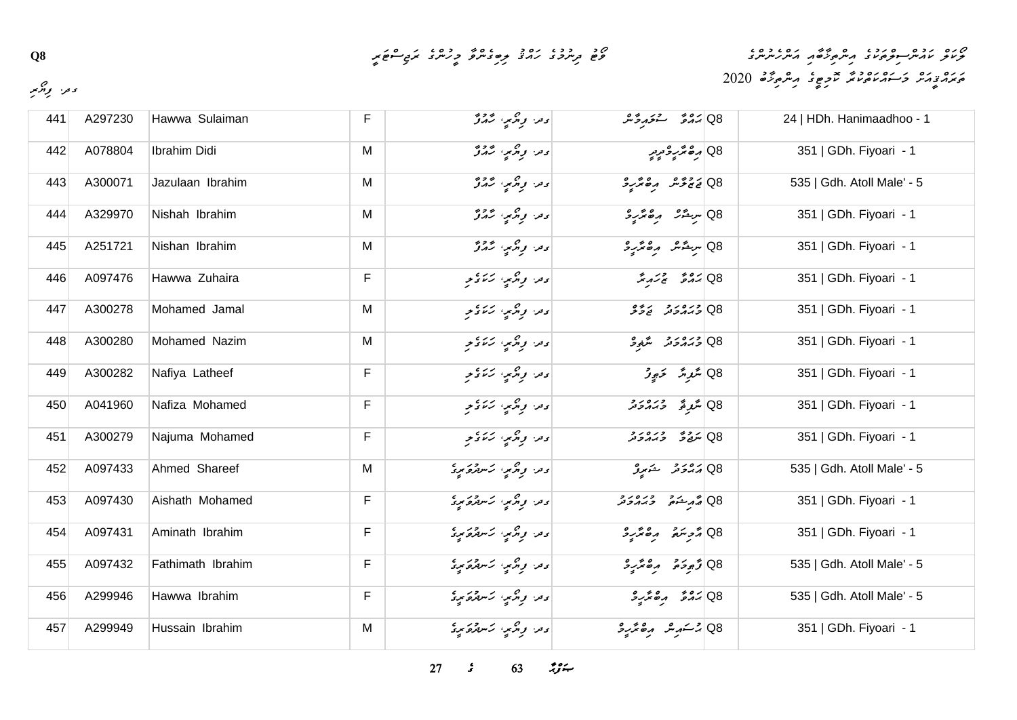*sCw7q7s5w7m< o<n9nOoAw7o< sCq;mAwBoEw7q<m; wBm;vB* م من المرة المرة المرة المرجع المرجع في المركبة 2020<br>مجم*د المريض المربوط المربع المرجع في المراجع المركبة* 

| 441 | A297230 | Hawwa Sulaiman    | $\mathsf{F}$ | رىر وەكب ئەدۇ                          | Q8 <i>بَدْهُ جُوَدِ وُ</i> سُ               | 24   HDh. Hanimaadhoo - 1  |
|-----|---------|-------------------|--------------|----------------------------------------|---------------------------------------------|----------------------------|
| 442 | A078804 | Ibrahim Didi      | M            | دىن وگرىي، شەدۋ                        | Q8 <mark>برڭ ئ</mark> رىپ <sup>ى</sup> مومو | 351   GDh. Fiyoari - 1     |
| 443 | A300071 | Jazulaan Ibrahim  | M            | دور وگري رقمونو                        | Q8 <i>في تحرير مقترب</i> و                  | 535   Gdh. Atoll Male' - 5 |
| 444 | A329970 | Nishah Ibrahim    | M            | ا دىن بوركىي، ئەچەتى                   | Q8 سِنْدُرْ مِنْ مُرْسِرْدْ                 | 351   GDh. Fiyoari - 1     |
| 445 | A251721 | Nishan Ibrahim    | M            | دىن وگرىي، شەدۋ                        | Q8 سِتَدَّسْ بِرِصْتَرِيْتِهِ ِ             | 351   GDh. Fiyoari - 1     |
| 446 | A097476 | Hawwa Zuhaira     | $\mathsf F$  | دورا وگري رکالگانو                     | Q8 ئەش <i>ۇ</i> يى <i>زى</i> رىتە           | 351   GDh. Fiyoari - 1     |
| 447 | A300278 | Mohamed Jamal     | M            | <sub>ى</sub> مە ۋەكىيە كەنگۈ           | Q8 <i>وُبَہْہُ وَمَّہ</i> ہے وُمُح          | 351   GDh. Fiyoari - 1     |
| 448 | A300280 | Mohamed Nazim     | M            | دورا و چې د کارونو                     | Q8 <i>\$ بَدُوْدَوْ مُتَّبِوْدُ</i>         | 351   GDh. Fiyoari - 1     |
| 449 | A300282 | Nafiya Latheef    | F            | دور وگري رکالگو                        | Q8 <i>سُمْدِ جَهْ وَهِ وَ</i>               | 351   GDh. Fiyoari - 1     |
| 450 | A041960 | Nafiza Mohamed    | $\mathsf F$  | دىن وچې ئەتكۈ                          | Q8 <i>سَّعِيةٌ حُمَدُّدُو</i> تُرُ          | 351   GDh. Fiyoari - 1     |
| 451 | A300279 | Najuma Mohamed    | F            | دىن وچىپ ئەتمىگى                       | Q8 يَرْدِعُ - دَيْرُونَرُ                   | 351   GDh. Fiyoari - 1     |
| 452 | A097433 | Ahmed Shareef     | M            | دىن بوركىي، كەنگەگە ئېرى               | Q8 كەش <sup>ى</sup> كىرىگە ئىكتىرىش         | 535   Gdh. Atoll Male' - 5 |
| 453 | A097430 | Aishath Mohamed   | $\mathsf F$  | دىن بوركىي، كەنگەگە ئولى               | $08$ مُدِينَة وَرَدْوَتْر                   | 351   GDh. Fiyoari - 1     |
| 454 | A097431 | Aminath Ibrahim   | F            | دىن وگرىي، كەنگەگرىمىگ                 | Q8 أَمُّحِسَمُ مُصَمَّرٍ وَ                 | 351   GDh. Fiyoari - 1     |
| 455 | A097432 | Fathimath Ibrahim | $\mathsf F$  | رىر. <i>و</i> ركىي، ئەر <i>قۇقى</i> رى | Q8 <i>وَّجِوَدَةُ مِ</i> قْتَرِيْدَ         | 535   Gdh. Atoll Male' - 5 |
| 456 | A299946 | Hawwa Ibrahim     | F            | دىن بوركىي، كەن كەن بول                | لاي ئەرگە ئەھقىرى $\sim$ $\approx$          | 535   Gdh. Atoll Male' - 5 |
| 457 | A299949 | Hussain Ibrahim   | M            | رىر. وگرىي، ئەرەۋە برە                 |                                             | 351   GDh. Fiyoari - 1     |

*27 sC 63 nNw?mS*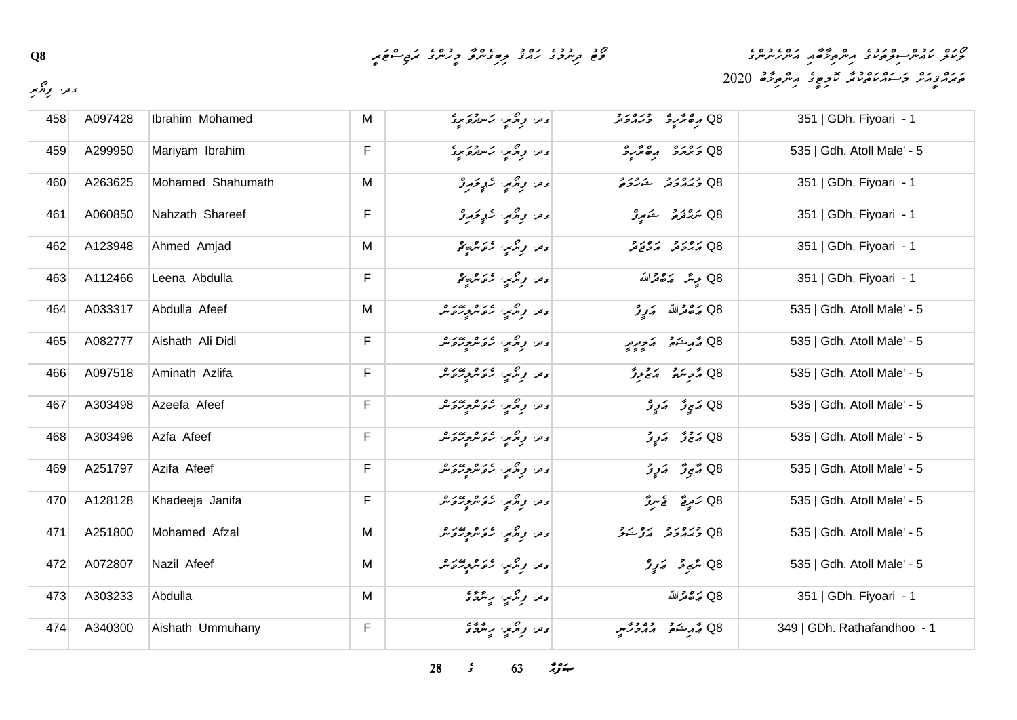*sCw7q7s5w7m< o<n9nOoAw7o< sCq;mAwBoEw7q<m; wBm;vB 2020*<br>*په پوهر وسوډيرونو لومو د موجو د مرمونه* 2020

| 458 | A097428 | Ibrahim Mohamed   | M           | رىر. روگرىي، ئەس <i>ترە ب</i> رە | Q8 مەھەر ئەرەر ئەردىر                             | 351   GDh. Fiyoari - 1      |
|-----|---------|-------------------|-------------|----------------------------------|---------------------------------------------------|-----------------------------|
| 459 | A299950 | Mariyam Ibrahim   | F           | رى وگرىي ئەر <i>وگۇم</i> رى      | $\sim$ كَا دَمَرْ مَرَدَ مِنْ مِنْ مِنْ كَلْبِ دَ | 535   Gdh. Atoll Male' - 5  |
| 460 | A263625 | Mohamed Shahumath | M           | ءما وأكبرا كوقارة                | Q8 <i>وبروبروتر خەردە</i>                         | 351   GDh. Fiyoari - 1      |
| 461 | A060850 | Nahzath Shareef   | $\mathsf F$ | دىن وگري، ئوچەر                  | Q8 <i>سَرْدْنَرْمْ شَمِرْتْ</i>                   | 351   GDh. Fiyoari - 1      |
| 462 | A123948 | Ahmed Amjad       | M           | ىد وگرىي ئەكەم كار               | Q8 كەبرى ئەرىخ ئىر                                | 351   GDh. Fiyoari - 1      |
| 463 | A112466 | Leena Abdulla     | $\mathsf F$ | ىد وكرس كركوهم                   | Q8 حِسَّر صَ <b>صَد</b> َاللَّه                   | 351   GDh. Fiyoari - 1      |
| 464 | A033317 | Abdulla Afeef     | M           |                                  | Q8 <i>مَنْ قَدْ</i> اللّه <i>مَرْوِ</i> رْ        | 535   Gdh. Atoll Male' - 5  |
| 465 | A082777 | Aishath Ali Didi  | $\mathsf F$ | ىلا كەھمە كەھمچە ئەرە            | Q8 مەم شىرە سىم ئەرەپىرىد                         | 535   Gdh. Atoll Male' - 5  |
| 466 | A097518 | Aminath Azlifa    | F           | ىلا وەي ئەھرىيەت                 | Q8 مَّ <i>جِسَعَةَ مَنْ جُوَدَّ</i>               | 535   Gdh. Atoll Male' - 5  |
| 467 | A303498 | Azeefa Afeef      | $\mathsf F$ | ىلا وەي ئەھەبەدە                 | Q8 <i>ھَيِوَدٌ ھَي</i> ِوْ                        | 535   Gdh. Atoll Male' - 5  |
| 468 | A303496 | Azfa Afeef        | $\mathsf F$ | <i>ى</i> ىر وەكبر، ئەھەر بەر ە   | Q8   كەنجۇ گەر <sub>ۇ</sub> ئ                     | 535   Gdh. Atoll Male' - 5  |
| 469 | A251797 | Azifa Afeef       | $\mathsf F$ | ىلا كەنگەر ئەھمەدە ئەرە          | Q8 <i>مُّجِرٌ مَرِدُ</i>                          | 535   Gdh. Atoll Male' - 5  |
| 470 | A128128 | Khadeeja Janifa   | $\mathsf F$ | ر د و په د و سره سره په د        | Q8 كَسِرةً كَ سِمَّدً                             | 535   Gdh. Atoll Male' - 5  |
| 471 | A251800 | Mohamed Afzal     | M           | .<br>دىن وكەيمە ئەھەمبەر ھەر     | Q8 <i>وَبَهُ وَبَوْ</i> مَرَّ مَنْ وَ             | 535   Gdh. Atoll Male' - 5  |
| 472 | A072807 | Nazil Afeef       | M           | ىلا وترىپ رەشرىرەش               | Q8 سَمَعِ قَرَ <i>مَرْ وِ</i> رَّ                 | 535   Gdh. Atoll Male' - 5  |
| 473 | A303233 | Abdulla           | M           | <sub>ى</sub> ر روگىي رىگەمى      | Q8 كەنھەتراللە                                    | 351   GDh. Fiyoari - 1      |
| 474 | A340300 | Aishath Ummuhany  | F           | ىد. وەكىي، رېڭىچ                 | Q8 <i>مەم شەھ مەمرى تى</i> ر                      | 349   GDh. Rathafandhoo - 1 |

**28** *s* **63** *n***<sub>s</sub>***n***<sub>s</sub>**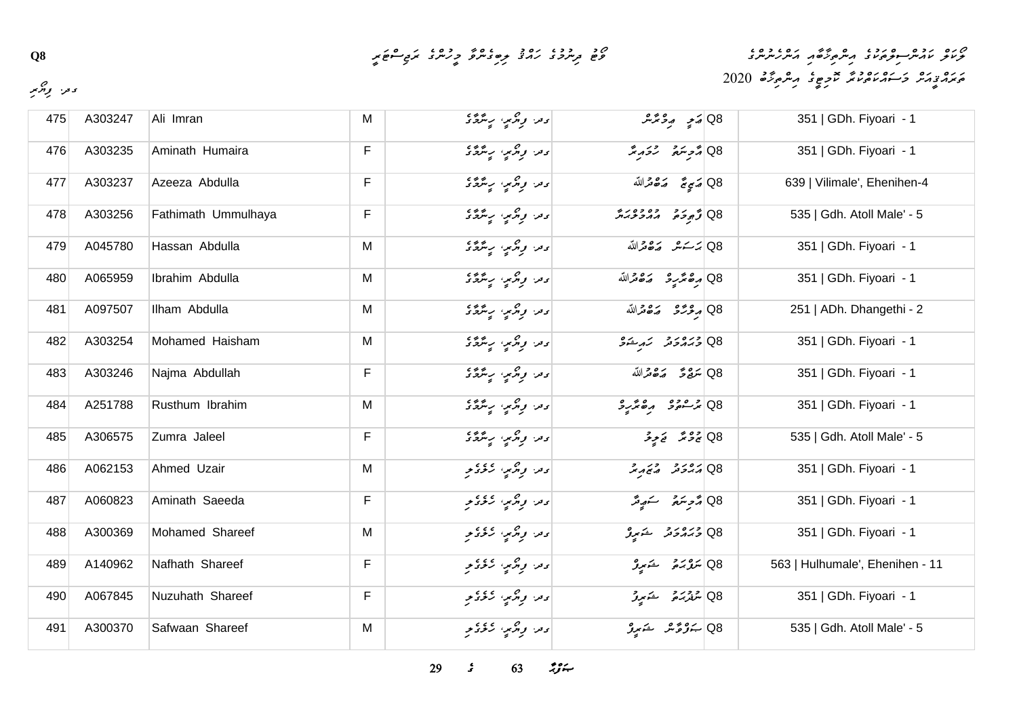*sCw7q7s5w7m< o<n9nOoAw7o< sCq;mAwBoEw7q<m; wBm;vB 2020*<br>*په پوهر وسوډيرونو لومو د موجو د مرمونه* 2020

| 475 | A303247 | Ali Imran           | M            | دىن وكرىمي، رېترو د  | Q8 <i>ړې و</i> یرغمنه                                                                           | 351   GDh. Fiyoari - 1          |
|-----|---------|---------------------|--------------|----------------------|-------------------------------------------------------------------------------------------------|---------------------------------|
| 476 | A303235 | Aminath Humaira     | F            | دىن وكرىم، پەنگەدى   | Q8 مٌحِ سَمَعٌ حَجَمَ مِثَّر                                                                    | 351   GDh. Fiyoari - 1          |
| 477 | A303237 | Azeeza Abdulla      | $\mathsf F$  | دىن وكرىي، رەۋە      | Q8 <i>مَنِّيَّ مَ<b>صَ</b>مَّر</i> َاللَّهُ                                                     | 639   Vilimale', Ehenihen-4     |
| 478 | A303256 | Fathimath Ummulhaya | F            | دىن وكرىي، رىگرى     | Q8 زُم <i>ِ دَه دو ووروٌ</i>                                                                    | 535   Gdh. Atoll Male' - 5      |
| 479 | A045780 | Hassan Abdulla      | M            | دىن وگرىي، رېڭگە ئ   | Q8   يَرْسَدُ مَدَّدَة اللَّه                                                                   | 351   GDh. Fiyoari - 1          |
| 480 | A065959 | Ibrahim Abdulla     | M            | دىن وكرىي، رىگرى     | Q8 م <i>وڭ مگرىرى مەڭ ئ</i> اللە                                                                | 351   GDh. Fiyoari - 1          |
| 481 | A097507 | Ilham Abdulla       | M            | دىن وكرىي، رىڭدى     | Q8 م <i>وترى خەم</i> مەللە                                                                      | 251   ADh. Dhangethi - 2        |
| 482 | A303254 | Mohamed Haisham     | M            | دىن وكرىم، رېڅونو    | Q8 <i>وُيَهُوَدُّ كَمِ</i> شَوْ                                                                 | 351   GDh. Fiyoari - 1          |
| 483 | A303246 | Najma Abdullah      | $\mathsf F$  | دورا وگري ريگردي     | Q8 يَرْدِعُ مَنْ صَدَّاللَّه                                                                    | 351   GDh. Fiyoari - 1          |
| 484 | A251788 | Rusthum Ibrahim     | M            | دىن وكرىي، رىگرى     | المر شوقر مرەكرىرى $\sim$ 08                                                                    | 351   GDh. Fiyoari - 1          |
| 485 | A306575 | Zumra Jaleel        | $\mathsf F$  | دىن وكرىي، رىگرى     | Q8 <i>جُوُبُرَّ جَجِ</i> خَ                                                                     | 535   Gdh. Atoll Male' - 5      |
| 486 | A062153 | Ahmed Uzair         | M            | دىن وگرىي، ركوكو     | Q8 <i>كەشكەنتى ھىتم م</i> ىتى                                                                   | 351   GDh. Fiyoari - 1          |
| 487 | A060823 | Aminath Saeeda      | $\mathsf F$  | ا دىن بوچىپ، رومى بو | Q8 م <i>گرم بندگی سکوپ</i> نگر                                                                  | 351   GDh. Fiyoari - 1          |
| 488 | A300369 | Mohamed Shareef     | M            | دىن بوركىي، ئىۋەي بو | $\mathcal{L}$ ج $\mathcal{L}$ ج $\mathcal{L}$ ج $\mathcal{L}$ ج $\mathcal{L}$ ج $\mathcal{L}$ 8 | 351   GDh. Fiyoari - 1          |
| 489 | A140962 | Nafhath Shareef     | $\mathsf{F}$ | دىن وگرىي، ركوكو     | Q8 <i>سَوْيَتْمْ</i> شَمِيرْ                                                                    | 563   Hulhumale', Ehenihen - 11 |
| 490 | A067845 | Nuzuhath Shareef    | $\mathsf F$  | دىن وگرىي، ركوكو بو  | Q8 م <i>ىۋىكە ئىكەنب</i> و <i>گ</i>                                                             | 351   GDh. Fiyoari - 1          |
| 491 | A300370 | Safwaan Shareef     | M            | ا دىن بوچىپ، رومى بو | $\mathcal{L}$ جۇڭ شەيرۇ $\sim$                                                                  | 535   Gdh. Atoll Male' - 5      |

**29** *s* **63** *z s*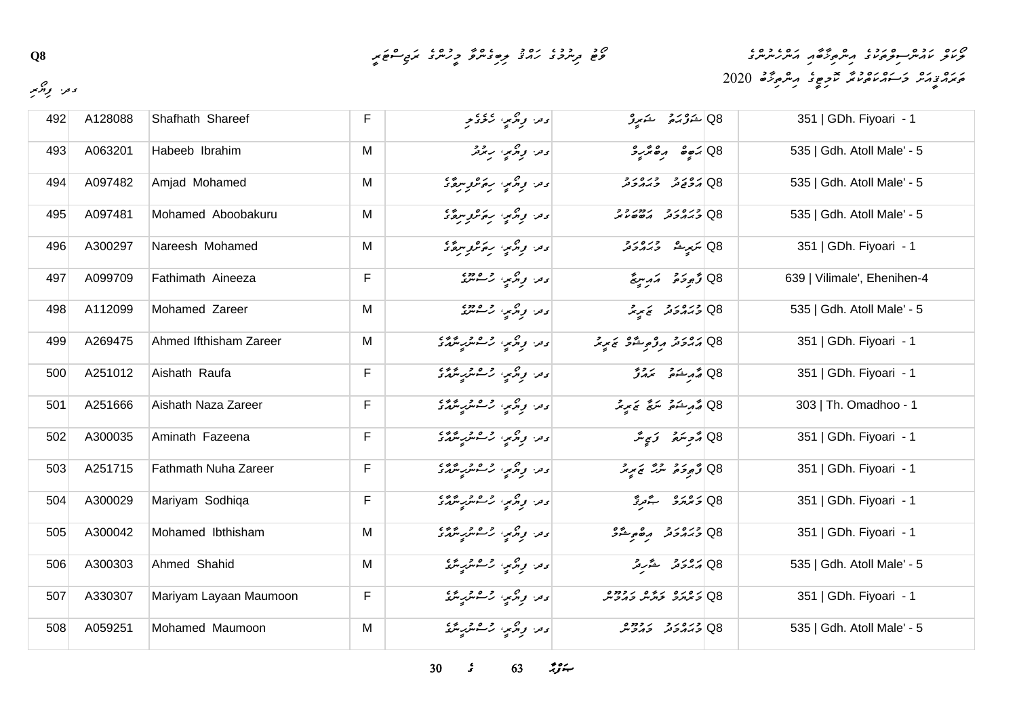*sCw7q7s5w7m< o<n9nOoAw7o< sCq;mAwBoEw7q<m; wBm;vB 2020*<br>*په پوهر وسوډيرونو لومو د موجو د مرمونه* 2020

| 492 | A128088 | Shafhath Shareef            | F            | دىن وگرىي، ركوكو                 | $\mathcal{L}$ جۇڭ ھەمرى $\bigcirc$                      | 351   GDh. Fiyoari - 1      |
|-----|---------|-----------------------------|--------------|----------------------------------|---------------------------------------------------------|-----------------------------|
| 493 | A063201 | Habeeb Ibrahim              | M            | أرفدا وكرميا الرحرفر             | كا جَمِعْ مِعْدَبِ 28 $\sim$                            | 535   Gdh. Atoll Male' - 5  |
| 494 | A097482 | Amjad Mohamed               | M            | دىن وكرىم، رەڭروسرە ئ            | Q8 كەن ئەرەر ئەرەر ئىس                                  | 535   Gdh. Atoll Male' - 5  |
| 495 | A097481 | Mohamed Aboobakuru          | M            | دىن وگرىي، رەڭروسرە ئ            | Q8 croce reces                                          | 535   Gdh. Atoll Male' - 5  |
| 496 | A300297 | Nareesh Mohamed             | M            | ءمن وكرميا ريموروسرة كالمحالي    | Q8 سَرِيتْ وَيَرْوُوَتْرَ                               | 351   GDh. Fiyoari - 1      |
| 497 | A099709 | Fathimath Aineeza           | $\mathsf{F}$ | دىن وكريمي، رقم دە دە            | Q8 زَّەپ <i>ەدَە مەسب</i> ەً                            | 639   Vilimale', Ehenihen-4 |
| 498 | A112099 | Mohamed Zareer              | M            | دىن بوركىي، رقم دەپى             | Q8 <i>وُټرو دَوَ</i> کامِریز                            | 535   Gdh. Atoll Male' - 5  |
| 499 | A269475 | Ahmed Ifthisham Zareer      | M            | ى تەر بولگىي، ئەسلىكرىكىدى       | Q8 كەشكەنگە موقوم ھەم كەمپەنگە                          | 351   GDh. Fiyoari - 1      |
| 500 | A251012 | Aishath Raufa               | F            | دىن وگرىم، رقىشىرىكىدى           | Q8 مُ مِسْدَمْ مَدْرَرٌ                                 | 351   GDh. Fiyoari - 1      |
| 501 | A251666 | Aishath Naza Zareer         | $\mathsf{F}$ | رىر. رەير، ر <i>اھىر بىرى</i> گە | Q8 مەم ئىسكە ئىس ئىم ئىرىتىر                            | 303   Th. Omadhoo - 1       |
| 502 | A300035 | Aminath Fazeena             | $\mathsf{F}$ | رىر. رەير، ر <i>اھىر بىرى</i> گە | Q8 م <i>ۇج ئىبق ق</i> ېرىتىگە                           | 351   GDh. Fiyoari - 1      |
| 503 | A251715 | <b>Fathmath Nuha Zareer</b> | $\mathsf{F}$ | دىن وكرىم، رقىشىر ئىرمۇر         | Q8 <i>وَّجوحَمْ مَرْدٌ</i> يَمْرِيْرَ                   | 351   GDh. Fiyoari - 1      |
| 504 | A300029 | Mariyam Sodhiqa             | $\mathsf{F}$ | رىر. رەير، ر <i>اھىر بىرى</i> گە | Q8 كەنگە ئىرىگە سىگەرن <sup>ى</sup>                     | 351   GDh. Fiyoari - 1      |
| 505 | A300042 | Mohamed Ibthisham           | M            | دىن وگرىم، رئەشرىر ئىگە ئ        | $O8$ <i><i><i>وَجَدَدُ جَدَّة وَ هُوَجَدَّة</i></i></i> | 351   GDh. Fiyoari - 1      |
| 506 | A300303 | Ahmed Shahid                | M            | دىر. وكرىم، رقىقىرىدىگە          | Q8 <i>كەنە ئاچرى</i> تر                                 | 535   Gdh. Atoll Male' - 5  |
| 507 | A330307 | Mariyam Layaan Maumoon      | $\mathsf F$  | دىن وگرىي، رئەشرىرىدى            | Q8] <i>ۈيۈپرى ئۇيۇنتى ئۇچ</i> رىتى                      | 351   GDh. Fiyoari - 1      |
| 508 | A059251 | Mohamed Maumoon             | M            | دىن وگرىم، رقىقلىرىگرى           | Q8 <i>בג'הביה</i> בהכית                                 | 535   Gdh. Atoll Male' - 5  |

**30** *s* **63** *n***<sub>s</sub>**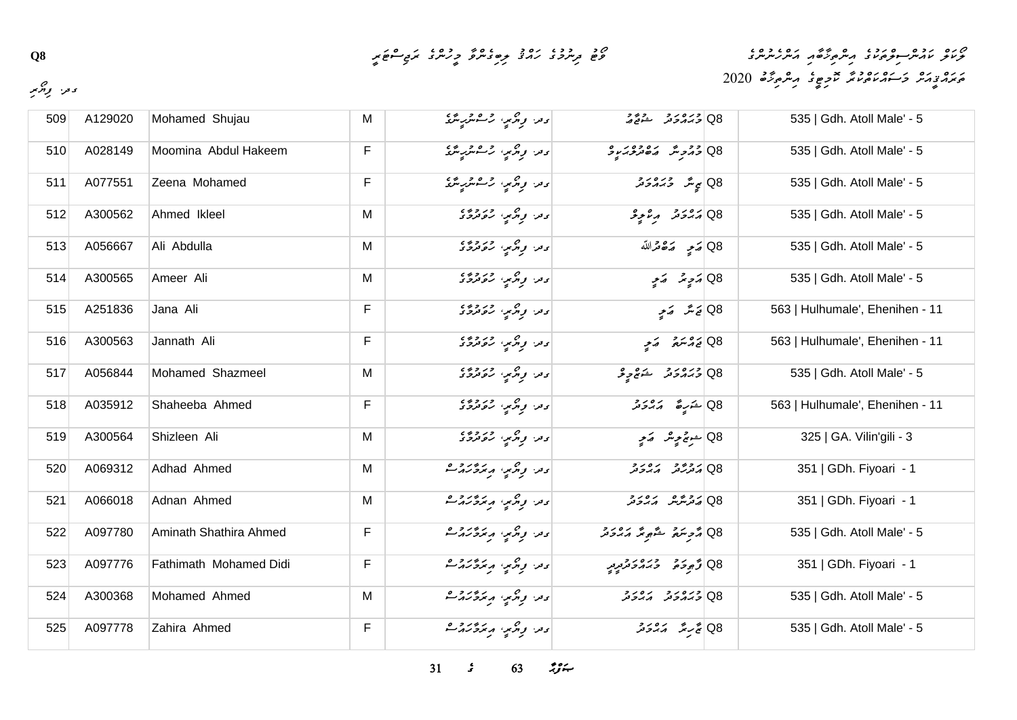*sCw7q7s5w7m< o<n9nOoAw7o< sCq;mAwBoEw7q<m; wBm;vB* م من المرة المرة المرة المرجع المرجع في المركبة 2020<br>مجم*د المريض المربوط المربع المرجع في المراجع المركبة* 

| 509 | A129020 | Mohamed Shujau         | M | رىر. روكرىي، رقسەمرىيەتتك                | Q8 <i>وُبَرُوْدَوْ</i> شُهُوَّةُ                | 535   Gdh. Atoll Male' - 5      |
|-----|---------|------------------------|---|------------------------------------------|-------------------------------------------------|---------------------------------|
| 510 | A028149 | Moomina Abdul Hakeem   | F | <sub>ى</sub> مە وگ <i>ەيدا ئەشرىپ سى</i> | Q8 <i>ڈم<sup>ج م</sup>یٹ مقعر دیکر</i> و        | 535   Gdh. Atoll Male' - 5      |
| 511 | A077551 | Zeena Mohamed          | F | ءمرا وكرس رقاعير مردع                    | Q8 <sub>ى</sub> ج ئىگە ئەيمە ئەركىتىلىكى ئىس    | 535   Gdh. Atoll Male' - 5      |
| 512 | A300562 | Ahmed Ikleel           | M | رىر وچرىي رودون                          | Q8 <i>مَدْدَوْ مِ</i> مِعْ مِعْ                 | 535   Gdh. Atoll Male' - 5      |
| 513 | A056667 | Ali Abdulla            | M | <sub>وفر:</sub> وحريب رحو وي             | Q8 <i>مَج مَـُـ</i> هُ مَّـُ اللّه              | 535   Gdh. Atoll Male' - 5      |
| 514 | A300565 | Ameer Ali              | M | <sub>وفر:</sub> وحريب رحو وي             | Q8   ټر <i>مړينۍ پې</i> رمي                     | 535   Gdh. Atoll Male' - 5      |
| 515 | A251836 | Jana Ali               | F | <sub>وفر:</sub> وحريب رحو وي             | Q8   يَحدَّد صَعِي                              | 563   Hulhumale', Ehenihen - 11 |
| 516 | A300563 | Jannath Ali            | F | <sub>وفر:</sub> وحريب رحو وي             | Q8 <i>فى مى تىغ</i> ر كەنجە                     | 563   Hulhumale', Ehenihen - 11 |
| 517 | A056844 | Mohamed Shazmeel       | M | دىن وكرىپ، روزودى                        | $ 08\rangle$ وَبَرَهْ دَيْرٌ مِسْتَمْعِ وِعْرَ  | 535   Gdh. Atoll Male' - 5      |
| 518 | A035912 | Shaheeba Ahmed         | F | <sub>ى</sub> مى وگرىم، ئەھەردە           | Q8 خرى <i>چە مەدە</i> تر                        | 563   Hulhumale', Ehenihen - 11 |
| 519 | A300564 | Shizleen Ali           | M | <i>وفر: و چې د ووه</i>                   | Q8   شویڅ <i>چ</i> ش ک <i>ه چ</i>               | 325   GA. Vilin'gili - 3        |
| 520 | A069312 | Adhad Ahmed            | M | ءمن وكرسٍ، مِتَرَكَرُهُ ف                | Q8 كەندىر <i>ئەرەر دە</i> ر                     | 351   GDh. Fiyoari - 1          |
| 521 | A066018 | Adnan Ahmed            | M | ىلا وكرم مەدەبە                          | Q8 كەنترىترىش كەنزەتر                           | 351   GDh. Fiyoari - 1          |
| 522 | A097780 | Aminath Shathira Ahmed | F | ىد. وكرس، مەڭرىرگ                        | Q8 أ <i>مَّ حِ سَمَّةٍ صَمَّةٍ مَّذَ 25 مَّ</i> | 535   Gdh. Atoll Male' - 5      |
| 523 | A097776 | Fathimath Mohamed Didi | F | ءما وكرس متركز ورم                       | Q8 تَ <i>وْجِوْءُ - 25. مُحَمَّدِينِ</i>        | 351   GDh. Fiyoari - 1          |
| 524 | A300368 | Mohamed Ahmed          | M | ى تور بوركى بە ئەڭ ئەرقى                 | Q8 <i>وبروبرو بروب</i> رو                       | 535   Gdh. Atoll Male' - 5      |
| 525 | A097778 | Zahira Ahmed           | F | ىد وكريم، مەڭرىرق                        | Q8 ئ <i>ج رىڭ مەش</i> كە قىر                    | 535   Gdh. Atoll Male' - 5      |

 $31$  *s*  $63$  *n***<sub>y</sub>** $\frac{2}{3}$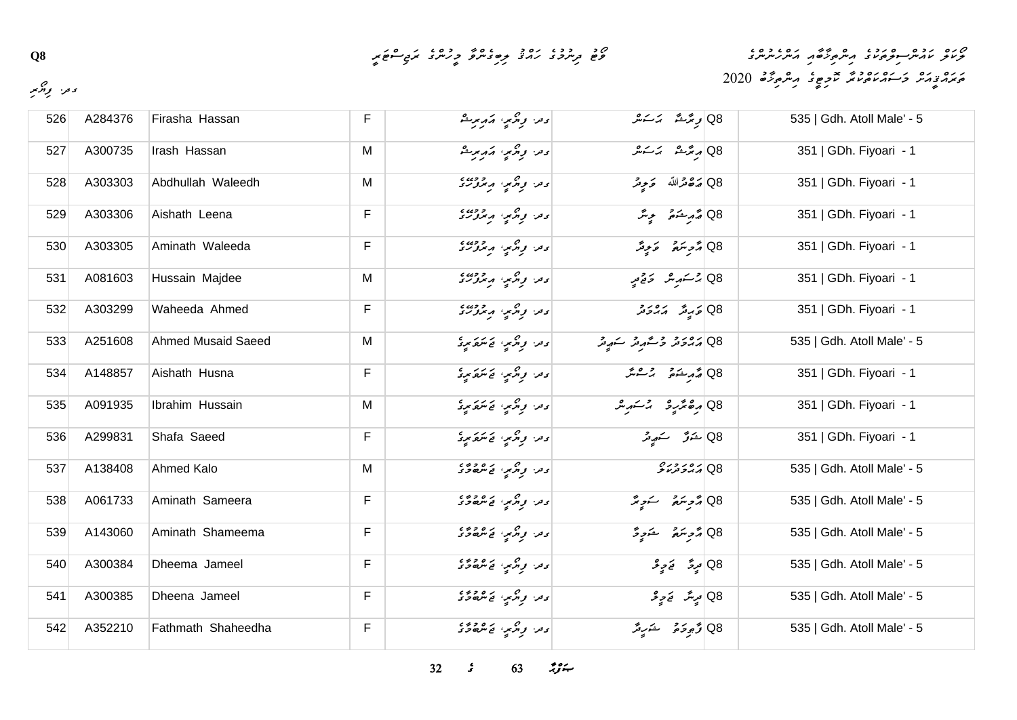*sCw7q7s5w7m< o<n9nOoAw7o< sCq;mAwBoEw7q<m; wBm;vB 2020<sup>, م</sup>وسر در مدد مدرج به مدرم مقرم قرار 2020*<br>موسر المستقرم المستقرم المستقرم المستقرم المستقرم المستقرم المستقرم المستقرم المستقرم المستقرم المستقرم المستقر

| 526 | A284376 | Firasha Hassan            | F           | ا دىن بوركىي، <b>ب</b> ەيرىيىش                            | Q8 <i>ویژننڈ بزخ</i> شر                  | 535   Gdh. Atoll Male' - 5 |
|-----|---------|---------------------------|-------------|-----------------------------------------------------------|------------------------------------------|----------------------------|
| 527 | A300735 | Irash Hassan              | M           | دىن توپرىي، پرېږىدى                                       | Q8 م <i>ېنگىنىڭ ئەسكىل</i> ر             | 351   GDh. Fiyoari - 1     |
| 528 | A303303 | Abdhullah Waleedh         | M           | دور ، و چې ، پر و وړه ،                                   | Q8 مَەھمَراللە   مَرِيمَر                | 351   GDh. Fiyoari - 1     |
| 529 | A303306 | Aishath Leena             | $\mathsf F$ | دور ، و چې ، پر ووړي                                      | Q8 <i>مُذہبہ مِی مَ</i>                  | 351   GDh. Fiyoari - 1     |
| 530 | A303305 | Aminath Waleeda           | F           | دور و پر پر در دوره د                                     | Q8 م <i>ُّوِسَمُ</i> وَمِع <i>ِدَّ</i>   | 351   GDh. Fiyoari - 1     |
| 531 | A081603 | Hussain Majdee            | M           | دىن وگرىي، مەيرورى                                        | Q8   پر سنهر مرکز توسی <sub>ر</sub>      | 351   GDh. Fiyoari - 1     |
| 532 | A303299 | Waheeda Ahmed             | F           | دور و پرې پر پروره                                        | Q8 <i>قې</i> رن <i>گە ئەنگە</i> قر       | 351   GDh. Fiyoari - 1     |
| 533 | A251608 | <b>Ahmed Musaid Saeed</b> | M           | دىن بوركىي، ئەنكەتلىرى                                    | Q8 <i>גُرُوَدُ وَحُمْدِيْرُ</i> سَهِيمُ  | 535   Gdh. Atoll Male' - 5 |
| 534 | A148857 | Aishath Husna             | F           | دىن بوركىي، ئەنكەتلىرى                                    | Q8 مەم ئىشمۇ بىر شەمگر                   | 351   GDh. Fiyoari - 1     |
| 535 | A091935 | Ibrahim Hussain           | M           | وما وكرسا فيكفيره                                         | Q8 مەھەر ئەسىم ئىسكىرىكىسى بىر           | 351   GDh. Fiyoari - 1     |
| 536 | A299831 | Shafa Saeed               | $\mathsf F$ | <sub>ى</sub> ر ب <sub>و</sub> ركىي، ق <sup>ى</sup> سكەمرى | Q8 خىرتى كىم <i>و</i> تىر                | 351   GDh. Fiyoari - 1     |
| 537 | A138408 | Ahmed Kalo                | M           | دىن وكرىم، ئەسھۇر                                         | Q8 كەبرى <i>قرىرى تى</i>                 | 535   Gdh. Atoll Male' - 5 |
| 538 | A061733 | Aminath Sameera           | $\mathsf F$ | ى تىر بوركىي، ئى شھىرى                                    | Q8 م <i>گرم مگرم برگر</i> مگرم میگر      | 535   Gdh. Atoll Male' - 5 |
| 539 | A143060 | Aminath Shameema          | F           | دىن وگرىي، ئەنگەۋى                                        | Q8 أَمَّ حِ سَمَّ حِ حَدَّمٍ حَ          | 535   Gdh. Atoll Male' - 5 |
| 540 | A300384 | Dheema Jameel             | F           | دىن وكرىم، ئەسھىدى                                        | Q8 مرِدَّ ن <sub>َے جو</sub> ثر          | 535   Gdh. Atoll Male' - 5 |
| 541 | A300385 | Dheena Jameel             | F           | دىن پوهر كا كارو دى                                       | Q8 م <sub>ی</sub> سٌ <sub>کے تی</sub> وٌ | 535   Gdh. Atoll Male' - 5 |
| 542 | A352210 | Fathmath Shaheedha        | F           | دىن وكرىم، ئەنگەن د                                       | Q8 <i>وُّهِ دَمَّة</i> شَرِيمً           | 535   Gdh. Atoll Male' - 5 |

**32** *s* **63** *n***<sub>s</sub>***n***<sub>s</sub>**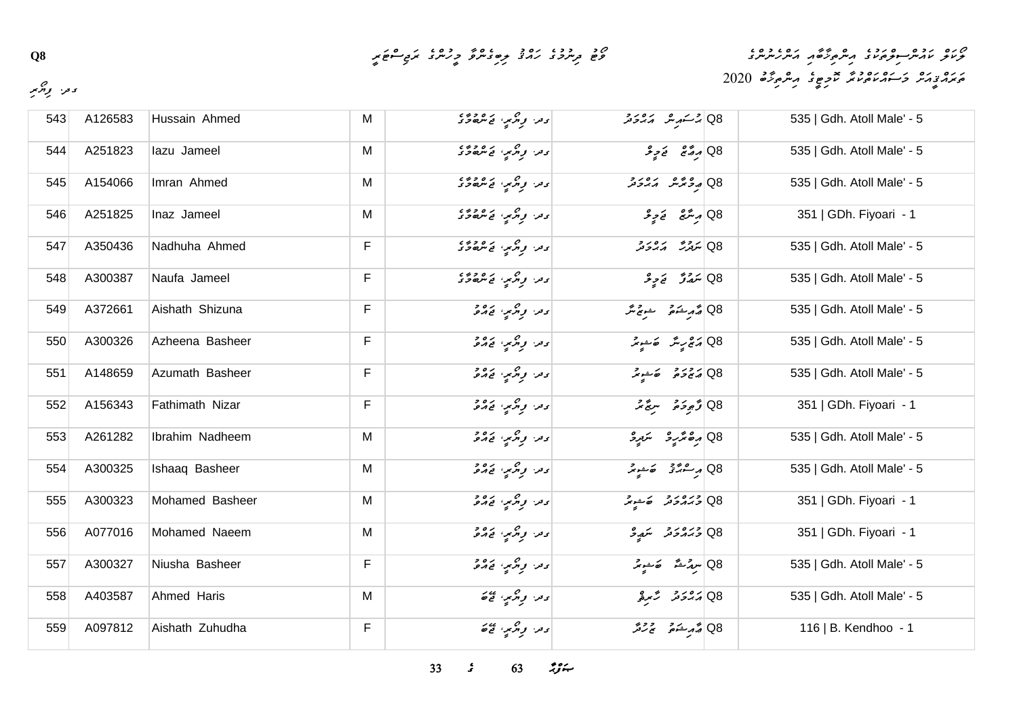*sCw7q7s5w7m< o<n9nOoAw7o< sCq;mAwBoEw7q<m; wBm;vB 2020<sup>, م</sup>وسر در مدد مدرج به مدرم مقرم قرار 2020*<br>موسر المستقرم المستقرم المستقرم المستقرم المستقرم المستقرم المستقرم المستقرم المستقرم المستقرم المستقرم المستقر

| 543 | A126583 | Hussain Ahmed   | M           | دىن پوركىي، ئەنگەن د        | Q8  ير <i>سَمبر شهر مح</i> مد محمد محمد محمد الس                                                                                                                                                       | 535   Gdh. Atoll Male' - 5 |
|-----|---------|-----------------|-------------|-----------------------------|--------------------------------------------------------------------------------------------------------------------------------------------------------------------------------------------------------|----------------------------|
| 544 | A251823 | lazu Jameel     | M           | دىن وگرىي، ئەنگەن د         | Q8 م <i>ِمدَّج ف</i> حوِمْر                                                                                                                                                                            | 535   Gdh. Atoll Male' - 5 |
| 545 | A154066 | Imran Ahmed     | M           | دىن پوهرىي، ئے س ھام د      | Q8 مەمەممىر مەمەدىر                                                                                                                                                                                    | 535   Gdh. Atoll Male' - 5 |
| 546 | A251825 | Inaz Jameel     | M           | دىن پوهرىي، ئے س ھام د      | Q8 م <i>ېنگى</i> ئ <i>ۆمى</i> ر                                                                                                                                                                        | 351   GDh. Fiyoari - 1     |
| 547 | A350436 | Nadhuha Ahmed   | F           | دىن پوهرىي، ئے س ھام د      | Q8 ىتر <i>وڭ بەيرى تى</i>                                                                                                                                                                              | 535   Gdh. Atoll Male' - 5 |
| 548 | A300387 | Naufa Jameel    | $\mathsf F$ | دىن پوهر كا ئاھەدى          | Q8 <i>سَمَدُوَّ ف<sub>َ</sub>ح</i> وِثَرَ                                                                                                                                                              | 535   Gdh. Atoll Male' - 5 |
| 549 | A372661 | Aishath Shizuna | $\mathsf F$ | دىن توپرىي، ئەم ھ           | Q8 <i>مُگهرِ مِشَهُمْ مُسْوِيُمْ مُگُ</i>                                                                                                                                                              | 535   Gdh. Atoll Male' - 5 |
| 550 | A300326 | Azheena Basheer | F           | <sub>ح</sub> ىر. وترىپ قەمۇ |                                                                                                                                                                                                        | 535   Gdh. Atoll Male' - 5 |
| 551 | A148659 | Azumath Basheer | $\mathsf F$ | دو. وگري قاده               | $\begin{array}{cc} \mathcal{L}_{\mathcal{A}} & \mathcal{L}_{\mathcal{A}} & \mathcal{L}_{\mathcal{A}} \\ \mathcal{L}_{\mathcal{A}} & \mathcal{L}_{\mathcal{A}} & \mathcal{L}_{\mathcal{A}} \end{array}$ | 535   Gdh. Atoll Male' - 5 |
| 552 | A156343 | Fathimath Nizar | $\mathsf F$ | دور ، وگري ، وړه و          | Q8 <i>وَّجِوحَةُ</i> سِيِّءَ مِنْ                                                                                                                                                                      | 351   GDh. Fiyoari - 1     |
| 553 | A261282 | Ibrahim Nadheem | M           | دور ، وگري ، وړه و          | Q8 <i>مەھگىر ئىستىر ئى</i> ر                                                                                                                                                                           | 535   Gdh. Atoll Male' - 5 |
| 554 | A300325 | Ishaaq Basheer  | M           | دور ، وگري ، وړه و          | Q8 <sub>م</sub> رشر <i>نیڈ قاضی</i> ٹر                                                                                                                                                                 | 535   Gdh. Atoll Male' - 5 |
| 555 | A300323 | Mohamed Basheer | M           | دىن توپرىي، ئەم ۋ           | $\frac{2}{3}$ دَبَرْدَدَ سَے اللہ کا $\sim$                                                                                                                                                            | 351   GDh. Fiyoari - 1     |
| 556 | A077016 | Mohamed Naeem   | M           | دىن توپرىي، ئەم ۋ           | Q8 <i>5223 سَمودٌ</i>                                                                                                                                                                                  | 351   GDh. Fiyoari - 1     |
| 557 | A300327 | Niusha Basheer  | $\mathsf F$ | دىن توپرىي، ئەم ۋ           | Q8 سرقرشہ کھ شوشر                                                                                                                                                                                      | 535   Gdh. Atoll Male' - 5 |
| 558 | A403587 | Ahmed Haris     | M           | د تر ، تو وکرمړ ، قع ته     | Q8 كەش <sup>ى</sup> كە ئىس ئىس كە                                                                                                                                                                      | 535   Gdh. Atoll Male' - 5 |
| 559 | A097812 | Aishath Zuhudha | F           | <sub>ى</sub> ر رېگىي ئىھ    | Q8 <i> مَّەرِحْمَۃ جُنْ</i> قَر                                                                                                                                                                        | 116   B. Kendhoo - 1       |

**33** *s* **63** *n***<sub>y</sub> <b>***n*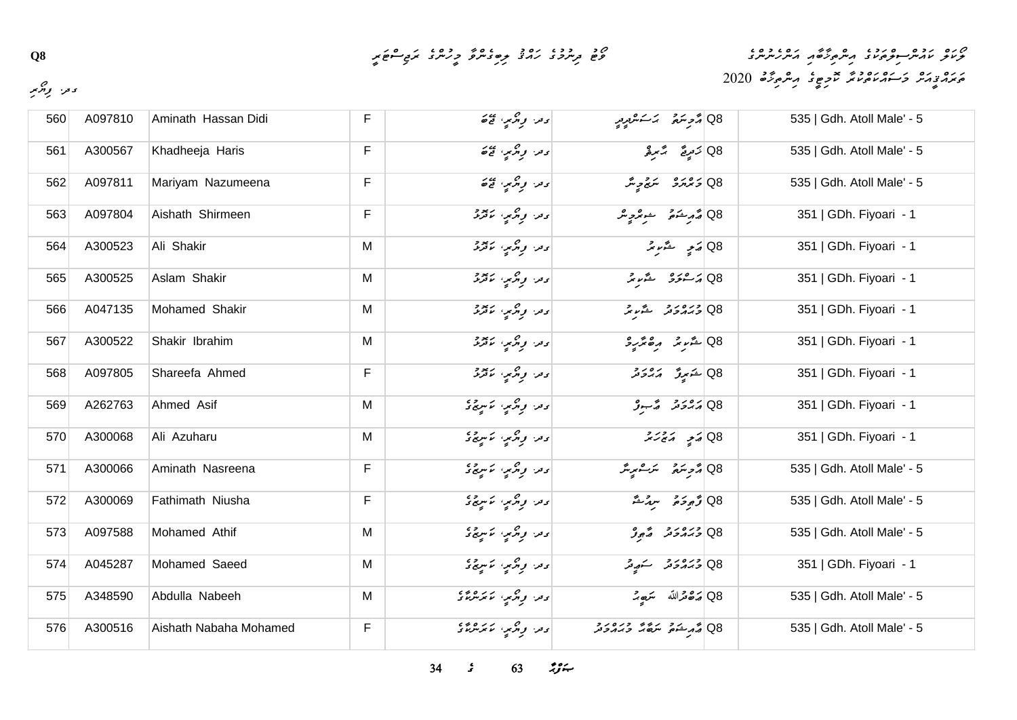*sCw7q7s5w7m< o<n9nOoAw7o< sCq;mAwBoEw7q<m; wBm;vB 2020<sup>, م</sup>وسر در مدد مدرج به مدرم مقرم قرار 2020*<br>موسر المستقرم المستقرم المستقرم المستقرم المستقرم المستقرم المستقرم المستقرم المستقرم المستقرم المستقرم المستقر

| 560 | A097810 | Aminath Hassan Didi    | F           | رىر· وگرىمي <sup>، ي</sup> ۇھ     | Q8   مَّ حِ سَرَمْ = سَ سَ سَرْمِرِ سِ                | 535   Gdh. Atoll Male' - 5 |
|-----|---------|------------------------|-------------|-----------------------------------|-------------------------------------------------------|----------------------------|
| 561 | A300567 | Khadheeja Haris        | F           | <sub>ى</sub> ر رېگىي ئىھ          |                                                       | 535   Gdh. Atoll Male' - 5 |
| 562 | A097811 | Mariyam Nazumeena      | F           | <sub>ى</sub> ر رېگىي ئ            | Q8 <i>كەنگەر ئىنج چەنگ</i> ە                          | 535   Gdh. Atoll Male' - 5 |
| 563 | A097804 | Aishath Shirmeen       | $\mathsf F$ | رور وترمي نافرو                   | Q8 مُرِيسَة شِرْحِ مُرْ مِنْ الله                     | 351   GDh. Fiyoari - 1     |
| 564 | A300523 | Ali Shakir             | M           | ا د مر او و کمبر، اما تر د م      | Q8 <i>ھَ۔</i> جِس حَسِ سَمَّ                          | 351   GDh. Fiyoari - 1     |
| 565 | A300525 | Aslam Shakir           | M           | ا د مر او و کرمړ ، اما تر د ا     | Q8 كەشكە ئەسىم ئىسىمىتىكى ئىس                         | 351   GDh. Fiyoari - 1     |
| 566 | A047135 | Mohamed Shakir         | M           | رور وترمي نافرو                   | Q8 <i>وَبَهُ وَبَوْ</i> مُقَامِرٌ                     | 351   GDh. Fiyoari - 1     |
| 567 | A300522 | Shakir Ibrahim         | M           | رىر وگرىي ئەترى                   | ل السَّمَرِ جَمْدِ مِنْ صَغَّرِ فِرْ $\sim$ 89 $\sim$ | 351   GDh. Fiyoari - 1     |
| 568 | A097805 | Shareefa Ahmed         | $\mathsf F$ | ا د مر او و کمبر، اما تر د م      | Q8 خىمبى <sup>ق</sup> مەمەكە                          | 351   GDh. Fiyoari - 1     |
| 569 | A262763 | Ahmed Asif             | M           | أرفرا وكرميا الأسيج وأ            | Q8 كەنە ئە ئە ئەسىر ئى                                | 351   GDh. Fiyoari - 1     |
| 570 | A300068 | Ali Azuharu            | M           | ى تىر ، توركىي، كەسپىتى كى        | Q8 <i>كەبىر كەنى تە</i>                               | 351   GDh. Fiyoari - 1     |
| 571 | A300066 | Aminath Nasreena       | F           | ا دىن بولگىي، ئاس <sub>ى</sub> دى | Q8 م <i>ۇج مىڭ مىر شىرىنگ</i> ە                       | 535   Gdh. Atoll Male' - 5 |
| 572 | A300069 | Fathimath Niusha       | F           | ىلا وەكىيا ئاسىمى                 | Q8 <i>وَّجِوَدَة</i> سِهْتُ ً                         | 535   Gdh. Atoll Male' - 5 |
| 573 | A097588 | Mohamed Athif          | M           | دىن وگرىي، ئاسرچى                 | Q8 <i>جَدَ دُمَّة مُ</i> مَّورُ                       | 535   Gdh. Atoll Male' - 5 |
| 574 | A045287 | Mohamed Saeed          | M           | دىن وگرىي، ئاسچە ك                | Q8] <i>وُټرو د تر ڪمپ</i> ور                          | 351   GDh. Fiyoari - 1     |
| 575 | A348590 | Abdulla Nabeeh         | M           | ءمن وحريب المترامين               | Q8 كَدْهْقْرَاللَّهُ سَمْحِي <sup>ْر</sup> َ          | 535   Gdh. Atoll Male' - 5 |
| 576 | A300516 | Aishath Nabaha Mohamed | F           | ءمن وحريب المترامين               | Q8 مەم شەھ شەھ ئەرەر د                                | 535   Gdh. Atoll Male' - 5 |

**34** *s* **63** *n***<sub>3</sub> <b>***n*<sub>5</sub> *n*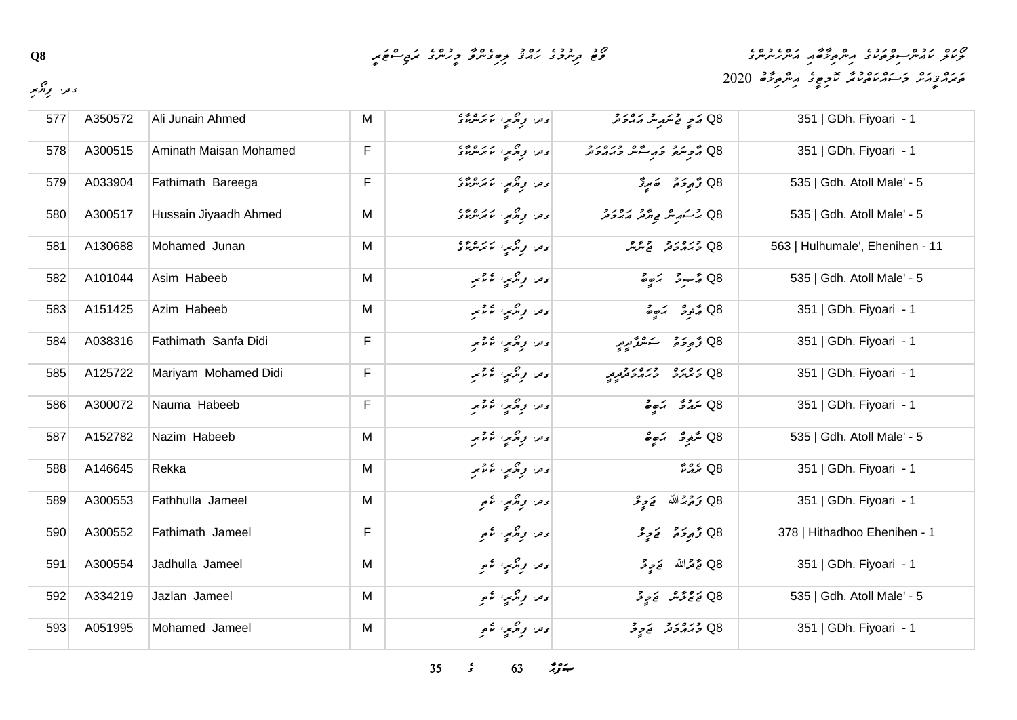*sCw7q7s5w7m< o<n9nOoAw7o< sCq;mAwBoEw7q<m; wBm;vB 2020*<br>*په پوهر وسوډيرونو لومو د موجو د مرمونه* 2020

| 577 | A350572 | Ali Junain Ahmed       | M | رى وچې ئىرەپ          | Q8   رَمِ ۾ سَمدِ سَرُ رَبُّكْ تَرَ مَ         | 351   GDh. Fiyoari - 1          |
|-----|---------|------------------------|---|-----------------------|------------------------------------------------|---------------------------------|
| 578 | A300515 | Aminath Maisan Mohamed | F | دورا و چرب الایر ه وی | Q8 أَمُرْسِرَةَ مَرِسَمْسُ وَبَرْمُرْوَتَرَ    | 351   GDh. Fiyoari - 1          |
| 579 | A033904 | Fathimath Bareega      | F | ءمن وحريب المترامين   | Q8 تَ <i>'جوحَ</i> حَمَدِيَّةَ                 | 535   Gdh. Atoll Male' - 5      |
| 580 | A300517 | Hussain Jiyaadh Ahmed  | M | ءما وكرسٍ المكرومي    | Q8 يُرْسَمَ مِنْ مِنْ مُرْكَّرٌ مَدَّرَ مَدْ   | 535   Gdh. Atoll Male' - 5      |
| 581 | A130688 | Mohamed Junan          | M | ءمن وحميا المتحسن     | Q8 <i>ڈبزویز</i> قے ش <i>ر</i> ش               | 563   Hulhumale', Ehenihen - 11 |
| 582 | A101044 | Asim Habeeb            | M | رورا ويرتميا الألامي  | $\frac{2}{9}$ مُرْسِوتْ مَصِرَة $\sim$         | 535   Gdh. Atoll Male' - 5      |
| 583 | A151425 | Azim Habeeb            | M | إرىن وإكريب الألامي   | $\frac{2}{3}$ مَّ مَرِ مَصِيحَ مَسَمَّى $\sim$ | 351   GDh. Fiyoari - 1          |
| 584 | A038316 | Fathimath Sanfa Didi   | F | رور وگري عظمي         | 08 <i>أُدّْجِودَةْ</i> سَمَسْرَّمْدِيدِ        | 351   GDh. Fiyoari - 1          |
| 585 | A125722 | Mariyam Mohamed Didi   | F | دمه وگريب عظمي        | Q8 <i>ביצית כגרב ת</i> ית ת                    | 351   GDh. Fiyoari - 1          |
| 586 | A300072 | Nauma Habeeb           | F | رورا ونكرس الألامير   | $200 - 220$                                    | 351   GDh. Fiyoari - 1          |
| 587 | A152782 | Nazim Habeeb           | M | رورا واكرس الألامر    | Q8 سَمْعِ 12 سَرِ صَوْمًا                      | 535   Gdh. Atoll Male' - 5      |
| 588 | A146645 | Rekka                  | M | رىر. وكريب، ئائاتىر   | $222$ Q8                                       | 351   GDh. Fiyoari - 1          |
| 589 | A300553 | Fathhulla Jameel       | M | دىن وچىپ غې           |                                                | 351   GDh. Fiyoari - 1          |
| 590 | A300552 | Fathimath Jameel       | F | رمن وكرمي أناصح       | Q8 تَ <i>جِ حَمْ</i> تَحَرِّ حَرَّ             | 378   Hithadhoo Ehenihen - 1    |
| 591 | A300554 | Jadhulla Jameel        | M | دىن ۋەكىپ ئام         | Q8 قَوْتَرَاللّه       قَوتِرْتَرْ             | 351   GDh. Fiyoari - 1          |
| 592 | A334219 | Jazlan Jameel          | M | رمن وكرمي أناصح       | Q8 كۆچ ئۆچە كىم يەتىر كىل                      | 535   Gdh. Atoll Male' - 5      |
| 593 | A051995 | Mohamed Jameel         | M | وفرا وأكرس أكاموا     | Q8] <i>وُبَہُ وُبَرْ تَ</i> وَ وِثْرَ          | 351   GDh. Fiyoari - 1          |

**35** *s* **63** *n***<sub>y</sub> <b>***n*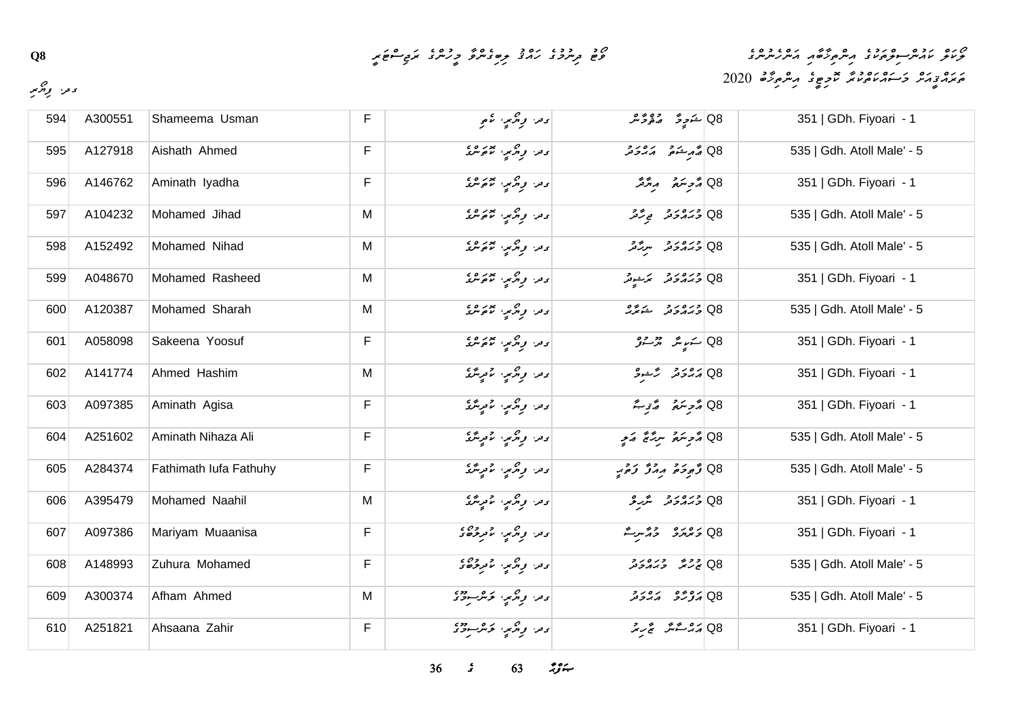*sCw7q7s5w7m< o<n9nOoAw7o< sCq;mAwBoEw7q<m; wBm;vB 2020<sup>, م</sup>وسر در مدد مدرج به مدرم مقرم قرار 2020*<br>موسر المستقرم المستقرم المستقرم المستقرم المستقرم المستقرم المستقرم المستقرم المستقرم المستقرم المستقرم المستقر

| 594 | A300551 | Shameema Usman         | $\mathsf F$ | رمر وكرس ءمج                                 | ل شرى ئىقمۇ ئىك $\sim$ Q8                        | 351   GDh. Fiyoari - 1     |
|-----|---------|------------------------|-------------|----------------------------------------------|--------------------------------------------------|----------------------------|
| 595 | A127918 | Aishath Ahmed          | F           | <sub>ى</sub> مە پەكتېر ئەمەرە ئ              | Q8 مەم ئىش <i>مۇ مەم</i> كى                      | 535   Gdh. Atoll Male' - 5 |
| 596 | A146762 | Aminath Iyadha         | F           | <sub>ى</sub> مە پەكتېر ئەمەرە ئ              | Q8 مُّحِسَمَةٌ مِثَرَّمَّدٌ                      | 351   GDh. Fiyoari - 1     |
| 597 | A104232 | Mohamed Jihad          | M           | ر در او در باره در در در در بار              | Q8 <i>\$نەۋەتى بې دىگ</i>                        | 535   Gdh. Atoll Male' - 5 |
| 598 | A152492 | Mohamed Nihad          | M           | دىن بوركىي، مەرەپ                            | Q8 <i>\$ ئەۋكى قىرى</i> قر                       | 535   Gdh. Atoll Male' - 5 |
| 599 | A048670 | Mohamed Rasheed        | M           | ر در او در باره در در در در بار              | Q8 <i>وُكەمگە تۇر م</i> كرىش <sub>و</sub> مۇ     | 351   GDh. Fiyoari - 1     |
| 600 | A120387 | Mohamed Sharah         | M           | رمه وگرم به بره به                           | $2.5.25$ $2.5.25$ $\sim$ $08$                    | 535   Gdh. Atoll Male' - 5 |
| 601 | A058098 | Sakeena Yoosuf         | $\mathsf F$ | ى تىر بوركىي، ئىم ئىرى                       | Q8 سەبەتە تەر <u>ج</u> و                         | 351   GDh. Fiyoari - 1     |
| 602 | A141774 | Ahmed Hashim           | M           | رى روگىي ئام <sub>ى</sub> شى                 | Q8 <i>مَدْدَوْ دْ</i> سُعْر                      | 351   GDh. Fiyoari - 1     |
| 603 | A097385 | Aminath Agisa          | $\mathsf F$ | رىر. <i>و</i> مرىي، ئ <sub>ا</sub> توپىرى    | Q8 م <i>ُّحِ مَنْعُمْ مُ</i> تَوِّسَةُ           | 351   GDh. Fiyoari - 1     |
| 604 | A251602 | Aminath Nihaza Ali     | $\mathsf F$ | دىن بوركىي، ئاتېرىكى                         | Q8 أَمَّ <i>جِ سَهْءُ</i> سِرْئَةً ۚ أَمَرِ جِمْ | 535   Gdh. Atoll Male' - 5 |
| 605 | A284374 | Fathimath lufa Fathuhy | $\mathsf F$ | دىن بوركىي، ئاتېرىكى                         | Q8 <i>وَّجوحَمْ مِنْ وََ وَمِي</i>               | 535   Gdh. Atoll Male' - 5 |
| 606 | A395479 | Mohamed Naahil         | M           | <mark>دىر: وېژىپ، ئ</mark> امېرىگرى          | Q8 <i>وُبَرُوْدَوْ</i> مُ <i>رْبِ</i> وْ         | 351   GDh. Fiyoari - 1     |
| 607 | A097386 | Mariyam Muaanisa       | F           | دىن توپرىي، مەمرىز ھى                        | Q8 <i>وَكْرْمَرْدْ وْكُرْسِرْ</i>                | 351   GDh. Fiyoari - 1     |
| 608 | A148993 | Zuhura Mohamed         | $\mathsf F$ | <sub>وفر:</sub> وحر <sub>مي</sub> ، رحودوه و | Q8 ج <i>ح ج ج ج ج ج مر ج</i> قر                  | 535   Gdh. Atoll Male' - 5 |
| 609 | A300374 | Afham Ahmed            | M           | <sub>ى</sub> مە وگ <i>ەپ كەنگە</i> دە        | Q8 <i>كۇڭۇ كەممى</i> تى                          | 535   Gdh. Atoll Male' - 5 |
| 610 | A251821 | Ahsaana Zahir          | F           | رىر. <sub>تو</sub> ركىي، ئۇنگرىسى <i>رى</i>  | Q8 كەنزىسە مىشىر ئىچ س <sub>ى</sub> رتىر         | 351   GDh. Fiyoari - 1     |

**36** *s* **63** *n***<sub>s</sub>***n***<sub>s</sub>**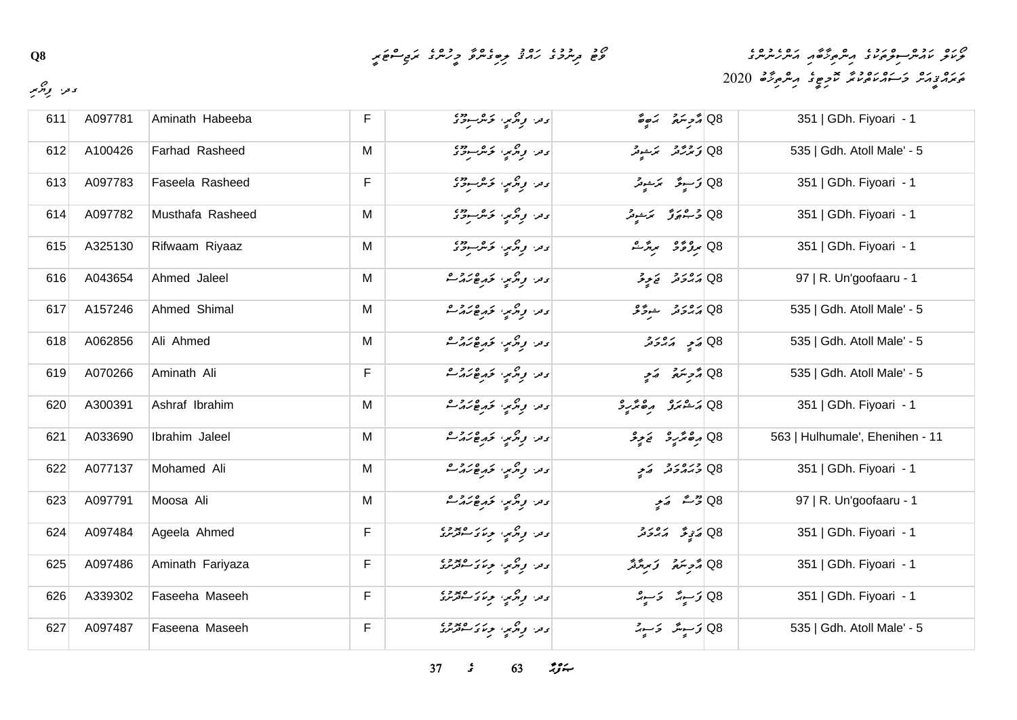*sCw7q7s5w7m< o<n9nOoAw7o< sCq;mAwBoEw7q<m; wBm;vB 2020*<br>*په پوهر وسوډيرونو لومو د موجو د مرمونه* 2020

| 611 | A097781 | Aminath Habeeba  | F            | دىن بوچىپ، ئۇنگرىسى <i>دى</i>         | $\frac{2}{3}$ $\frac{2}{3}$ $\frac{2}{3}$ $\frac{2}{3}$ $\frac{2}{3}$ | 351   GDh. Fiyoari - 1          |
|-----|---------|------------------|--------------|---------------------------------------|-----------------------------------------------------------------------|---------------------------------|
| 612 | A100426 | Farhad Rasheed   | M            | رى وچى كەشرە                          | Q8 <i>وَ تَرْرُّقَرْ - مَرْ</i> خُومَّرُ                              | 535   Gdh. Atoll Male' - 5      |
| 613 | A097783 | Faseela Rasheed  | $\mathsf{F}$ | دىن وگرىي، ئۇنگرىسىۋى                 | Q8 <i>وَسِوِقَ مَرَحوِمَ</i> رُ                                       | 351   GDh. Fiyoari - 1          |
| 614 | A097782 | Musthafa Rasheed | M            | أرى وگرىي كەنگە دە :                  | Q8 <sub>ح</sub> رم پر پر <sub>شو</sub> تر                             | 351   GDh. Fiyoari - 1          |
| 615 | A325130 | Rifwaam Riyaaz   | M            | دىن وگرىي، ئۇنگرىسىۋى                 | Q8 ىر <i>ۇڭۇ بىر</i> گە                                               | 351   GDh. Fiyoari - 1          |
| 616 | A043654 | Ahmed Jaleel     | M            | ىر وكرس كرم وكروم                     | Q8 <i>كەندى كى قىچ</i> تى                                             | 97   R. Un'goofaaru - 1         |
| 617 | A157246 | Ahmed Shimal     | M            | ىمى وكرىم، خم ھ دائم                  | Q8 <i>مُدْدَة جودَّة</i>                                              | 535   Gdh. Atoll Male' - 5      |
| 618 | A062856 | Ali Ahmed        | M            | ىمى وكرىم، خىرەتكەر                   | Q8 <i>أەڭمچە مەشى</i> قىلە                                            | 535   Gdh. Atoll Male' - 5      |
| 619 | A070266 | Aminath Ali      | F            | دىن وكريمي، ځهرغ رُو ه                | Q8 م <i>ُّحِي مَعْ</i> مَعِ                                           | 535   Gdh. Atoll Male' - 5      |
| 620 | A300391 | Ashraf Ibrahim   | M            | دىن وكريم، ځه ځرمړ م                  | Q8 كەشمىر مەھمەر 2                                                    | 351   GDh. Fiyoari - 1          |
| 621 | A033690 | Ibrahim Jaleel   | M            | دىن وگرىي، ئۇرغ ئەرق                  | و <i>هنگي</i> و کاموگر کار کاموگر کاموگر کاموگر کا                    | 563   Hulhumale', Ehenihen - 11 |
| 622 | A077137 | Mohamed Ali      | M            | دىن وگرىي، ئۇرغ ئەم ك                 | Q8 <i>وُټرو دَوَ</i> کرم                                              | 351   GDh. Fiyoari - 1          |
| 623 | A097791 | Moosa Ali        | M            | ىمى وكرىم، خەرەبەر م                  | Q8 تخریجہ تھ <i>چ</i>                                                 | 97   R. Un'goofaaru - 1         |
| 624 | A097484 | Ageela Ahmed     | $\mathsf{F}$ | دورا و پر مورا و مذکور داده داده      | Q8 كەن <sub>چ</sub> ۇ كەرگە <i>كە</i>                                 | 351   GDh. Fiyoari - 1          |
| 625 | A097486 | Aminath Fariyaza | $\mathsf{F}$ | دورا و پژمرا او مذکور ه مود دا        | Q8 مُّ <i>جِسَمُ</i> وَ <sub>مَ</sub> بِعَّظَ                         | 351   GDh. Fiyoari - 1          |
| 626 | A339302 | Faseeha Maseeh   | F            | دور و پر مي مورد که ده ده د           | Q8 كۆسى <i>نگە</i> كۆسى <i>ن</i> گە                                   | 351   GDh. Fiyoari - 1          |
| 627 | A097487 | Faseena Maseeh   | F            | .<br>  دورا و پژمرا او برای مسافر برد | Q8 كۆسىدىگە كۆسى <i>د</i>                                             | 535   Gdh. Atoll Male' - 5      |

**37** *s* **63** *n***<sub>s</sub>***n***<sub>s</sub>**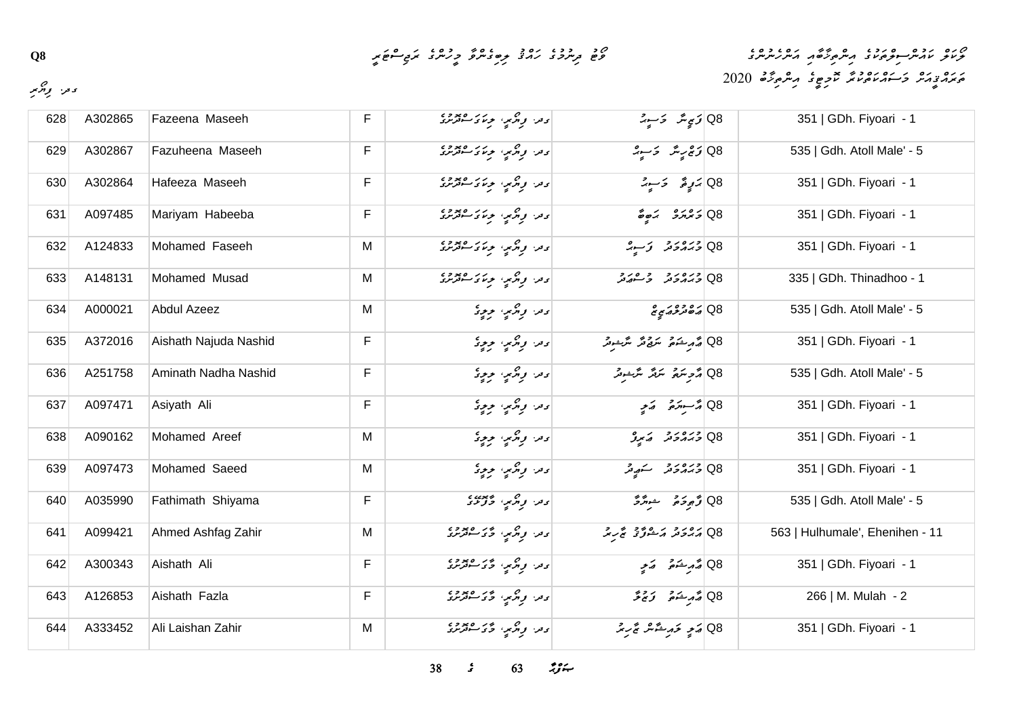*sCw7q7s5w7m< o<n9nOoAw7o< sCq;mAwBoEw7q<m; wBm;vB 2020<sup>, م</sup>وسر در مدد مدرج به مدرم مقرم قرار 2020*<br>موسر المستقرم المستقرم المستقرم المستقرم المستقرم المستقرم المستقرم المستقرم المستقرم المستقرم المستقرم المستقر

| 628 | A302865 | Fazeena Maseeh        | $\mathsf F$ | رور و ډکي ونړۍ شورن                | Q8 <i>وَي مَدْ</i> وَسِيْرُ                         | 351   GDh. Fiyoari - 1          |
|-----|---------|-----------------------|-------------|------------------------------------|-----------------------------------------------------|---------------------------------|
| 629 | A302867 | Fazuheena Maseeh      | F           | .<br>  دور و پرې مورد که سور دره   | Q8 <i>وَچْرِیدَ وَجِدْ</i>                          | 535   Gdh. Atoll Male' - 5      |
| 630 | A302864 | Hafeeza Maseeh        | $\mathsf F$ | وفر وكرمي وتذكر معدده              | Q8 كەرپۇ ق <sup>ى</sup> سى <sup>2</sup>             | 351   GDh. Fiyoari - 1          |
| 631 | A097485 | Mariyam Habeeba       | $\mathsf F$ | .<br>دىن وگرىي، جەنگەسىتىرىرى      | $602$ $252$ $\sqrt{28}$                             | 351   GDh. Fiyoari - 1          |
| 632 | A124833 | Mohamed Faseeh        | M           | دور ، وگري ، برندي سور ده ،        | Q8] <i>وُبُرُوْدَوْ</i> کَرَسِیْرُ                  | 351   GDh. Fiyoari - 1          |
| 633 | A148131 | Mohamed Musad         | M           | دو. و پرس مورد در دره بروه         | Q8 32023 32023                                      | 335   GDh. Thinadhoo - 1        |
| 634 | A000021 | <b>Abdul Azeez</b>    | M           | دىن توپژىپ، توپوكى                 | Q8 كەھ <i>قرىۋە ئى</i> ئ                            | 535   Gdh. Atoll Male' - 5      |
| 635 | A372016 | Aishath Najuda Nashid | $\mathsf F$ | أدفرا وأكرمها أوولا                | $\alpha$ مُ مِسْدَمُ مَرَّدْ مَرَّسُوسُ) $\alpha$   | 351   GDh. Fiyoari - 1          |
| 636 | A251758 | Aminath Nadha Nashid  | F           | دىن وگرىي، ئولوگى                  | Q8 <i>مُّحِ سَهُمْ سَنَّةً</i> سُّنَ <i>شِيعَةً</i> | 535   Gdh. Atoll Male' - 5      |
| 637 | A097471 | Asiyath Ali           | F           | أرمه وكرمي وولا                    | Q8 گھ سو <i>ھر کی ج</i>                             | 351   GDh. Fiyoari - 1          |
| 638 | A090162 | Mohamed Areef         | M           | أرمرا وكرسٍ وولول                  | Q8 <i>3223 كەيو</i> گ                               | 351   GDh. Fiyoari - 1          |
| 639 | A097473 | Mohamed Saeed         | M           | دور وگري وول                       | Q8 <i>ڈیزوڈوڈ سکھ</i> یٹر                           | 351   GDh. Fiyoari - 1          |
| 640 | A035990 | Fathimath Shiyama     | $\mathsf F$ | .<br>  دىن تومگېر، گەنزىمى         | Q8 <i>وَّجِ حَمَّى حَبِّيْرَةً</i>                  | 535   Gdh. Atoll Male' - 5      |
| 641 | A099421 | Ahmed Ashfag Zahir    | M           | دور ، وگرمر، اگری دارد و د         | Q8 <i>مەشكەر مەشۇق ئارى</i> ر                       | 563   Hulhumale', Ehenihen - 11 |
| 642 | A300343 | Aishath Ali           | $\mathsf F$ | دىن وگرىي، ئ <sup>ەير</sup> قەدە   | Q8 م <i>مَّم شَمَّة مَ</i> حِ                       | 351   GDh. Fiyoari - 1          |
| 643 | A126853 | Aishath Fazla         | F           | دىن وگرىي، ئ <sup>ې</sup> ر قەدە ئ | Q8 مەم ئىستىم ئىس ئى                                | 266   M. Mulah - 2              |
| 644 | A333452 | Ali Laishan Zahir     | M           | .<br>  دور و پرس کر در دور         | Q8 كەيپ قەرىشەنگە ئ <i>ۆرى</i> گە                   | 351   GDh. Fiyoari - 1          |

**38** *s* **63** *n***<sub>y</sub> <b>***n*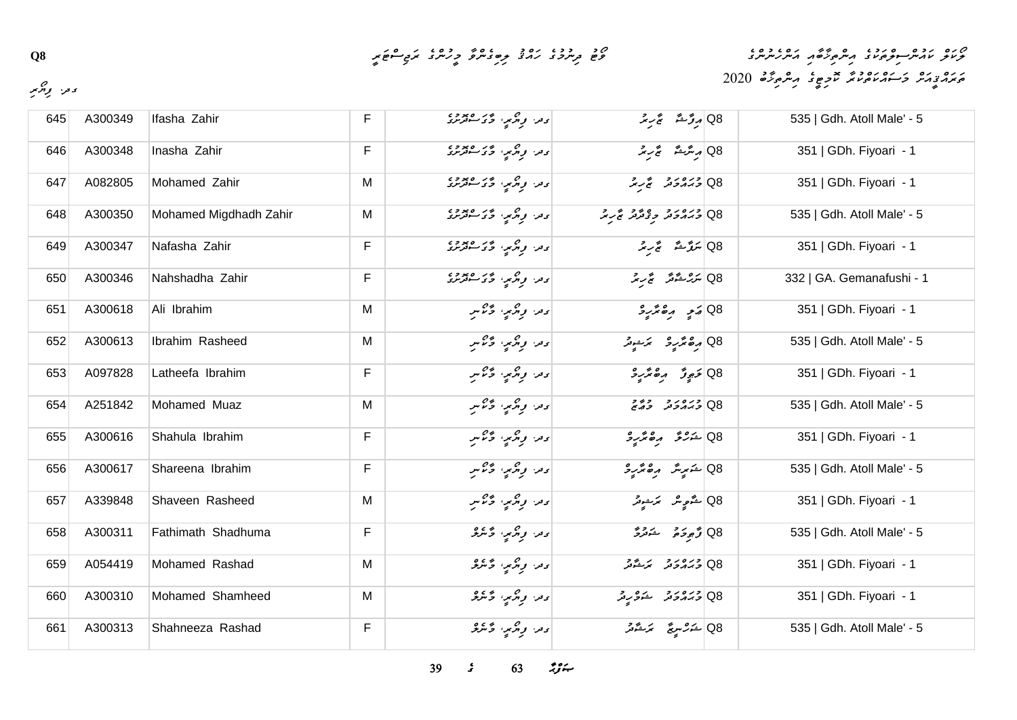*sCw7q7s5w7m< o<n9nOoAw7o< sCq;mAwBoEw7q<m; wBm;vB 2020*<br>*په پوهر وسوډيرونو لومو د موجو د مرمونه* 2020

| 645 | A300349 | Ifasha Zahir           | F            | .<br>  دىن بو چرىپ، گەنى سەھرىرى | Q8 مرزَّسَةً گ <sub>ے س</sub> ر                  | 535   Gdh. Atoll Male' - 5 |
|-----|---------|------------------------|--------------|----------------------------------|--------------------------------------------------|----------------------------|
| 646 | A300348 | Inasha Zahir           | $\mathsf F$  | دىن پەنگەپ ئەر قەدەر             | Q8 م <i>ېنگىنىڭ تارىخ</i>                        | 351   GDh. Fiyoari - 1     |
| 647 | A082805 | Mohamed Zahir          | M            | دور ، وگرمر، او دار ۱۶۵۵ و ،     | Q8 <i>وَيَدْوُوَ</i> مَنْ يَحْرِيمُ              | 351   GDh. Fiyoari - 1     |
| 648 | A300350 | Mohamed Migdhadh Zahir | M            | دور ، وگري ، حرم عبدو ،          | Q8 <i>وَيُهُوَ قُرْ وَيُؤَمَّرُ بِيُ بِ</i> بِرِ | 535   Gdh. Atoll Male' - 5 |
| 649 | A300347 | Nafasha Zahir          | $\mathsf F$  | دور ، وگرمر، او دار ۵ و د و ،    | Q8 سَمَدَّتْ تَحْرِيْرُ                          | 351   GDh. Fiyoari - 1     |
| 650 | A300346 | Nahshadha Zahir        | $\mathsf{F}$ | دىن پەنگەپ ئەر قەدەر             | Q8 <i>مَرْدْ شَقَّةَ</i> مَحْ سِمْهِ             | 332   GA. Gemanafushi - 1  |
| 651 | A300618 | Ali Ibrahim            | M            | دىن وگرىي، ۋىر س                 | لاي موسيق موسيق $\sim$ 08                        | 351   GDh. Fiyoari - 1     |
| 652 | A300613 | Ibrahim Rasheed        | M            | دىن وگرىي، ۋىرس                  | ا بر <i>ھ مُرْرِ دَ</i> سَمَسِوْرٌ )             | 535   Gdh. Atoll Male' - 5 |
| 653 | A097828 | Latheefa Ibrahim       | $\mathsf F$  | دىن وگرىي، ۋراس                  | Q8 <i>خوِرْ وڻ گرد</i> ُ                         | 351   GDh. Fiyoari - 1     |
| 654 | A251842 | Mohamed Muaz           | M            | <mark>رىر: وەكىي، ۋ</mark> ىمىر  | $222$ $2222$ $08$                                | 535   Gdh. Atoll Male' - 5 |
| 655 | A300616 | Shahula Ibrahim        | $\mathsf{F}$ | دىن وگرىي، ۋراس                  | Q8 خىر <i>گە مەمگرى</i> د                        | 351   GDh. Fiyoari - 1     |
| 656 | A300617 | Shareena Ibrahim       | F            | دىن وگرىي، ۋىر س                 | لايستوپىگە مەھەمگەرىي $\sim$                     | 535   Gdh. Atoll Male' - 5 |
| 657 | A339848 | Shaveen Rasheed        | M            | <sub>ى</sub> مە ۋەكىپ دەس        | Q8 ڪُم <i>وِ تگر مَرَڪونگر</i>                   | 351   GDh. Fiyoari - 1     |
| 658 | A300311 | Fathimath Shadhuma     | $\mathsf F$  | دىن وگرىي، گەنگە                 | Q8 تَ <i>ُمِّ دَمَّةَ</i> شَمَّسَرَّدَّ          | 535   Gdh. Atoll Male' - 5 |
| 659 | A054419 | Mohamed Rashad         | M            | دىن وگرىي، گەنگە                 | Q8 <i>وُبُرُودُو مَرَ مُرَ مُ</i> مَرَّةً        | 351   GDh. Fiyoari - 1     |
| 660 | A300310 | Mohamed Shamheed       | M            | دىن وگرىي، گەنگە                 | Q8 <i>وُبَهُ وَبُنَّ</i> شَوْرِيْر               | 351   GDh. Fiyoari - 1     |
| 661 | A300313 | Shahneeza Rashad       | F            | دىن وگرىي، گەنگە                 | Q8 ڪر <i>ئين پرڪو</i> ٽر                         | 535   Gdh. Atoll Male' - 5 |

**39** *s* **63** *n***<sub>y</sub>**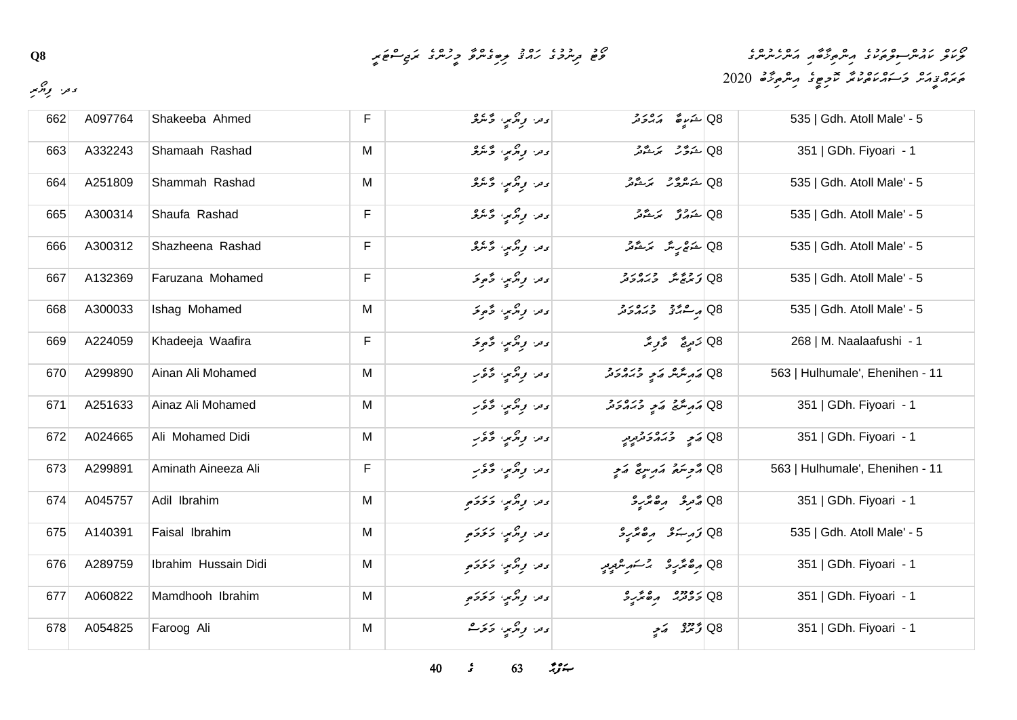*sCw7q7s5w7m< o<n9nOoAw7o< sCq;mAwBoEw7q<m; wBm;vB 2020*<br>*په پوهر وسوډيرونو لومو د موجو د مرمونه* 2020

| 662 | A097764 | Shakeeba Ahmed       | F            | رىر وگرىي، ۇترق         | Q8 خَمِيعٌ مَ <i>بُ</i> دْحَ <sup>م</sup> َرٌ                                                                                                                                                                        | 535   Gdh. Atoll Male' - 5      |
|-----|---------|----------------------|--------------|-------------------------|----------------------------------------------------------------------------------------------------------------------------------------------------------------------------------------------------------------------|---------------------------------|
| 663 | A332243 | Shamaah Rashad       | M            | دىن وگرىي، گەنگە        | Q8 شر <i>وَّڑ پرَ</i> شُر                                                                                                                                                                                            | 351   GDh. Fiyoari - 1          |
| 664 | A251809 | Shammah Rashad       | M            | دىن وگرىي، گەنگە        | Q8 خەش <i>ۇر بى</i> شۇر                                                                                                                                                                                              | 535   Gdh. Atoll Male' - 5      |
| 665 | A300314 | Shaufa Rashad        | F            | دىن وگرىي، گەنگە        | Q8 خىترتى ئىرخىتىر                                                                                                                                                                                                   | 535   Gdh. Atoll Male' - 5      |
| 666 | A300312 | Shazheena Rashad     | $\mathsf F$  | دىن وگرىي، گەنگە        | $Q8$ جدیم کے سرکھ کرکھ کر کرکٹروگر $\sim$                                                                                                                                                                            | 535   Gdh. Atoll Male' - 5      |
| 667 | A132369 | Faruzana Mohamed     | $\mathsf{F}$ | رىر، وېژىپ، ۋەپتى       | Q8 ئۇترىچ ئىر قىرىم دىر                                                                                                                                                                                              | 535   Gdh. Atoll Male' - 5      |
| 668 | A300033 | Ishag Mohamed        | M            | دىن وگرىي، ۋە ئ         | Q8 م شركز قائد مركز من جنوب براير بين الله عليه الله عليه الله عليه الله عليه الله عليه الله عليه ا<br>الله عليه الله عليه الله عليه الله عليه الله عليه الله عليه الله عليه الله عليه الله عليه الله عليه الله عليه | 535   Gdh. Atoll Male' - 5      |
| 669 | A224059 | Khadeeja Waafira     | $\mathsf F$  | رى وگرىي ۋەپى           | 08∫ <i>ڏس</i> يعً <i>ھَ∙ِينَ</i> ّ                                                                                                                                                                                   | 268   M. Naalaafushi - 1        |
| 670 | A299890 | Ainan Ali Mohamed    | M            | دىن وگرىي، دەپ          | Q8 <i>مَه مَّرْمَّدْ مَ</i> عٍ كَ <i>مَهُ دَوْ</i> رَ                                                                                                                                                                | 563   Hulhumale', Ehenihen - 11 |
| 671 | A251633 | Ainaz Ali Mohamed    | M            | دىن وگرىي، دَّوَب       | Q8 <i>مَهِ شَيْ مَعٍ دَيَهُ دَوْ</i>                                                                                                                                                                                 | 351   GDh. Fiyoari - 1          |
| 672 | A024665 | Ali Mohamed Didi     | M            | دورا وگري وگرب          | Q8 كەي تەركە ئەقرىرىر                                                                                                                                                                                                | 351   GDh. Fiyoari - 1          |
| 673 | A299891 | Aminath Aineeza Ali  | F            | دىن وگرىي، دەپ          | Q8 أ <i>مُّ حِ سَمَّةَ أَمَرِ سِيَّةً أَمَرٍ جِ</i>                                                                                                                                                                  | 563   Hulhumale', Ehenihen - 11 |
| 674 | A045757 | Adil Ibrahim         | M            | ءمرا وكريما وكرومج      | Q8 م <i>ُّمْرِدْ م</i> ِهْ مَُّرِدْ                                                                                                                                                                                  | 351   GDh. Fiyoari - 1          |
| 675 | A140391 | Faisal Ibrahim       | M            | دىن توركىي، ئەڭگەم      | Q8 <i>قەبىنى مەھترى</i> رى                                                                                                                                                                                           | 535   Gdh. Atoll Male' - 5      |
| 676 | A289759 | Ibrahim Hussain Didi | M            | دىن وكرىي، دَ دَدَهِ إِ | Q8 م <i>ەھەردى بىر شەمە</i> بلاپور                                                                                                                                                                                   | 351   GDh. Fiyoari - 1          |
| 677 | A060822 | Mamdhooh Ibrahim     | M            | دىن وكرىي، كەنگەم       | Q8) <sub>ك</sub> ونور مەئزىرى                                                                                                                                                                                        | 351   GDh. Fiyoari - 1          |
| 678 | A054825 | Faroog Ali           | M            | ءى وگري وکرے            | Q8 <i>وُجُرُوْ مَ</i> حٍ                                                                                                                                                                                             | 351   GDh. Fiyoari - 1          |

*40 sC 63 nNw?mS*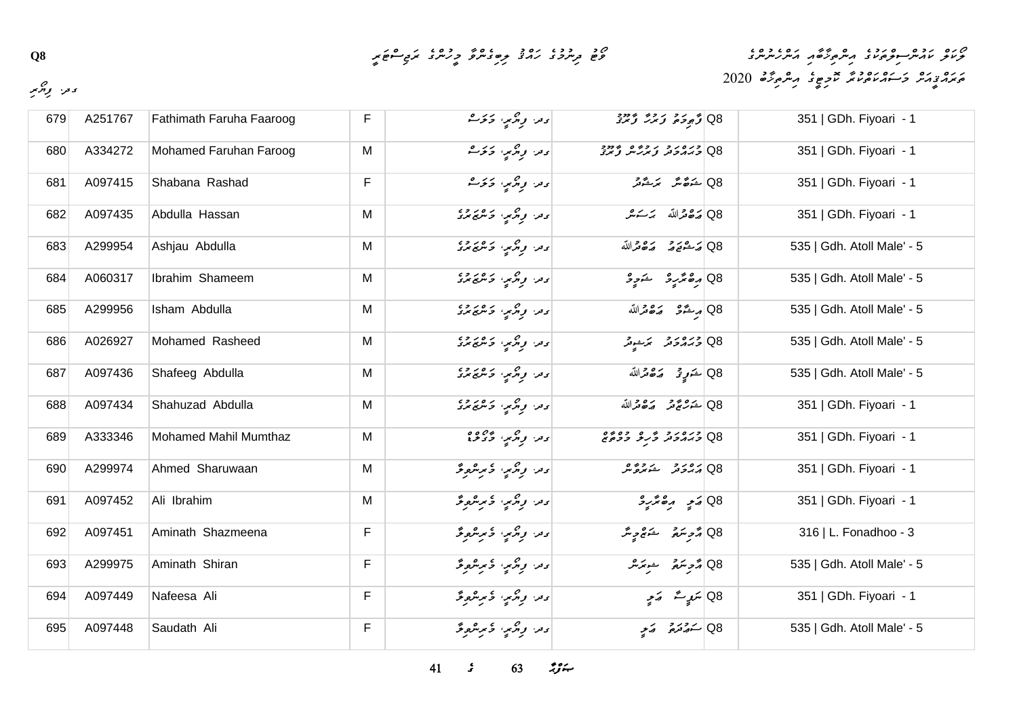*sCw7q7s5w7m< o<n9nOoAw7o< sCq;mAwBoEw7q<m; wBm;vB* م من المسجد المسجد المسجد المسجد المسجد العام 2020<br>مسجد المسجد المسجد المسجد المسجد المسجد المسجد المسجد المسجد ال

| 679 | A251767 | Fathimath Faruha Faaroog     | F           | <sub>ى</sub> ر توپرىپ كۆگ           | Q8 <i>وَجِعِدَةَ وَبَرْدَ وَبَرْدَ</i>             | 351   GDh. Fiyoari - 1     |
|-----|---------|------------------------------|-------------|-------------------------------------|----------------------------------------------------|----------------------------|
| 680 | A334272 | Mohamed Faruhan Faroog       | M           | رى وگرې د دگ                        | Q8 دېمرونه وېرځه وېږ                               | 351   GDh. Fiyoari - 1     |
| 681 | A097415 | Shabana Rashad               | $\mathsf F$ | ءما وكرميا وكرم                     | Q8 شَرَقَ مَرْ مُرَ مُرَ مَرْ مَرْ مَرْ            | 351   GDh. Fiyoari - 1     |
| 682 | A097435 | Abdulla Hassan               | M           | رىر. وگرىي، كەش <sub>ە</sub> رە،    | Q8 كَرْهُ قْرَاللَّه بْرَسْتَرْسْر                 | 351   GDh. Fiyoari - 1     |
| 683 | A299954 | Ashjau Abdulla               | M           | ىلا وگرىي كەشىرە                    | Q8 كَمَسْتَوْكَرِ كَمْ كَمْ كَمْرَاللّهِ           | 535   Gdh. Atoll Male' - 5 |
| 684 | A060317 | Ibrahim Shameem              | M           | رىر. رېگىي، كەش <sub>كە</sub> رە    | $\mathcal{L}_{\mathcal{L}}$ مەھ ئىرى ئىس 29 $\log$ | 535   Gdh. Atoll Male' - 5 |
| 685 | A299956 | Isham Abdulla                | M           | رىر. وگرىي، كەش <sub>ە</sub> رە،    | Q8 مِشَرَّ مَصْرَاللَّه                            | 535   Gdh. Atoll Male' - 5 |
| 686 | A026927 | Mohamed Rasheed              | M           | رىر. وگرىي، كەشھىردە                | Q8 <i>وُكەمۇمۇ - مَرْسُ</i> وم <i>ۇ</i>            | 535   Gdh. Atoll Male' - 5 |
| 687 | A097436 | Shafeeg Abdulla              | M           | رىر. رېگىي، كەش <sub>كە</sub> رە    | Q8 خ <i>ورتى قەھق</i> راللە                        | 535   Gdh. Atoll Male' - 5 |
| 688 | A097434 | Shahuzad Abdulla             | M           | رىر. وگرىي، كەشھىردە                | Q8 خو <i>ر پڑو پر 25 مر</i> الله                   | 351   GDh. Fiyoari - 1     |
| 689 | A333346 | <b>Mohamed Mahil Mumthaz</b> | M           | .<br>دىن پوشىي، ئ <sup>و</sup> رى ئ | Q8 درورو ورو دومو                                  | 351   GDh. Fiyoari - 1     |
| 690 | A299974 | Ahmed Sharuwaan              | M           | ءما وكرس ومرشوق                     | Q8 كەبرو ئەرەبىرى ئىستىر ئىستىرىكىسى بىر           | 351   GDh. Fiyoari - 1     |
| 691 | A097452 | Ali Ibrahim                  | M           | دىر وكرىي ۋىرىروگ                   | لاي په موسی کړې کې $\sim$ 80 $\sigma$              | 351   GDh. Fiyoari - 1     |
| 692 | A097451 | Aminath Shazmeena            | $\mathsf F$ | ءما وكرس ومرشوق                     | Q8   مَرْحِسَمُ مَسَوَّحٍ سَّرَ                    | 316   L. Fonadhoo - 3      |
| 693 | A299975 | Aminath Shiran               | $\mathsf F$ | ءترا وأكرس كالمرتكوف                | Q8 أ <i>مَّ حِيدَة مَعْ حَيدَ مَثَر مَثَر</i>      | 535   Gdh. Atoll Male' - 5 |
| 694 | A097449 | Nafeesa Ali                  | $\mathsf F$ | رىر وكريم، ۋېرىگروگ                 | Q8 سَمِي شَ <i>ھَ ج</i> ِ                          | 351   GDh. Fiyoari - 1     |
| 695 | A097448 | Saudath Ali                  | F           | رىر وكرس كرسرهر                     | Q8) ڪن <i>ھ تعرفيۃ مق</i> حيہ                      | 535   Gdh. Atoll Male' - 5 |

 $41$  *s*  $63$  *n***<sub>s</sub>**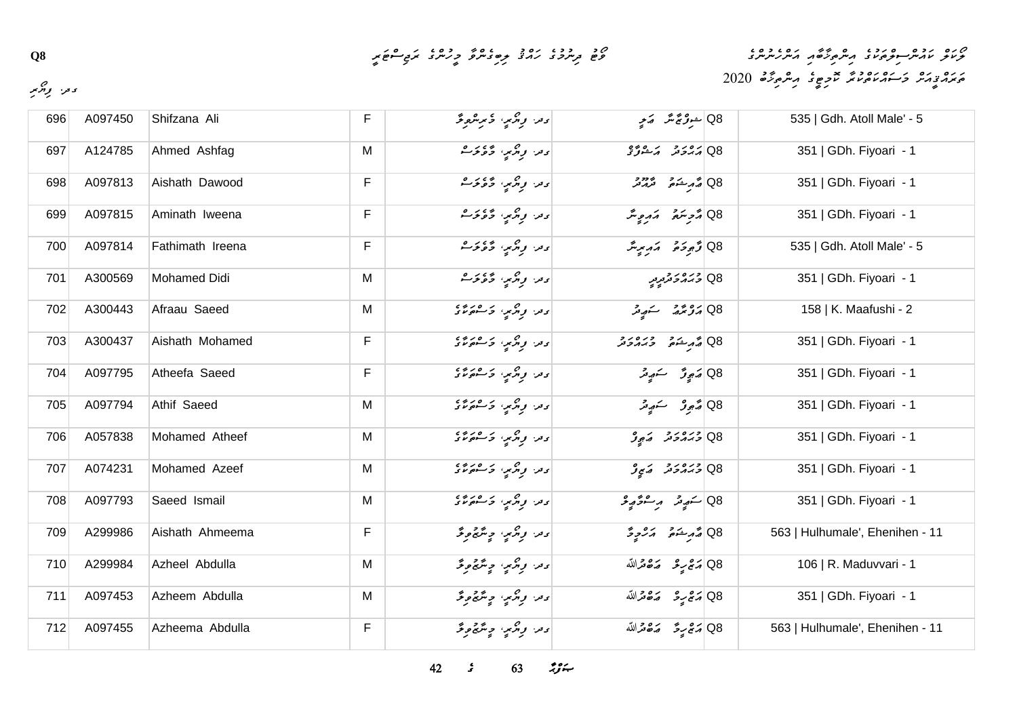*sCw7q7s5w7m< o<n9nOoAw7o< sCq;mAwBoEw7q<m; wBm;vB 2020*<br>*په پوهر وسوډيرونو لومو د موجو د مرمونه* 2020

| 696 | A097450 | Shifzana Ali     | F           | دىن وگرىي، كەيرىكروگ         | Q8   سورمح مثر   م <sub>ک</sub> رم         | 535   Gdh. Atoll Male' - 5      |
|-----|---------|------------------|-------------|------------------------------|--------------------------------------------|---------------------------------|
| 697 | A124785 | Ahmed Ashfag     | M           | ءما وكرميا وتحويث            | Q8) كەبروتىر كەش <i>ۇ تى</i>               | 351   GDh. Fiyoari - 1          |
| 698 | A097813 | Aishath Dawood   | $\mathsf F$ | ءما وأكرس وكالمحارث          | Q8 مُگرِسْدَة مُرَكَّدَة مُ                | 351   GDh. Fiyoari - 1          |
| 699 | A097815 | Aminath Iweena   | $\mathsf F$ | ءَ تو وگري گروگرگ            | Q8 مَّحِسَمَ مَهْرِمِيمَّ                  | 351   GDh. Fiyoari - 1          |
| 700 | A097814 | Fathimath Ireena | F           | ءَ په وگړي د محکومت          | Q8 <i>وَّجِوحَةْ مَدِينِ</i> تَر           | 535   Gdh. Atoll Male' - 5      |
| 701 | A300569 | Mohamed Didi     | M           | ءما وكرميا وتحوي المنا       | Q8   32,3 <i>53 قر</i> ورٍ مر              | 351   GDh. Fiyoari - 1          |
| 702 | A300443 | Afraau Saeed     | M           | دىن وچرىپ كەممەدە            | Q8 <i>مَرْقَتَمَّة سَهِي</i> ْرَ           | 158   K. Maafushi - 2           |
| 703 | A300437 | Aishath Mohamed  | F           | ىمىن وكرمي كالمعون           | Q8 <i>مُّهِ شَمَّةُ</i> وَيَهْدَمُّ        | 351   GDh. Fiyoari - 1          |
| 704 | A097795 | Atheefa Saeed    | F           | ىلا وكرس كرورون              | Q8 <i>مَهوِڙَ ڪوپ</i> ٽر                   | 351   GDh. Fiyoari - 1          |
| 705 | A097794 | Athif Saeed      | M           | دىن وگرىي، ئەھمىدە           | Q8 ۾ <i>جو ژڪو ش</i> ر                     | 351   GDh. Fiyoari - 1          |
| 706 | A057838 | Mohamed Atheef   | M           | ىر وگرىي كەممە               | Q8 <i>وُبَرُوْدَوْ مَوِوْ</i>              | 351   GDh. Fiyoari - 1          |
| 707 | A074231 | Mohamed Azeef    | M           | دىن وگرىي، ئەھمىدە           | Q8 <i>5 ئەۋەقىر مەي ۋ</i>                  | 351   GDh. Fiyoari - 1          |
| 708 | A097793 | Saeed Ismail     | M           | ىلا وكرمړ، كەنتىمى           | لاي سَمِيعْر مِرْ سِمْحَ مِيعْدِ $\sim$ 08 | 351   GDh. Fiyoari - 1          |
| 709 | A299986 | Aishath Ahmeema  | F           | دىن وگرىي، چەنگەھ ئى         | Q8 م <i>مَّم شَمَّعْ مَرْدُوخ</i> َ        | 563   Hulhumale', Ehenihen - 11 |
| 710 | A299984 | Azheel Abdulla   | M           | رىر. <i>و مىي، چ</i> ىگىنموڭ | Q8 <i>مَجْرِعْ مَ</i> هْمِّرَاللَّه        | 106   R. Maduvvari - 1          |
| 711 | A097453 | Azheem Abdulla   | M           | دىن وكرىي، چانگەھەتى         | Q8 <i>مَجْرِحْ مَ</i> هْمَراللّه           | 351   GDh. Fiyoari - 1          |
| 712 | A097455 | Azheema Abdulla  | F           | رىر وكريم، ويترج و د         | Q8 <i>مَجْرِحٌ مَعْقَ</i> رَاللّه          | 563   Hulhumale', Ehenihen - 11 |

*42 s* 63  $2.94$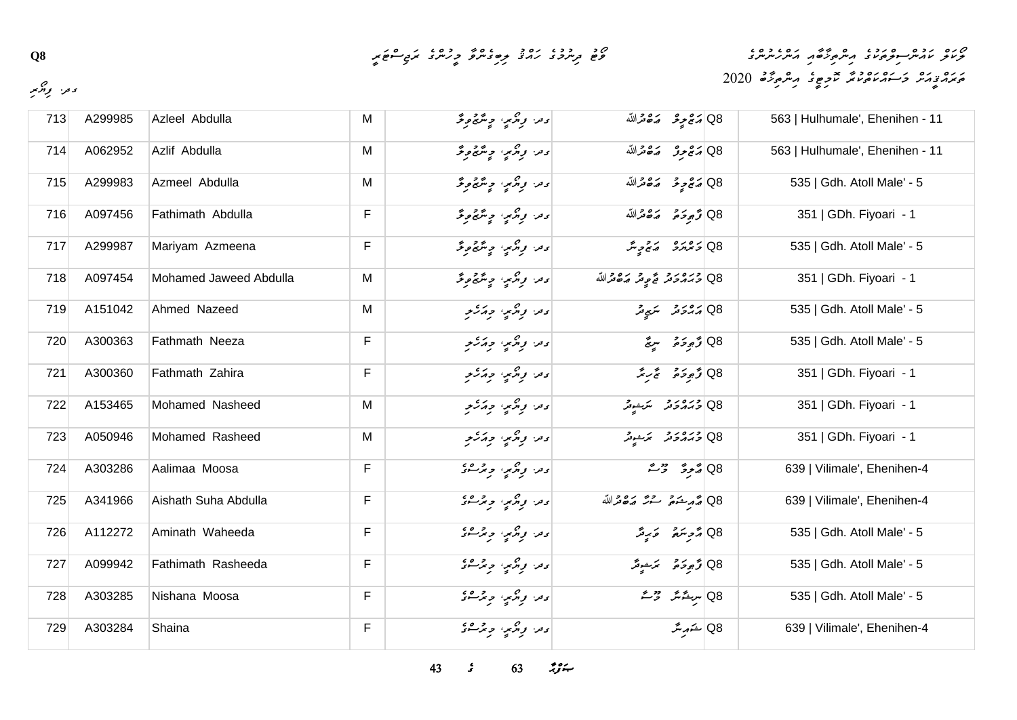*sCw7q7s5w7m< o<n9nOoAw7o< sCq;mAwBoEw7q<m; wBm;vB* م من المسجد المسجد المسجد المسجد المسجد العام 2020<br>مسجد المسجد المسجد المسجد المسجد المسجد المسجد المسجد المسجد ال

| 713 | A299985 | Azleel Abdulla         | M            | دىن وگرىي، <i>چ</i> ىگرىموگ  | Q8 كەيمى <i>يونى كەھەتر</i> اللە                | 563   Hulhumale', Ehenihen - 11 |
|-----|---------|------------------------|--------------|------------------------------|-------------------------------------------------|---------------------------------|
| 714 | A062952 | Azlif Abdulla          | M            | دىن وگرىي، چېگوگوگ           | Q8 كەي <u>ج بوق</u> ى كەھەتراللە                | 563   Hulhumale', Ehenihen - 11 |
| 715 | A299983 | Azmeel Abdulla         | M            | ءما وكريبا ويترجمون          | Q8 <i>مَ يُحْ حِ قَرَّ هُ مَّةَ مَّدَ</i> اللّه | 535   Gdh. Atoll Male' - 5      |
| 716 | A097456 | Fathimath Abdulla      | F            | دىن وگرىي، چانگەنچ ق         | Q8 <i>وَّجِحَة مَـُهْ</i> قَرَاللَّه            | 351   GDh. Fiyoari - 1          |
| 717 | A299987 | Mariyam Azmeena        | $\mathsf{F}$ | دىن وكرىي، چەنگەھ ئى         | Q8 كەش <i>ەر ئىم ئى</i> رىگە                    | 535   Gdh. Atoll Male' - 5      |
| 718 | A097454 | Mohamed Jaweed Abdulla | M            | دىن وكرىي، چەنگەھ ئى         | Q8 <i>وبروبرد قوم م</i> صور الله                | 351   GDh. Fiyoari - 1          |
| 719 | A151042 | Ahmed Nazeed           | M            | دىن وگرىي، دېڭرو             | Q8 <i>كەنگەنىڭ سىپەن</i> گە                     | 535   Gdh. Atoll Male' - 5      |
| 720 | A300363 | Fathmath Neeza         | $\mathsf F$  | أرورا وأكريرا وأركوا         | Q8 <i>وَّجوحَ</i> هُ سِيعٌ                      | 535   Gdh. Atoll Male' - 5      |
| 721 | A300360 | Fathmath Zahira        | $\mathsf F$  | دىن وگرىي، دېڭرو             | Q8 <i>وَّجوحَمْ</i> يُحْرِيمُ                   | 351   GDh. Fiyoari - 1          |
| 722 | A153465 | Mohamed Nasheed        | M            | دىن وكرىميا جەڭرىمو          | Q8 <i>وُبَرُوْدُوَ مُرَ</i> حِبِيْرِ            | 351   GDh. Fiyoari - 1          |
| 723 | A050946 | Mohamed Rasheed        | M            | دىن وگرىي، دېڭرى             | Q8 <i>ۇنزۇۋۇ ترىنې</i> تر                       | 351   GDh. Fiyoari - 1          |
| 724 | A303286 | Aalimaa Moosa          | F            | دىن وگرىي، دېرگ              | Q8 مَجرءٌ حَيْثَہُ                              | 639   Vilimale', Ehenihen-4     |
| 725 | A341966 | Aishath Suha Abdulla   | $\mathsf F$  | <sub>وفر:</sub> وترتي، وترسي | Q8 مُجمِّدَة حَمَّدَ مُ <b>صَوَّر</b> اللَّه    | 639   Vilimale', Ehenihen-4     |
| 726 | A112272 | Aminath Waheeda        | $\mathsf F$  | دىن وگرىي، دېرگ              | Q8 <i>مُّحِسَمُ مَي</i> قَّ                     | 535   Gdh. Atoll Male' - 5      |
| 727 | A099942 | Fathimath Rasheeda     | F            | <sub>وفر:</sub> وترتي، وترسي | Q8 <i>وُّهِ دَهْ</i> سَنِ مَدْ                  | 535   Gdh. Atoll Male' - 5      |
| 728 | A303285 | Nishana Moosa          | $\mathsf F$  | دىن وگرىي، دىر دە ئ          | Q8 سرینگسٹر کر <sup>م</sup> گ                   | 535   Gdh. Atoll Male' - 5      |
| 729 | A303284 | Shaina                 | F            | دىر. وكرير، ويركن            | Q8 ڪمبرينگر                                     | 639   Vilimale', Ehenihen-4     |

*43 s* 63  $23$   $\div$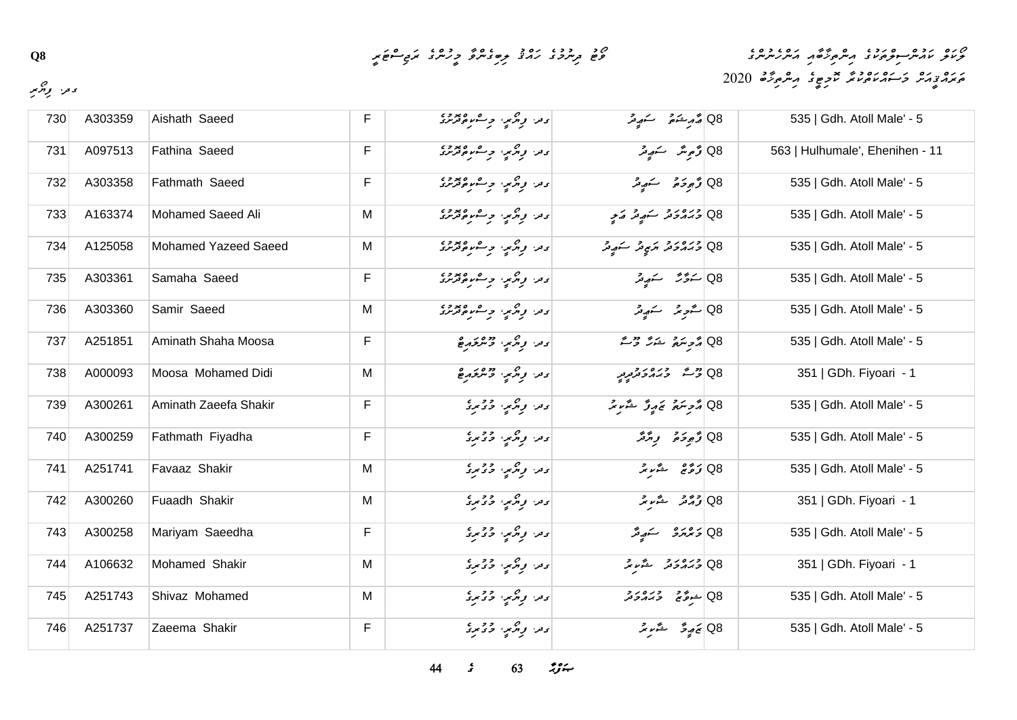*sCw7q7s5w7m< o<n9nOoAw7o< sCq;mAwBoEw7q<m; wBm;vB* م من المسجد المسجد المسجد المسجد المسجد العام 2020<br>مسجد المسجد المسجد المسجد المسجد المسجد المسجد المسجد المسجد ال

| 730 | A303359 | Aishath Saeed            | $\mathsf{F}$ | رىر وكرىي وگەرەپودە                           | Q8 م <i>جمع شکھی شکھی</i> تر                        | 535   Gdh. Atoll Male' - 5      |
|-----|---------|--------------------------|--------------|-----------------------------------------------|-----------------------------------------------------|---------------------------------|
| 731 | A097513 | Fathina Saeed            | F            | رور و گرمي و گرم و دره د                      | Q8 <i>وُمومدَّ ڪوپ</i> ندُ                          | 563   Hulhumale', Ehenihen - 11 |
| 732 | A303358 | Fathmath Saeed           | $\mathsf F$  | دىن وكرىي، وگەرەپردە                          | Q8 <i>وَّجِوَدَةْ</i> سَم <i>َّهِ</i> مِّدْ         | 535   Gdh. Atoll Male' - 5      |
| 733 | A163374 | <b>Mohamed Saeed Ali</b> | M            | دىر وكرىي وگەرەپودە                           | Q8 <i>ڈیزو ڈو شہر مگر</i>                           | 535   Gdh. Atoll Male' - 5      |
| 734 | A125058 | Mohamed Yazeed Saeed     | M            | .<br>  دورا و پژيزا و س <sup>و</sup> م وفرمرد | و <i>کا دیمگردی تربی به سکو</i> ر ترک               | 535   Gdh. Atoll Male' - 5      |
| 735 | A303361 | Samaha Saeed             | $\mathsf F$  | دىن ۋەكىم، ج <sup>ام</sup> ەھەترىرى           | Q8 سَتَرَكَّرُ مُسَمَّدِيْرُ                        | 535   Gdh. Atoll Male' - 5      |
| 736 | A303360 | Samir Saeed              | M            | دور و پرېږ، و گوروندو ده                      | Q8   گوپر کوپر                                      | 535   Gdh. Atoll Male' - 5      |
| 737 | A251851 | Aminath Shaha Moosa      | $\mathsf F$  | رىر وكرس ومركز                                | Q8 مُر <i>َمِ مَنْ مُشَرَّرٌ وَ</i> مُسَمَّ         | 535   Gdh. Atoll Male' - 5      |
| 738 | A000093 | Moosa Mohamed Didi       | M            | ى مى بوركىي، ئۇنىر كىرىم                      |                                                     | 351   GDh. Fiyoari - 1          |
| 739 | A300261 | Aminath Zaeefa Shakir    | $\mathsf{F}$ | ءَ ۾ وگري وڏيوءَ                              | Q8 مَّ <i>جِسَعَۃ نَج مِيوَدٌ</i> ڪُمَ <i>بِ</i> مَ | 535   Gdh. Atoll Male' - 5      |
| 740 | A300259 | Fathmath Fiyadha         | $\mathsf F$  | دىر. وگرىي، ۋويرو                             | Q8 <i>وَّجِوحَةْ وِجَدَّةْ</i>                      | 535   Gdh. Atoll Male' - 5      |
| 741 | A251741 | Favaaz Shakir            | M            | دىر. وگرىي، ۋويرو                             | Q8 كَرْمَرَّ جَمْعِيمَهُ                            | 535   Gdh. Atoll Male' - 5      |
| 742 | A300260 | Fuaadh Shakir            | M            | دىر. وگرىي، ۋويرو                             | Q8 <i>وَدَّنْدَ</i> يَدَّمِ يَرَ                    | 351   GDh. Fiyoari - 1          |
| 743 | A300258 | Mariyam Saeedha          | $\mathsf F$  | دىن وگرىي، ۋورە                               | Q8 كەنگەنگە سەم <i>بەنگ</i> ە                       | 535   Gdh. Atoll Male' - 5      |
| 744 | A106632 | Mohamed Shakir           | M            | ر من و پر من و د مرد                          | Q8 <i>وَبَهْدُوَنَّرَ</i> شَمَّ بَرَ                | 351   GDh. Fiyoari - 1          |
| 745 | A251743 | Shivaz Mohamed           | M            | ءما وكرميا وومره                              | Q8 جوح تو 25,25 كر                                  | 535   Gdh. Atoll Male' - 5      |
| 746 | A251737 | Zaeema Shakir            | F            | ړند وگري څونرو                                | Q8 ئوپۇ ش <i>ەرى</i> ز                              | 535   Gdh. Atoll Male' - 5      |

*44 sC 63 nNw?mS*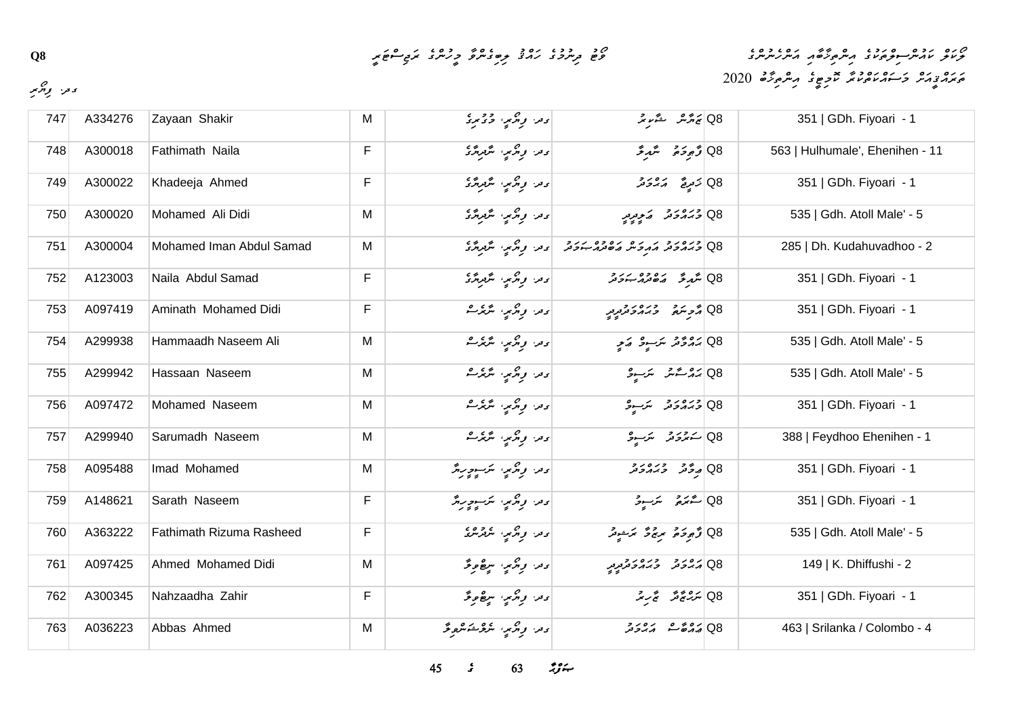*sCw7q7s5w7m< o<n9nOoAw7o< sCq;mAwBoEw7q<m; wBm;vB 2020<sup>, م</sup>وسر در مدد مدرج به مدرم مقرم قرار 2020*<br>موسر المستقرم المستقرم المستقرم المستقرم المستقرم المستقرم المستقرم المستقرم المستقرم المستقرم المستقرم المستقر

| 747 | A334276 | Zayaan Shakir            | M           | دىن وگرىي، 35ىرى                           | Q8 <i>كَيْرْتْرْ</i> شْدَمِيْر                     | 351   GDh. Fiyoari - 1          |
|-----|---------|--------------------------|-------------|--------------------------------------------|----------------------------------------------------|---------------------------------|
| 748 | A300018 | Fathimath Naila          | F           | دىن وكرىي، ئىر ئىر                         | Q8 <i>وَّجوحَةْ سَمْدِ مَّ</i>                     | 563   Hulhumale', Ehenihen - 11 |
| 749 | A300022 | Khadeeja Ahmed           | F           | دىن وكرىي، ئىر ئىر                         | Q8 كَتَوِيعٌ - <i>مُرْدُوَ</i> مُرُ                | 351   GDh. Fiyoari - 1          |
| 750 | A300020 | Mohamed Ali Didi         | M           | دىن بوركىي، ئىگىرىگەنى                     | Q8 <i>و برو دقت</i> كم موسي                        | 535   Gdh. Atoll Male' - 5      |
| 751 | A300004 | Mohamed Iman Abdul Samad | M           |                                            | ראש המרכב האת כים הסינג היכבר הבני קיציתי יילקית ב | 285   Dh. Kudahuvadhoo - 2      |
| 752 | A123003 | Naila Abdul Samad        | $\mathsf F$ | دىن وگرىي، سگېرىگرى                        | Q8 ئىم ئى ئەھەرمەدەر                               | 351   GDh. Fiyoari - 1          |
| 753 | A097419 | Aminath Mohamed Didi     | F           | دىن وگرىي، ئىگەگ                           | Q8 <i>مُّحِسَمُ وَبَرْمُ وَتَرْمِرِمِرِ</i>        | 351   GDh. Fiyoari - 1          |
| 754 | A299938 | Hammaadh Naseem Ali      | M           | دىن وگرىي، ئىگە ش                          | Q8] بَهُرْدَّتْدُ سَرَسٍوَّ <sub>مَك</sub> َرٍ     | 535   Gdh. Atoll Male' - 5      |
| 755 | A299942 | Hassaan Naseem           | M           | دىن وگرىي، ئىگە ش                          | Q8) ئەرگەسىگە س <i>ىرس</i> ونى                     | 535   Gdh. Atoll Male' - 5      |
| 756 | A097472 | Mohamed Naseem           | M           | دىن وگرىي، ئىگە شە                         | Q8 <i>وُبَهُ دَوْدٌ</i> سَرَسِي <sup>و</sup> ُ     | 351   GDh. Fiyoari - 1          |
| 757 | A299940 | Sarumadh Naseem          | M           | دىن وگرىي، ئىگە ش                          | Q8   سەئەبەقە سەسبەقە                              | 388   Feydhoo Ehenihen - 1      |
| 758 | A095488 | Imad Mohamed             | M           | دىن بوركىي، سكرسوچەرىگە                    | Q8 مەڭ <i>قىدە دى</i> ر                            | 351   GDh. Fiyoari - 1          |
| 759 | A148621 | Sarath Naseem            | $\mathsf F$ | <sub>م</sub> یں وگریں کرسوں گ              | Q8 كەنىمۇ سىرسوقر                                  | 351   GDh. Fiyoari - 1          |
| 760 | A363222 | Fathimath Rizuma Rasheed | $\mathsf F$ | <sub>م</sub> ین ویژنپ، نگهرمر <sub>م</sub> | $\frac{1}{2}$ وَّ جِرْحَمْ بِرِجْ حَ بَرَسْبِيْرَ  | 535   Gdh. Atoll Male' - 5      |
| 761 | A097425 | Ahmed Mohamed Didi       | M           | دىن وكرىي، س <sub>ى</sub> ھوگ              | Q8 <i>ג'יי ביי ביי ביי בית</i> ית.                 | 149   K. Dhiffushi - 2          |
| 762 | A300345 | Nahzaadha Zahir          | F           | دىن وگرىي، س <sub>ى</sub> ھوگ              | Q8 <i>مَرْدْ جُ</i> مَّرَ جَمْ بِمَرْ              | 351   GDh. Fiyoari - 1          |
| 763 | A036223 | Abbas Ahmed              | M           | <mark>ىقرا ۋەكىمپا ئىربىشەھ</mark> وگ      | Q8 <i>مُدْهُ شَهْرِ دَوْرَ</i>                     | 463   Srilanka / Colombo - 4    |

*45 s* 63  $23 \div$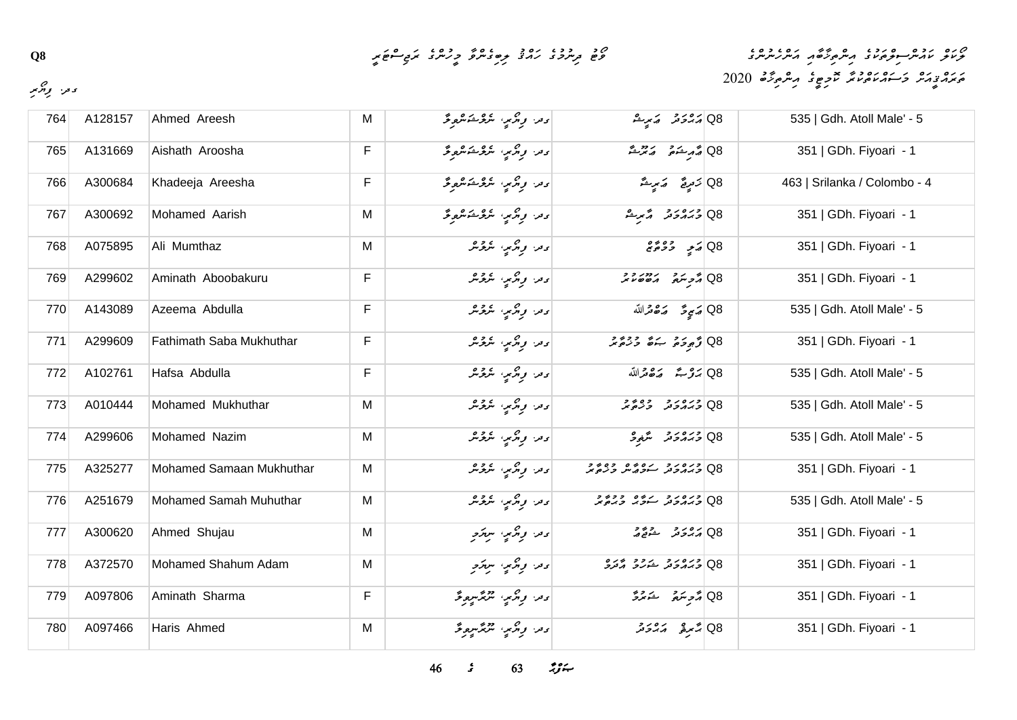*sCw7q7s5w7m< o<n9nOoAw7o< sCq;mAwBoEw7q<m; wBm;vB 2020<sup>, م</sup>وسر در مدد مدرج به مدرم مقرم قرار 2020*<br>موسر المستقرم المستقرم المستقرم المستقرم المستقرم المستقرم المستقرم المستقرم المستقرم المستقرم المستقرم المستقر

| 764 | A128157 | Ahmed Areesh             | M            | رىر وگرىي ئىروشكىر <i>مۇ</i> گ | Q8 <i>كەنگە كەتمەت كەتى</i> رىشە                         | 535   Gdh. Atoll Male' - 5   |
|-----|---------|--------------------------|--------------|--------------------------------|----------------------------------------------------------|------------------------------|
| 765 | A131669 | Aishath Aroosha          | $\mathsf F$  | دىرا بوركىيا الكرهنشكرونخ      | Q8 مەم ئىسكە ھەتمەشگە                                    | 351   GDh. Fiyoari - 1       |
| 766 | A300684 | Khadeeja Areesha         | $\mathsf F$  | ىمە وگەي ئىۋىشكىرۇ             | Q8 كَتْمِيعٌ - مَدْمِيشٌ                                 | 463   Srilanka / Colombo - 4 |
| 767 | A300692 | Mohamed Aarish           | M            | دىرا بوركىيا الكرهنشكرونخ      | Q8 <i>وُبَهُمُوَبَّرٍ مُ</i> بِرِسُمُ                    | 351   GDh. Fiyoari - 1       |
| 768 | A075895 | Ali Mumthaz              | M            | رىر وگرىي ئروگر                | $\begin{vmatrix} 2 & 2 & 5 \ 6 & 6 & 7 \end{vmatrix}$ Q8 | 351   GDh. Fiyoari - 1       |
| 769 | A299602 | Aminath Aboobakuru       | F            | أدفرا وكرميا الكرفائل          | $22222$ $2422$                                           | 351   GDh. Fiyoari - 1       |
| 770 | A143089 | Azeema Abdulla           | $\mathsf{F}$ | رىر. وگرىي، ئىرقىش             | Q8 <i>مَبِيحَۃ مَنْ قَدْ</i> اللّه                       | 535   Gdh. Atoll Male' - 5   |
| 771 | A299609 | Fathimath Saba Mukhuthar | $\mathsf F$  | دىن بولكىي، ئىرقىش             | Q8 ژ <sub>ىم</sub> ونى ئىق ۋىزمۇنىر                      | 351   GDh. Fiyoari - 1       |
| 772 | A102761 | Hafsa Abdulla            | F            | دىن بولكىي، ئىرقىش             | Q8 كَمَوْجَعْ مَ <b>صْ</b> قَرْاللَّه                    | 535   Gdh. Atoll Male' - 5   |
| 773 | A010444 | Mohamed Mukhuthar        | M            | رىر. وگرىي، ئىرقىل             | Q8 <i>وبروبرو وومور</i>                                  | 535   Gdh. Atoll Male' - 5   |
| 774 | A299606 | Mohamed Nazim            | M            | دىن بولكىي، ئىرقىش             | Q8 <i>وَبَرْدُوَنْرَ سُمْہِ وَّ</i>                      | 535   Gdh. Atoll Male' - 5   |
| 775 | A325277 | Mohamed Samaan Mukhuthar | M            | دىن بولكىي، ئىگەش              | Q8) درور د مروش ده در                                    | 351   GDh. Fiyoari - 1       |
| 776 | A251679 | Mohamed Samah Muhuthar   | M            | دىر. بوچرىي، ئىرقىش            | Q8] <i>دېرونو خوګو دوو</i> ر                             | 535   Gdh. Atoll Male' - 5   |
| 777 | A300620 | Ahmed Shujau             | M            | دىن وگرىي، سرىزى               | Q8) كەبرى قىرىمى ئىس كەنتى بىر                           | 351   GDh. Fiyoari - 1       |
| 778 | A372570 | Mohamed Shahum Adam      | M            | ءما وءكب سركر                  | Q8 ويرەپرو شروو مجرو                                     | 351   GDh. Fiyoari - 1       |
| 779 | A097806 | Aminath Sharma           | F            | دىن وكرىم، ئىرگە بىرەگ         | Q8 أَمَّ <i>جِسَعْهُ</i> شَمَعْتُ                        | 351   GDh. Fiyoari - 1       |
| 780 | A097466 | Haris Ahmed              | M            | رىر وكرىم، ئۇنگىرىدۇ.          | Q8 كېمبولا <b>ك</b> ېمبولىقى                             | 351   GDh. Fiyoari - 1       |

**46** *s* **63** *n***<sub>s</sub>**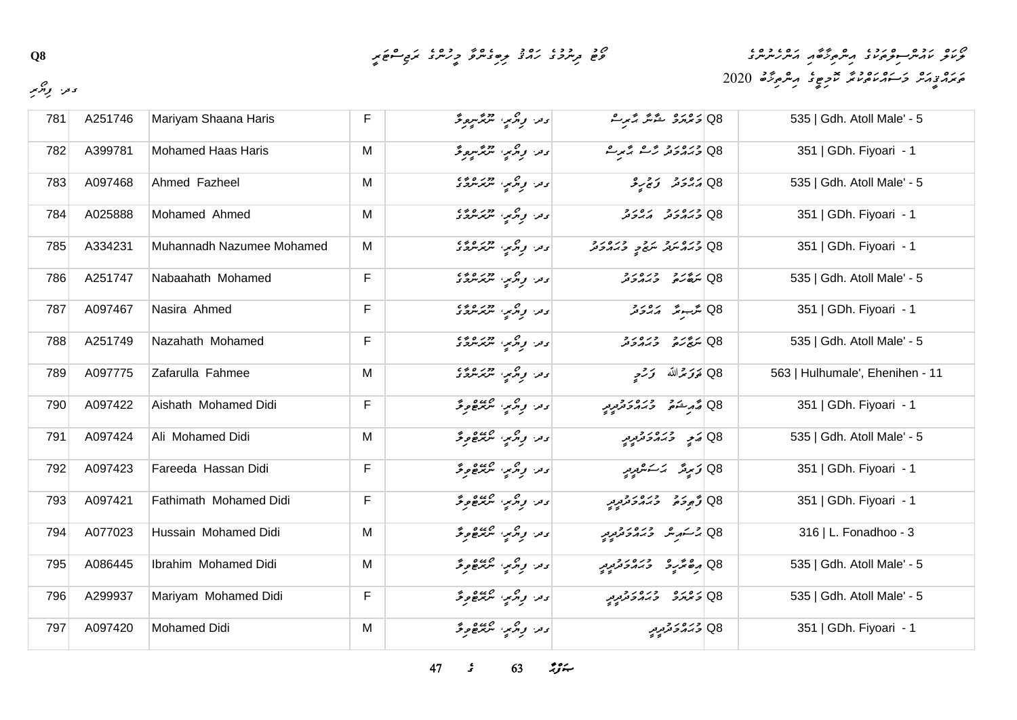*sCw7q7s5w7m< o<n9nOoAw7o< sCq;mAwBoEw7q<m; wBm;vB 2020*<br>*په پوهر وسوډيرونو لومو د موجو د مرمونه* 2020

| 781 | A251746 | Mariyam Shaana Haris      | $\mathsf{F}$ | ىلا وكرىم، ئۇنگىرىمۇ                    | Q8 كەنگەنگرى ئىگە ئەمرىك                                                                                                                                                                                                    | 535   Gdh. Atoll Male' - 5      |
|-----|---------|---------------------------|--------------|-----------------------------------------|-----------------------------------------------------------------------------------------------------------------------------------------------------------------------------------------------------------------------------|---------------------------------|
| 782 | A399781 | <b>Mohamed Haas Haris</b> | M            | <sub>ى</sub> ر روگىي شرگىرىدۇ.          | Q8 <i>وَيُهُوَدُوْ رُبُّ بُهْتِيْ -</i>                                                                                                                                                                                     | 351   GDh. Fiyoari - 1          |
| 783 | A097468 | Ahmed Fazheel             | M            | ومن وحرمي المركز والمعا                 | Q8 <i>كەندى تى تى</i> بىر                                                                                                                                                                                                   | 535   Gdh. Atoll Male' - 5      |
| 784 | A025888 | Mohamed Ahmed             | M            | ومن وحرمي المركز والمود                 | Q8 <i>وبرورو برورو</i>                                                                                                                                                                                                      | 351   GDh. Fiyoari - 1          |
| 785 | A334231 | Muhannadh Nazumee Mohamed | M            | أرمن وكرمي المرمز والماء                | Q8 כגל יישוב בגלבת                                                                                                                                                                                                          | 351   GDh. Fiyoari - 1          |
| 786 | A251747 | Nabaahath Mohamed         | $\mathsf F$  | ىلا وكرمړ، شرىرە دە                     | Q8) ئى <i>قتى قىدەد د</i>                                                                                                                                                                                                   | 535   Gdh. Atoll Male' - 5      |
| 787 | A097467 | Nasira Ahmed              | F            | دىن وكريم، ئىرىكى ئەن                   | Q8 مَرْسِومَدُ <i>مَدْوَ</i> مْرَ                                                                                                                                                                                           | 351   GDh. Fiyoari - 1          |
| 788 | A251749 | Nazahath Mohamed          | $\mathsf F$  | ىلا وكرمړ، شرىقوى                       | Q8 يَرَمُّ يَرْمُ وَيَرْمُرْ فَرْ                                                                                                                                                                                           | 535   Gdh. Atoll Male' - 5      |
| 789 | A097775 | Zafarulla Fahmee          | M            | دىن وگرىي، شرىكرىشى                     | Q8 <i>فوق م</i> ُراللّه <i>وَرْح</i> ِ                                                                                                                                                                                      | 563   Hulhumale', Ehenihen - 11 |
| 790 | A097422 | Aishath Mohamed Didi      | F            | ىمىن وكرىم، سرچرىج و څ                  | Q8 مەم شىھ ئ <i>وشەد قرىرىر</i>                                                                                                                                                                                             | 351   GDh. Fiyoari - 1          |
| 791 | A097424 | Ali Mohamed Didi          | M            | ىمىن وكرىم، ئىركى ئ                     | Q8 كەي تەركە ئەتەبەير                                                                                                                                                                                                       | 535   Gdh. Atoll Male' - 5      |
| 792 | A097423 | Fareeda Hassan Didi       | $\mathsf F$  | ىمىن بوركىي، ئىركىي ھوڭ                 | Q8 كۆم <sub>ى</sub> نگر كەسكىھىرىي <sub>ى</sub>                                                                                                                                                                             | 351   GDh. Fiyoari - 1          |
| 793 | A097421 | Fathimath Mohamed Didi    | F            | ىد. ومرىي شرچى ئە                       | Q8 ت <i>َّ جِ حَدَّ جَدَ جَدَ تَرْمِرِ بِرِ</i>                                                                                                                                                                             | 351   GDh. Fiyoari - 1          |
| 794 | A077023 | Hussain Mohamed Didi      | M            | <sub>ى</sub> مە رېگىيا ش <i>ىرقوم</i> ۇ |                                                                                                                                                                                                                             | 316   L. Fonadhoo - 3           |
| 795 | A086445 | Ibrahim Mohamed Didi      | M            | <sub>ى</sub> مە وكەيمە ش <i>ەھ</i> وگ   | Q8 مەھەر ئەرەر ئەرەر ئارلىرىدىن كەن ئارلىرىدىن ئارلىق ئارلىق ئارلىق ئارلىق ئارلىق ئارلىق ئارلىق ئارلىق ئارلىق<br>ئارلىق ئارلىق ئارلىق ئارلىق ئارلىق ئارلىق ئارلىق ئارلىق ئارلىق ئارلىق ئارلىق ئارلىق ئارلىق ئارلىق ئارلىق ئ | 535   Gdh. Atoll Male' - 5      |
| 796 | A299937 | Mariyam Mohamed Didi      | F            | <sub>ى</sub> ر رېگىي، ش <i>ىرق</i> قوق  | Q8 كەبرىز ئەرگە ئەرەپرىيە                                                                                                                                                                                                   | 535   Gdh. Atoll Male' - 5      |
| 797 | A097420 | <b>Mohamed Didi</b>       | M            | ىمىن وكرىم، سرپرھونۇ                    | Q8 <i>وُټرو وُترورِم</i> رِ                                                                                                                                                                                                 | 351   GDh. Fiyoari - 1          |

*47 sC 63 nNw?mS*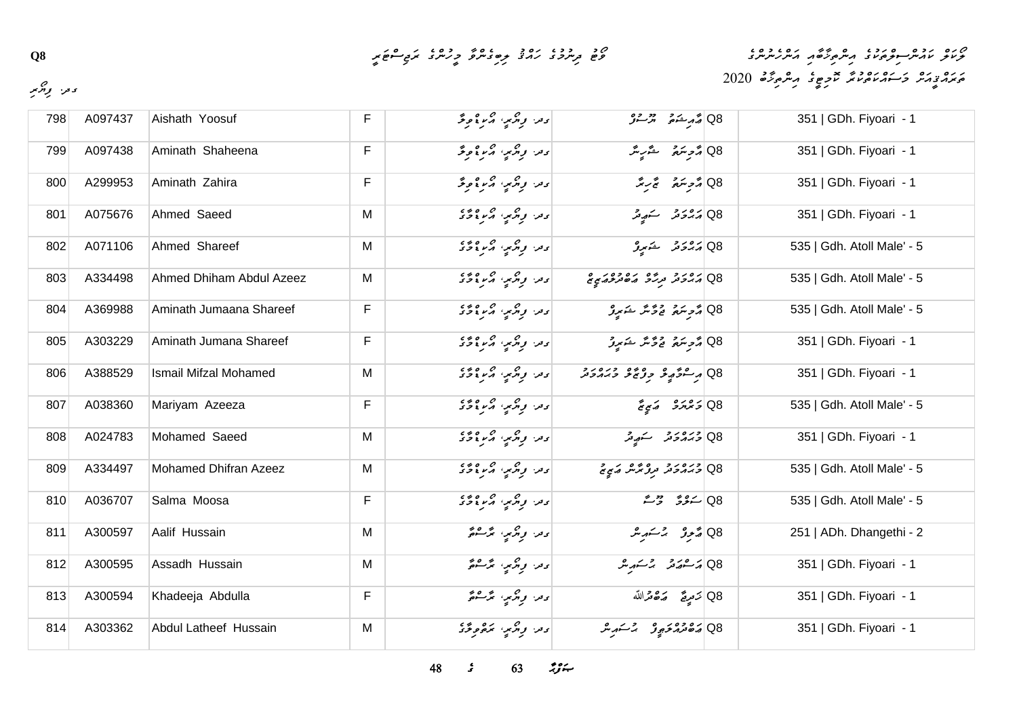*sCw7q7s5w7m< o<n9nOoAw7o< sCq;mAwBoEw7q<m; wBm;vB 2020*<br>*په پوهر وسوډيرونو لومو د موجو د مرمونه* 2020

| 798 | A097437 | Aishath Yoosuf               | $\mathsf{F}$ | <sub>ى</sub> مە ۋەكىر، كەرۋەتى  | Q8 م <i>جمېر شمېر مرگستو</i>                        | 351   GDh. Fiyoari - 1     |
|-----|---------|------------------------------|--------------|---------------------------------|-----------------------------------------------------|----------------------------|
| 799 | A097438 | Aminath Shaheena             | $\mathsf F$  | دىن وگرىي، گرىد؟ ھِ گ           | Q8 <i>مُزْحِيدَة حَدَّرِيدُ</i>                     | 351   GDh. Fiyoari - 1     |
| 800 | A299953 | Aminath Zahira               | $\mathsf F$  | <sub>ى</sub> مە ۋەكىر، كەرلەۋگە | Q8 م <i>ُّ جِينَهُ</i> تَجْ سِمَّر                  | 351   GDh. Fiyoari - 1     |
| 801 | A075676 | Ahmed Saeed                  | M            | دىن بوركىي، كەنبەللىك           | Q8 <i>كەندى كەر ئىكەن</i> گە                        | 351   GDh. Fiyoari - 1     |
| 802 | A071106 | Ahmed Shareef                | M            | دىن بوركىي، كەنبەلچە            | Q8 كەش <i>ۇش</i> خ <i>ەيرۇ</i>                      | 535   Gdh. Atoll Male' - 5 |
| 803 | A334498 | Ahmed Dhiham Abdul Azeez     | M            | دىن وگرىي، گرىدە دى             | Q8) ג' <i>ביצי היישי הסיקיבה <sub>א</sub>י</i>      | 535   Gdh. Atoll Male' - 5 |
| 804 | A369988 | Aminath Jumaana Shareef      | $\mathsf F$  | دىن وگرىي، گرىدە دى             | 08 مٌ <i>وِ سَهْءُ - ف</i> ِ حَ سَّ سَ سِرْدُ       | 535   Gdh. Atoll Male' - 5 |
| 805 | A303229 | Aminath Jumana Shareef       | $\mathsf F$  | <sub>ح</sub> ىن وكرمن كرماء دى  | 08 أ <i>مَّ وِ مَنْ مَعْ وَ حَمَّدَ حَسَنِ وَ</i>   | 351   GDh. Fiyoari - 1     |
| 806 | A388529 | <b>Ismail Mifzal Mohamed</b> | M            | دىن وگرىي، گرىدە 25             | Q8 <sub>م</sub> ر مش <i>ؤر قو و و و و د و د و د</i> | 351   GDh. Fiyoari - 1     |
| 807 | A038360 | Mariyam Azeeza               | F            | دىن وگرىي، گرىدە دى             | Q8 <i>كەنگەنگە</i> كەي ئى                           | 535   Gdh. Atoll Male' - 5 |
| 808 | A024783 | Mohamed Saeed                | M            | دىن بوركىي، كەنبەلچە            | Q8 <i>ۇنەۋەقى سەپەتى</i>                            | 351   GDh. Fiyoari - 1     |
| 809 | A334497 | <b>Mohamed Dhifran Azeez</b> | M            | دىن بوركىي، كەنبەلچە            | Q8 <i>دېمم</i> وتر مرو تر شو ته پر ځ                | 535   Gdh. Atoll Male' - 5 |
| 810 | A036707 | Salma Moosa                  | $\mathsf F$  | <sub>ى</sub> مە پەھىي مەم دەپ   | $23$ $53$ $\sim$ 08                                 | 535   Gdh. Atoll Male' - 5 |
| 811 | A300597 | Aalif Hussain                | M            | دىن وگرىي، ئۇسىمۇ               | Q8 <mark>مَّ عِنْ</mark> زَ مَجْسَمَ مِسْر          | 251   ADh. Dhangethi - 2   |
| 812 | A300595 | Assadh Hussain               | M            | دىن وگرىي، ئۇسىمۇ               | Q8 كەسىھەتىر كەسىرىسىتىر                            | 351   GDh. Fiyoari - 1     |
| 813 | A300594 | Khadeeja Abdulla             | F            | دىن بوركىي، ئۇستۇ               | Q8] <i>نَرْمِيعٌ ضَرَّةَ لَذَا</i> للَّه            | 351   GDh. Fiyoari - 1     |
| 814 | A303362 | Abdul Latheef Hussain        | M            | دىن وگرىي، ئۇۋرۇقى              | Q8 <i>مَـُـُّوْمُرْ مَـُوِيْرْ بِـُ</i> سَرِيْر     | 351   GDh. Fiyoari - 1     |

**48** *s* **63** *n***<sub>y</sub> <b>***n*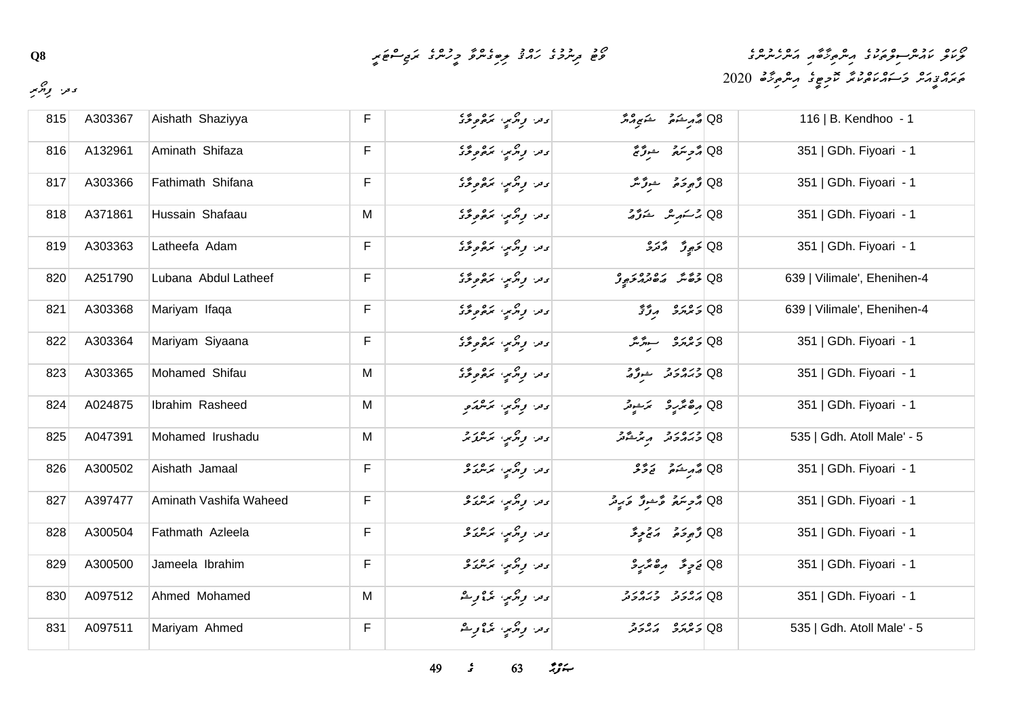*sCw7q7s5w7m< o<n9nOoAw7o< sCq;mAwBoEw7q<m; wBm;vB 2020*<br>*په پوهر وسوډيرونو لومو د موجو د مرمونه* 2020

| 815 | A303367 | Aishath Shaziyya       | F           | رى رومې ئىۋە ئ         | Q8 م <i>گهرڪو ڪوپرهڙ</i>                                                      | 116   B. Kendhoo - 1        |
|-----|---------|------------------------|-------------|------------------------|-------------------------------------------------------------------------------|-----------------------------|
| 816 | A132961 | Aminath Shifaza        | F           | دىن وكرىم، ئۇھ ۋىچى    | Q8 م <i>ُّ حِي مَنْهُ</i> مُسْتَرَبِّحَ                                       | 351   GDh. Fiyoari - 1      |
| 817 | A303366 | Fathimath Shifana      | F           | دىن وكرىم، ئۇۋرۇقۇ     | Q8 <i>وَّجِوَدَة</i> سُورَّسَّرَ                                              | 351   GDh. Fiyoari - 1      |
| 818 | A371861 | Hussain Shafaau        | M           | دىن وگرىي، ئۇۋرۇقى     | Q8 گەسىمبەشر ش <i>ەۋە</i>                                                     | 351   GDh. Fiyoari - 1      |
| 819 | A303363 | Latheefa Adam          | $\mathsf F$ | دىن وكرىم، ئۇھ ۋىچى    | Q8 كَرَجٍ <i>دُّ مُرَّدَدُ</i>                                                | 351   GDh. Fiyoari - 1      |
| 820 | A251790 | Lubana Abdul Latheef   | F           | ءمن وكرميا بره ولحمي   | Q8 څوڅ شه پره وه د مورم                                                       | 639   Vilimale', Ehenihen-4 |
| 821 | A303368 | Mariyam Ifaqa          | $\mathsf F$ | دىن وگرىي، ئۇۋرۇقى     | Q8 كەممە <i>نىڭ م</i> وڭر                                                     | 639   Vilimale', Ehenihen-4 |
| 822 | A303364 | Mariyam Siyaana        | F           | دىن وگرىي، ئۇھ ۋىچى    | Q8 كەنگەنگە ئىستەتىگە                                                         | 351   GDh. Fiyoari - 1      |
| 823 | A303365 | Mohamed Shifau         | M           | دىن وگرىي، ئۇھ ۋىچى    | $25.25$ $25.25$ $08$                                                          | 351   GDh. Fiyoari - 1      |
| 824 | A024875 | Ibrahim Rasheed        | M           | دىن وكرىي، ئرسمگرې     | Q8 <i>برھ مُرْرِ وَ</i> سَمَسِوْرَ                                            | 351   GDh. Fiyoari - 1      |
| 825 | A047391 | Mohamed Irushadu       | M           | دىن وگرىي، ئۇنىڭ ئى    | Q8 <i>وُبَهُ وَبَوْ</i> مِبْرَ مِثْقَة مِنْ                                   | 535   Gdh. Atoll Male' - 5  |
| 826 | A300502 | Aishath Jamaal         | F           | دىن وگرىي، ئۇسمەمۇ     | $\mathcal{S}\mathcal{S}$ مُ مِــَـمَـهُ $\mathcal{S}$ $\gtrsim$ $\mathcal{S}$ | 351   GDh. Fiyoari - 1      |
| 827 | A397477 | Aminath Vashifa Waheed | F           | دىن وگەي، ئەشكەنى      | $\frac{3}{2}$ مَّ مِسَمَّد قَرْسُوتَر قَدِيدَ \$                              | 351   GDh. Fiyoari - 1      |
| 828 | A300504 | Fathmath Azleela       | $\mathsf F$ | دىن وگرىي، ئۇسمەمۇ     | $\frac{2}{3}$ وَّجِوَدَةَ دَيْنَ مِرْدَّ                                      | 351   GDh. Fiyoari - 1      |
| 829 | A300500 | Jameela Ibrahim        | F           | دىن وگرىي، ئرگرىدى     | $\mathcal{L}_{\mathbf{z}}$ ة مِعْ مِنْ مِنْ مِنْ $\mathcal{Q}8$               | 351   GDh. Fiyoari - 1      |
| 830 | A097512 | Ahmed Mohamed          | M           | دىن وگرىمي، ئۇچ وىشە   | Q8 ג׳כנר כגם כל                                                               | 351   GDh. Fiyoari - 1      |
| 831 | A097511 | Mariyam Ahmed          | F           | پر مرکز ویگر ویگر ویگر | Q8 <i>كەنگەر ئەرگەر بەر ئە</i>                                                | 535   Gdh. Atoll Male' - 5  |

*49 s* 63  $23 \div$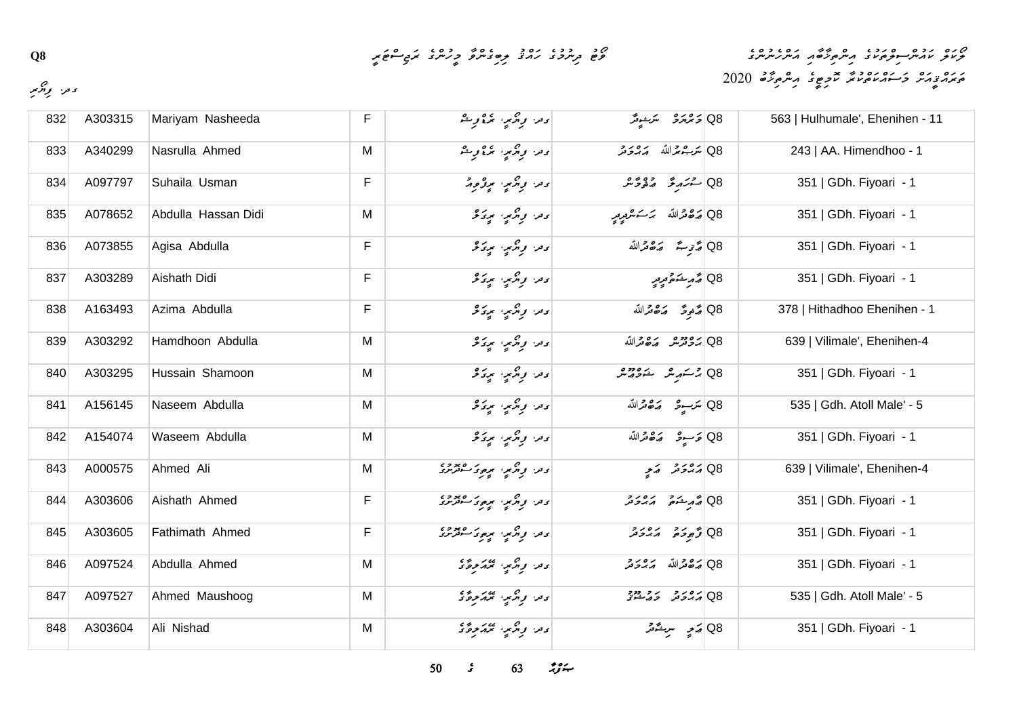*sCw7q7s5w7m< o<n9nOoAw7o< sCq;mAwBoEw7q<m; wBm;vB 2020*<br>*په پوهر وسوډيرونو لومو د موجو د مرمونه* 2020

| 832 | A303315 | Mariyam Nasheeda    | F           | <sub>ى</sub> رىن بوركىمپ، ئۇچمۇرىشە | Q8 كەنگە <i>نگە</i> سەرىئىيەنگر                      | 563   Hulhumale', Ehenihen - 11 |
|-----|---------|---------------------|-------------|-------------------------------------|------------------------------------------------------|---------------------------------|
| 833 | A340299 | Nasrulla Ahmed      | M           | پر بر ورکمبر، بر؟ وید               | $Q8$ جربه چمالله محدود                               | 243   AA. Himendhoo - 1         |
| 834 | A097797 | Suhaila Usman       | F           | أرور وترمي موؤور                    | Q8 ج <i>نزم</i> وءَ - <i>مؤون</i> گر                 | 351   GDh. Fiyoari - 1          |
| 835 | A078652 | Abdulla Hassan Didi | M           | دىن وگرىي، ئېرىگى                   | Q8 كەھەراللە كەشكىرى <i>ي</i>                        | 351   GDh. Fiyoari - 1          |
| 836 | A073855 | Agisa Abdulla       | F           | دىن وگرىي، ئېرىگى                   | Q8 <i>مُتَّ تِبَّةَ مُ</i> تَصَّقَّدَاللَّهُ         | 351   GDh. Fiyoari - 1          |
| 837 | A303289 | Aishath Didi        | $\mathsf F$ | رىر وگرىي ئېرىگى                    | Q8 ۾ مرڪو <i>م</i> رمر                               | 351   GDh. Fiyoari - 1          |
| 838 | A163493 | Azima Abdulla       | F           | دىن وگرىي، ئېرىگى                   | Q8 مَّەمِرَّ مَەھْمَراللّه                           | 378   Hithadhoo Ehenihen - 1    |
| 839 | A303292 | Hamdhoon Abdulla    | M           | رىر وگرىي، ئېرىگى                   | Q8 كەفرىس كەھەراللە                                  | 639   Vilimale', Ehenihen-4     |
| 840 | A303295 | Hussain Shamoon     | M           | دىن وگرىي، ئېرىگى                   | Q8 يُرْسَمب <sup>9</sup> شَدَ <i>وْهُ</i> مَرْ       | 351   GDh. Fiyoari - 1          |
| 841 | A156145 | Naseem Abdulla      | M           | دىن وگرىي، بېرىگ                    | Q8 كمرسو <i>د كەڭ قى</i> راللە                       | 535   Gdh. Atoll Male' - 5      |
| 842 | A154074 | Waseem Abdulla      | M           | ءمرا ويرميا ميذكل                   | Q8 <i>قريدة مَنْ قَدْ</i> اللّه                      | 351   GDh. Fiyoari - 1          |
| 843 | A000575 | Ahmed Ali           | M           | دور و پرېمي، مرجو کامبرو ده         | Q8 <i>كەنگەنگە</i> ھەمبە                             | 639   Vilimale', Ehenihen-4     |
| 844 | A303606 | Aishath Ahmed       | $\mathsf F$ | وفر و گرمي مرد کرده بود د           | Q8 <i>مُّهِ شَمَّعُ</i> م <i>ُ</i> مُ <i>حَدَّدٌ</i> | 351   GDh. Fiyoari - 1          |
| 845 | A303605 | Fathimath Ahmed     | F           | دورا و پژندا امرچ کا متحد داد       | Q8 <i>وَّجِوحَةْ مَدْحَةْ</i>                        | 351   GDh. Fiyoari - 1          |
| 846 | A097524 | Abdulla Ahmed       | M           | ىمىن وپرىي، ئىمەر ئ                 | Q8 كَەشكەنلە كەبىر ئەر                               | 351   GDh. Fiyoari - 1          |
| 847 | A097527 | Ahmed Maushoog      | M           | ىمىن وپرىي، ئىمەمرەتى               | Q8 كەبرى <i>قىرى ئۇ</i> يدىنى ئى                     | 535   Gdh. Atoll Male' - 5      |
| 848 | A303604 | Ali Nishad          | M           | ىمىن وپرىي، ئۇيمىر ئەمى             | Q8 <i>۾َ ۾</i> سرڪور                                 | 351   GDh. Fiyoari - 1          |

 $50$  *s*  $63$  *n***<sub>y</sub>** $\leq$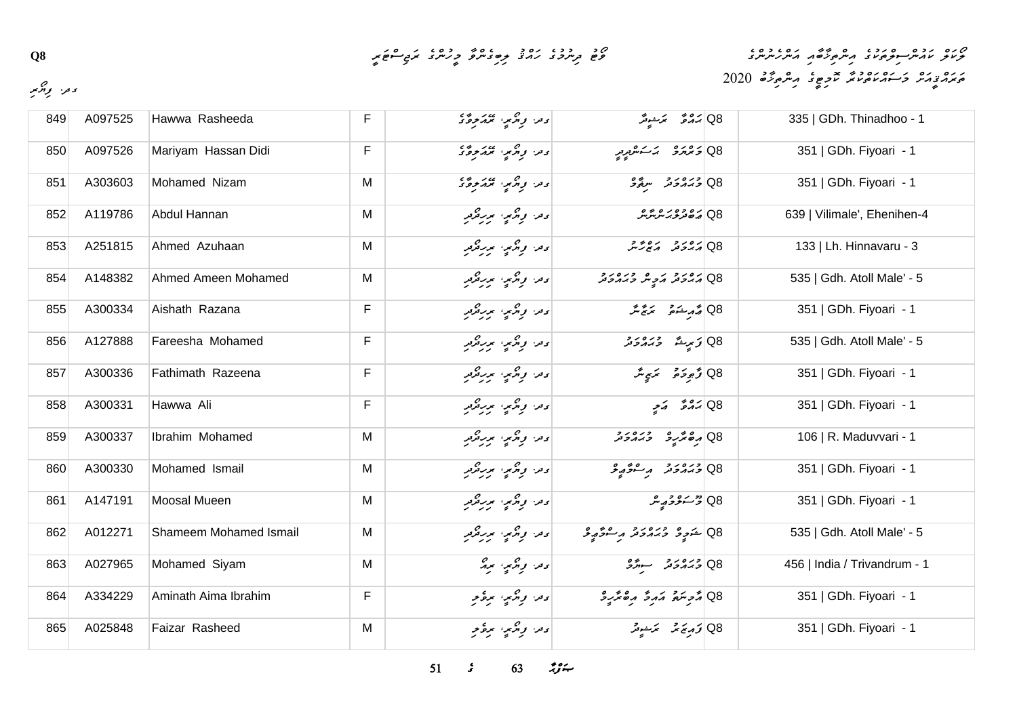*sCw7q7s5w7m< o<n9nOoAw7o< sCq;mAwBoEw7q<m; wBm;vB* م من المرة المرة المرة المرجع المرجع في المركبة 2020<br>مجم*د المريض المربوط المربع المرجع في المراجع المركبة* 

| 849 | A097525 | Hawwa Rasheeda         | F           | ىمىن وكرىم، ئۇيمىر ئەنج           | Q8 <i>بَدْهُ مَ</i> بَرَسْ <sub>تِ</sub> مَّر                                                                  | 335   GDh. Thinadhoo - 1     |
|-----|---------|------------------------|-------------|-----------------------------------|----------------------------------------------------------------------------------------------------------------|------------------------------|
| 850 | A097526 | Mariyam Hassan Didi    | $\mathsf F$ | ىمىن ومرىي، ئىمەر ئ               | Q8 كەبۇر كەسكە ئەسىر بىر                                                                                       | 351   GDh. Fiyoari - 1       |
| 851 | A303603 | Mohamed Nizam          | M           | ىمىن وپرىي، ئىمەر ئ               | Q8 <i>وَبَدُوْدَوْ</i> سِهْرَةَ                                                                                | 351   GDh. Fiyoari - 1       |
| 852 | A119786 | Abdul Hannan           | M           | رىر وكرمړ، مرردگور                | Q8 كەھ <i>ترۇبەتترىتر</i>                                                                                      | 639   Vilimale', Ehenihen-4  |
| 853 | A251815 | Ahmed Azuhaan          | M           | ءو. وءكي مرتكبر                   | Q8 <i>كەبۇخەت كەنج ئە</i> ر                                                                                    | 133   Lh. Hinnavaru - 3      |
| 854 | A148382 | Ahmed Ameen Mohamed    | M           | ءو. وءكي مردهو                    | Q8) גُגُوَتَرُ גَرٍ شُرَ وَبَرَ <i>مُ</i> وَتَرَ                                                               | 535   Gdh. Atoll Male' - 5   |
| 855 | A300334 | Aishath Razana         | $\mathsf F$ | <mark>رىر: وەكىي: بر</mark> رىگىر | Q8 <i>مەمبەشقى ئىرتى تى</i> ر                                                                                  | 351   GDh. Fiyoari - 1       |
| 856 | A127888 | Fareesha Mohamed       | F           | ءو. وءكي مردهو                    | Q8 كۆمچىنىڭ ئ <i>ۇ ئەۋك</i> تر                                                                                 | 535   Gdh. Atoll Male' - 5   |
| 857 | A300336 | Fathimath Razeena      | $\mathsf F$ | ءو. وگري بررگور                   | Q8 <i>گ<sub>ې</sub>وخ</i> مۇ ئىرىپ ئىگە                                                                        | 351   GDh. Fiyoari - 1       |
| 858 | A300331 | Hawwa Ali              | F           | أرفرا وأكرميا أمرزهور             | Q8 بَرْدُوَّ   مَرِ                                                                                            | 351   GDh. Fiyoari - 1       |
| 859 | A300337 | Ibrahim Mohamed        | M           | <mark>رىر: وەكىي، م</mark> ورىگەر | Q8 مەھەم بەر ئەمدە ئىكەن ئىككەت ئىككەت ئىككەت ئىككەت ئىككەت ئىككەت ئىككەت ئىككەت ئىككەت ئىككەت ئىككەت ئىككەت ئ | 106   R. Maduvvari - 1       |
| 860 | A300330 | Mohamed Ismail         | M           | دور وگري، مرتزور                  | Q8 <i>ۋىزەدى م</i> ېشۇم <i>ۇ</i>                                                                               | 351   GDh. Fiyoari - 1       |
| 861 | A147191 | Moosal Mueen           | M           | رىر وكرمړ، مرردگور                | Q8) تۇسىمۇ <i>ئى</i> مپە                                                                                       | 351   GDh. Fiyoari - 1       |
| 862 | A012271 | Shameem Mohamed Ismail | M           | ومن وأثبت مرتزمر                  | Q8) ڪوچ و <i>جي وڃ ۾ موڪھي</i> و                                                                               | 535   Gdh. Atoll Male' - 5   |
| 863 | A027965 | Mohamed Siyam          | M           | <sub>م</sub> ور. وترتی، بردگ      | Q8 <i>وَيُدُوْدُوْ</i> سِيرُوْ                                                                                 | 456   India / Trivandrum - 1 |
| 864 | A334229 | Aminath Aima Ibrahim   | F           | رمه وترس برؤم                     | Q8 <i>مُوسَعْ مَه</i> دُّ مِعْمُرِدْ                                                                           | 351   GDh. Fiyoari - 1       |
| 865 | A025848 | Faizar Rasheed         | M           | رمه وترس برؤم                     | Q8 <i>قەم ئەڭ مەشپەن</i> گە                                                                                    | 351   GDh. Fiyoari - 1       |

 $51$  *s*  $63$  *n***<sub>y</sub>** $\frac{2}{3}$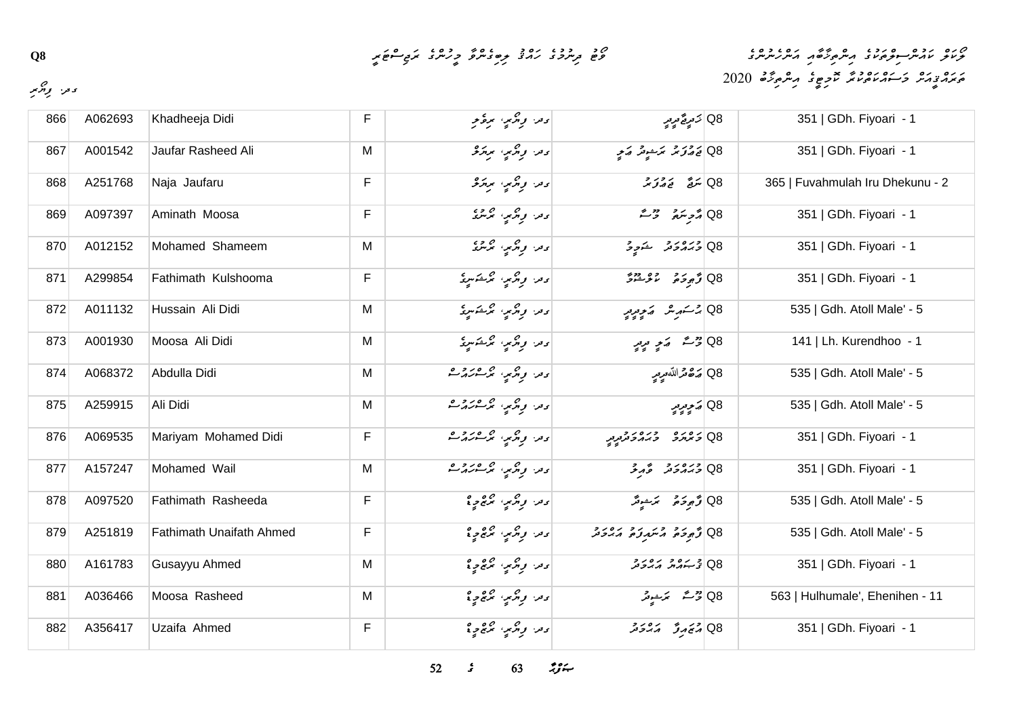*sCw7q7s5w7m< o<n9nOoAw7o< sCq;mAwBoEw7q<m; wBm;vB 2020*<br>*په پوهر وسوډيرونو لومو د موجو د مرمونه* 2020

| 866 | A062693 | Khadheeja Didi                  | $\mathsf{F}$ | رمه وترمي برؤم                              | Q8 كەرىگە <i>ي</i> وپر                                         | 351   GDh. Fiyoari - 1           |
|-----|---------|---------------------------------|--------------|---------------------------------------------|----------------------------------------------------------------|----------------------------------|
| 867 | A001542 | Jaufar Rasheed Ali              | M            | أرفرا وأكرس براكر                           | Q8 <i>ف<sub>َا</sub>مْ</i> تَرَكْزَ كَرَسُونْزَ مَ <i>زَمٍ</i> | 351   GDh. Fiyoari - 1           |
| 868 | A251768 | Naja Jaufaru                    | $\mathsf F$  | رىر وكري بركرو                              | Q8 سَمَّةً صَ <i>مَّة وَ</i>                                   | 365   Fuvahmulah Iru Dhekunu - 2 |
| 869 | A097397 | Aminath Moosa                   | $\mathsf F$  | <sub>ى</sub> مىز ب <sub>و</sub> رىمى، ئوسرى | Q8 أُمَّ <i>جِسَعْهُ</i> تَرْسَّمُ                             | 351   GDh. Fiyoari - 1           |
| 870 | A012152 | Mohamed Shameem                 | M            | ى قىز بوركىي، ئىرسى                         | Q8 <i>وُبَرْدُوَنْرَ</i> شَ <i>وِدْ</i>                        | 351   GDh. Fiyoari - 1           |
| 871 | A299854 | Fathimath Kulshooma             | $\mathsf F$  | <sub>ى</sub> مە ۋەكىر، ئۇخەمبەتچ            | Q8 <i>وُمِودَة</i> لاعتق                                       | 351   GDh. Fiyoari - 1           |
| 872 | A011132 | Hussain Ali Didi                | M            | أدفرا وترميا الركشيرة                       | Q8 پرستوپر کامیوٹرمیر                                          | 535   Gdh. Atoll Male' - 5       |
| 873 | A001930 | Moosa Ali Didi                  | M            | <sub>ى</sub> ر رومې ئىشكىرى                 | Q8 رُحْمَ - مَرِّ مِرْمَرِ                                     | 141   Lh. Kurendhoo - 1          |
| 874 | A068372 | Abdulla Didi                    | M            | ى قراء و مەر بار ئەسىر كەنت                 | Q8   كَدَّةْ قَدْ اللَّهْ مِرْمِرِ                             | 535   Gdh. Atoll Male' - 5       |
| 875 | A259915 | Ali Didi                        | M            | ى قراء بوركرىي، كوك مارچ م                  | Q8   پژورور                                                    | 535   Gdh. Atoll Male' - 5       |
| 876 | A069535 | Mariyam Mohamed Didi            | $\mathsf F$  | ىمىن بورىمىي، ئۇستەرلەت                     | Q8 كەنگەنى ئەرەكە ئەربىر                                       | 351   GDh. Fiyoari - 1           |
| 877 | A157247 | Mohamed Wail                    | M            | ى تىر ، توركى ، كەن كەر 2 ھ                 | Q8 <i>وَبَدْوَدَوْ</i> وَ <i>مِدْوَ</i>                        | 351   GDh. Fiyoari - 1           |
| 878 | A097520 | Fathimath Rasheeda              | $\mathsf F$  | ىد رومې چىمې                                | Q8 <i>وَّجِوَدَةُ</i> يَرَ <sub>ْشِي</sub> قَرَّ               | 535   Gdh. Atoll Male' - 5       |
| 879 | A251819 | <b>Fathimath Unaifath Ahmed</b> | F            | ر در وگري مر <sub>کا</sub> م و              | Q8 زٌج <i>ودَة مُسَمِّدِوَة مُ</i> حَدَّدَ                     | 535   Gdh. Atoll Male' - 5       |
| 880 | A161783 | Gusayyu Ahmed                   | M            | رىر. رومې، مۇج د <mark>پ</mark>             | Q8 تۇبەد <i>مەدەر د</i>                                        | 351   GDh. Fiyoari - 1           |
| 881 | A036466 | Moosa Rasheed                   | M            | ى تىر ، توركىيە ، ئۇچ چ                     | Q8] تُرْتَّہُ کَمَرْسُومِرُ                                    | 563   Hulhumale', Ehenihen - 11  |
| 882 | A356417 | Uzaifa Ahmed                    | $\mathsf F$  | دىن وكرمې، چرچو چ                           | Q8 مجموع م مركز مركز                                           | 351   GDh. Fiyoari - 1           |

 $52$  *s*  $63$  *n***<sub>y</sub>** $\leq$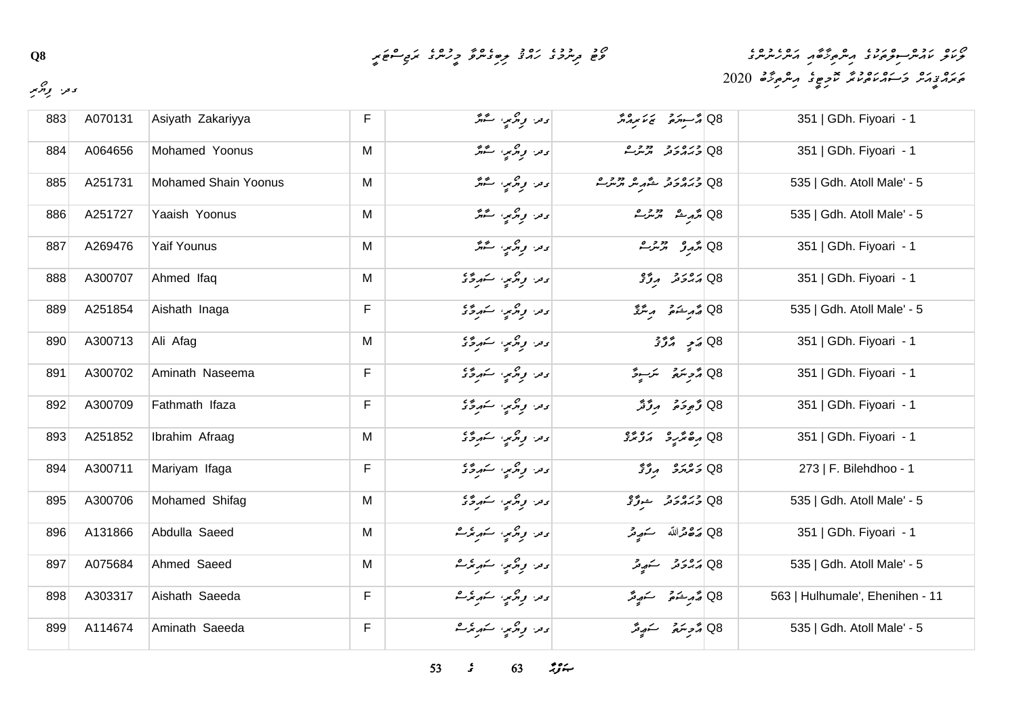*sCw7q7s5w7m< o<n9nOoAw7o< sCq;mAwBoEw7q<m; wBm;vB 2020*<br>*په پوهر وسوډيرونو لومو د موجو د مرمونه* 2020

| 883 | A070131 | Asiyath Zakariyya           | $\mathsf F$ | <sub>ى</sub> ەر. وگرىمي، ئىگەگ | $\int \frac{1}{2} \kappa \frac{1}{2} \kappa \frac{1}{2} \kappa \frac{1}{2} \kappa \frac{1}{2} \kappa \frac{1}{2} \kappa \frac{1}{2} \kappa \frac{1}{2} \kappa \frac{1}{2} \kappa \frac{1}{2} \kappa \frac{1}{2} \kappa \frac{1}{2} \kappa \frac{1}{2} \kappa \frac{1}{2} \kappa \frac{1}{2} \kappa \frac{1}{2} \kappa \frac{1}{2} \kappa \frac{1}{2} \kappa \frac{1}{2} \kappa \frac{1}{2} \kappa \frac{1}{2} \kappa \frac{1}{2} \$ | 351   GDh. Fiyoari - 1          |
|-----|---------|-----------------------------|-------------|--------------------------------|-------------------------------------------------------------------------------------------------------------------------------------------------------------------------------------------------------------------------------------------------------------------------------------------------------------------------------------------------------------------------------------------------------------------------------------|---------------------------------|
| 884 | A064656 | Mohamed Yoonus              | M           | دىر. وكرىي، ئەگە               | Q8 <i>وبرورو ودي</i> ر                                                                                                                                                                                                                                                                                                                                                                                                              | 351   GDh. Fiyoari - 1          |
| 885 | A251731 | <b>Mohamed Shain Yoonus</b> | M           | دىن بويژمېر، گېگ               | Q8 <i>دېرو د هغ</i> ږ شرسه                                                                                                                                                                                                                                                                                                                                                                                                          | 535   Gdh. Atoll Male' - 5      |
| 886 | A251727 | Yaaish Yoonus               | M           | ى قىز ، تو چرىپ ، سەچر         | Q8 مگرم شهر مشرکته                                                                                                                                                                                                                                                                                                                                                                                                                  | 535   Gdh. Atoll Male' - 5      |
| 887 | A269476 | Yaif Younus                 | M           | دىن ۋەكبې، ئىگە                | Q8 م <i>گہر و</i> مرتنز کے                                                                                                                                                                                                                                                                                                                                                                                                          | 351   GDh. Fiyoari - 1          |
| 888 | A300707 | Ahmed Ifaq                  | M           | ءمرا وكريب سكرونج              | Q8 <i>كەنگەنگە</i> م <i>وڭ</i> تى                                                                                                                                                                                                                                                                                                                                                                                                   | 351   GDh. Fiyoari - 1          |
| 889 | A251854 | Aishath Inaga               | $\mathsf F$ | ءمرا وكريبا كركرومي            | Q8 مُەم شەھرە بەش <i>ت</i> گە                                                                                                                                                                                                                                                                                                                                                                                                       | 535   Gdh. Atoll Male' - 5      |
| 890 | A300713 | Ali Afag                    | M           | ءمرا وكريب سكرونج              | Q8  كەمچە ئ <sup>و</sup> گە تۇ                                                                                                                                                                                                                                                                                                                                                                                                      | 351   GDh. Fiyoari - 1          |
| 891 | A300702 | Aminath Naseema             | $\mathsf F$ | ءَ تو وگري ڪورگاءُ             | Q8 مُّحِسَمُ مَنْ مِنْ مِنْ مِنْ مِنْ                                                                                                                                                                                                                                                                                                                                                                                               | 351   GDh. Fiyoari - 1          |
| 892 | A300709 | Fathmath Ifaza              | $\mathsf F$ | دىن وگرىي، سەردۇ ئ             | Q8 <i>وَّجِوحَةْ وِوَّتَّةْ</i>                                                                                                                                                                                                                                                                                                                                                                                                     | 351   GDh. Fiyoari - 1          |
| 893 | A251852 | Ibrahim Afraag              | M           | ءمرا وكريب سكرونج              | Q8 <sub>مەھ</sub> مۇر بۇ مۇمۇ                                                                                                                                                                                                                                                                                                                                                                                                       | 351   GDh. Fiyoari - 1          |
| 894 | A300711 | Mariyam Ifaga               | F           | <sub>ى</sub> ر وگرىي سەردى     | Q8 كەنگە <i>ئەرقۇ</i>                                                                                                                                                                                                                                                                                                                                                                                                               | 273   F. Bilehdhoo - 1          |
| 895 | A300706 | Mohamed Shifag              | M           | ى قرار بوركى بە ئىكروگى        | $O(8)$ $\frac{2}{3}$ $\frac{2}{3}$ $\frac{2}{3}$ $\frac{2}{3}$ $O(8)$                                                                                                                                                                                                                                                                                                                                                               | 535   Gdh. Atoll Male' - 5      |
| 896 | A131866 | Abdulla Saeed               | M           | دىن وچىپ سەرتۇپ                | Q8 كەشكەللە ك <i>وپى</i> تر                                                                                                                                                                                                                                                                                                                                                                                                         | 351   GDh. Fiyoari - 1          |
| 897 | A075684 | Ahmed Saeed                 | M           | دىن وگرىي، سەرتكى ھ            | Q8 <i>كەندى قىم شەھ</i>                                                                                                                                                                                                                                                                                                                                                                                                             | 535   Gdh. Atoll Male' - 5      |
| 898 | A303317 | Aishath Saeeda              | $\mathsf F$ | دىن وچىپ سەرتۇپ                | Q8 م <i>گهرڪو ڪوينگ</i> ر                                                                                                                                                                                                                                                                                                                                                                                                           | 563   Hulhumale', Ehenihen - 11 |
| 899 | A114674 | Aminath Saeeda              | $\mathsf F$ | ى قىز بولكى بول سكىرىكى شە     | Q8 أ <i>مَّ حِيدَة مُسَمَّدٍ م</i> ُّدَّ                                                                                                                                                                                                                                                                                                                                                                                            | 535   Gdh. Atoll Male' - 5      |

 $53$   $5$   $63$   $294$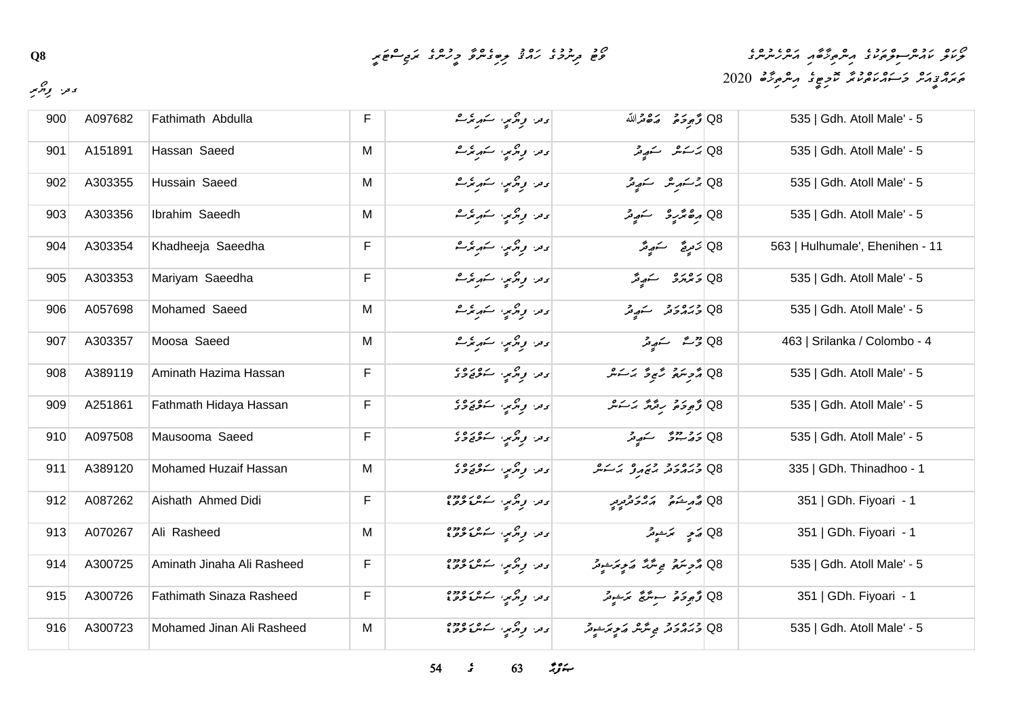*sCw7q7s5w7m< o<n9nOoAw7o< sCq;mAwBoEw7q<m; wBm;vB* م من المسجد المسجد المسجد المسجد المسجد العام 2020<br>مسجد المسجد المسجد المسجد المسجد المسجد المسجد المسجد المسجد ال

| 900 | A097682 | Fathimath Abdulla               | F            | ى قرار توركى بىر سكى كى مىل                       | Q8 <i>وَّجِحَة مَـُهَّة</i> َ اللّه                                                                             | 535   Gdh. Atoll Male' - 5      |
|-----|---------|---------------------------------|--------------|---------------------------------------------------|-----------------------------------------------------------------------------------------------------------------|---------------------------------|
| 901 | A151891 | Hassan Saeed                    | M            | دىن وچىپ سەرتۇپ                                   | Q8   يَرْسَعْرُ مُسَمَّرٍ مُرْ                                                                                  | 535   Gdh. Atoll Male' - 5      |
| 902 | A303355 | Hussain Saeed                   | M            | دىن وچىپ سەرتۇپ                                   | Q8 گەسىمبەش سى <i>مپەر</i>                                                                                      | 535   Gdh. Atoll Male' - 5      |
| 903 | A303356 | Ibrahim Saeedh                  | M            | دىن توپرېي، سكەنگرىشە                             | Q8 م <i>وڭ ئۇرۇ سەمبەتر</i>                                                                                     | 535   Gdh. Atoll Male' - 5      |
| 904 | A303354 | Khadheeja Saeedha               | $\mathsf{F}$ | دىن وچىپ سەرتۇپ                                   | Q8 كَتْمِيعٌ صَمِيعٌر                                                                                           | 563   Hulhumale', Ehenihen - 11 |
| 905 | A303353 | Mariyam Saeedha                 | $\mathsf F$  | <sub>ى</sub> مەر بولۇپ سەيرىگە                    | Q8 كەنگەنگە سى <i>م بەنگ</i> ە                                                                                  | 535   Gdh. Atoll Male' - 5      |
| 906 | A057698 | Mohamed Saeed                   | M            | دىن وگرىي، سەرترىشە                               | Q8 <i>ڈیزو ڈو</i> سکھیے تھ                                                                                      | 535   Gdh. Atoll Male' - 5      |
| 907 | A303357 | Moosa Saeed                     | M            | دىن وچىپ سەرترىش                                  | Q8 ٿڙ ش <i>ه ستهوي</i> ٽر                                                                                       | 463   Srilanka / Colombo - 4    |
| 908 | A389119 | Aminath Hazima Hassan           | $\mathsf F$  | دىن وگرىي، سەۋەرە ،                               | Q8 <i>مُّەجِسَمْ گَی</i> ج کَسَسُر                                                                              | 535   Gdh. Atoll Male' - 5      |
| 909 | A251861 | Fathmath Hidaya Hassan          | F            | دىن وگرىي، سكوگەنى دى                             | Q8 <i>وَّجِودَة رِمَّزَةَ بَرَسَ</i> سَّ                                                                        | 535   Gdh. Atoll Male' - 5      |
| 910 | A097508 | Mausooma Saeed                  | $\mathsf{F}$ | <sub>ى</sub> ر وگرىي سەۋەرە ،                     | Q8 كەن يىلىق سى <i>مبەن</i> گە                                                                                  | 535   Gdh. Atoll Male' - 5      |
| 911 | A389120 | Mohamed Huzaif Hassan           | M            | دىن وگرىي، سكوڭ ۋى                                | Q8 <i>دېمم</i> ونه ب <sub>مخ م</sub> رو برخش                                                                    | 335   GDh. Thinadhoo - 1        |
| 912 | A087262 | Aishath Ahmed Didi              | $\mathsf F$  | ومن وكرميا كشكره ودوه                             | $\log \frac{1}{\alpha}$ م م الله عليه السلم من السلم السلم من السلم السلم من السلم السلم من السلم السلم السلم ا | 351   GDh. Fiyoari - 1          |
| 913 | A070267 | Ali Rasheed                     | M            | ى تىر ، ت <sub>و</sub> رى بىر ، مەردە <i>مەدە</i> | Q8 <i>أمَّ</i> حٍ - مَرْش <sub>و</sub> مْر                                                                      | 351   GDh. Fiyoari - 1          |
| 914 | A300725 | Aminath Jinaha Ali Rasheed      | $\mathsf F$  | دىن پەھرىپ سەھدى دەھ                              | Q8 أَمَّ حِ سَمَّةً مِ سَمَّةً ۖ أَمَّ حِ مَرْسُومَّر                                                           | 535   Gdh. Atoll Male' - 5      |
| 915 | A300726 | <b>Fathimath Sinaza Rasheed</b> | $\mathsf F$  | دىن پەھرىپ سەھدە دەە                              | Q8 <i>وَّەودَةْ</i> سومَّدَّةَ مَرَسُونْر                                                                       | 351   GDh. Fiyoari - 1          |
| 916 | A300723 | Mohamed Jinan Ali Rasheed       | M            | دىن پەھمىي، سەھرىم دەھ                            | Q8  <i>وبروبر في مرَّسْ مَجِهَنَ</i> يُومِّرَ                                                                   | 535   Gdh. Atoll Male' - 5      |

 $54$  *s*  $63$  *n***<sub>y</sub>** $\leq$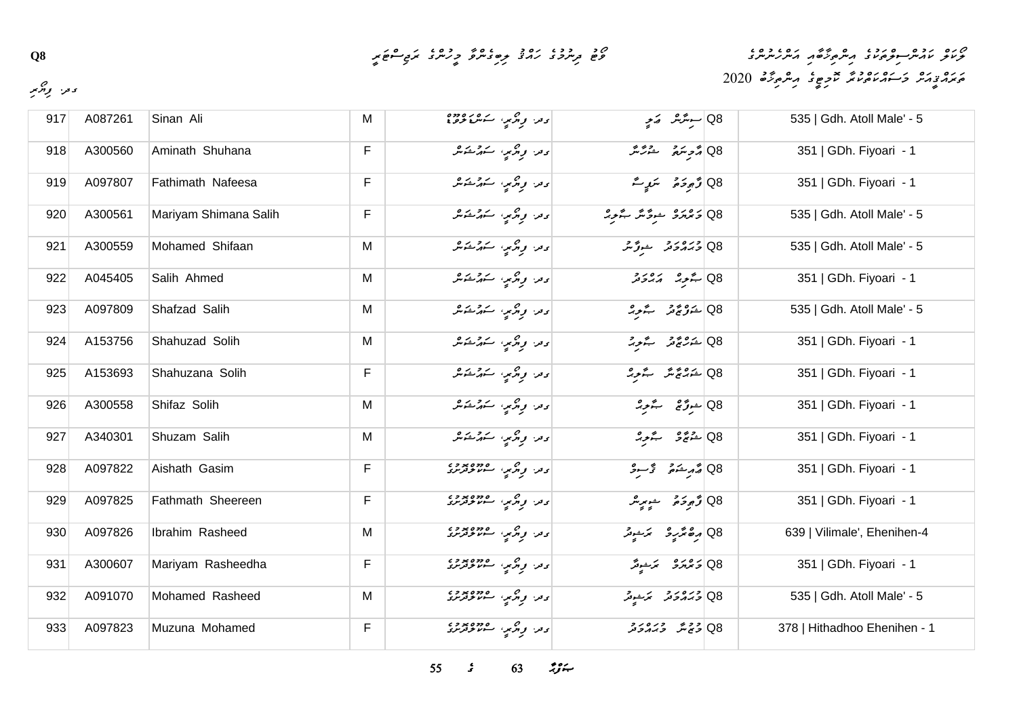*sCw7q7s5w7m< o<n9nOoAw7o< sCq;mAwBoEw7q<m; wBm;vB 2020*<br>*په پوهر وسوډيرونو لومو د موجو د مرمونه* 2020

| 917 | A087261 | Sinan Ali             | M           | ى تىر ، تورىمىيە ، شەھەر <i>290</i>                       | Q8 سو <i>سٹریٹر م<sub>ذ</sub>م</i> رِ        | 535   Gdh. Atoll Male' - 5   |
|-----|---------|-----------------------|-------------|-----------------------------------------------------------|----------------------------------------------|------------------------------|
| 918 | A300560 | Aminath Shuhana       | $\mathsf F$ | أى فران في وكرمبر، السكور الكريمبر                        | Q8 <i>مُّحِسَمُ</i> شَمَّتَى <i>دُ</i>       | 351   GDh. Fiyoari - 1       |
| 919 | A097807 | Fathimath Nafeesa     | $\mathsf F$ | ىلا وكرس كالمشكل                                          | Q8 <i>وُّهِ دَمْ</i> سَمِيتَهُ               | 351   GDh. Fiyoari - 1       |
| 920 | A300561 | Mariyam Shimana Salih | F           | أدفرا وكرمي الكركر ومكامل                                 | Q8 كەش <i>ترى ھوڭ ئىگە بە</i>                | 535   Gdh. Atoll Male' - 5   |
| 921 | A300559 | Mohamed Shifaan       | M           | ى تىر بوركىي، سەرقىقىلىر                                  | Q8 <i>ۇنەۋۇقى</i> س <i>وڭى</i> ر             | 535   Gdh. Atoll Male' - 5   |
| 922 | A045405 | Salih Ahmed           | M           | ى قرار توركى بىر ئىكەن ئىكەنلەر                           | Q8 س <i>تموبر مردون</i> ر                    | 351   GDh. Fiyoari - 1       |
| 923 | A097809 | Shafzad Salih         | M           | ىمىز ومكبر، سىم شەھ                                       | Q8 خۇرتى قىر سى <i>گورى</i>                  | 535   Gdh. Atoll Male' - 5   |
| 924 | A153756 | Shahuzad Solih        | M           | ىلا وكرس كروكيكر                                          | Q8 خىر <i>مىڭ قىر جىم</i> ور2                | 351   GDh. Fiyoari - 1       |
| 925 | A153693 | Shahuzana Solih       | F           | ى تىر بوركىي، سەرقىقىلىر                                  | Q8 خەرمج ئىر گىجە ئىر                        | 351   GDh. Fiyoari - 1       |
| 926 | A300558 | Shifaz Solih          | M           | ى قىر ، توركىي، سكوكرىشكى مى                              | Q8 شو <i>ڙ ۾</i> سگو <i>ب</i> ڙ              | 351   GDh. Fiyoari - 1       |
| 927 | A340301 | Shuzam Salih          | M           | ى قىر ، توركىي، سكوكرىشكى مىل                             | Q8 شۇرمى سە <i>ئور</i>                       | 351   GDh. Fiyoari - 1       |
| 928 | A097822 | Aishath Gasim         | F           | وفر و چرب مسموفر ده.<br>د و برخ                           | Q8 <i>مُگهرِ حُمَّةُ</i> گُرِ <i>ج</i> و     | 351   GDh. Fiyoari - 1       |
| 929 | A097825 | Fathmath Sheereen     | F           | وفر ، و چرب ، مسلم و ده و د ،<br>وفر ، و چربي ، مسلم وفرس | Q8 <i>وُّڄِوَدُو</i> شِمِرِيْر               | 351   GDh. Fiyoari - 1       |
| 930 | A097826 | Ibrahim Rasheed       | M           | وی و گرم اسلاموره ده                                      | $\mathcal{L}$ مِرْهُ مَّرْرِدْ - مَرْشِرْتْر | 639   Vilimale', Ehenihen-4  |
| 931 | A300607 | Mariyam Rasheedha     | F           | وفر و چرب مصروری دی.<br>دور و چرب                         | Q8 ك <i>ا تركر تر مر مرسوم</i> گر            | 351   GDh. Fiyoari - 1       |
| 932 | A091070 | Mohamed Rasheed       | M           | وفر و گريز، مسلم وفرس                                     | Q8] <i>ۇ ئەۋكەتى - م</i> ەئىيەتر             | 535   Gdh. Atoll Male' - 5   |
| 933 | A097823 | Muzuna Mohamed        | F           | وفر و چرب مسموفر ده.<br>د تورب مسموفر برد                 | Q8 دُج بَرٌ دَبَرُ مَرَد                     | 378   Hithadhoo Ehenihen - 1 |

 $55$   $5$   $63$   $25$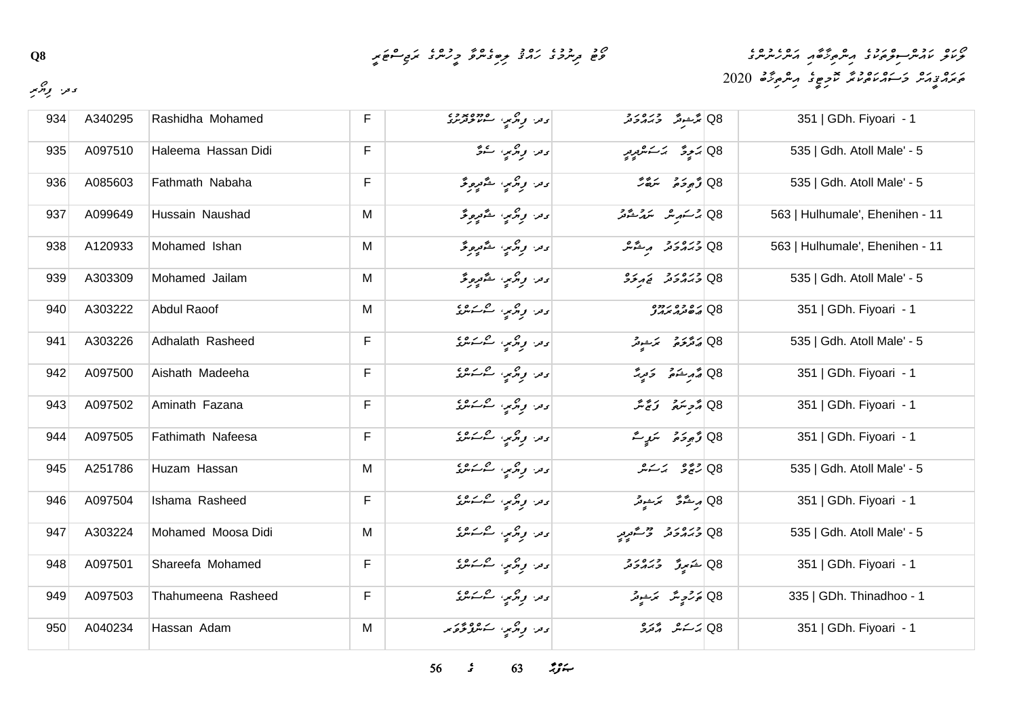*sCw7q7s5w7m< o<n9nOoAw7o< sCq;mAwBoEw7q<m; wBm;vB 2020<sup>, م</sup>وسر در مدد مدرج به مدرم مقرم قرار 2020*<br>موسر المستقرم المستقرم المستقرم المستقرم المستقرم المستقرم المستقرم المستقرم المستقرم المستقرم المستقرم المستقر

| 934 | A340295 | Rashidha Mohamed    | $\mathsf F$ | وفر و چربي مسموفر ده.<br>وفر و چربي مسموفر برو |                                                   | 351   GDh. Fiyoari - 1          |
|-----|---------|---------------------|-------------|------------------------------------------------|---------------------------------------------------|---------------------------------|
| 935 | A097510 | Haleema Hassan Didi | F           | <mark>وفر: وِچْرِين سُتَرَ</mark> دُّ          | Q8 كەرچۇ - ئەسەئىرىر                              | 535   Gdh. Atoll Male' - 5      |
| 936 | A085603 | Fathmath Nabaha     | F           | ىمە وەكىر، ئىگەرەتخ                            | Q8 تَ <i>جِ دَمَّةَ سَقَّتَ</i>                   | 535   Gdh. Atoll Male' - 5      |
| 937 | A099649 | Hussain Naushad     | M           | ى تىر ، توركىي، ئىشتىرى ئى                     | Q8 يُرْسَمَ مِيرْ سَمَدْ مِسْتَمَ <sup>و</sup> رْ | 563   Hulhumale', Ehenihen - 11 |
| 938 | A120933 | Mohamed Ishan       | M           | <mark>دىر: وەكىم</mark> ، ئىگەر <i>ە</i> رگە   |                                                   | 563   Hulhumale', Ehenihen - 11 |
| 939 | A303309 | Mohamed Jailam      | M           | ى قىز بوركىيە، ئىشتىرەتچە                      | Q8 <i>وُبَهُ دَوَدٌ</i> مَ <i>مِ وَدَ</i>         | 535   Gdh. Atoll Male' - 5      |
| 940 | A303222 | Abdul Raoof         | M           | ى تىر ، توركى يېڭ ئىسكەنلەرگە                  | Q8) המתהתהנים                                     | 351   GDh. Fiyoari - 1          |
| 941 | A303226 | Adhalath Rasheed    | F           | ىمىن بوركىي، سىكەنلىكى                         | Q8 <i>مَۃ مَّرْحَمَّۃَ مَرَحْدِثَر</i> ُ          | 535   Gdh. Atoll Male' - 5      |
| 942 | A097500 | Aishath Madeeha     | F           | ى تىر. توپىرىيە، سىرسىتىرى                     | Q8 م <i>مَّمْ شَمَّة وَمَرِيدً</i>                | 351   GDh. Fiyoari - 1          |
| 943 | A097502 | Aminath Fazana      | F           | دىن وچرىپ، سەستىرى                             | Q8 م <sup>ح</sup> رج محرکة محرکة مثر              | 351   GDh. Fiyoari - 1          |
| 944 | A097505 | Fathimath Nafeesa   | F           | ى تىر ، توركى يېڭ ئىسكەنلەرگە                  | Q8 <i>وَّجوحَةْ</i> سَمَدٍ مَّ                    | 351   GDh. Fiyoari - 1          |
| 945 | A251786 | Huzam Hassan        | M           | ى تىر بوركىي، سىگە كىلىكى                      | Q8 رُبِّحْ بَرَ سَ <i>مَ</i> سُ                   | 535   Gdh. Atoll Male' - 5      |
| 946 | A097504 | Ishama Rasheed      | F           | ى قىز بوركىي، سىگە ئىككى                       | Q8 م <b>ېنگەگ ك</b> رىشون <i>گ</i> ر              | 351   GDh. Fiyoari - 1          |
| 947 | A303224 | Mohamed Moosa Didi  | M           | دىن وچرىپ، سەستىرى                             | Q8 <i>3&gt;۶۶ ج. محر شور ب</i> ر                  | 535   Gdh. Atoll Male' - 5      |
| 948 | A097501 | Shareefa Mohamed    | F           | دىن وچرىي، گەسكىرى                             | Q8 خەمرى <sup>س</sup> ئەيرە ئىر                   | 351   GDh. Fiyoari - 1          |
| 949 | A097503 | Thahumeena Rasheed  | F           | دىن بوركىي، سىكەنلىكى                          | Q8   مَرْكَرِيمٌ مَرْسُومٌرُ                      | 335   GDh. Thinadhoo - 1        |
| 950 | A040234 | Hassan Adam         | M           | ى تىر بوركىي، سەنتىل ئۇتۇمىر                   | Q8   يَرْسَسْ   مُرَّمَرْدُ                       | 351   GDh. Fiyoari - 1          |

 $56$  *s*  $63$  *n***<sub>y</sub>** $\leq$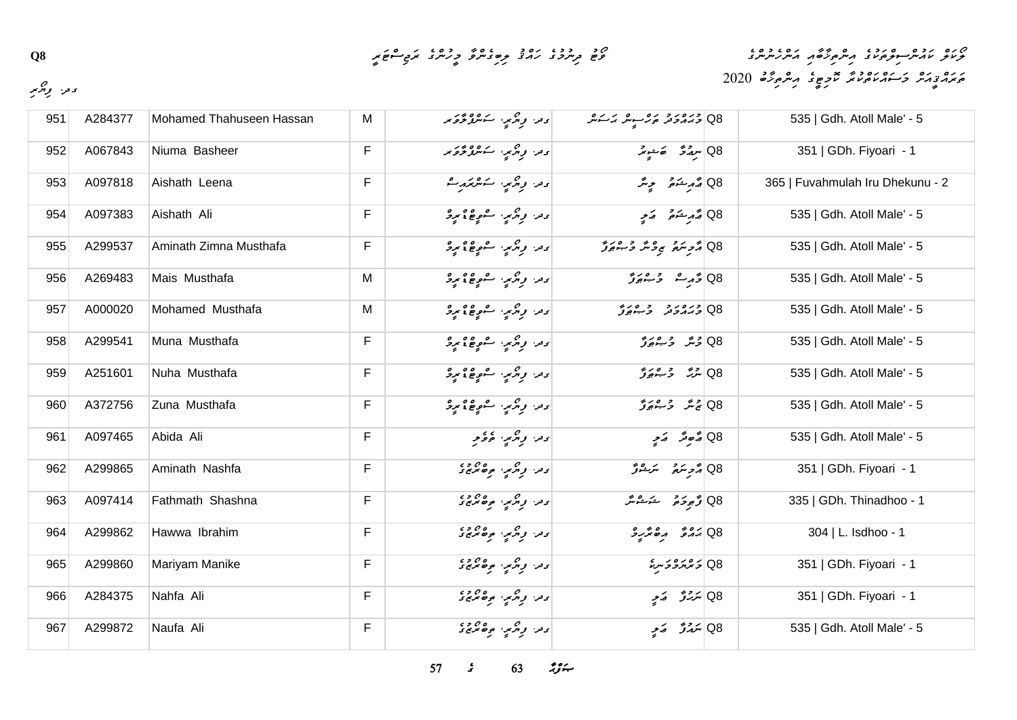*sCw7q7s5w7m< o<n9nOoAw7o< sCq;mAwBoEw7q<m; wBm;vB 2020*<br>*په پوهر وسوډيرونو لومو د موجو د مرمونه* 2020

| 951 | A284377 | Mohamed Thahuseen Hassan | M           | ى تەرەپچە بەلەر ئەستەر ئۆتكەندا                       | Q8) <i>دېروبرو مرګ په شو بر کش</i> ر                                | 535   Gdh. Atoll Male' - 5       |
|-----|---------|--------------------------|-------------|-------------------------------------------------------|---------------------------------------------------------------------|----------------------------------|
| 952 | A067843 | Niuma Basheer            | $\mathsf F$ | ىلا يوركىي سەھەتمۇتىمە                                | Q8 سيم <sup>ت</sup> ر صَ <sub>شو</sub> مر                           | 351   GDh. Fiyoari - 1           |
| 953 | A097818 | Aishath Leena            | F           | ى قرا بوركى بىر ئىسكى كىرىدىك                         | Q8 <i>مُذہب مَشتر وَ سَرَّ</i>                                      | 365   Fuvahmulah Iru Dhekunu - 2 |
| 954 | A097383 | Aishath Ali              | $\mathsf F$ | ىمىز بوركىيز، سەھق ئامېرى                             | Q8 م <i>مَّم شَمَّة مَ</i> حِ                                       | 535   Gdh. Atoll Male' - 5       |
| 955 | A299537 | Aminath Zimna Musthafa   | F           | دىن وكرىي، سەھ ھ دەر ۋ                                | Q8 مُر <sub>ْح</sub> ِسَمْ <sub>مِّ ح</sub> وسُر وَجَسِمْ <i>وَ</i> | 535   Gdh. Atoll Male' - 5       |
| 956 | A269483 | Mais Musthafa            | M           | ىمىز بوركىيز، سەھۋە يور                               | Q8 گەرىشە كەسبۇرگە                                                  | 535   Gdh. Atoll Male' - 5       |
| 957 | A000020 | Mohamed Musthafa         | M           | ىمىز بوركىيز، سەھ قايور ئ                             | Q8 دېرونو ويونو                                                     | 535   Gdh. Atoll Male' - 5       |
| 958 | A299541 | Muna Musthafa            | F           | ى تىر بوركىي، سەھ قايلى تەرى                          | Q8 ۇىئر ئ <i>ۇببۇۇ</i>                                              | 535   Gdh. Atoll Male' - 5       |
| 959 | A251601 | Nuha Musthafa            | F           | ىمىز بوركىير، سەموھ دىرى                              | Q8 يزي <sup>ع</sup> - تر يمبرو تر                                   | 535   Gdh. Atoll Male' - 5       |
| 960 | A372756 | Zuna Musthafa            | $\mathsf F$ | دىر وكرىي سوھ دە دە                                   | Q8 ج يى ئى ئى يەر ئىچە ئى                                           | 535   Gdh. Atoll Male' - 5       |
| 961 | A097465 | Abida Ali                | $\mathsf F$ | رىر وگرىي ئوتۇم                                       | Q8 م <i>حّصومتَر مَ</i> حٍ                                          | 535   Gdh. Atoll Male' - 5       |
| 962 | A299865 | Aminath Nashfa           | F           |                                                       | Q8 أ <i>مَّ جِسَمَّة سَ</i> خَشَرَ                                  | 351   GDh. Fiyoari - 1           |
| 963 | A097414 | Fathmath Shashna         | $\mathsf F$ | <i>دىن و</i> ركېر، موځندن د                           | Q8 <i>وَّەودَە</i> شەشھىد                                           | 335   GDh. Thinadhoo - 1         |
| 964 | A299862 | Hawwa Ibrahim            | F           | <i>دىن و</i> ركېر، موځندن د                           | Q8) بَهُمَّة مُصَمَّدِة لِمَ                                        | 304   L. Isdhoo - 1              |
| 965 | A299860 | Mariyam Manike           | F           | <i>دىن ۋ</i> ەرىپ، م <i>ەھىرى</i>                     | Q8 كەنگە <i>كەنگە ئەرىئ</i>                                         | 351   GDh. Fiyoari - 1           |
| 966 | A284375 | Nahfa Ali                | $\mathsf F$ | <i>دىن و</i> ركېر، موځندن د                           | Q8 <i>سَرْتَرٌ مَ</i> حِ                                            | 351   GDh. Fiyoari - 1           |
| 967 | A299872 | Naufa Ali                | F           | <i>دىن ۋەكېر، مۇھىرى</i><br>دىن <i>ۋەكېر</i> ، مۇھىرى | Q8 <i>سَمَۃُوَّنَہُ مَہٰ یہِ</i>                                    | 535   Gdh. Atoll Male' - 5       |

 $57$  **s**  $63$  *i***<sub>S</sub>** $\frac{2}{5}$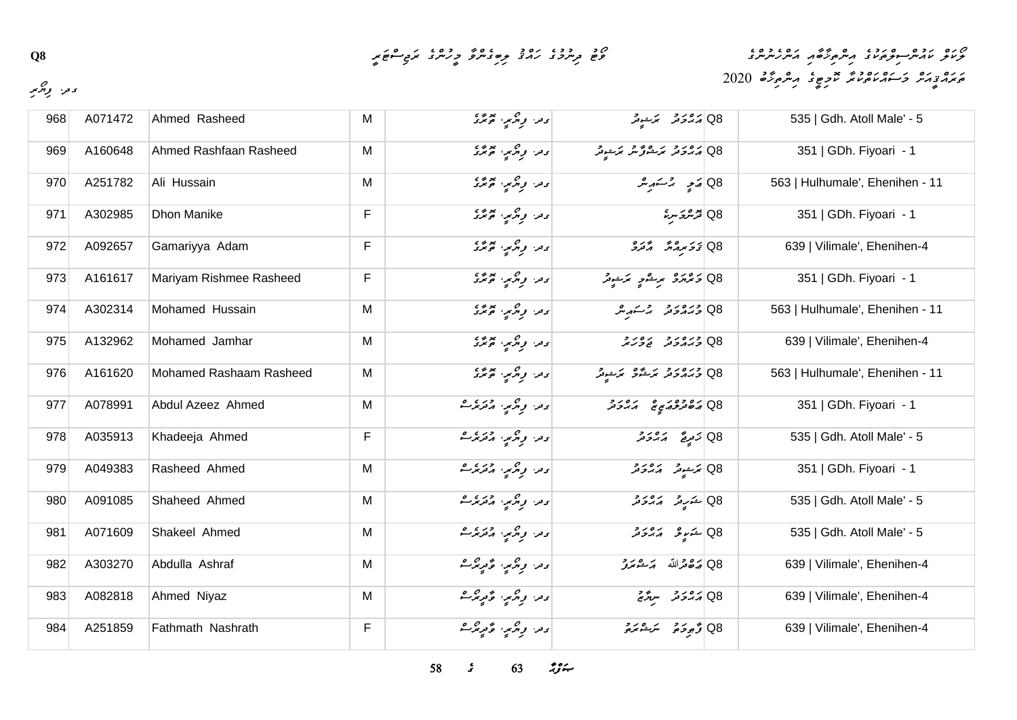*sCw7q7s5w7m< o<n9nOoAw7o< sCq;mAwBoEw7q<m; wBm;vB 2020*<br>*په پوهر وسوډيرونو لومو د موجو د مرمونه* 2020

| 968 | A071472 | Ahmed Rasheed           | M           | ر مر ، و ټر مړينه په ده بر د                                 | Q8 <i>كەنگە كىگە تى</i> رىنىدىتى (                                                                                                                                                                                               | 535   Gdh. Atoll Male' - 5      |
|-----|---------|-------------------------|-------------|--------------------------------------------------------------|----------------------------------------------------------------------------------------------------------------------------------------------------------------------------------------------------------------------------------|---------------------------------|
| 969 | A160648 | Ahmed Rashfaan Rasheed  | M           | دىن ۋەكىپ بولۇپ                                              | Q8) <i>كەنگە كەنگەنگە كەشپەت</i> ر                                                                                                                                                                                               | 351   GDh. Fiyoari - 1          |
| 970 | A251782 | Ali Hussain             | M           | دىن وگرىي، بودى                                              | Q8 <i>مَجِ بِرْسَمب</i> ِ مَ <i>رْ</i>                                                                                                                                                                                           | 563   Hulhumale', Ehenihen - 11 |
| 971 | A302985 | <b>Dhon Manike</b>      | F           | وفر ، وگرمر، مومری                                           | Q8   قريمه تحرير مثر                                                                                                                                                                                                             | 351   GDh. Fiyoari - 1          |
| 972 | A092657 | Gamariyya Adam          | F           | دىن وگرىي، بودى                                              | Q8 تۇ <i>ۋىرمەش م<sup>ە</sup>ترى</i>                                                                                                                                                                                             | 639   Vilimale', Ehenihen-4     |
| 973 | A161617 | Mariyam Rishmee Rasheed | $\mathsf F$ | دىن وگرىي، ئومۇ                                              | $\alpha$ كا كالمركز كالمرسور المرسور كالمراكب                                                                                                                                                                                    | 351   GDh. Fiyoari - 1          |
| 974 | A302314 | Mohamed Hussain         | M           | ر در و گرم به برد .<br>در و گرم موند                         | Q8 <i>وَيُدَوْدُوَ بِرْسَهِهِ مَّ</i> ر                                                                                                                                                                                          | 563   Hulhumale', Ehenihen - 11 |
| 975 | A132962 | Mohamed Jamhar          | M           | وفر ، و چې سوره د                                            | Q8 <i>وبروبرو بروب</i> رو                                                                                                                                                                                                        | 639   Vilimale', Ehenihen-4     |
| 976 | A161620 | Mohamed Rashaam Rasheed | M           | ر در و گرم به بره با                                         | Q8 <i>وَبَهُ وَبَنْ</i> بَرَحْتُوْ بَرَحْمِتْر                                                                                                                                                                                   | 563   Hulhumale', Ehenihen - 11 |
| 977 | A078991 | Abdul Azeez Ahmed       | M           | <sub>ى</sub> مە پەھىي مەمكەرگ                                | Q8 בטיפול ביטר בייריק בייריק בייריק בייריק בייריק בייריק בייריק בייריק בייריק בייריק בייריק בייריק בייריק בייר<br>פרט פרטיק בייריק בייריק בייריק בייריק בייריק בייריק בייריק בייריק בייריק בייריק בייריק בייריק בייריק בייריק בי | 351   GDh. Fiyoari - 1          |
| 978 | A035913 | Khadeeja Ahmed          | F           | <sub>ى</sub> ر روگىي قىرىگ                                   | Q8 كَتَامِيعٌ مَ يُرْكَامُ                                                                                                                                                                                                       | 535   Gdh. Atoll Male' - 5      |
| 979 | A049383 | Rasheed Ahmed           | M           | ى قىز بوركىي، ئەتەتكەت                                       | Q8 <i>بَرَحوثر مَہُدَوَ</i> ٹر                                                                                                                                                                                                   | 351   GDh. Fiyoari - 1          |
| 980 | A091085 | Shaheed Ahmed           | M           | ى قىز بولگىيچە كەتكەتكەش                                     | Q8 خىرى <i>گە مەشى</i> قىر                                                                                                                                                                                                       | 535   Gdh. Atoll Male' - 5      |
| 981 | A071609 | Shakeel Ahmed           | M           | <sub>ى</sub> ر روگىي مەركىت                                  | Q8 خىر يۇ مە <i>مەدى</i> ر                                                                                                                                                                                                       | 535   Gdh. Atoll Male' - 5      |
| 982 | A303270 | Abdulla Ashraf          | M           | <sub>ى</sub> مىن ب <sub>و</sub> نكىيە، ئ <sup>ۇ</sup> يرىكەش | Q8 مَەمْراللە مَشْعَرَ                                                                                                                                                                                                           | 639   Vilimale', Ehenihen-4     |
| 983 | A082818 | Ahmed Niyaz             | M           | ى تىر بوركىي، ئۇيرىكرىش                                      | Q8 كەش <sup>ى</sup> ر كىرىگە ئىس كەنتى بىر                                                                                                                                                                                       | 639   Vilimale', Ehenihen-4     |
| 984 | A251859 | Fathmath Nashrath       | F           | ى تىر بوركىي، ئۇيرىرگ                                        | Q8 <i>وَّجِوَدَةُ</i> سَرَشْ <i>مَرْمُ</i>                                                                                                                                                                                       | 639   Vilimale', Ehenihen-4     |

 $58$  *s*  $63$  *n***<sub>y</sub>** $\leq$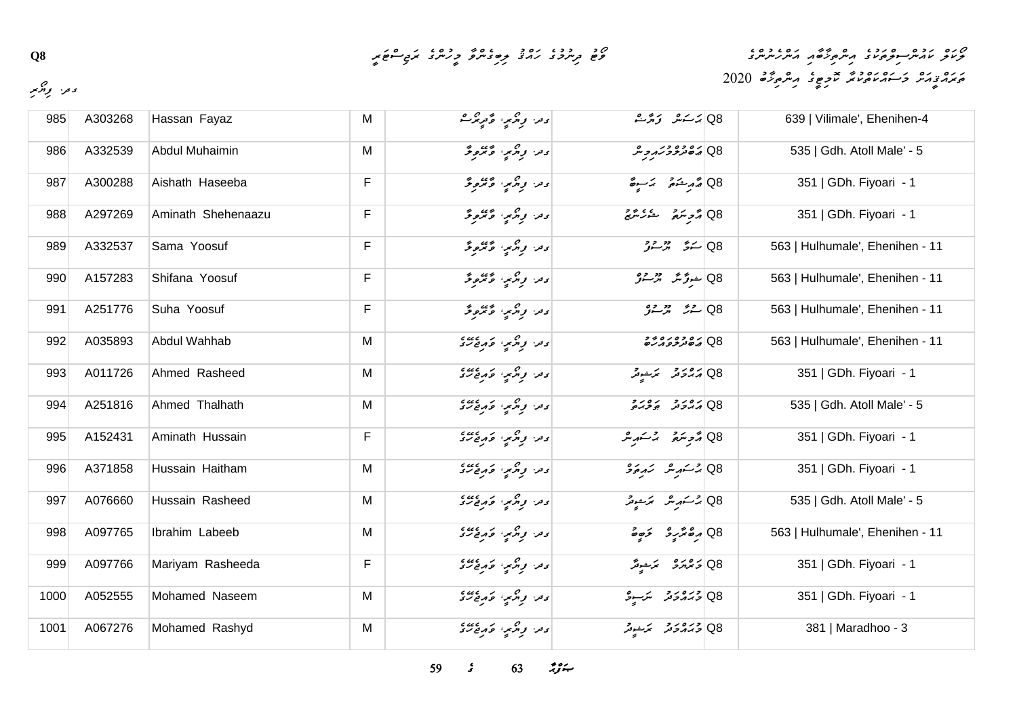*sCw7q7s5w7m< o<n9nOoAw7o< sCq;mAwBoEw7q<m; wBm;vB 2020*<br>*په پوهر وسوډيرونو لومو د موجو د مرمونه* 2020

| 985  | A303268 | Hassan Fayaz       | M           | ى تىر ، توركىي، ئۇتېرىكە شە   | Q8  ئەسەئىلە ئە <b>ئ</b> رىشە                  | 639   Vilimale', Ehenihen-4     |
|------|---------|--------------------|-------------|-------------------------------|------------------------------------------------|---------------------------------|
| 986  | A332539 | Abdul Muhaimin     | M           | ىەر وەكىي ھەكەق               | Q8   ئەھەترى <i>32 تەرەپ ش</i>                 | 535   Gdh. Atoll Male' - 5      |
| 987  | A300288 | Aishath Haseeba    | $\mathsf F$ | ىمىن وپرىي، ئۇتترىرنى         | Q8 مُ مِسْدَمْ سَمَدْتَ مَسْرِحٌ               | 351   GDh. Fiyoari - 1          |
| 988  | A297269 | Aminath Shehenaazu | F           | ىمىن وپرىي، ئۇتترىرنى         | Q8 أَمَّ مِ سَمَّ مِنْ مِ مَحْرَ مَّتَبَعَ     | 351   GDh. Fiyoari - 1          |
| 989  | A332537 | Sama Yoosuf        | $\mathsf F$ | ىەر وەكىي ھەكەم               | Q8 يەشق ت <i>ۈرتى</i> تى                       | 563   Hulhumale', Ehenihen - 11 |
| 990  | A157283 | Shifana Yoosuf     | $\mathsf F$ | ى تىر ، تورىخىيە ، ئۇ ئىزى ئى |                                                | 563   Hulhumale', Ehenihen - 11 |
| 991  | A251776 | Suha Yoosuf        | $\mathsf F$ | ىەر وەكىي ھەكەق               | Q8 شمر مقرر<br>مناسقہ                          | 563   Hulhumale', Ehenihen - 11 |
| 992  | A035893 | Abdul Wahhab       | M           | وفر و پر سي، ځمره دی          | Q8 كەھىر <i>ومەدە</i>                          | 563   Hulhumale', Ehenihen - 11 |
| 993  | A011726 | Ahmed Rasheed      | M           | ر در کوهمی څمړنه دی           | Q8 <i>كەنگە كىگە تى</i> رىنى <sub>رى</sub> تى  | 351   GDh. Fiyoari - 1          |
| 994  | A251816 | Ahmed Thalhath     | M           | رمر وگرمر، خهره رو            | Q8) <i>ړه دو</i> په ورو                        | 535   Gdh. Atoll Male' - 5      |
| 995  | A152431 | Aminath Hussain    | $\mathsf F$ | رمر وگرمر، خهره رو            | Q8 مٌ <i>جِي مَنْهُمْ بِيُ</i> سَنَهْرِ مِثْرَ | 351   GDh. Fiyoari - 1          |
| 996  | A371858 | Hussain Haitham    | M           | رور و پرس کرده در             | Q8 يُرْسَمْ مِيْتَ مَدْيَوَة مِيْتَ            | 351   GDh. Fiyoari - 1          |
| 997  | A076660 | Hussain Rasheed    | M           | رور و پرس کرده در             | Q8   جُرْسَم بِرَ سَمَ سَرَسُومَرُ             | 535   Gdh. Atoll Male' - 5      |
| 998  | A097765 | Ibrahim Labeeb     | M           | ر در کوهمی کار دره در         | $Q_0$ رە ئرىز ئومۇ                             | 563   Hulhumale', Ehenihen - 11 |
| 999  | A097766 | Mariyam Rasheeda   | F           | ر در کوهمی څمړنه دی           | Q8 ك <i>ا تركر تر مر مرسوم</i> گر              | 351   GDh. Fiyoari - 1          |
| 1000 | A052555 | Mohamed Naseem     | M           | ر در کوهمی څمړنه دی           | Q8 <i>وُبَرُوْدَوْ</i> سَرَ-وِدْ               | 351   GDh. Fiyoari - 1          |
| 1001 | A067276 | Mohamed Rashyd     | M           | رور و پرې ځمره ده             | Q8 <i>ۇنەۋى تۇ</i> مۇقر                        | 381   Maradhoo - 3              |

*59 sC 63 nNw?mS*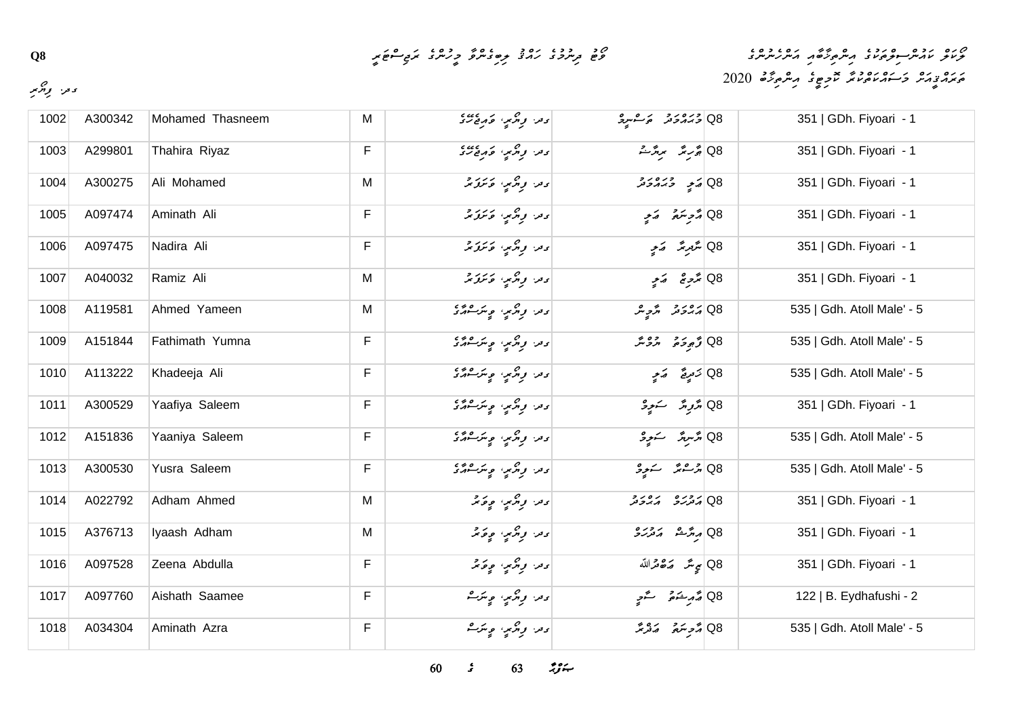*sCw7q7s5w7m< o<n9nOoAw7o< sCq;mAwBoEw7q<m; wBm;vB 2020*<br>*په پوهر وسوډيرونو لومو د موجو د مرمونه* 2020

| 1002 | A300342 | Mohamed Thasneem | M            | رىر. وترىپ، قەر <i>ە</i> رى               | Q8 <i>ڈیزودو تم</i> کے سرچ                                                                           | 351   GDh. Fiyoari - 1     |
|------|---------|------------------|--------------|-------------------------------------------|------------------------------------------------------------------------------------------------------|----------------------------|
| 1003 | A299801 | Thahira Riyaz    | F            | <i>وفر: و چې ځې</i> ورون                  | Q8 پُرسِدَّ سِدَّتْ                                                                                  | 351   GDh. Fiyoari - 1     |
| 1004 | A300275 | Ali Mohamed      | M            | ى مەس بوركىي، ئۇ كىرى كىر                 | Q8 <i>أَمَّعٍ وَبَهُ وَبَ</i>                                                                        | 351   GDh. Fiyoari - 1     |
| 1005 | A097474 | Aminath Ali      | $\mathsf F$  | ءوا وأكميا أتكركم                         | Q8 م <i>ُّحِي مَعْ</i> مَعِ                                                                          | 351   GDh. Fiyoari - 1     |
| 1006 | A097475 | Nadira Ali       | F            | ءَ ويرمي، وَتَرَوْتُرُ                    | Q8 بَمَعرِ بَمَّہ مَنْ سَمَّةٍ مِنْ السَّاسِيَةِ بِمَاضِيَّةٍ بِمَاضِيَّةٍ بِمَاضِيَّةٍ بِمَاضِيَّةٍ | 351   GDh. Fiyoari - 1     |
| 1007 | A040032 | Ramiz Ali        | M            | ءمن وأكرميا أوكرونجر                      | Q8 <i>مُتَّحِرِيْ مَيْ</i> جِ                                                                        | 351   GDh. Fiyoari - 1     |
| 1008 | A119581 | Ahmed Yameen     | M            | ىمىز وكرميز بويتر شەرى                    | Q8 <i>كەنگە كىڭ مۇچ بىر</i>                                                                          | 535   Gdh. Atoll Male' - 5 |
| 1009 | A151844 | Fathimath Yumna  | $\mathsf F$  | رىر ، وگرىي، م <sub>و</sub> سَرىسى        | Q8 <i>وَّجِوحَةْ مَرْحَ</i> مَّرْ                                                                    | 535   Gdh. Atoll Male' - 5 |
| 1010 | A113222 | Khadeeja Ali     | F            | ى تىر ، توركىيە، ئ سكر شەرى               | Q8   كَ <sup>م</sup> ْرِيعٌ = مَ <sup>مْ</sup> رٍ                                                    | 535   Gdh. Atoll Male' - 5 |
| 1011 | A300529 | Yaafiya Saleem   | $\mathsf{F}$ | ىمىز وكرميز بويتر شەرى                    | Q8 ټ <i>زو پر شوچ</i>                                                                                | 351   GDh. Fiyoari - 1     |
| 1012 | A151836 | Yaaniya Saleem   | $\mathsf F$  | ىمىز وكرىم، ھٍسَرْسُمْدَى                 | Q8 تُرْسِعٌ سَوِءٌ                                                                                   | 535   Gdh. Atoll Male' - 5 |
| 1013 | A300530 | Yusra Saleem     | F            | ىمىز وكرميز بويتر شەرى                    | Q8 پر شہر سکو ت                                                                                      | 535   Gdh. Atoll Male' - 5 |
| 1014 | A022792 | Adham Ahmed      | M            | ى تىر ، تو چېر ، چوڭ چى                   | Q8 كەفر <i>ىرى كەندى</i> تىر                                                                         | 351   GDh. Fiyoari - 1     |
| 1015 | A376713 | Iyaash Adham     | M            | ىدىن ۋەكىمى، ھەكەنگە                      | Q8 م <i>برنگ می ترد</i>                                                                              | 351   GDh. Fiyoari - 1     |
| 1016 | A097528 | Zeena Abdulla    | $\mathsf{F}$ | رىر وگرىي ھەتە                            | Q8   سی محمد ک <i>مرکھ قر</i> الله                                                                   | 351   GDh. Fiyoari - 1     |
| 1017 | A097760 | Aishath Saamee   | F            | <sub>ى</sub> ر وگرىي <sub>ئې</sub> ترگ    | Q8 <i>۾ُ مِ</i> شَمَّ ٿَم <i>ُ</i>                                                                   | 122   B. Eydhafushi - 2    |
| 1018 | A034304 | Aminath Azra     | F            | <sub>ى</sub> ىر. وكرىي، <sub>ھي</sub> ىرگ | Q8 مُج <i>رِسَعُو مَغْرَمُ</i> ّ                                                                     | 535   Gdh. Atoll Male' - 5 |

*60 sC 63 nNw?mS*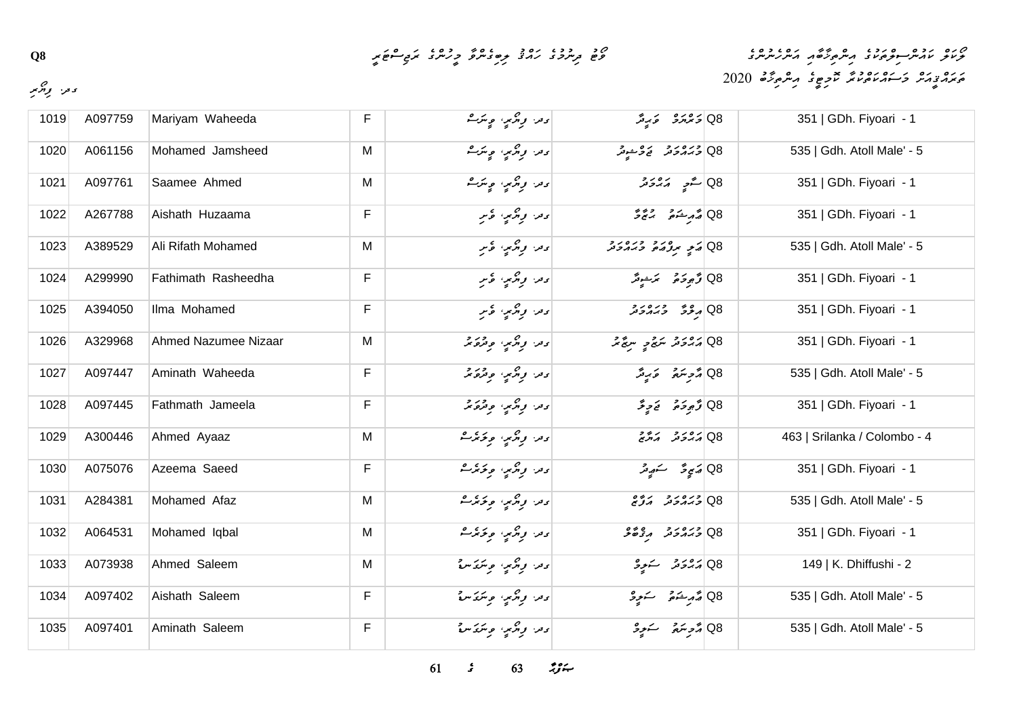*sCw7q7s5w7m< o<n9nOoAw7o< sCq;mAwBoEw7q<m; wBm;vB* م من المسجد المسجد المسجد المسجد المسجد العام 2020<br>مسجد المسجد المسجد المسجد المسجد المسجد المسجد المسجد المسجد ال

| 1019 | A097759 | Mariyam Waheeda      | F           | <sub>ى</sub> ىر. ب <sub>و</sub> ركىي، <sub>مو</sub> سّرى | Q8  <i>5 بروگر ق م</i> رتگر                  | 351   GDh. Fiyoari - 1       |
|------|---------|----------------------|-------------|----------------------------------------------------------|----------------------------------------------|------------------------------|
| 1020 | A061156 | Mohamed Jamsheed     | M           | رىر. <i>و</i> مگېر، م <sub>و</sub> سَرے                  | Q8 <i>3 د مرور يي و ش</i> وتر                | 535   Gdh. Atoll Male' - 5   |
| 1021 | A097761 | Saamee Ahmed         | M           | دىر. وگرىي، ھٍسَرَے                                      | Q8) گەم <sub>چە</sub> كەنگە <i>كە</i>        | 351   GDh. Fiyoari - 1       |
| 1022 | A267788 | Aishath Huzaama      | $\mathsf F$ | ا دور ا و چرب انجام                                      | $55.2$ $-2.2$ $-2.5$ $08$                    | 351   GDh. Fiyoari - 1       |
| 1023 | A389529 | Ali Rifath Mohamed   | M           | أدفرا وأكرس كالمو                                        | Q8 كەي بىر <i>ۇك قەتەم</i> دىر               | 535   Gdh. Atoll Male' - 5   |
| 1024 | A299990 | Fathimath Rasheedha  | F           | رور وتركيب كالمر                                         | Q8 <i>وُّجِ دَمَّة مَرْ</i> شِي <i>دَة</i> ُ | 351   GDh. Fiyoari - 1       |
| 1025 | A394050 | Ilma Mohamed         | F           | ءمه وحميا تحبر                                           | Q8 م <i>ب<sup>و</sup>دًا دُبَهُ دَوَ</i>     | 351   GDh. Fiyoari - 1       |
| 1026 | A329968 | Ahmed Nazumee Nizaar | M           | رىر وگرىي <sub>مو</sub> رد د                             | Q8 كەبرى قرىق ئىرىگە ئىر                     | 351   GDh. Fiyoari - 1       |
| 1027 | A097447 | Aminath Waheeda      | F           | <sub>ى</sub> ر وگرىي ھۆھىر                               | Q8 م <i>ُّ حِ سَمَّةٌ وَ م</i> ِ مَّد        | 535   Gdh. Atoll Male' - 5   |
| 1028 | A097445 | Fathmath Jameela     | F           | <sub>وفر:</sub> وتر <sub>يمي</sub> ، وترويمر             | Q8 تَ <i>وِجَوْ يَجِ</i> تَرَ                | 351   GDh. Fiyoari - 1       |
| 1029 | A300446 | Ahmed Ayaaz          | M           | ءمر وترس وترتر                                           | Q8 <i>ה הכת הת</i> יב                        | 463   Srilanka / Colombo - 4 |
| 1030 | A075076 | Azeema Saeed         | F           | ءمرا وأثريب وترترك                                       | Q8 كەيپۇ سى <i>مپى</i> تر                    | 351   GDh. Fiyoari - 1       |
| 1031 | A284381 | Mohamed Afaz         | M           | ءمن وكرمي، وترترك                                        | $Q8$ $2222$                                  | 535   Gdh. Atoll Male' - 5   |
| 1032 | A064531 | Mohamed Iqbal        | M           | ءمرا وأكرس وتخترك                                        | $98.25$ $25.25$ $08$                         | 351   GDh. Fiyoari - 1       |
| 1033 | A073938 | Ahmed Saleem         | M           | ىلا وكرس وبتكس                                           | Q8 <i>كەنگەنىڭ سەر</i> ۇ                     | 149   K. Dhiffushi - 2       |
| 1034 | A097402 | Aishath Saleem       | F           | رىن وگرىي، ھِ سَرَكَ سَ                                  | Q8 <i>مُّهِ شَهْرِ</i> سَعِرِ وُ             | 535   Gdh. Atoll Male' - 5   |
| 1035 | A097401 | Aminath Saleem       | F           | ىلا وكرس وبتكس                                           | Q8 أَمَّ صِنَعْهُ سَمَّ مِنْ مِ              | 535   Gdh. Atoll Male' - 5   |

 $61$  *s*  $63$  *n***<sub>s</sub>** $\frac{1}{2}$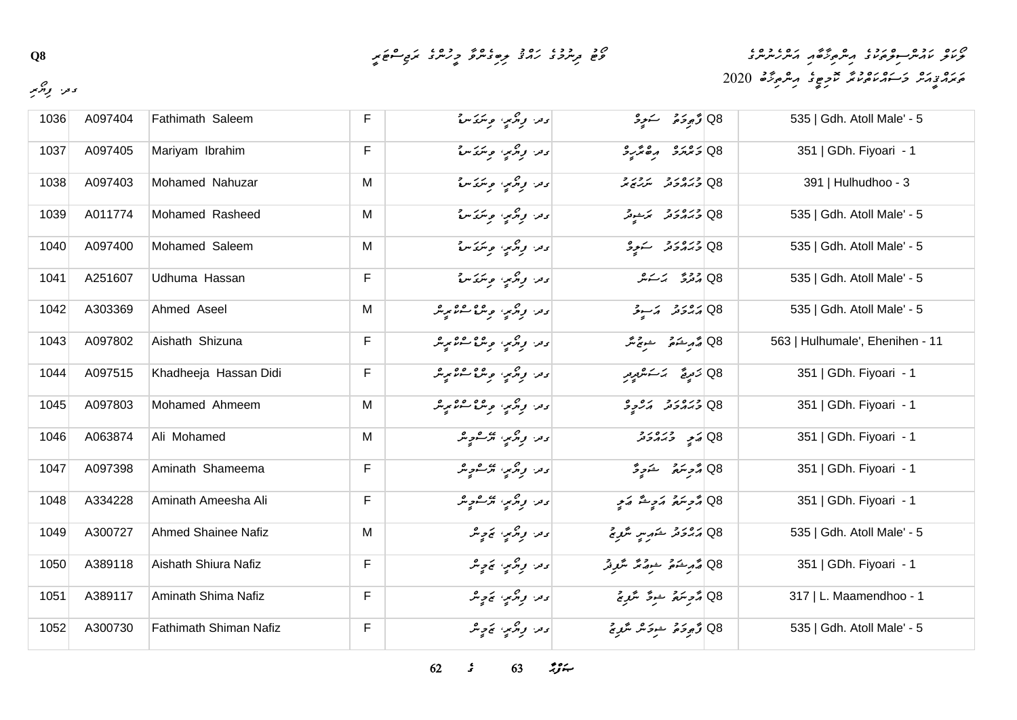*sCw7q7s5w7m< o<n9nOoAw7o< sCq;mAwBoEw7q<m; wBm;vB 2020*<br>*په پوهر وسوډيرونو لومو د موجو د مرمونه* 2020

| 1036 | A097404 | Fathimath Saleem              | $\mathsf F$ | دىن وكريم، ھِ سَرَدَ سَ                                      | Q8 <i>وَّجِوَدَة</i> سَعِرِد <i>ُ</i>            | 535   Gdh. Atoll Male' - 5      |
|------|---------|-------------------------------|-------------|--------------------------------------------------------------|--------------------------------------------------|---------------------------------|
| 1037 | A097405 | Mariyam Ibrahim               | $\mathsf F$ | ءمن وكرسٍ، ويتركم سمَّ                                       | $\frac{2}{\sqrt{2}}$ كَ جَرْمَرْدَ مِنْ مِحْرَبِ | 351   GDh. Fiyoari - 1          |
| 1038 | A097403 | Mohamed Nahuzar               | M           | ءمن وكرسٍ، ويتركم مع                                         | Q8 <i>وُبُرُودُو مُرَبِّيْتِ</i>                 | 391   Hulhudhoo - 3             |
| 1039 | A011774 | Mohamed Rasheed               | M           | ءمن وكرميا أوسكت المعا                                       | Q8 <i>وُبَرُوْدَوْ بَرَ</i> حْبِيْرَ             | 535   Gdh. Atoll Male' - 5      |
| 1040 | A097400 | Mohamed Saleem                | M           | ءمن وكرس ويتمكاسة                                            | Q8 <i>وُبَرُوْدَتْرِ</i> سَوِدْ                  | 535   Gdh. Atoll Male' - 5      |
| 1041 | A251607 | Udhuma Hassan                 | $\mathsf F$ | رىن وگرىي، مەنىڭ سى                                          | Q8 كەنترى ئەسكەنلە                               | 535   Gdh. Atoll Male' - 5      |
| 1042 | A303369 | Ahmed Aseel                   | M           | رىر وگرىي ئەھمەسەر ئە                                        | Q8   كەندى كەر كەسپ <sup>ى</sup> تى              | 535   Gdh. Atoll Male' - 5      |
| 1043 | A097802 | Aishath Shizuna               | $\mathsf F$ | دىر. وترىي، ھەرقى سىر ئېرىش                                  | Q8 م <i>ەم ھەم ئىس ھەم ئى</i> ر                  | 563   Hulhumale', Ehenihen - 11 |
| 1044 | A097515 | Khadheeja Hassan Didi         | F           | دىر وترىي ھەر شەھىر ش                                        | Q8] كَتْمِيعٌ = يَرْسَمْبْرِمِرِ                 | 351   GDh. Fiyoari - 1          |
| 1045 | A097803 | Mohamed Ahmeem                | M           | رىر وگرىي ھەرق ھەمدىر                                        | Q8 <i>وُبَهُمُوَبَّرٍ مُرْدُودٌ</i>              | 351   GDh. Fiyoari - 1          |
| 1046 | A063874 | Ali Mohamed                   | M           | <sub>ى</sub> ىر. ب <sub>و</sub> نكېر، ئ <sup>ې</sup> رگوچىگر | Q8 كەب <i>و ئېگەدى</i> گە                        | 351   GDh. Fiyoari - 1          |
| 1047 | A097398 | Aminath Shameema              | F           | <sub>ى</sub> ىر. وگرىي، گ <sup>ەر</sup> مۇسىم                | Q8 أ <i>مَّ حِ مَّتَّةٍ</i> مُتَّمَّحٍ مُحَ      | 351   GDh. Fiyoari - 1          |
| 1048 | A334228 | Aminath Ameesha Ali           | $\mathsf F$ | ى قرا ئۇنىزىيە ئەرگە بولىر                                   | Q8 مُرْحِ سَمَرَ مَرْحِثَہٗ مَرْحِ               | 351   GDh. Fiyoari - 1          |
| 1049 | A300727 | <b>Ahmed Shainee Nafiz</b>    | M           | دىن ۋەكىپ ئەچە                                               | Q8 كەشكەتمە خىمرىس ش <i>و</i> ي                  | 535   Gdh. Atoll Male' - 5      |
| 1050 | A389118 | Aishath Shiura Nafiz          | F           | <sub>م</sub> یں وگر <sub>ی</sub> ں <sub>کا</sub> ج م         | Q8 مەم ئىكتە ئىس ئىگە ئىگە بىر ئىگە ئىگە بىر     | 351   GDh. Fiyoari - 1          |
| 1051 | A389117 | Aminath Shima Nafiz           | $\mathsf F$ | دىن ۋەكبې، ئەچ ئىل                                           | Q8   مَّرْحِ سَرَةَ عَمَّدِ جَ                   | 317   L. Maamendhoo - 1         |
| 1052 | A300730 | <b>Fathimath Shiman Nafiz</b> | F           | رىر وگرىي، چَرچىگ                                            | Q8 <i>وَّجودَةْ</i> سُودَىْرْ مَ <i>نْدِجْ</i>   | 535   Gdh. Atoll Male' - 5      |

 $62$  *s*  $63$  *n***<sub>3</sub>** *n***<sub>3</sub>**